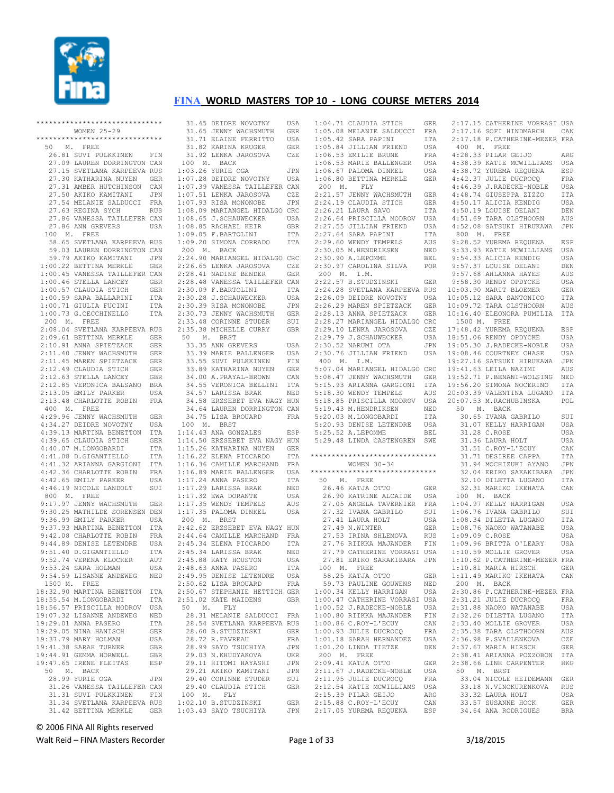

|  |    |  | ******************************                                                                                                                    |             |
|--|----|--|---------------------------------------------------------------------------------------------------------------------------------------------------|-------------|
|  |    |  | WOMEN $25 - 29$                                                                                                                                   |             |
|  |    |  | *****************************                                                                                                                     |             |
|  |    |  | 50 M. FREE                                                                                                                                        |             |
|  |    |  | 26.81 SUVI PULKKINEN                                                                                                                              | FIN         |
|  |    |  | 27.09 LAUREN DORRINGTON CAN                                                                                                                       |             |
|  |    |  | 27.15 SVETLANA KARPEEVA RUS                                                                                                                       |             |
|  |    |  |                                                                                                                                                   |             |
|  |    |  |                                                                                                                                                   |             |
|  |    |  |                                                                                                                                                   |             |
|  |    |  | 27.30 KATHARINA NUYEN<br>27.31 AMBER HUTCHINSON CAN<br>27.50 AKIKO KAMITANI JPN<br>27.54 MELANIE SALDUCCI FRA                                     |             |
|  |    |  | 27.63 REGINA SYCH                                                                                                                                 | RUS         |
|  |    |  | 27.86 VANESSA TAILLEFER CAN                                                                                                                       |             |
|  |    |  | 27.86 ANN GREVERS                                                                                                                                 | USA         |
|  |    |  | 100 M. FREE                                                                                                                                       |             |
|  |    |  | 58.65 SVETLANA KARPEEVA RUS                                                                                                                       |             |
|  |    |  | 59.03 LAUREN DORRINGTON CAN                                                                                                                       |             |
|  |    |  | 59.79 AKIKO KAMITANI                                                                                                                              | JPN         |
|  |    |  | 1:00.22 BETTINA MERKLE GER<br>1:00.45 VANESSA TAILLEFER CAN                                                                                       |             |
|  |    |  |                                                                                                                                                   |             |
|  |    |  | $1:00.46$ STELLA LANCEY                                                                                                                           | GBR         |
|  |    |  | 1:00.57 CLAUDIA STICH<br>1:00.59 SARA BALLARINI                                                                                                   | ${\tt GER}$ |
|  |    |  |                                                                                                                                                   | ITA         |
|  |    |  | 1:00.71 GIULIA FUCINI                                                                                                                             | ITA         |
|  |    |  | 1:00.73 G. CECCHINELLO                                                                                                                            | ITA         |
|  |    |  | 200 M. FREE                                                                                                                                       |             |
|  |    |  | 2:08.04 SVETLANA KARPEEVA RUS                                                                                                                     |             |
|  |    |  |                                                                                                                                                   |             |
|  |    |  | 2:09.61 BETTINA MERKLE<br>2:09.61 BETTINA MERKLE GER<br>2:11.40 JENNY WACHSMUTH GER<br>2:11.45 MAREN SPIETZACK GER<br>2:11.45 MAREN SPIETZACK GER |             |
|  |    |  |                                                                                                                                                   |             |
|  |    |  |                                                                                                                                                   |             |
|  |    |  | 2:12.49 CLAUDIA STICH<br>2:12.63 STELLA LANCEY                                                                                                    | GER         |
|  |    |  |                                                                                                                                                   | GBR         |
|  |    |  | 2:12.85 VERONICA BALSANO BRA                                                                                                                      |             |
|  |    |  | 2:13.05 EMILY PARKER                                                                                                                              | USA         |
|  |    |  | 2:13.48 CHARLOTTE ROBIN                                                                                                                           | FRA         |
|  |    |  | 400 M. FREE                                                                                                                                       |             |
|  |    |  | 4:29.96 JENNY WACHSMUTH GER                                                                                                                       |             |
|  |    |  | 4:34.27 DEIDRE NOVOTNY                                                                                                                            | USA         |
|  |    |  | 4:39.13 MARTINA BENETTON                                                                                                                          | ITA<br>GER  |
|  |    |  | 4:39.65 CLAUDIA STICH                                                                                                                             |             |
|  |    |  | 4:40.07 M.LONGOBARDI                                                                                                                              | ITA         |
|  |    |  | 4:41.08 D.GIGANTIELLO ITA<br>4:41.32 ARIANNA GARGIONI ITA<br>7.1.32 ARIANNA GARGIONI ITA                                                          |             |
|  |    |  |                                                                                                                                                   |             |
|  |    |  | $4:42.36$ CHARLOTTE ROBIN                                                                                                                         | FRA         |
|  |    |  | 4:42.65 EMILY PARKER                                                                                                                              | USA         |
|  |    |  | 4:46.19 NICOLE LANDOLT                                                                                                                            | SUI         |
|  |    |  | 800 M. FREE<br>9:17.97 JENNY WACHSMUTH GER                                                                                                        |             |
|  |    |  |                                                                                                                                                   |             |
|  |    |  | 9:30.25 MATHILDE SORENSEN DEN                                                                                                                     |             |
|  |    |  | 9:36.99 EMILY PARKER                                                                                                                              | USA         |
|  |    |  | 9:37.93 MARTINA BENETTON                                                                                                                          | ITA         |
|  |    |  | 9:42.08 CHARLOTTE ROBIN                                                                                                                           | FRA         |
|  |    |  | 9:44.89 DENISE LETENDRE                                                                                                                           | USA         |
|  |    |  | 9:51.40 D.GIGANTIELLO                                                                                                                             | ITA         |
|  |    |  | 9:52.74 VERENA KLOCKER                                                                                                                            | AUT         |
|  |    |  | 9:53.24 SARA HOLMAN                                                                                                                               | USA         |
|  |    |  | 9:54.59 LISANNE ANDEWEG<br>1500 M. FREE                                                                                                           | NED         |
|  |    |  | 18:32.90 MARTINA BENETTON                                                                                                                         | ITA         |
|  |    |  | 18:55.54 M.LONGOBARDI                                                                                                                             | ITA         |
|  |    |  |                                                                                                                                                   | USA         |
|  |    |  | 18:56.57 PRISCILLA MODROV<br>19:07.32 LISANNE ANDEWEG                                                                                             | NED         |
|  |    |  |                                                                                                                                                   | ITA         |
|  |    |  | 19:29.01 ANNA PASERO<br>19:29.05 NINA HANISCH                                                                                                     | <b>GER</b>  |
|  |    |  | 19:37.79 MARY HOLMAN                                                                                                                              | USA         |
|  |    |  | 19:41.38 SARAH TURNER                                                                                                                             | GBR         |
|  |    |  | 19:44.91 GEMMA HORWELL                                                                                                                            | GBR         |
|  |    |  | 19:47.65 IRENE FLEITAS                                                                                                                            | ESP         |
|  | 50 |  | M. BACK                                                                                                                                           |             |
|  |    |  | 28.99 YURIE OGA                                                                                                                                   | JPN         |
|  |    |  | 31.26 VANESSA TAILLEFER CAN                                                                                                                       |             |
|  |    |  | 31.31 SUVI PULKKINEN                                                                                                                              | FIN         |
|  |    |  | 31.34 SVETLANA KARPEEVA RUS                                                                                                                       |             |
|  |    |  | 31.42 BETTINA MERKLE                                                                                                                              | GER         |
|  |    |  |                                                                                                                                                   |             |

 31.45 DEIDRE NOVOTNY USA 31.65 JENNY WACHSMUTH GER 31.71 ELAINE FERRITTO USA 31.82 KARINA KRUGER GER 31.92 LENKA JAROSOVA CZE 100 M. BACK  $1 \cdot 03$  26 YURIE OGA JPN 1:07.28 DEIDRE NOVOTNY USA 1:07.39 VANESSA TAILLEFER CAN 1:07.51 LENKA JAROSOVA CZE 1:07.93 RISA MONONOBE JPN 1:08.09 MARIANGEL HIDALGO CRC 1:08.65 J.SCHAUWECKER USA 1:08.85 RACHAEL KEIR GBR 1:09.05 F.BARTOLINI ITA 1:09.20 SIMONA CORRADO ITA 200 M. BACK 2:24.90 MARIANGEL HIDALGO CRC 2:26.65 LENKA JAROSOVA CZE 2:28.41 NADINE BENDER GER 2:28.48 VANESSA TAILLEFER CAN 2:30.09 F.BARTOLINI ITA 2:30.28 J.SCHAUWECKER USA 2:30.39 RISA MONONOBE JPN 2:30.73 JENNY WACHSMUTH GER 2:33.48 CORINNE STUDER SUI 2:35.38 MICHELLE CURRY GBR 50 M. BRST 33.35 ANN GREVERS USA 33.39 MARIE BALLENGER USA<br>33.55 SUVI PULKKINEN FIN 33.55 SUVI PULKKINEN 33.89 KATHARINA NUYEN GER 34.00 A.PRAYAL-BROWN CAN 34.55 VERONICA BELLINI ITA 34.57 LARISSA BRAK NED 34.58 ERZSEBET EVA NAGY HUN 34.64 LAUREN DORRINGTON CAN 34.75 LISA BROUARD FRA 100 M. BRST 1:14.43 ANA GONZALES ESP 1:14.50 ERZSEBET EVA NAGY HUN 1:15.26 KATHARINA NUYEN GER 1:16.22 ELENA PICCARDO ITA 1:16.36 CAMILLE MARCHAND FRA  $1:16.89$  MARIE BALLENGER 1:17.24 ANNA PASERO ITA<br>1:17.29 LARISSA BRAK NED  $1:17.29$  LARISSA BRAK 1:17.32 EWA DORANTE USA 1:17.35 WENDY TEMPELS AUS 1:17.35 PALOMA DINKEL USA 200 M. BRST 2:42.62 ERZSEBET EVA NAGY HUN 2:44.64 CAMILLE MARCHAND FRA<br>2:45.34 ELENA PICCARDO ITA  $2 \cdot 45$ .34 ELENA PICCARDO 2:45.34 LARISSA BRAK NED<br>2:45 88 KATY HOUSTON 11SA  $2:45.88$  KATY HOUSTON 2:48.63 ANNA PASERO ITA 2:49.95 DENISE LETENDRE USA 2:50.62 LISA BROUARD FRA 2:50.67 STEPHANIE HETTICH GER 2:51.02 KATE MAIDENS GBR 50 M. FLY 28.31 MELANIE SALDUCCI FRA 28.54 SVETLANA KARPEEVA RUS 28.60 B.STUDZINSKI GER 28.72 R.FAVREAU FRA 28.99 SAYO TSUCHIYA JPN<br>29.03 N.KHUDYAKOVA UKR 29.03 N.KHUDYAKOVA 29.11 HITOMI HAYASHI JPN<br>29.21 AKIKO KAMITANI JPN 29.21 AKIKO KAMITANI 29.40 CORINNE STUDER SUI 29.40 CLAUDIA STICH GER 100 M. FLY 1:02.10 B.STUDZINSKI GER 1:03.43 SAYO TSUCHIYA JPN

| 1:04.71 CLAUDIA STICH                                                                    | GER        |
|------------------------------------------------------------------------------------------|------------|
|                                                                                          |            |
| 1:05.08 MELANIE SALDUCCI                                                                 | FRA        |
| $1:05.42$ SARA PAPINI                                                                    | ITA        |
| 1:05.84 JILLIAN FRIEND<br>1:06.53 EMILIE BRUNE                                           | USA        |
|                                                                                          |            |
|                                                                                          | FRA        |
| 1:06.53 MARIE BALLENGER                                                                  | USA        |
|                                                                                          |            |
| 1:06.67 PALOMA DINKEL<br>1:06.80 BETTINA MERKLE                                          | USA        |
|                                                                                          | <b>GER</b> |
| 200 M. FLY                                                                               |            |
|                                                                                          |            |
| 2:21.57 JENNY WACHSMUTH                                                                  | GER        |
| 2:24.19 CLAUDIA STICH                                                                    | GER        |
|                                                                                          | ITA        |
|                                                                                          |            |
| 2:26.21 LAURA SAVO<br>2:26.64 PRISCILLA MODROV<br>2:27.55 JILLIAN FRIEND                 | USA        |
|                                                                                          | USA        |
|                                                                                          |            |
| 2:27.64 SARA PAPINI                                                                      | ITA        |
| 2:29.60 WENDY TEMPELS<br>2:30.05 M.HENDRIKSEN                                            | AUS        |
|                                                                                          | NED        |
|                                                                                          |            |
| 2:30.90 A.LEPOMME                                                                        | BEL        |
| 2:30.97 CAROLINA SILVA                                                                   | POR        |
| 200 M. I.M.                                                                              |            |
|                                                                                          |            |
| 2:22.57 B.STUDZINSKI                                                                     | GER        |
| 2:24.28 SVETLANA KARPEEVA RUS                                                            |            |
|                                                                                          |            |
| 2:26.09 DEIDRE NOVOTNY                                                                   | USA        |
| 2:26.29 MAREN SPIETZACK                                                                  | GER        |
| 2:28.13 ANNA SPIETZACK                                                                   | GER        |
|                                                                                          |            |
| 2:28.27 MARIANGEL HIDALGO CRC                                                            |            |
| 2:29.10 LENKA JAROSOVA                                                                   | CZE        |
|                                                                                          |            |
| 2:29.79 J.SCHAUWECKER<br>2·30.52 NARHMI OTA                                              | USA        |
| 2:30.52 NARUMI OTA                                                                       | JPN        |
| 2:30.76 JILLIAN FRIEND                                                                   | USA        |
|                                                                                          |            |
| 400 M. I.M.                                                                              |            |
| 5:07.04 MARIANGEL HIDALGO CRC                                                            |            |
| 5:08.47 JENNY WACHSMUTH GER                                                              |            |
|                                                                                          |            |
| 5:15.93 ARIANNA GARGIONI                                                                 | ITA        |
| 5:18.30 WENDY TEMPELS                                                                    | AUS        |
| 5:18.85 PRISCILLA MODROV USA                                                             |            |
|                                                                                          |            |
|                                                                                          | NED        |
| 5:19.43 M.HENDRIKSEN<br>5:20.03 M.LONGOBARDI<br>5:20.03 M.LONGOBARDI                     |            |
|                                                                                          |            |
|                                                                                          | <b>ITA</b> |
|                                                                                          | USA        |
|                                                                                          | BEL        |
| 5:20.93 DENISE LETENDRE<br>5:25.52 A.LEPOMME                                             |            |
| 5:29.48 LINDA CASTENGREN SWE                                                             |            |
|                                                                                          |            |
| ******************************                                                           |            |
|                                                                                          |            |
| WOMEN $30-34$                                                                            |            |
| ******************************                                                           |            |
| 50 M. FREE                                                                               |            |
|                                                                                          |            |
| 26.46 KATJA OTTO                                                                         | GER        |
| 26.90 KATRINE ALCAIDE                                                                    | USA        |
|                                                                                          | FRA        |
| 27.05 ANGELA TAVERNIER                                                                   |            |
|                                                                                          | SUI        |
|                                                                                          | USA        |
|                                                                                          | GER        |
| 27.32 IVANA GABRILO<br>27.41 LAURA HOLT<br>27.49 N.WINTER                                |            |
|                                                                                          | RUS        |
| 27.53 IRINA SHLEMOVA<br>27.76 RIIKKA MAJANDER                                            | FIN        |
|                                                                                          |            |
| 27.79 CATHERINE VORRASI USA                                                              |            |
| 27.81 ERIKO SAKAKIBARA                                                                   | JPN        |
| 100 M. FREE                                                                              |            |
|                                                                                          |            |
| 58.25 KATJA OTTO                                                                         | GER        |
|                                                                                          |            |
|                                                                                          |            |
|                                                                                          |            |
| 59.73 PAULINE GOUWENS NED<br>1:00.34 KELLY HARRIGAN USA<br>1:00.47 CATHERINE VORRASI USA |            |
| 1:00.52 J.RADECKE-NOBLE                                                                  | USA        |
|                                                                                          | FIN        |
| $1:00.80$ RIIKKA MAJANDER                                                                |            |
| 1:00.86 C.ROY-L'ECUY                                                                     | CAN        |
| 1:00.93 JULIE DUCROCQ                                                                    | FRA        |
|                                                                                          |            |
| 1:01.18 SARAH HERNANDEZ                                                                  | USA        |
| 1:01.20 LINDA TIETZE                                                                     | DEN        |
| 200 M. FREE                                                                              |            |
| 2:09.41 KATJA OTTO                                                                       | GER        |
|                                                                                          |            |
| 2:11.67 J.RADECKE-NOBLE                                                                  | USA        |
| 2:11.95 JULIE DUCROCQ                                                                    | FRA        |
|                                                                                          |            |
| 2:12.54 KATIE MCWILLIAMS                                                                 | USA        |
| 2:15.39 PILAR GEIJO                                                                      | ARG        |
| 2:15.88 C.ROY-L'ECUY<br>2:17.05 YUREMA REOUENA                                           | CAN        |

 2:17.15 CATHERINE VORRASI USA 2:17.16 SOFI HINDMARCH CAN 2:17.18 P.CATHERINE-MEZER FRA 400 M. FREE 4:28.33 PILAR GEIJO ARG 4:38.39 KATIE MCWILLIAMS USA 4:38.72 YUREMA REQUENA ESP 4:42.37 JULIE DUCROCQ FRA 4:46.39 J.RADECKE-NOBLE USA 4:48.74 GIUSEPPA ZIZZO ITA 4:50.17 ALICIA KENDIG USA 4:50.19 LOUISE DELANI DEN 4:51.69 TARA OLSTHOORN AUS 4:52.08 SATSUKI HIRUKAWA JPN 800 M. FREE 9:28.52 YUREMA REQUENA ESP 9:33.93 KATIE MCWILLIAMS USA 9:54.33 ALICIA KENDIG USA 9:57.37 LOUISE DELANI DEN 9:57.68 AHLANNA HAYES AUS 9:58.30 RENDY OPDYCKE USA 10:03.90 MARIT BLOEMER GER 10:05.12 SARA SANTONICO ITA 10:09.72 TARA OLSTHOORN AUS 10:16.40 ELEONORA PUMILIA ITA 1500 M. FREE 17:48.42 YUREMA REQUENA ESP 18:51.06 RENDY OPDYCKE USA 19:05.30 J.RADECKE-NOBLE USA 19:08.46 COURTNEY CHASE USA 19:27.16 SATSUKI HIRUKAWA JPN 19:41.63 LEILA NAZIMI AUS 19:52.71 P.BENANI-WOLSING NED<br>19:56 20 SIMONA NOCERINO ITA 19:56.20 SIMONA NOCERINO 20:03.39 VALENTINA LUGANO ITA 20:07.53 M.RACHUBINSKA POL 50 M. BACK 30.65 IVANA GABRILO SUI 31.07 KELLY HARRIGAN USA 31.28 C.ROSE USA 31.36 LAURA HOLT USA 31.51 C.ROY-L'ECUY CAN 31.71 DESIREE CAPPA ITA 31.94 MOCHIZUKI AYANO JPN 32.04 ERIKO SAKAKIBARA JPN 32.10 DILETTA LUGANO ITA 32.31 MARIKO IKEHATA CAN 100 M. BACK 1:04.97 KELLY HARRIGAN USA 1:06.76 IVANA GABRILO SUI 1:08.34 DILETTA LUGANO ITA 1:08.76 NAOKO WATANABE USA  $1:09.09$  C.ROSE USA<br> $1:09$  96 BRITTA O'LEARY USA  $1:09.96$  BRITTA O'LEARY 1:10.59 MOLLIE GROVER USA 1:10.62 P.CATHERINE-MEZER FRA 1:10.81 MARIA HIRSCH GER 1:11.49 MARIKO IKEHATA CAN 200 M. BACK 2:30.86 P.CATHERINE-MEZER FRA 2:31.21 JULIE DUCROCQ FRA 2:31.88 NAOKO WATANABE USA<br>2:32.26 DILETTA LUGANO – TTA  $2:32.26$  DILETTA LUGANO 2:33.40 MOLLIE GROVER USA 2:35.38 TARA OLSTHOORN AUS 2:36.98 P.SVADLENKOVA CZE 2:37.67 MARIA HIRSCH GER 2:38.41 ARIANNA POZZOBON ITA 2:38.66 LINH CARPENTER HKG 50 M. BRST 33.04 NICOLE HEIDEMANN GER 33.18 N.VINOKURENKOVA RUS 33.32 LAURA HOLT USA 33.57 SUSANNE HOCK GER 34.64 ANA RODRIGUES BRA

© 2006 FINA All Rights reserved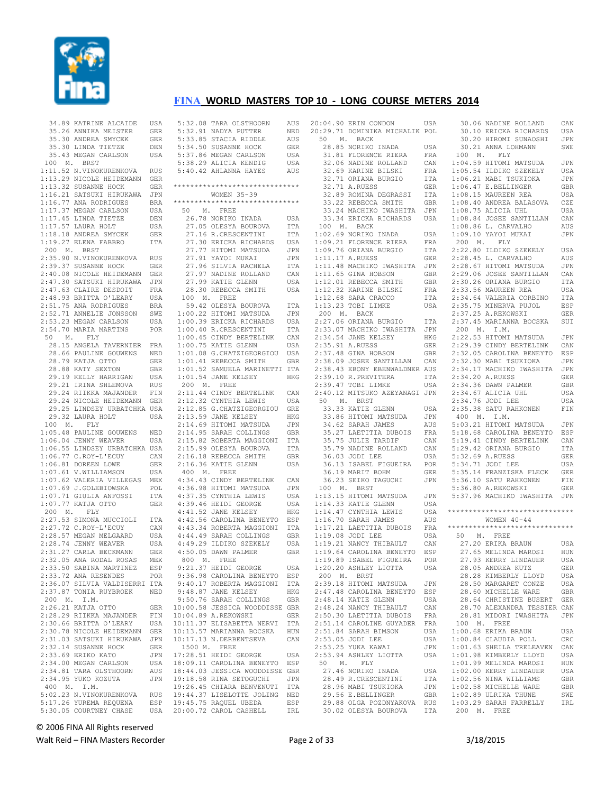

| 34.89 KATRINE ALCAIDE                                                                                    | USA        |
|----------------------------------------------------------------------------------------------------------|------------|
| 35.26 ANNIKA MEISTER<br>35.30 ANDREA SMYCEK<br>35.30 LINDA TIETZE                                        | GER        |
|                                                                                                          | GER        |
|                                                                                                          | DEN        |
| 35.43 MEGAN CARLSON                                                                                      | USA        |
| 100 M. BRST                                                                                              |            |
| 1:11.52 N.VINOKURENKOVA                                                                                  | RUS        |
|                                                                                                          | GER        |
| 1:13.29 NICOLE HEIDEMANN<br>1:13.32 SUSANNE HOCK<br>1:16.21 SATSUKI HIRUKAWA                             | GER        |
|                                                                                                          | JPN        |
| $1:16.77$ ANA RODRIGUES                                                                                  | BRA<br>USA |
| 1:17.37 MEGAN CARLSON<br>1:17.45 LINDA TIETZE                                                            | DEN        |
| $1:17.57$ LAURA HOLT                                                                                     | USA        |
|                                                                                                          | <b>GER</b> |
| 1:18.18 ANDREA SMYCEK<br>1:19.27 ELENA FABBRO                                                            | ITA        |
| 200 M. BRST                                                                                              |            |
| 2:35.90 N.VINOKURENKOVA                                                                                  | RUS        |
| 2:39.37 SUSANNE HOCK                                                                                     | GER        |
| 2:40.08 NICOLE HEIDEMANN<br>2:47.30 SATSUKI HIRUKAWA<br>2:47.63 CLAIRE DESDOIT<br>2:48.93 BRITTA O'LEARY | GER        |
|                                                                                                          | JPN        |
|                                                                                                          | FRA        |
| 2:48.93 BRITTA O'LEARY                                                                                   | USA        |
| 2:51.75 ANA RODRIGUES                                                                                    | <b>BRA</b> |
| 2:52.71 ANNELIE JONSSON                                                                                  | SWE        |
| 2:53.23 MEGAN CARLSON                                                                                    | USA        |
| 2:54.70 MARIA MARTINS                                                                                    | POR        |
| $50 \qquad {\tt M.} \qquad {\tt FLY}$                                                                    |            |
| 28.15 ANGELA TAVERNIER FRA                                                                               |            |
| 28.66 PAULINE GOUWENS<br>28.79 KATJA OTTO                                                                | NED        |
| 28.79 KATJA OTTO<br>28.88 KATY SEXTON                                                                    | GER        |
|                                                                                                          | GBR        |
|                                                                                                          | USA        |
| 29.19 KELLY HARRIGAN<br>29.21 IRINA SHLEMOVA<br>29.24 RIIKKA MAJANDER                                    | RUS<br>FIN |
| 29.24 NICOLE HEIDEMANN                                                                                   | GER        |
| 29.25 LINDSEY URBATCHKA USA                                                                              |            |
| 29.32 LAURA HOLT                                                                                         | USA        |
| 100 M. FLY                                                                                               |            |
| 1:05.48 PAULINE GOUWENS                                                                                  | NED        |
| $1:06.04$ JENNY WEAVER                                                                                   | USA        |
|                                                                                                          |            |
| 1:06.55 LINDSEY URBATCHKA USA<br>1:06.77 C.ROY-L'ECUY CAN                                                |            |
| 1:06.81 DOREEN LOWE<br>1:07.61 V.WILLIAMSON                                                              | <b>GER</b> |
|                                                                                                          | USA        |
| $1:07.62$ VALERIA VILLEGAS                                                                               | MEX        |
| 1:07.69 J.GOLEBIOWSKA<br>1:07.71 GIULIA ANFOSSI                                                          | POL        |
|                                                                                                          | ITA        |
| $1:07.77$ KATJA OTTO                                                                                     | <b>GER</b> |
| 200 M. FLY                                                                                               |            |
| 2:27.53 SIMONA MUCCIOLI                                                                                  | ITA        |
| 2:27.72 C.ROY-L'ECUY<br>2:28.57 MEGAN MELGAARD                                                           | CAN<br>USA |
| 2:28.74 JENNY WEAVER                                                                                     | USA        |
| 2:31.27 CARLA BECKMANN                                                                                   | GER        |
| 2:32.05 ANA RODAL ROSAS                                                                                  | MEX        |
| 2:33.50 SABINA MARTINEZ                                                                                  | ESP        |
| 2:33.72 ANA RESENDES                                                                                     | POR        |
| 2:36.07 SILVIA VALDISERRI ITA                                                                            |            |
| 2:37.87 TONIA RUYBROEK                                                                                   | NED        |
| 200 M. I.M.                                                                                              |            |
|                                                                                                          | GER        |
| 2:26.21 KATJA OTTO<br>2:28.29 RIIKKA MAJANDER                                                            | FIN        |
| 2:30.66 BRITTA O'LEARY<br>2:30.78 NICOLE HEIDEMANN<br>2:31.03 SATSUKI HIRUKAWA                           | USA        |
|                                                                                                          | GER        |
|                                                                                                          | JPN        |
| 2:32.14 SUSANNE HOCK<br>2:33.69 ERIKO KATO                                                               | GER        |
|                                                                                                          | JPN        |
| 2:34.00 MEGAN CARLSON                                                                                    | USA        |
| 2:34.81 TARA OLSTHOORN                                                                                   | AUS        |
| 2:34.95 YUKO KOZUTA<br>400 M. I.M.                                                                       |            |
|                                                                                                          | JPN        |
|                                                                                                          |            |
| 5:02.23 N.VINOKURENKOVA                                                                                  | <b>RUS</b> |
| 5:17.26 YUREMA REQUENA<br>5:30.05 COURTNEY CHASE                                                         | ESP<br>USA |

|                          | 5:32.08 TARA OLSTHOORN<br>5:32.91 NADYA PUTTER<br>5:33.85 STACIA RIDDLE<br>5:34.50 SUSANNE HOCK | AUS<br>NED | 20<br>20                     |
|--------------------------|-------------------------------------------------------------------------------------------------|------------|------------------------------|
|                          |                                                                                                 | AUS<br>GER |                              |
|                          | 5:37.86 MEGAN CARLSON                                                                           | USA        |                              |
|                          | 5:38.29 ALICIA KENDIG                                                                           | USA        |                              |
|                          | 5:40.42 AHLANNA HAYES                                                                           | AUS        |                              |
|                          | ******************************                                                                  |            |                              |
|                          | WOMEN 35-39                                                                                     |            |                              |
|                          | ******************************                                                                  |            |                              |
|                          | 50 M. FREE                                                                                      |            |                              |
|                          | 26.78 NORIKO INADA<br>26.78 NORIKO INADA<br>27.05 OLESYA BOUROVA                                | USA<br>ITA |                              |
|                          | 27.16 R.CRESCENTINI                                                                             | ITA        | $\mathbf{1}$                 |
|                          |                                                                                                 |            | $\mathbf{1}$                 |
|                          | 27.30 ERICKA RICHARDS<br>27.77 HITOMI MATSUDA                                                   | USA<br>JPN | 1                            |
|                          | 27.91 YAYOI MUKAI                                                                               | JPN        | $\mathbf{1}$                 |
|                          | 27.96 SILVIA RACHELA<br>27.97 NADINE ROLLAND                                                    | ITA        | $\mathbf{1}$                 |
|                          | 27.99 KATIE GLENN                                                                               | CAN        | 1<br>$\mathbf{1}$            |
|                          | 28.30 REBECCA SMITH                                                                             | USA<br>USA | $1\,$                        |
|                          | 100 M. FREE                                                                                     |            | $1\,$                        |
|                          | 59.42 OLESYA BOUROVA                                                                            | ITA        | 1                            |
|                          | 1:00.22 HITOMI MATSUDA                                                                          | JPN        | J,                           |
|                          | 1:00.39 ERICKA RICHARDS                                                                         | USA        | 2                            |
|                          | 1:00.40 R.CRESCENTINI                                                                           | ITA        | $\mathbf{2}$                 |
|                          | 1:00.45 CINDY BERTELINK<br>$1:00.75$ KATIE GLENN                                                | CAN<br>USA | $\mathbf{2}$<br>$\sqrt{2}$   |
|                          | 1:01.08 G. CHATZIGEORGIOU                                                                       | USA        | $\mathbf{2}$                 |
|                          | 1:01.41 REBECCA SMITH                                                                           | GBR        | $\overline{c}$               |
|                          | 1:01.52 SAMUELA MARINETTI ITA                                                                   |            | $\overline{c}$               |
|                          | $1:01.54$ JANE KELSEY                                                                           | HKG        | $\sqrt{2}$                   |
|                          | 200 M. FREE                                                                                     |            | $\mathbf{2}$                 |
|                          | 2:11.44 CINDY BERTELINK                                                                         | CAN        | $\overline{c}$               |
|                          | 2:12.32 CYNTHIA LEWIS<br>2:12.85 G.CHATZIGEORGIOU                                               | USA<br>GRE |                              |
|                          | 2:13.59 JANE KELSEY                                                                             | HKG        |                              |
|                          | 2:14.69 HITOMI MATSUDA                                                                          | JPN        |                              |
|                          | 2:14.95 SARAH COLLINGS                                                                          | GBR        |                              |
|                          | 2:15.82 ROBERTA MAGGIONI                                                                        | ITA        |                              |
|                          | 2:15.99 OLESYA BOUROVA                                                                          | ITA        |                              |
|                          | 2:16.18 REBECCA SMITH                                                                           | GBR        |                              |
| 400 M. FREE              | 2:16.36 KATIE GLENN                                                                             | USA        |                              |
|                          | 4:34.43 CINDY BERTELINK                                                                         | CAN        |                              |
|                          | 4:36.98 HITOMI MATSUDA                                                                          | JPN        |                              |
|                          | 4:37.35 CYNTHIA LEWIS                                                                           | USA        | $\mathbf{1}$                 |
|                          | 4:39.46 HEIDI GEORGE<br>4:41.52 JANE KELSEY                                                     | USA        | $\mathbf{1}$                 |
|                          |                                                                                                 | HKG        | $1\,$                        |
|                          | 4:42.56 CAROLINA BENEYTO ESP<br>4:43.34 ROBERTA MAGGIONI                                        | ITA        | $\mathbf{1}$<br>$\mathbf{1}$ |
|                          |                                                                                                 | GBR        | $\,1\,$                      |
|                          | 4:44.49 SARAH COLLINGS<br>4:49.29 ILDIKO SZEKELY                                                | USA        | $1\,$                        |
|                          | 4:50.05 DAWN PALMER                                                                             | GBR        | $1\,$                        |
|                          | 800 M. FREE                                                                                     |            | 1                            |
|                          | 9:21.37 HEIDI GEORGE                                                                            | USA        | 1                            |
|                          | 9:36.98 CAROLINA BENEYTO<br>9:40.17 ROBERTA MAGGIONI                                            | ESP        | 2                            |
|                          | 9:48.87 JANE KELSEY                                                                             | ITA<br>HKG | 2                            |
|                          | 9:50.76 SARAH COLLINGS                                                                          | GBR        | 2                            |
|                          | 10:00.58 JESSICA WOODDISSE GBR                                                                  |            | 2                            |
|                          | 10:04.89 A.REKOWSKI                                                                             | GER        | 2                            |
|                          | 10:11.37 ELISABETTA NERVI                                                                       | ITA        | 2                            |
|                          | 10:13.57 MARIANNA BOCSKA                                                                        | HUN        | 2                            |
| 10:17.13<br>1500 M. FREE | N.DERBENTSEVA                                                                                   | CAN        | 2<br>2                       |
|                          | 17:28.51 HEIDI GEORGE                                                                           | USA        | 2                            |
|                          | 18:09.11 CAROLINA BENEYTO                                                                       | ESP        |                              |
|                          | 18:44.03 JESSICA WOODDISSE                                                                      | GBR        |                              |
|                          | 19:18.58 RINA SETOGUCHI                                                                         | JPN        |                              |
|                          | 19:26.45 CHIARA BENVENUTI<br>19:44.37 LISELOTTE JOLING                                          | ITA        |                              |
|                          | 19:45.75 RAQUEL UBEDA                                                                           | NED<br>ESP |                              |
|                          | 20:00.72 CAROL CASHELL                                                                          | IRL        |                              |
|                          |                                                                                                 |            |                              |

|       | 20:04.90 ERIN CONDON                                                                                                                                                                  | USA          |
|-------|---------------------------------------------------------------------------------------------------------------------------------------------------------------------------------------|--------------|
|       | 20:29.71 DOMINIKA MICHALIK POL                                                                                                                                                        |              |
|       | 50 M. BACK                                                                                                                                                                            |              |
|       | 28.85 NORIKO INADA                                                                                                                                                                    | USA          |
|       |                                                                                                                                                                                       |              |
|       | 31.81 FLORENCE RIERA FRA<br>32.06 NADINE ROLLAND CAN<br>32.69 KARINE BILSKI FRA                                                                                                       |              |
|       |                                                                                                                                                                                       |              |
|       | 92.71 ORIANA BURGIO 1712<br>32.71 A.RUESS GER<br>32.71 A.RUESS GER<br>32.89 ROMINA DEGRASSI ITA<br>33.22 REBECCA SMITH GER<br>33.24 MACHIKO IWASHITA JPN<br>33.34 ERICKA RICHARDS USA |              |
|       |                                                                                                                                                                                       |              |
|       |                                                                                                                                                                                       |              |
|       |                                                                                                                                                                                       |              |
|       |                                                                                                                                                                                       |              |
|       |                                                                                                                                                                                       |              |
|       | 100 M. BACK                                                                                                                                                                           |              |
|       | 1:02.69 NORIKO INADA USA<br>1:09.21 FLORENCE RIERA FRA<br>1:09.76 ORIANA BURGIO ITA<br>1:11.17 A.RUESS GER<br>1:11.48 MACHIKO IWASHITA JPN                                            |              |
|       |                                                                                                                                                                                       |              |
|       |                                                                                                                                                                                       |              |
|       |                                                                                                                                                                                       |              |
|       |                                                                                                                                                                                       |              |
|       |                                                                                                                                                                                       |              |
|       |                                                                                                                                                                                       |              |
|       |                                                                                                                                                                                       |              |
|       |                                                                                                                                                                                       |              |
|       |                                                                                                                                                                                       |              |
|       | 1:11.65 GINA HOBSON<br>1:12.01 REBECCA SMITH GBR<br>1:12.32 KARINE BILSKI FRA<br>1:12.68 SARA CRACCO ITA<br>1:13.23 TOBI LIMKE USA<br>200 M. BACK<br>2:27.06 ORIANA BURGIO            |              |
|       |                                                                                                                                                                                       | ITA          |
|       | 2:33.07 MACHIKO IWASHITA                                                                                                                                                              | JPN          |
|       |                                                                                                                                                                                       | HKG          |
|       | 2:34.54 JANE KELSEY<br>2:35.91 A.RUESS<br>2:37.48 GINA HOBSON                                                                                                                         | GER          |
|       |                                                                                                                                                                                       | GBR          |
|       | 2:38.09 JOSEE SANTILLAN CAN<br>2:38.43 EBONY EBENWALDNER AUS                                                                                                                          |              |
|       |                                                                                                                                                                                       |              |
|       | 2:39.10 R.PREVITERA<br>2:39.47 TOBI LIMKE                                                                                                                                             | ITA          |
|       |                                                                                                                                                                                       | USA          |
|       | 2:40.12 MITSUKO AZEYANAGI JPN                                                                                                                                                         |              |
|       | 50 M. BRST                                                                                                                                                                            |              |
|       | 33.33 KATIE GLENN<br>33.86 HITOMI MATSUDA                                                                                                                                             | USA          |
|       |                                                                                                                                                                                       | JPN          |
|       | 34.62 SARAH JAMES<br>35.27 LAETITIA DUBOIS<br>35.75 JULIE TARDIF                                                                                                                      | AUS          |
|       |                                                                                                                                                                                       | $_{\rm FRA}$ |
|       | 35.75 JULIE 11<br>35.79 NADINE ROLLAND                                                                                                                                                | CAN          |
|       |                                                                                                                                                                                       | CAN          |
|       |                                                                                                                                                                                       |              |
|       | 35.75 MHz-11-<br>36.03 JODI LEE USA<br>36.13 ISABEL FIGUEIRA POR                                                                                                                      |              |
|       | 36.19 MARIT BOHM                                                                                                                                                                      | GER          |
|       | 36.23 SEIKO TAGUCHI                                                                                                                                                                   | JPN          |
|       | 100 M. BRST                                                                                                                                                                           |              |
|       | 1:13.15 HITOMI MATSUDA<br>1:14.33 KATIE GLENN<br>1:14.47 CYNTHIA LEWIS<br>1:16.70 SARAH JAMES                                                                                         | JPN          |
|       |                                                                                                                                                                                       | USA          |
|       |                                                                                                                                                                                       | USA          |
|       |                                                                                                                                                                                       | AUS<br>FRA   |
|       |                                                                                                                                                                                       | USA          |
|       | 1:17.21 LAETITIA DUBOIS<br>1:19.08 JODI LEE<br>1:19.21 NANCY THIBAULT                                                                                                                 | CAN          |
|       |                                                                                                                                                                                       |              |
|       | -----<br>1:19.64 CAROLINA BENEYTO ESP<br>1:19.89 ISABEL FIGUEIRA POR<br>1:00.00 ISHURA ISOTORA USA                                                                                    |              |
|       | 1:20.20 ASHLEY LIOTTA                                                                                                                                                                 | USA          |
|       | 200 M. BRST                                                                                                                                                                           |              |
|       | 2:39.18 HITOMI MATSUDA                                                                                                                                                                | JPN          |
|       | 2:47.48 CAROLINA BENEYTO                                                                                                                                                              | ESP          |
|       | 2:48.14 KATIE GLENN                                                                                                                                                                   | USA          |
|       | 2:48.24 NANCY THIBAULT                                                                                                                                                                | CAN          |
|       | 2:50.30 LAETITIA DUBOIS                                                                                                                                                               | FRA          |
|       | 2:51.14 CAROLINE GUYADER                                                                                                                                                              | FRA          |
|       | 2:51.84 SARAH BIMSON                                                                                                                                                                  | USA          |
|       | 2:53.05 JODI LEE                                                                                                                                                                      | USA          |
|       | 2:53.25 YUKA KAWAI                                                                                                                                                                    | JPN          |
|       | 2:53.94 ASHLEY LIOTTA                                                                                                                                                                 | USA          |
| 50 M. | FLY                                                                                                                                                                                   |              |
|       | 27.46 NORIKO INADA                                                                                                                                                                    | USA          |
|       | 28.49 R.CRESCENTINI                                                                                                                                                                   | <b>ITA</b>   |
|       | 28.96 MABI TSUKIOKA                                                                                                                                                                   | JPN          |
|       | 29.56 E.BELLINGER                                                                                                                                                                     | GBR          |
|       | 29.88 OLGA POZDNYAKOVA                                                                                                                                                                | <b>RUS</b>   |
|       | 30.02 OLESYA BOUROVA                                                                                                                                                                  | ITA          |
|       |                                                                                                                                                                                       |              |

| Ą                       | 30.06 NADINE ROLLAND                                                                                                                                                     | $\mathtt{CAN}$ |
|-------------------------|--------------------------------------------------------------------------------------------------------------------------------------------------------------------------|----------------|
|                         |                                                                                                                                                                          |                |
| L                       | 30.10 ERICKA RICHARDS                                                                                                                                                    | USA            |
|                         | 30.20 HIROMI SUNAOSHI                                                                                                                                                    | JPN            |
| A                       | 30.21 ANNA LOHMANN                                                                                                                                                       | SWE            |
|                         |                                                                                                                                                                          |                |
| A                       |                                                                                                                                                                          |                |
| V.                      |                                                                                                                                                                          | JPN            |
| A                       |                                                                                                                                                                          | USA            |
| A                       |                                                                                                                                                                          |                |
|                         |                                                                                                                                                                          | JPN            |
| R.                      |                                                                                                                                                                          | GBR            |
| A                       |                                                                                                                                                                          | USA            |
| R.                      | 30.21<br>100 M. FLY<br>1:04.59 HITOMI MATSUDA<br>1:05.54 ILDIKO SZEKELY<br>1:06.21 MABI TSUKIOKA<br>1:06.47 E.BELLINGER<br>1:08.15 MAURER REA<br>1.08.40 ANDREA BALASOVA | CZE            |
|                         | $1:08.75$ ALICIA UHL                                                                                                                                                     |                |
| V.                      |                                                                                                                                                                          | USA            |
| A                       | 1:08.84 JOSEE SANTILLAN<br>1·08.86 L. CARVALHO                                                                                                                           | CAN            |
|                         |                                                                                                                                                                          | AUS            |
|                         | 1:08.86 L. CARVALHO<br>1:09.10 YAYOI MUKAI                                                                                                                               |                |
| A                       | 1:09.10 YAYOI MUKAI                                                                                                                                                      | JPN            |
| A                       | 200 M. FLY                                                                                                                                                               |                |
| A                       | 2:22.80 ILDIKO SZEKELY                                                                                                                                                   | USA            |
| R                       | 2:28.45 L. CARVALHO                                                                                                                                                      | AUS            |
|                         |                                                                                                                                                                          |                |
| Ñ.                      | 2:28.43 L. CARVALHO<br>2:28.67 HITOMI MATSUDA                                                                                                                            | $\mathtt{JPN}$ |
| R                       | 2:29.06 JOSEE SANTILLAN                                                                                                                                                  | CAN            |
| R                       | 2:30.26 ORIANA BURGIO                                                                                                                                                    | ITA            |
|                         |                                                                                                                                                                          |                |
| $\mathcal{L}$           | 2:33.56 MAUREEN REA                                                                                                                                                      | USA            |
| A                       |                                                                                                                                                                          | ITA            |
| A                       |                                                                                                                                                                          | ESP            |
|                         | 2:34.64 VALERIA CORBINO<br>2:35.75 MINERVA PUJOL<br>2:37.25 A.REKOWSKI                                                                                                   |                |
|                         |                                                                                                                                                                          | GER            |
| $\overline{A}$          | 2:37.45 MARIANNA BOCSKA                                                                                                                                                  | SUI            |
| V.                      | 200 M. I.M.<br>2:22.53 HITOMI MATSUDA                                                                                                                                    |                |
|                         |                                                                                                                                                                          |                |
| Э                       |                                                                                                                                                                          | JPN            |
| R                       | 2:29.39 CINDY BERTELINK                                                                                                                                                  | CAN            |
| R.                      | 2:32.05 CAROLINA BENEYTO ESP                                                                                                                                             |                |
|                         |                                                                                                                                                                          |                |
| V.                      | 2:32.30 MABI TSUKIOKA                                                                                                                                                    | JPN            |
| 3                       | 2:34.17 MACHIKO IWASHITA                                                                                                                                                 | JPN            |
| $\overline{A}$          | 2:34.20 A.RUESS                                                                                                                                                          | <b>GER</b>     |
|                         |                                                                                                                                                                          |                |
| A                       | 2:34.36 DAWN PALMER                                                                                                                                                      | GBR            |
| V.                      | $2:34.67$ ALICIA UHL                                                                                                                                                     | USA            |
|                         | 2:34.76 JODI LEE                                                                                                                                                         | USA            |
| A                       | 2:35.38 SATU RAHKONEN                                                                                                                                                    | FIN            |
|                         |                                                                                                                                                                          |                |
| V.                      | 400 M. I.M.                                                                                                                                                              |                |
| 3                       | $5:03.21$ HITOMI MATSUDA                                                                                                                                                 | JPN            |
| A                       | 5:18.68 CAROLINA BENEYTO                                                                                                                                                 | ESP            |
|                         |                                                                                                                                                                          |                |
| Ñ.                      | 5:19.41 CINDY BERTELINK                                                                                                                                                  | CAN            |
| V.                      | 5:29.42 ORIANA BURGIO                                                                                                                                                    | ITA            |
| A                       | 5:32.69 A.RUESS                                                                                                                                                          | GER            |
|                         |                                                                                                                                                                          |                |
| R.                      | 5:34.71 JODI LEE                                                                                                                                                         | USA            |
| R.                      | 5:35.14 FRANZISKA FLECK                                                                                                                                                  | GER            |
| V                       |                                                                                                                                                                          | FIN            |
|                         | 5:36.10 SATU RAHKONEN<br>5:36.80 A.REKOWSKI<br>5:36.80 A.REKOWSKI                                                                                                        | <b>GER</b>     |
|                         |                                                                                                                                                                          |                |
| V.                      | 5:37.96 MACHIKO IWASHITA JPN                                                                                                                                             |                |
| A                       |                                                                                                                                                                          |                |
| A                       | ******************************                                                                                                                                           |                |
|                         |                                                                                                                                                                          |                |
| $\overline{\mathbf{5}}$ | WOMEN $40 - 44$                                                                                                                                                          |                |
| A                       | ******************************                                                                                                                                           |                |
| A                       | 50 M. FREE                                                                                                                                                               |                |
| V                       | 27.20 ERIKA BRAUN                                                                                                                                                        | USA            |
|                         |                                                                                                                                                                          |                |
| P                       | 27.65 MELINDA MAROSI                                                                                                                                                     | HUN            |
| R                       | 27.93 KERRY LINDAUER                                                                                                                                                     | USA            |
| Ą                       | 28.05 ANDREA KUTZ                                                                                                                                                        | GER            |
|                         |                                                                                                                                                                          |                |
|                         | 28.28 KIMBERLY LLOYD                                                                                                                                                     | USA            |
| Ń                       | 28.50 MARGARET CONZE                                                                                                                                                     | USA            |
| P                       | 28.60 MICHELLE WARE                                                                                                                                                      | GBR            |
|                         | 28.64 CHRISTINE BUSERT                                                                                                                                                   |                |
| A                       |                                                                                                                                                                          | GER            |
| V                       | 28.70 ALEXANDRA TESSIER CAN                                                                                                                                              |                |
| Ą                       | 28.81 MIDORI<br>IWASHITA                                                                                                                                                 | JPN            |
|                         | 100 M.                                                                                                                                                                   |                |
| Ą                       | FREE                                                                                                                                                                     |                |
| Ą                       | 1:00.68 ERIKA BRAUN                                                                                                                                                      | USA            |
| Ą                       | 1:00.84 CLAUDIA POLL                                                                                                                                                     | CRC            |
|                         |                                                                                                                                                                          |                |
| V                       | 1:01.63 SHEILA TRELEAVEN                                                                                                                                                 | CAN            |
| A                       | 1:01.98 KIMBERLY LLOYD                                                                                                                                                   | USA            |
|                         | 1:01.99 MELINDA MAROSI                                                                                                                                                   | HUN            |
| Á                       | 1:02.00 KERRY LINDAUER                                                                                                                                                   |                |
|                         |                                                                                                                                                                          | USA            |
| Ą                       | 1:02.56 NINA WILLIAMS                                                                                                                                                    | GBR            |
| Ń                       | 1:02.58 MICHELLE WARE                                                                                                                                                    | GBR            |
| R                       | 1:02.89 ULRIKA THUNE                                                                                                                                                     | SWE            |
|                         |                                                                                                                                                                          |                |
| 3                       | 1:03.29 SARAH FARRELLY                                                                                                                                                   | IRL            |
| Á                       | 200 M.<br>FREE                                                                                                                                                           |                |
|                         |                                                                                                                                                                          |                |

© 2006 FINA All Rights reserved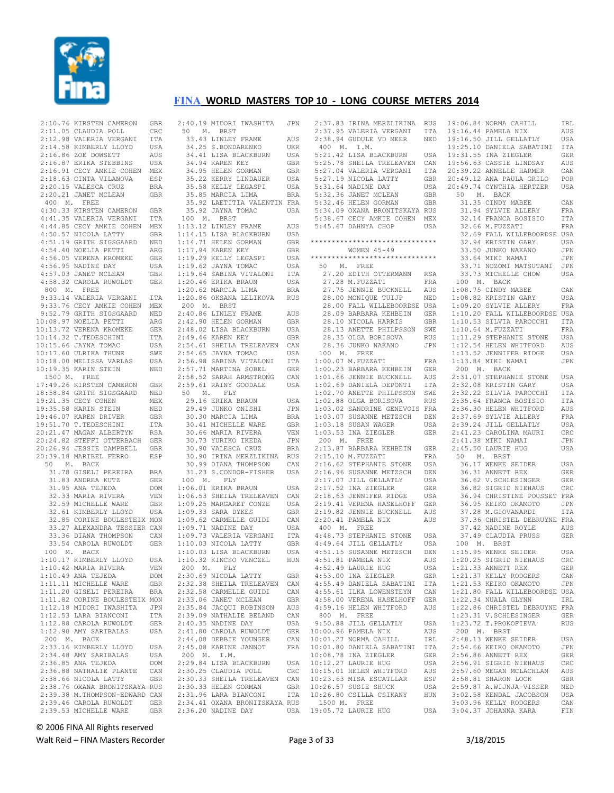

|           | 2:10.76 KIRSTEN CAMERON       | GBR        | 2:40.19 MIDORI | IWASHI'                |
|-----------|-------------------------------|------------|----------------|------------------------|
|           | 2:11.05 CLAUDIA POLL          | CRC        | 50<br>М.       | BRST                   |
|           | 2:12.98 VALERIA VERGANI       | ITA        |                | 33.43 LINLEY FRAME     |
|           | 2:14.58 KIMBERLY LLOYD        | USA        |                | 34.25 S.BONDARENKO     |
|           | 2:16.86 ZOE DOWSETT           | AUS        |                | 34.41 LISA BLACKBURI   |
|           | 2:16.87 ERIKA STEBBINS        | USA        |                | 34.94 KAREN KEY        |
|           | 2:16.91 CECY AMKIE COHEN      | MEX        |                | 34.95 HELEN GORMAN     |
|           | 2:18.63 CINTA VILANOVA        | ESP        |                | 35.22 KERRY LINDAUEH   |
|           | 2:20.15 VALESCA CRUZ          | BRA        |                | 35.58 KELLY LEGASPI    |
|           | 2:20.21 JANET MCLEAN          | GBR        |                | 35.85 MARCIA LIMA      |
| 400 M.    | FREE                          |            |                | 35.92 LAETITIA VALEN   |
|           | 4:30.33 KIRSTEN CAMERON       | GBR        |                | 35.92 JAYNA TOMAC      |
|           | 4:41.35 VALERIA VERGANI       | ITA        | 100 M.         | BRST                   |
|           | 4:44.85 CECY AMKIE COHEN      |            |                |                        |
|           |                               | MEX        |                | 1:13.12 LINLEY FRAME   |
|           | 4:50.57 NICOLA LATTY          | GBR        |                | 1:14.15 LISA BLACKBURI |
|           | 4:51.19 GRITH SIGSGAARD       | NED        |                | 1:14.71 HELEN GORMAN   |
|           | 4:54.40 NOELIA PETTI          | ARG        |                | 1:17.94 KAREN KEY      |
|           | 4:56.05 VERENA KROMEKE        | GER        |                | 1:19.29 KELLY LEGASPI  |
|           | 4:56.95 NADINE DAY            | USA        |                | 1:19.62 JAYNA TOMAC    |
|           | 4:57.03 JANET MCLEAN          | GBR        |                | 1:19.64 SABINA VITALOM |
|           | 4:58.32 CAROLA RUWOLDT        | GER        |                | 1:20.46 ERIKA BRAUN    |
| 800 M.    | FREE                          |            |                | 1:20.62 MARCIA LIMA    |
|           | 9:33.14 VALERIA VERGANI       | ITA        |                | 1:20.86 OKSANA LELIKOV |
|           | 9:33.76 CECY AMKIE COHEN      | MEX        | 200<br>М.      | BRST                   |
|           | 9:52.79 GRITH SIGSGAARD       | NED        |                | 2:40.86 LINLEY FRAME   |
|           | 10:08.97 NOELIA PETTI         | ARG        |                | 2:42.90 HELEN GORMAN   |
|           | 10:13.72 VERENA KROMEKE       | GER        |                | 2:48.02 LISA BLACKBURI |
|           | 10:14.32 T. TEDESCHINI        | ITA        |                | 2:49.46 KAREN KEY      |
|           | 10:15.66 JAYNA TOMAC          | USA        |                | 2:54.61 SHEILA TRELEAY |
|           | 10:17.60 ULRIKA THUNE         | SWE        |                | 2:54.65 JAYNA TOMAC    |
|           | 10:18.00 MELISSA VARLAS       | USA        |                | 2:56.98 SABINA VITALOD |
|           | 10:19.35 KARIN STEIN          | NED        |                | 2:57.71 MARTINA SOBEL  |
| 1500 M.   | FREE                          |            |                | 2:58.52 SARAH ARMSTROI |
|           | 17:49.26 KIRSTEN CAMERON      | GBR        |                | 2:59.61 RAINY GOODALE  |
|           | 18:58.84 GRITH SIGSGAARD      | NED        | 50<br>М.       | FLY                    |
|           | 19:21.35 CECY COHEN           | MEX        |                | 29.16 ERIKA BRAUN      |
|           | 19:35.58 KARIN STEIN          | NED        |                | 29.49 JUNKO ONISHI     |
|           | 19:46.07 KAREN DRIVER         | GBR        |                | 30.30 MARCIA LIMA      |
|           |                               |            |                |                        |
|           | 19:51.70 T.TEDESCHINI         | ITA        |                | 30.41 MICHELLE WARE    |
|           | 20:21.47 MAGAN ALBERTYN       | <b>RSA</b> |                | 30.66 MARIA RIVERA     |
|           | 20:24.82 STEFFI OTTERBACH     | GER        |                | 30.73 YURIKO IKEDA     |
|           | 20:26.94 JESSIE CAMPBELL      | GBR        |                | 30.90 VALESCA CRUZ     |
|           | 20:39.18 MARIBEL FERRO        | ESP        |                | 30.90 IRINA MERZLIKI   |
| 50<br>Μ.  | BACK                          |            |                | 30.99 DIANA THOMPSON   |
|           | 31.78 GISELI PEREIRA          | <b>BRA</b> |                | 31.23 S.CONDOR-FISHI   |
|           | 31.83 ANDREA KUTZ             | GER        | 100<br>М.      | FLY                    |
|           | 31.95 ANA TEJEDA              | DOM        |                | 1:06.01 ERIKA BRAUN    |
|           | 32.33 MARIA RIVERA            | VEN        |                | 1:06.53 SHEILA TRELEAV |
|           | 32.59 MICHELLE WARE           | GBR        |                | 1:09.25 MARGARET CONZI |
|           | 32.61 KIMBERLY LLOYD          | USA        |                | $1:09.33$ SARA DYKES   |
|           | 32.85 CORINE BOULESTEIX MON   |            |                | 1:09.62 CARMELLE GUIDI |
|           | 33.27 ALEXANDRA TESSIER CAN   |            |                | 1:09.71 NADINE DAY     |
|           | 33.36 DIANA THOMPSON          | CAN        |                | 1:09.73 VALERIA VERGAN |
|           | 33.54 CAROLA RUWOLDT          | GER        |                | 1:10.03 NICOLA LATTY   |
| 100<br>М. | BACK                          |            |                | 1:10.03 LISA BLACKBURI |
|           | 1:10.17 KIMBERLY LLOYD        | USA        |                | 1:10.32 KINCSO VENCZEI |
|           | 1:10.42 MARIA RIVERA          | VEN        | 200<br>м.      | FLY                    |
|           | $1:10.49$ ANA TEJEDA          | DOM        |                | 2:30.69 NICOLA LATTY   |
|           | 1:11.11 MICHELLE WARE         | GBR        |                | 2:32.38 SHEILA TRELEAV |
|           | 1:11.20 GISELI PEREIRA        | BRA        |                | 2:32.58 CARMELLE GUID: |
|           | 1:11.82 CORINE BOULESTEIX MON |            |                | 2:33.06 JANET MCLEAN   |
|           |                               |            |                |                        |
|           | 1:12.18 MIDORI IWASHITA       | JPN        |                | 2:35.84 JACQUI ROBINS  |
|           | 1:12.53 LARA BIANCONI         | ITA        |                | 2:39.09 NATHALIE BELAN |
|           | 1:12.88 CAROLA RUWOLDT        | <b>GER</b> |                | 2:40.35 NADINE DAY     |
|           | 1:12.90 AMY SARIBALAS         | USA        |                | 2:41.80 CAROLA RUWOLD! |
| 200 M.    | BACK                          |            |                | 2:44.08 DEBBIE YOUNGER |
|           | 2:33.16 KIMBERLY LLOYD        | USA        |                | 2:45.08 KARINE JANNOT  |
|           | 2:34.48 AMY SARIBALAS         | USA        | 200 M.         | I.M.                   |
|           | 2:36.85 ANA TEJEDA            | DOM        |                | 2:29.84 LISA BLACKBURI |
|           | 2:36.88 NATHALIE PLANTE       | CAN        |                | 2:30.25 CLAUDIA POLL   |
|           | 2:38.66 NICOLA LATTY          | GBR        |                | 2:30.33 SHEILA TRELEAY |
|           | 2:38.76 OXANA BRONITSKAYA RUS |            |                | 2:30.33 HELEN GORMAN   |
|           | 2:39.38 M.THOMPSON-EDWARD CAN |            |                | 2:31.96 LARA BIANCONI  |
|           | 2:39.46 CAROLA RUWOLDT        | GER        |                | 2:34.41 OXANA BRONITSI |
|           | 2:39.53 MICHELLE WARE         | GBR        |                | 2:36.20 NADINE DAY     |

 2:40.19 MIDORI IWASHITA JPN 50 M. BRST 33.43 LINLEY FRAME AUS 34.25 S.BONDARENKO UKR 34.41 LISA BLACKBURN USA 34.94 KAREN KEY GBR 34.95 HELEN GORMAN GBR 35.22 KERRY LINDAUER USA 35.58 KELLY LEGASPI USA 35.85 MARCIA LIMA BRA 35.92 LAETITIA VALENTIN FRA 35.92 JAYNA TOMAC USA 100 M. BRST 1:13.12 LINLEY FRAME AUS 1:14.15 LISA BLACKBURN USA 1:14.71 HELEN GORMAN GBR 1:17.94 KAREN KEY GBR 1:19.29 KELLY LEGASPI USA 1:19.62 JAYNA TOMAC USA 1:19.64 SABINA VITALONI ITA 1.19.04 CHEINE .<br>1:20.46 ERIKA BRAUN USA 1:20.62 MARCIA LIMA BRA 1:20.86 OKSANA LELIKOVA RUS 200 M. BRST 2:40.86 LINLEY FRAME AUS 2:42.90 HELEN GORMAN GBR 2:48.02 LISA BLACKBURN USA 2:49.46 KAREN KEY GBR 2:54.61 SHEILA TRELEAVEN CAN 2:54.65 JAYNA TOMAC USA 2:56.98 SABINA VITALONI ITA 2:57.71 MARTINA SOBEL GER 2:58.52 SARAH ARMSTRONG CAN 2:59.61 RAINY GOODALE USA 50 M. FLY 29.16 ERIKA BRAUN USA<br>29.49 JUNKO ONISHI JPN 29.49 JUNKO ONISHI 30.30 MARCIA LIMA BRA 30.41 MICHELLE WARE GBR 30.66 MARIA RIVERA VEN 30.73 YURIKO IKEDA JPN 30.90 VALESCA CRUZ BRA 30.90 IRINA MERZLIKINA RUS 30.99 DIANA THOMPSON CAN 31.23 S.CONDOR-FISHER USA 100 M. FLY 1:06.01 ERIKA BRAUN USA 1:06.53 SHEILA TRELEAVEN CAN 1:09.25 MARGARET CONZE USA 1:09.33 SARA DYKES GBR<br>1:09.62 CARMELLE GUIDI CAN  $1:09.62$  CARMELLE GUIDI 1:09.71 NADINE DAY USA 1:09.73 VALERIA VERGANI ITA<br>1:10.03 NICOLA LATTY GBR 1:10.03 NICOLA LATTY GBR<br>1:10.03 LISA BLACKBURN USA 1:10.03 LISA BLACKBURN USA<br>1:10.32 KINCSO VENCZEL HUN 1:10.32 KINCSO VENCZEL HUN 200 M. FLY 2:30.69 NICOLA LATTY GBR 2:32.38 SHEILA TRELEAVEN CAN 2:32.58 CARMELLE GUIDI CAN<br>2:33 06 JANET MOLEAN GRR  $2:33.06$  JANET MCLEAN 2:35.84 JACQUI ROBINSON AUS 2:39.09 NATHALIE BELAND CAN 2:40.35 NADINE DAY USA 2:41.80 CAROLA RUWOLDT GER 2:44.08 DEBBIE YOUNGER CAN 2:45.08 KARINE JANNOT FRA 200 M. I.M. 2:29.84 LISA BLACKBURN USA<br>2:30.25 CLAUDIA POLL CRC  $2:30.25$  CLAUDIA POLL 2:30.33 SHEILA TRELEAVEN CAN 2:30.33 HELEN GORMAN GBR 2:31.96 LARA BIANCONI ITA 2:34.41 OXANA BRONITSKAYA RUS

| 2:37.95 VALERIA VERGANI<br>2:38.94 GUDULE VD MEER<br>AUS<br>400 M.<br>UKR<br>I.M.<br>5:21.42 LISA BLACKBURN<br>USA<br>5:25.78 SHEILA TRELEAVEN<br>GBR<br>5:27.04 VALERIA VERGANI<br>GBR<br>5:27.19 NICOLA LATTY<br>USA<br>5:31.64 NADINE DAY<br>USA<br>5:32.36 JANET MCLEAN<br>BRA<br>N FRA<br>5:32.46 HELEN GORMAN<br>5:34.09 OXANA BRONITSKAYA RUS<br>USA<br>5:38.67 CECY AMKIE COHEN MEX<br>5:45.67 DAHNYA CHOP<br>AUS<br>USA<br>*****************************<br><b>GBR</b><br>WOMEN $45 - 49$<br>GBR<br>*****************************<br>USA<br>50 M. FREE<br>USA<br>ITA<br>27.20 EDITH OTTERMANN<br>27.28 M.FUZZATI<br>USA<br>27.75 JENNIE BUCKNELL<br>BRA<br>28.00 MONIQUE TUIJP<br>RUS<br>28.00 FALL WILLEBOORDSE USA<br>28.09 BARBARA KEHBEIN<br>AUS<br>28.10 NICOLA HARRIS<br>GBR<br>28.13 ANETTE PHILPSSON<br>USA<br>28.35 OLGA BORISOVA<br>GBR<br>28.36 JUNKO NAKANO<br>J<br>CAN<br>100 M. FREE<br>USA<br>ITA<br>1:00.07 M.FUZZATI<br>1:00.23 BARBARA KEHBEIN<br>GER<br>1:01.66 JENNIE BUCKNELL<br>CAN<br>1:02.69 DANIELA DEPONTI<br>USA<br>1:02.70 ANETTE PHILPSSON<br>1:02.88 OLGA BORISOVA<br>USA<br>1:03.02 SANDRINE GENEVOIS FRA<br>JPN<br>1:03.07 SUSANNE METZSCH<br>BRA<br>1:03.18 SUSAN WAGER<br>GBR<br>1:03.53 INA ZIEGLER<br>VEN<br>200 M.<br>JPN<br>FREE<br>2:13.87 BARBARA KEHBEIN<br>BRA<br>2:15.10 M. FUZZATI<br>RUS<br>L<br>2:16.62 STEPHANIE STONE<br>CAN<br>USA<br>2:16.96 SUSANNE METZSCH<br>2:17.07 JILL GELLATLY<br>2:17.52 INA ZIEGLER<br>USA<br>2:18.63 JENNIFER RIDGE<br>Į<br>CAN<br>2:19.41 VERENA HASELHOFF<br>USA<br>2:19.82 JENNIE BUCKNELL<br>GBR<br>2:20.41 PAMELA NIX<br>CAN<br>USA<br>400 M. FREE<br>4:48.73 STEPHANIE STONE<br>ITA<br>4:49.64 JILL GELLATLY<br>GBR<br>4:51.15 SUSANNE METZSCH<br>USA<br>4:51.81 PAMELA NIX<br>HUN<br>4:52.49 LAURIE HUG<br>4:53.00 INA ZIEGLER<br>GBR<br>4:55.49 DANIELA SABATINI<br>CAN<br>Į<br>4:55.61 ILKA LOWENSTEYN<br>CAN<br>4:58.00 VERENA HASELHOFF<br>GBR<br>4:59.16 HELEN WHITFORD<br>AUS<br>800 M.<br>FREE<br>CAN<br>9:50.88 JILL GELLATLY<br>USA<br>GER<br>10:00.96 PAMELA NIX<br>10:01.27 NORMA CAHILL<br>CAN<br>10:01.80 DANIELA SABATINI<br>FRA<br>10:08.78 INA ZIEGLER<br>10:12.27 LAURIE HUG<br>USA<br>10:15.01 HELEN WHITFORD<br>CRC<br>10:23.63 MISA ESCATLLAR<br>Į<br>CAN<br>10:26.57 SUSIE SHUCK<br>GBR<br>10:26.80 CSILLA CSIKANY<br>ITA<br>Ά<br>1500 M.<br>RUS<br>FREE<br>19:05.72 LAURIE HUG | JPN | 2:37.83 IRINA MERZLIKINA | <b>RUS</b>        |
|--------------------------------------------------------------------------------------------------------------------------------------------------------------------------------------------------------------------------------------------------------------------------------------------------------------------------------------------------------------------------------------------------------------------------------------------------------------------------------------------------------------------------------------------------------------------------------------------------------------------------------------------------------------------------------------------------------------------------------------------------------------------------------------------------------------------------------------------------------------------------------------------------------------------------------------------------------------------------------------------------------------------------------------------------------------------------------------------------------------------------------------------------------------------------------------------------------------------------------------------------------------------------------------------------------------------------------------------------------------------------------------------------------------------------------------------------------------------------------------------------------------------------------------------------------------------------------------------------------------------------------------------------------------------------------------------------------------------------------------------------------------------------------------------------------------------------------------------------------------------------------------------------------------------------------------------------------------------------------------------------------------------------------------------------------------------------------------------------------------------------------------------------------------------------------------------------------------------------------------------------------------------------------------------------------------------------------------------------------------------------------------------------|-----|--------------------------|-------------------|
|                                                                                                                                                                                                                                                                                                                                                                                                                                                                                                                                                                                                                                                                                                                                                                                                                                                                                                                                                                                                                                                                                                                                                                                                                                                                                                                                                                                                                                                                                                                                                                                                                                                                                                                                                                                                                                                                                                                                                                                                                                                                                                                                                                                                                                                                                                                                                                                                  |     |                          | ITA               |
|                                                                                                                                                                                                                                                                                                                                                                                                                                                                                                                                                                                                                                                                                                                                                                                                                                                                                                                                                                                                                                                                                                                                                                                                                                                                                                                                                                                                                                                                                                                                                                                                                                                                                                                                                                                                                                                                                                                                                                                                                                                                                                                                                                                                                                                                                                                                                                                                  |     |                          | NED               |
|                                                                                                                                                                                                                                                                                                                                                                                                                                                                                                                                                                                                                                                                                                                                                                                                                                                                                                                                                                                                                                                                                                                                                                                                                                                                                                                                                                                                                                                                                                                                                                                                                                                                                                                                                                                                                                                                                                                                                                                                                                                                                                                                                                                                                                                                                                                                                                                                  |     |                          |                   |
|                                                                                                                                                                                                                                                                                                                                                                                                                                                                                                                                                                                                                                                                                                                                                                                                                                                                                                                                                                                                                                                                                                                                                                                                                                                                                                                                                                                                                                                                                                                                                                                                                                                                                                                                                                                                                                                                                                                                                                                                                                                                                                                                                                                                                                                                                                                                                                                                  |     |                          | USA               |
|                                                                                                                                                                                                                                                                                                                                                                                                                                                                                                                                                                                                                                                                                                                                                                                                                                                                                                                                                                                                                                                                                                                                                                                                                                                                                                                                                                                                                                                                                                                                                                                                                                                                                                                                                                                                                                                                                                                                                                                                                                                                                                                                                                                                                                                                                                                                                                                                  |     |                          | CAN               |
|                                                                                                                                                                                                                                                                                                                                                                                                                                                                                                                                                                                                                                                                                                                                                                                                                                                                                                                                                                                                                                                                                                                                                                                                                                                                                                                                                                                                                                                                                                                                                                                                                                                                                                                                                                                                                                                                                                                                                                                                                                                                                                                                                                                                                                                                                                                                                                                                  |     |                          | ITA               |
|                                                                                                                                                                                                                                                                                                                                                                                                                                                                                                                                                                                                                                                                                                                                                                                                                                                                                                                                                                                                                                                                                                                                                                                                                                                                                                                                                                                                                                                                                                                                                                                                                                                                                                                                                                                                                                                                                                                                                                                                                                                                                                                                                                                                                                                                                                                                                                                                  |     |                          |                   |
|                                                                                                                                                                                                                                                                                                                                                                                                                                                                                                                                                                                                                                                                                                                                                                                                                                                                                                                                                                                                                                                                                                                                                                                                                                                                                                                                                                                                                                                                                                                                                                                                                                                                                                                                                                                                                                                                                                                                                                                                                                                                                                                                                                                                                                                                                                                                                                                                  |     |                          | GBR               |
|                                                                                                                                                                                                                                                                                                                                                                                                                                                                                                                                                                                                                                                                                                                                                                                                                                                                                                                                                                                                                                                                                                                                                                                                                                                                                                                                                                                                                                                                                                                                                                                                                                                                                                                                                                                                                                                                                                                                                                                                                                                                                                                                                                                                                                                                                                                                                                                                  |     |                          | USA               |
|                                                                                                                                                                                                                                                                                                                                                                                                                                                                                                                                                                                                                                                                                                                                                                                                                                                                                                                                                                                                                                                                                                                                                                                                                                                                                                                                                                                                                                                                                                                                                                                                                                                                                                                                                                                                                                                                                                                                                                                                                                                                                                                                                                                                                                                                                                                                                                                                  |     |                          | GBR               |
|                                                                                                                                                                                                                                                                                                                                                                                                                                                                                                                                                                                                                                                                                                                                                                                                                                                                                                                                                                                                                                                                                                                                                                                                                                                                                                                                                                                                                                                                                                                                                                                                                                                                                                                                                                                                                                                                                                                                                                                                                                                                                                                                                                                                                                                                                                                                                                                                  |     |                          | GBR               |
|                                                                                                                                                                                                                                                                                                                                                                                                                                                                                                                                                                                                                                                                                                                                                                                                                                                                                                                                                                                                                                                                                                                                                                                                                                                                                                                                                                                                                                                                                                                                                                                                                                                                                                                                                                                                                                                                                                                                                                                                                                                                                                                                                                                                                                                                                                                                                                                                  |     |                          |                   |
|                                                                                                                                                                                                                                                                                                                                                                                                                                                                                                                                                                                                                                                                                                                                                                                                                                                                                                                                                                                                                                                                                                                                                                                                                                                                                                                                                                                                                                                                                                                                                                                                                                                                                                                                                                                                                                                                                                                                                                                                                                                                                                                                                                                                                                                                                                                                                                                                  |     |                          |                   |
|                                                                                                                                                                                                                                                                                                                                                                                                                                                                                                                                                                                                                                                                                                                                                                                                                                                                                                                                                                                                                                                                                                                                                                                                                                                                                                                                                                                                                                                                                                                                                                                                                                                                                                                                                                                                                                                                                                                                                                                                                                                                                                                                                                                                                                                                                                                                                                                                  |     |                          | USA               |
|                                                                                                                                                                                                                                                                                                                                                                                                                                                                                                                                                                                                                                                                                                                                                                                                                                                                                                                                                                                                                                                                                                                                                                                                                                                                                                                                                                                                                                                                                                                                                                                                                                                                                                                                                                                                                                                                                                                                                                                                                                                                                                                                                                                                                                                                                                                                                                                                  |     |                          |                   |
|                                                                                                                                                                                                                                                                                                                                                                                                                                                                                                                                                                                                                                                                                                                                                                                                                                                                                                                                                                                                                                                                                                                                                                                                                                                                                                                                                                                                                                                                                                                                                                                                                                                                                                                                                                                                                                                                                                                                                                                                                                                                                                                                                                                                                                                                                                                                                                                                  |     |                          |                   |
|                                                                                                                                                                                                                                                                                                                                                                                                                                                                                                                                                                                                                                                                                                                                                                                                                                                                                                                                                                                                                                                                                                                                                                                                                                                                                                                                                                                                                                                                                                                                                                                                                                                                                                                                                                                                                                                                                                                                                                                                                                                                                                                                                                                                                                                                                                                                                                                                  |     |                          |                   |
|                                                                                                                                                                                                                                                                                                                                                                                                                                                                                                                                                                                                                                                                                                                                                                                                                                                                                                                                                                                                                                                                                                                                                                                                                                                                                                                                                                                                                                                                                                                                                                                                                                                                                                                                                                                                                                                                                                                                                                                                                                                                                                                                                                                                                                                                                                                                                                                                  |     |                          |                   |
|                                                                                                                                                                                                                                                                                                                                                                                                                                                                                                                                                                                                                                                                                                                                                                                                                                                                                                                                                                                                                                                                                                                                                                                                                                                                                                                                                                                                                                                                                                                                                                                                                                                                                                                                                                                                                                                                                                                                                                                                                                                                                                                                                                                                                                                                                                                                                                                                  |     |                          |                   |
|                                                                                                                                                                                                                                                                                                                                                                                                                                                                                                                                                                                                                                                                                                                                                                                                                                                                                                                                                                                                                                                                                                                                                                                                                                                                                                                                                                                                                                                                                                                                                                                                                                                                                                                                                                                                                                                                                                                                                                                                                                                                                                                                                                                                                                                                                                                                                                                                  |     |                          | RSA               |
|                                                                                                                                                                                                                                                                                                                                                                                                                                                                                                                                                                                                                                                                                                                                                                                                                                                                                                                                                                                                                                                                                                                                                                                                                                                                                                                                                                                                                                                                                                                                                                                                                                                                                                                                                                                                                                                                                                                                                                                                                                                                                                                                                                                                                                                                                                                                                                                                  |     |                          | FRA               |
|                                                                                                                                                                                                                                                                                                                                                                                                                                                                                                                                                                                                                                                                                                                                                                                                                                                                                                                                                                                                                                                                                                                                                                                                                                                                                                                                                                                                                                                                                                                                                                                                                                                                                                                                                                                                                                                                                                                                                                                                                                                                                                                                                                                                                                                                                                                                                                                                  |     |                          | AUS               |
|                                                                                                                                                                                                                                                                                                                                                                                                                                                                                                                                                                                                                                                                                                                                                                                                                                                                                                                                                                                                                                                                                                                                                                                                                                                                                                                                                                                                                                                                                                                                                                                                                                                                                                                                                                                                                                                                                                                                                                                                                                                                                                                                                                                                                                                                                                                                                                                                  |     |                          | NED               |
|                                                                                                                                                                                                                                                                                                                                                                                                                                                                                                                                                                                                                                                                                                                                                                                                                                                                                                                                                                                                                                                                                                                                                                                                                                                                                                                                                                                                                                                                                                                                                                                                                                                                                                                                                                                                                                                                                                                                                                                                                                                                                                                                                                                                                                                                                                                                                                                                  |     |                          |                   |
|                                                                                                                                                                                                                                                                                                                                                                                                                                                                                                                                                                                                                                                                                                                                                                                                                                                                                                                                                                                                                                                                                                                                                                                                                                                                                                                                                                                                                                                                                                                                                                                                                                                                                                                                                                                                                                                                                                                                                                                                                                                                                                                                                                                                                                                                                                                                                                                                  |     |                          | GER               |
|                                                                                                                                                                                                                                                                                                                                                                                                                                                                                                                                                                                                                                                                                                                                                                                                                                                                                                                                                                                                                                                                                                                                                                                                                                                                                                                                                                                                                                                                                                                                                                                                                                                                                                                                                                                                                                                                                                                                                                                                                                                                                                                                                                                                                                                                                                                                                                                                  |     |                          | GBR               |
|                                                                                                                                                                                                                                                                                                                                                                                                                                                                                                                                                                                                                                                                                                                                                                                                                                                                                                                                                                                                                                                                                                                                                                                                                                                                                                                                                                                                                                                                                                                                                                                                                                                                                                                                                                                                                                                                                                                                                                                                                                                                                                                                                                                                                                                                                                                                                                                                  |     |                          |                   |
|                                                                                                                                                                                                                                                                                                                                                                                                                                                                                                                                                                                                                                                                                                                                                                                                                                                                                                                                                                                                                                                                                                                                                                                                                                                                                                                                                                                                                                                                                                                                                                                                                                                                                                                                                                                                                                                                                                                                                                                                                                                                                                                                                                                                                                                                                                                                                                                                  |     |                          | SWE               |
|                                                                                                                                                                                                                                                                                                                                                                                                                                                                                                                                                                                                                                                                                                                                                                                                                                                                                                                                                                                                                                                                                                                                                                                                                                                                                                                                                                                                                                                                                                                                                                                                                                                                                                                                                                                                                                                                                                                                                                                                                                                                                                                                                                                                                                                                                                                                                                                                  |     |                          | <b>RUS</b><br>JPN |
|                                                                                                                                                                                                                                                                                                                                                                                                                                                                                                                                                                                                                                                                                                                                                                                                                                                                                                                                                                                                                                                                                                                                                                                                                                                                                                                                                                                                                                                                                                                                                                                                                                                                                                                                                                                                                                                                                                                                                                                                                                                                                                                                                                                                                                                                                                                                                                                                  |     |                          |                   |
|                                                                                                                                                                                                                                                                                                                                                                                                                                                                                                                                                                                                                                                                                                                                                                                                                                                                                                                                                                                                                                                                                                                                                                                                                                                                                                                                                                                                                                                                                                                                                                                                                                                                                                                                                                                                                                                                                                                                                                                                                                                                                                                                                                                                                                                                                                                                                                                                  |     |                          |                   |
|                                                                                                                                                                                                                                                                                                                                                                                                                                                                                                                                                                                                                                                                                                                                                                                                                                                                                                                                                                                                                                                                                                                                                                                                                                                                                                                                                                                                                                                                                                                                                                                                                                                                                                                                                                                                                                                                                                                                                                                                                                                                                                                                                                                                                                                                                                                                                                                                  |     |                          | FRA               |
|                                                                                                                                                                                                                                                                                                                                                                                                                                                                                                                                                                                                                                                                                                                                                                                                                                                                                                                                                                                                                                                                                                                                                                                                                                                                                                                                                                                                                                                                                                                                                                                                                                                                                                                                                                                                                                                                                                                                                                                                                                                                                                                                                                                                                                                                                                                                                                                                  |     |                          | <b>GER</b>        |
|                                                                                                                                                                                                                                                                                                                                                                                                                                                                                                                                                                                                                                                                                                                                                                                                                                                                                                                                                                                                                                                                                                                                                                                                                                                                                                                                                                                                                                                                                                                                                                                                                                                                                                                                                                                                                                                                                                                                                                                                                                                                                                                                                                                                                                                                                                                                                                                                  |     |                          | AUS               |
|                                                                                                                                                                                                                                                                                                                                                                                                                                                                                                                                                                                                                                                                                                                                                                                                                                                                                                                                                                                                                                                                                                                                                                                                                                                                                                                                                                                                                                                                                                                                                                                                                                                                                                                                                                                                                                                                                                                                                                                                                                                                                                                                                                                                                                                                                                                                                                                                  |     |                          | ITA               |
|                                                                                                                                                                                                                                                                                                                                                                                                                                                                                                                                                                                                                                                                                                                                                                                                                                                                                                                                                                                                                                                                                                                                                                                                                                                                                                                                                                                                                                                                                                                                                                                                                                                                                                                                                                                                                                                                                                                                                                                                                                                                                                                                                                                                                                                                                                                                                                                                  |     |                          | SWE               |
|                                                                                                                                                                                                                                                                                                                                                                                                                                                                                                                                                                                                                                                                                                                                                                                                                                                                                                                                                                                                                                                                                                                                                                                                                                                                                                                                                                                                                                                                                                                                                                                                                                                                                                                                                                                                                                                                                                                                                                                                                                                                                                                                                                                                                                                                                                                                                                                                  |     |                          | <b>RUS</b>        |
|                                                                                                                                                                                                                                                                                                                                                                                                                                                                                                                                                                                                                                                                                                                                                                                                                                                                                                                                                                                                                                                                                                                                                                                                                                                                                                                                                                                                                                                                                                                                                                                                                                                                                                                                                                                                                                                                                                                                                                                                                                                                                                                                                                                                                                                                                                                                                                                                  |     |                          |                   |
|                                                                                                                                                                                                                                                                                                                                                                                                                                                                                                                                                                                                                                                                                                                                                                                                                                                                                                                                                                                                                                                                                                                                                                                                                                                                                                                                                                                                                                                                                                                                                                                                                                                                                                                                                                                                                                                                                                                                                                                                                                                                                                                                                                                                                                                                                                                                                                                                  |     |                          | DEN               |
|                                                                                                                                                                                                                                                                                                                                                                                                                                                                                                                                                                                                                                                                                                                                                                                                                                                                                                                                                                                                                                                                                                                                                                                                                                                                                                                                                                                                                                                                                                                                                                                                                                                                                                                                                                                                                                                                                                                                                                                                                                                                                                                                                                                                                                                                                                                                                                                                  |     |                          | USA               |
|                                                                                                                                                                                                                                                                                                                                                                                                                                                                                                                                                                                                                                                                                                                                                                                                                                                                                                                                                                                                                                                                                                                                                                                                                                                                                                                                                                                                                                                                                                                                                                                                                                                                                                                                                                                                                                                                                                                                                                                                                                                                                                                                                                                                                                                                                                                                                                                                  |     |                          | GER               |
|                                                                                                                                                                                                                                                                                                                                                                                                                                                                                                                                                                                                                                                                                                                                                                                                                                                                                                                                                                                                                                                                                                                                                                                                                                                                                                                                                                                                                                                                                                                                                                                                                                                                                                                                                                                                                                                                                                                                                                                                                                                                                                                                                                                                                                                                                                                                                                                                  |     |                          |                   |
|                                                                                                                                                                                                                                                                                                                                                                                                                                                                                                                                                                                                                                                                                                                                                                                                                                                                                                                                                                                                                                                                                                                                                                                                                                                                                                                                                                                                                                                                                                                                                                                                                                                                                                                                                                                                                                                                                                                                                                                                                                                                                                                                                                                                                                                                                                                                                                                                  |     |                          | GER               |
|                                                                                                                                                                                                                                                                                                                                                                                                                                                                                                                                                                                                                                                                                                                                                                                                                                                                                                                                                                                                                                                                                                                                                                                                                                                                                                                                                                                                                                                                                                                                                                                                                                                                                                                                                                                                                                                                                                                                                                                                                                                                                                                                                                                                                                                                                                                                                                                                  |     |                          | FRA               |
|                                                                                                                                                                                                                                                                                                                                                                                                                                                                                                                                                                                                                                                                                                                                                                                                                                                                                                                                                                                                                                                                                                                                                                                                                                                                                                                                                                                                                                                                                                                                                                                                                                                                                                                                                                                                                                                                                                                                                                                                                                                                                                                                                                                                                                                                                                                                                                                                  |     |                          | USA               |
|                                                                                                                                                                                                                                                                                                                                                                                                                                                                                                                                                                                                                                                                                                                                                                                                                                                                                                                                                                                                                                                                                                                                                                                                                                                                                                                                                                                                                                                                                                                                                                                                                                                                                                                                                                                                                                                                                                                                                                                                                                                                                                                                                                                                                                                                                                                                                                                                  |     |                          | $_{\rm DEN}$      |
|                                                                                                                                                                                                                                                                                                                                                                                                                                                                                                                                                                                                                                                                                                                                                                                                                                                                                                                                                                                                                                                                                                                                                                                                                                                                                                                                                                                                                                                                                                                                                                                                                                                                                                                                                                                                                                                                                                                                                                                                                                                                                                                                                                                                                                                                                                                                                                                                  |     |                          | USA               |
|                                                                                                                                                                                                                                                                                                                                                                                                                                                                                                                                                                                                                                                                                                                                                                                                                                                                                                                                                                                                                                                                                                                                                                                                                                                                                                                                                                                                                                                                                                                                                                                                                                                                                                                                                                                                                                                                                                                                                                                                                                                                                                                                                                                                                                                                                                                                                                                                  |     |                          | GER               |
|                                                                                                                                                                                                                                                                                                                                                                                                                                                                                                                                                                                                                                                                                                                                                                                                                                                                                                                                                                                                                                                                                                                                                                                                                                                                                                                                                                                                                                                                                                                                                                                                                                                                                                                                                                                                                                                                                                                                                                                                                                                                                                                                                                                                                                                                                                                                                                                                  |     |                          | USA               |
|                                                                                                                                                                                                                                                                                                                                                                                                                                                                                                                                                                                                                                                                                                                                                                                                                                                                                                                                                                                                                                                                                                                                                                                                                                                                                                                                                                                                                                                                                                                                                                                                                                                                                                                                                                                                                                                                                                                                                                                                                                                                                                                                                                                                                                                                                                                                                                                                  |     |                          | GER               |
|                                                                                                                                                                                                                                                                                                                                                                                                                                                                                                                                                                                                                                                                                                                                                                                                                                                                                                                                                                                                                                                                                                                                                                                                                                                                                                                                                                                                                                                                                                                                                                                                                                                                                                                                                                                                                                                                                                                                                                                                                                                                                                                                                                                                                                                                                                                                                                                                  |     |                          | AUS               |
|                                                                                                                                                                                                                                                                                                                                                                                                                                                                                                                                                                                                                                                                                                                                                                                                                                                                                                                                                                                                                                                                                                                                                                                                                                                                                                                                                                                                                                                                                                                                                                                                                                                                                                                                                                                                                                                                                                                                                                                                                                                                                                                                                                                                                                                                                                                                                                                                  |     |                          | AUS               |
|                                                                                                                                                                                                                                                                                                                                                                                                                                                                                                                                                                                                                                                                                                                                                                                                                                                                                                                                                                                                                                                                                                                                                                                                                                                                                                                                                                                                                                                                                                                                                                                                                                                                                                                                                                                                                                                                                                                                                                                                                                                                                                                                                                                                                                                                                                                                                                                                  |     |                          |                   |
|                                                                                                                                                                                                                                                                                                                                                                                                                                                                                                                                                                                                                                                                                                                                                                                                                                                                                                                                                                                                                                                                                                                                                                                                                                                                                                                                                                                                                                                                                                                                                                                                                                                                                                                                                                                                                                                                                                                                                                                                                                                                                                                                                                                                                                                                                                                                                                                                  |     |                          | USA               |
|                                                                                                                                                                                                                                                                                                                                                                                                                                                                                                                                                                                                                                                                                                                                                                                                                                                                                                                                                                                                                                                                                                                                                                                                                                                                                                                                                                                                                                                                                                                                                                                                                                                                                                                                                                                                                                                                                                                                                                                                                                                                                                                                                                                                                                                                                                                                                                                                  |     |                          | USA               |
|                                                                                                                                                                                                                                                                                                                                                                                                                                                                                                                                                                                                                                                                                                                                                                                                                                                                                                                                                                                                                                                                                                                                                                                                                                                                                                                                                                                                                                                                                                                                                                                                                                                                                                                                                                                                                                                                                                                                                                                                                                                                                                                                                                                                                                                                                                                                                                                                  |     |                          | DEN               |
|                                                                                                                                                                                                                                                                                                                                                                                                                                                                                                                                                                                                                                                                                                                                                                                                                                                                                                                                                                                                                                                                                                                                                                                                                                                                                                                                                                                                                                                                                                                                                                                                                                                                                                                                                                                                                                                                                                                                                                                                                                                                                                                                                                                                                                                                                                                                                                                                  |     |                          | AUS               |
|                                                                                                                                                                                                                                                                                                                                                                                                                                                                                                                                                                                                                                                                                                                                                                                                                                                                                                                                                                                                                                                                                                                                                                                                                                                                                                                                                                                                                                                                                                                                                                                                                                                                                                                                                                                                                                                                                                                                                                                                                                                                                                                                                                                                                                                                                                                                                                                                  |     |                          | USA               |
|                                                                                                                                                                                                                                                                                                                                                                                                                                                                                                                                                                                                                                                                                                                                                                                                                                                                                                                                                                                                                                                                                                                                                                                                                                                                                                                                                                                                                                                                                                                                                                                                                                                                                                                                                                                                                                                                                                                                                                                                                                                                                                                                                                                                                                                                                                                                                                                                  |     |                          | GER               |
|                                                                                                                                                                                                                                                                                                                                                                                                                                                                                                                                                                                                                                                                                                                                                                                                                                                                                                                                                                                                                                                                                                                                                                                                                                                                                                                                                                                                                                                                                                                                                                                                                                                                                                                                                                                                                                                                                                                                                                                                                                                                                                                                                                                                                                                                                                                                                                                                  |     |                          | ITA               |
|                                                                                                                                                                                                                                                                                                                                                                                                                                                                                                                                                                                                                                                                                                                                                                                                                                                                                                                                                                                                                                                                                                                                                                                                                                                                                                                                                                                                                                                                                                                                                                                                                                                                                                                                                                                                                                                                                                                                                                                                                                                                                                                                                                                                                                                                                                                                                                                                  |     |                          | CAN               |
|                                                                                                                                                                                                                                                                                                                                                                                                                                                                                                                                                                                                                                                                                                                                                                                                                                                                                                                                                                                                                                                                                                                                                                                                                                                                                                                                                                                                                                                                                                                                                                                                                                                                                                                                                                                                                                                                                                                                                                                                                                                                                                                                                                                                                                                                                                                                                                                                  |     |                          | <b>GER</b>        |
|                                                                                                                                                                                                                                                                                                                                                                                                                                                                                                                                                                                                                                                                                                                                                                                                                                                                                                                                                                                                                                                                                                                                                                                                                                                                                                                                                                                                                                                                                                                                                                                                                                                                                                                                                                                                                                                                                                                                                                                                                                                                                                                                                                                                                                                                                                                                                                                                  |     |                          | AUS               |
|                                                                                                                                                                                                                                                                                                                                                                                                                                                                                                                                                                                                                                                                                                                                                                                                                                                                                                                                                                                                                                                                                                                                                                                                                                                                                                                                                                                                                                                                                                                                                                                                                                                                                                                                                                                                                                                                                                                                                                                                                                                                                                                                                                                                                                                                                                                                                                                                  |     |                          |                   |
|                                                                                                                                                                                                                                                                                                                                                                                                                                                                                                                                                                                                                                                                                                                                                                                                                                                                                                                                                                                                                                                                                                                                                                                                                                                                                                                                                                                                                                                                                                                                                                                                                                                                                                                                                                                                                                                                                                                                                                                                                                                                                                                                                                                                                                                                                                                                                                                                  |     |                          | USA               |
|                                                                                                                                                                                                                                                                                                                                                                                                                                                                                                                                                                                                                                                                                                                                                                                                                                                                                                                                                                                                                                                                                                                                                                                                                                                                                                                                                                                                                                                                                                                                                                                                                                                                                                                                                                                                                                                                                                                                                                                                                                                                                                                                                                                                                                                                                                                                                                                                  |     |                          | AUS               |
|                                                                                                                                                                                                                                                                                                                                                                                                                                                                                                                                                                                                                                                                                                                                                                                                                                                                                                                                                                                                                                                                                                                                                                                                                                                                                                                                                                                                                                                                                                                                                                                                                                                                                                                                                                                                                                                                                                                                                                                                                                                                                                                                                                                                                                                                                                                                                                                                  |     |                          | IRL               |
|                                                                                                                                                                                                                                                                                                                                                                                                                                                                                                                                                                                                                                                                                                                                                                                                                                                                                                                                                                                                                                                                                                                                                                                                                                                                                                                                                                                                                                                                                                                                                                                                                                                                                                                                                                                                                                                                                                                                                                                                                                                                                                                                                                                                                                                                                                                                                                                                  |     |                          | <b>ITA</b>        |
|                                                                                                                                                                                                                                                                                                                                                                                                                                                                                                                                                                                                                                                                                                                                                                                                                                                                                                                                                                                                                                                                                                                                                                                                                                                                                                                                                                                                                                                                                                                                                                                                                                                                                                                                                                                                                                                                                                                                                                                                                                                                                                                                                                                                                                                                                                                                                                                                  |     |                          | GER               |
|                                                                                                                                                                                                                                                                                                                                                                                                                                                                                                                                                                                                                                                                                                                                                                                                                                                                                                                                                                                                                                                                                                                                                                                                                                                                                                                                                                                                                                                                                                                                                                                                                                                                                                                                                                                                                                                                                                                                                                                                                                                                                                                                                                                                                                                                                                                                                                                                  |     |                          | USA               |
|                                                                                                                                                                                                                                                                                                                                                                                                                                                                                                                                                                                                                                                                                                                                                                                                                                                                                                                                                                                                                                                                                                                                                                                                                                                                                                                                                                                                                                                                                                                                                                                                                                                                                                                                                                                                                                                                                                                                                                                                                                                                                                                                                                                                                                                                                                                                                                                                  |     |                          | AUS               |
|                                                                                                                                                                                                                                                                                                                                                                                                                                                                                                                                                                                                                                                                                                                                                                                                                                                                                                                                                                                                                                                                                                                                                                                                                                                                                                                                                                                                                                                                                                                                                                                                                                                                                                                                                                                                                                                                                                                                                                                                                                                                                                                                                                                                                                                                                                                                                                                                  |     |                          | ESP               |
|                                                                                                                                                                                                                                                                                                                                                                                                                                                                                                                                                                                                                                                                                                                                                                                                                                                                                                                                                                                                                                                                                                                                                                                                                                                                                                                                                                                                                                                                                                                                                                                                                                                                                                                                                                                                                                                                                                                                                                                                                                                                                                                                                                                                                                                                                                                                                                                                  |     |                          | USA               |
|                                                                                                                                                                                                                                                                                                                                                                                                                                                                                                                                                                                                                                                                                                                                                                                                                                                                                                                                                                                                                                                                                                                                                                                                                                                                                                                                                                                                                                                                                                                                                                                                                                                                                                                                                                                                                                                                                                                                                                                                                                                                                                                                                                                                                                                                                                                                                                                                  |     |                          | HUN               |
|                                                                                                                                                                                                                                                                                                                                                                                                                                                                                                                                                                                                                                                                                                                                                                                                                                                                                                                                                                                                                                                                                                                                                                                                                                                                                                                                                                                                                                                                                                                                                                                                                                                                                                                                                                                                                                                                                                                                                                                                                                                                                                                                                                                                                                                                                                                                                                                                  |     |                          |                   |
|                                                                                                                                                                                                                                                                                                                                                                                                                                                                                                                                                                                                                                                                                                                                                                                                                                                                                                                                                                                                                                                                                                                                                                                                                                                                                                                                                                                                                                                                                                                                                                                                                                                                                                                                                                                                                                                                                                                                                                                                                                                                                                                                                                                                                                                                                                                                                                                                  | USA |                          | USA               |

| 19:06.84 NORMA CAHILL<br>19:16.44 PAMELA NIX<br>19:16.50 JILL GELLATLY<br>19:16.50 JILL GELLATLY<br>19:25 10 DAMATIC | IRL        |
|----------------------------------------------------------------------------------------------------------------------|------------|
|                                                                                                                      |            |
|                                                                                                                      |            |
|                                                                                                                      | AUS        |
|                                                                                                                      |            |
|                                                                                                                      | USA        |
| 19:25.10 DANIELA SABATINI ITA                                                                                        |            |
|                                                                                                                      |            |
| 19:31.55 INA ZIEGLER                                                                                                 | GER        |
|                                                                                                                      |            |
| 19:56.63 CASSIE LINDSAY                                                                                              | AUS        |
|                                                                                                                      | CAN        |
| 20:39.22 ANNELLE HARMER<br>20:49.12 ANA PAULA GRILO                                                                  |            |
|                                                                                                                      | POR        |
|                                                                                                                      |            |
| 20:49.74 CYNTHIA HERTZER                                                                                             | USA        |
| 50 M. BACK<br>31.35 CINDY MABEE<br>31.94 SYLVIE ALLERY                                                               |            |
|                                                                                                                      |            |
|                                                                                                                      | CAN        |
|                                                                                                                      |            |
|                                                                                                                      | FRA        |
| 31.33 SIL.1<br>32.14 FRANCA BOSISIO                                                                                  | ITA        |
|                                                                                                                      |            |
| 32.66 M.FUZZATI                                                                                                      | FRA        |
|                                                                                                                      |            |
| 32.69 FALL WILLEBOORDSE USA                                                                                          |            |
|                                                                                                                      |            |
| 32.94 KRISTIN GARY                                                                                                   | USA        |
| 33.50 JUNKO NAKANO                                                                                                   | JPN        |
|                                                                                                                      |            |
| 33.64 MIKI NAMAI                                                                                                     | <b>JPN</b> |
|                                                                                                                      |            |
| 33.71 NOZOMI MATSUTANI<br>33.73 MICHELLE CHOW                                                                        | JPN        |
|                                                                                                                      | USA        |
|                                                                                                                      |            |
| 100 M. BACK                                                                                                          |            |
|                                                                                                                      |            |
| 1:08.75 CINDY MABEE<br>1:08.82 KRISTIN GARY<br>1:08.82 KRISTIN GARY<br>1:09.20 SYLVIE ALLERY                         | CAN        |
|                                                                                                                      | USA        |
|                                                                                                                      |            |
|                                                                                                                      | FRA        |
|                                                                                                                      |            |
| 1:10.20 FALL WILLEBOORDSE USA                                                                                        |            |
|                                                                                                                      |            |
| $1:10.53$ SILVIA PAROCCHI ITA                                                                                        |            |
| 1:10.64 M.FUZZATI<br>1:11.29 STEPHANIE STONE<br>1:12.54 HELEN WHITFORD                                               | FRA        |
|                                                                                                                      |            |
|                                                                                                                      | USA        |
|                                                                                                                      |            |
|                                                                                                                      | AUS        |
| 1:13.52 JENNIFER RIDGE                                                                                               | USA        |
|                                                                                                                      |            |
| 1:13.84 MIKI NAMAI                                                                                                   | JPN        |
|                                                                                                                      |            |
| $200$ M. BACK                                                                                                        |            |
|                                                                                                                      |            |
|                                                                                                                      |            |
| 2:31.07 STEPHANIE STONE USA<br>2:32.08 KRISTIN GARY USA                                                              |            |
|                                                                                                                      |            |
| 2:32.22 SILVIA PAROCCHI<br>2:35.64 FRANCA BOSISIO                                                                    | ITA        |
|                                                                                                                      | ITA        |
| 2:36.30 HELEN WHITFORD<br>2:37.69 SYLVIE ALLERY<br>2:39.24 JILL GELLATLY                                             |            |
|                                                                                                                      | AUS        |
|                                                                                                                      | FRA        |
|                                                                                                                      |            |
|                                                                                                                      | USA        |
|                                                                                                                      |            |
|                                                                                                                      | CRC        |
| 2:41.23 CAROLINA MAURI<br>2:41.38 MIKI NAMAI                                                                         |            |
|                                                                                                                      | JPN        |
| 2:45.50 LAURIE HUG                                                                                                   | USA        |
|                                                                                                                      |            |
|                                                                                                                      |            |
|                                                                                                                      |            |
| 50 M. BRST                                                                                                           |            |
|                                                                                                                      | USA        |
| 36.17 WENKE SEIDER                                                                                                   |            |
| 36.31 ANNETT REX                                                                                                     | GER        |
|                                                                                                                      | GER        |
| 36.62 V.SCHLESINGER                                                                                                  |            |
| 36.82 SIGRID NIEHAUS                                                                                                 | CRC        |
|                                                                                                                      |            |
| 36.94 CHRISTINE POUSSET FRA                                                                                          |            |
|                                                                                                                      | JPN        |
|                                                                                                                      |            |
| 36.95 KEIKO OKAMOTO<br>37.28 M.GIOVANARDI                                                                            | ITA        |
|                                                                                                                      |            |
| 37.36 CHRISTEL DEBRUYNE FRA                                                                                          |            |
| 37.42 NADINE ROYLE                                                                                                   | AUS        |
|                                                                                                                      |            |
| 37.49 CLAUDIA PRUSS                                                                                                  | GER        |
| 100 M. BRST                                                                                                          |            |
|                                                                                                                      |            |
|                                                                                                                      | USA        |
|                                                                                                                      |            |
| 1:15.95 WENKE SEIDER<br>1:20.25 SIGRID NIEHAUS                                                                       | CRC        |
| 1:21.33 ANNETT REX                                                                                                   | <b>GER</b> |
|                                                                                                                      |            |
| 1:21.37 KELLY RODGERS                                                                                                | CAN        |
|                                                                                                                      |            |
| 1:21.53 KEIKO OKAMOTO                                                                                                | JPN        |
| 1:21.80 FALL WILLEBOORDSE USA                                                                                        |            |
|                                                                                                                      |            |
| 1:22.34 NUALA GLYNN                                                                                                  | IRL        |
|                                                                                                                      |            |
| 1:22.86 CHRISTEL DEBRUYNE FRA                                                                                        |            |
| 1:23.31 V.SCHLESINGER                                                                                                | GER        |
|                                                                                                                      |            |
| 1:23.72<br>T.PROKOFIEVA                                                                                              | <b>RUS</b> |
|                                                                                                                      |            |
| 200 M. BRST                                                                                                          |            |
| 2:48.13 WENKE SEIDER                                                                                                 | USA        |
|                                                                                                                      |            |
| 2:54.66 KEIKO OKAMOTO                                                                                                | <b>JPN</b> |
|                                                                                                                      | <b>GER</b> |
| 2:56.86 ANNETT REX                                                                                                   |            |
| 2:56.91 SIGRID NIEHAUS                                                                                               | CRC        |
|                                                                                                                      |            |
| 2:57.60 MEGAN MCLACHLAN                                                                                              | AUS        |
|                                                                                                                      | GBR        |
| 2:58.81 SHARON LOCK                                                                                                  |            |
| 2:59.87 A.WIJNJA-VISSER                                                                                              | NED        |
|                                                                                                                      |            |
| 3:02.58 KENDAL JACOBSON                                                                                              | USA        |
| 3:03.96 KELLY RODGERS                                                                                                | CAN        |
|                                                                                                                      |            |
| 3:04.37 JOHANNA KARA                                                                                                 | FIN        |

#### © 2006 FINA All Rights reserved

Walt Reid – FINA Masters Recorder and the state of the Page 3 of 33 3/18/2015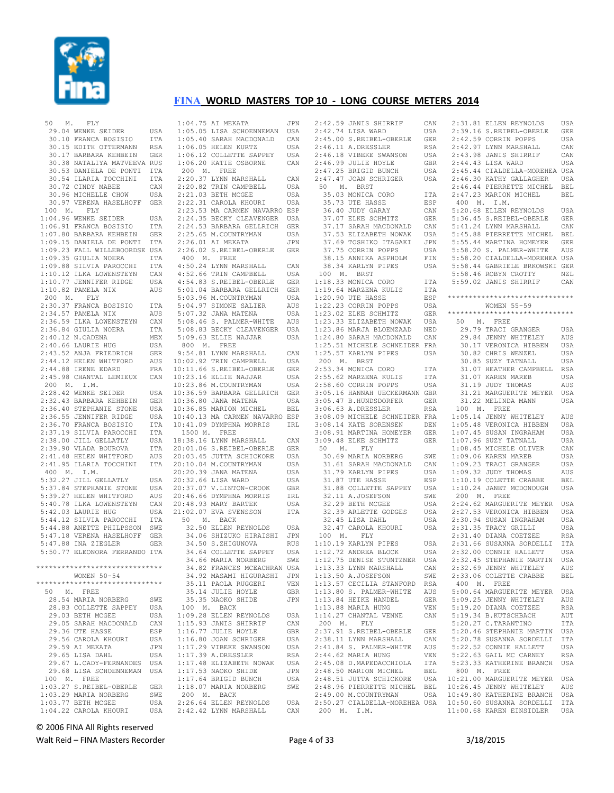

 50 M. FLY 29.04 WENKE SEIDER USA 30.10 FRANCA BOSISIO ITA 30.15 EDITH OTTERMANN RSA 30.17 BARBARA KEHBEIN GER 30.38 NATALIYA MATVEEVA RUS 30.53 DANIELA DE PONTI ITA 30.54 ILARIA TOCCHINI ITA 30.72 CINDY MABEE CAN 30.96 MICHELLE CHOW USA 30.97 VERENA HASELHOFF GER 100 M. FLY 1:04.96 WENKE SEIDER USA 1:06.91 FRANCA BOSISIO ITA 1:07.80 BARBARA KEHBEIN GER 1:09.15 DANIELA DE PONTI ITA 1:09.23 FALL WILLEBOORDSE USA 1:09.35 GIULIA NOERA ITA 1:09.88 SILVIA PAROCCHI ITA 1:10.12 ILKA LOWENSTEYN CAN 1:10.77 JENNIFER RIDGE USA 1:10.82 PAMELA NIX AUS 200 M. FLY 2:30.37 FRANCA BOSISIO ITA 2:34.57 PAMELA NIX AUS 2:36.59 ILKA LOWENSTEYN CAN 2:36.84 GIULIA NOERA ITA 2:40.12 N.CADENA MEX  $2 \cdot 40.66$  LAURIE HUG USA 2:43.52 ANJA FRIEDRICH GER<br>2:44.12 HELEN WHITFORD AUS 2:44.12 HELEN WHITFORD AUS<br>2:44.88 IRENE EDARD FRA  $2:44.88$  IRENE EDARD 2:45.98 CHANTAL LEMIEUX 200 M. I.M. 2:28.42 WENKE SEIDER USA 2:32.43 BARBARA KEHBEIN GER 2:36.40 STEPHANIE STONE USA 2:36.55 JENNIFER RIDGE USA 2:36.70 FRANCA BOSISIO ITA 2:37.19 SILVIA PAROCCHI ITA<br>2:38.00 JILL GELLATLY USA  $2:38.00$  JILL GELLATLY 2:39.90 VLADA BOUROVA ITA 2:41.48 HELEN WHITFORD 2:41.95 ILARIA TOCCHINI ITA 400 M. I.M. 5:32.27 JILL GELLATLY USA<br>5:37 84 STEPHANIE STONE USA  $5:37.84$  STEPHANIE STONE 5:39.27 HELEN WHITFORD AUS 5:40.78 ILKA LOWENSTEYN CAN 5:42.03 LAURIE HUG USA 5:44.12 SILVIA PAROCCHI ITA 5:44.88 ANETTE PHILPSSON SWE 5:47.18 VERENA HASELHOFF GER 5:47.88 INA ZIEGLER GER 5:50.77 ELEONORA FERRANDO ITA \*\*\*\*\*\*\*\*\*\*\*\*\*\*\*\*\*\*\*\*\*\*\*\*\*\*\*\*\*\* WOMEN 50-54 \*\*\*\*\*\*\*\*\*\*\*\*\*\*\*\*\*\*\*\*\*\*\*\*\*\*\*\*\*\* 50 M. FREE 28.54 MARIA NORBERG SWE<br>28.83 COLLETTE SAPPEY USA 28.83 COLLETTE SAPPEY USA<br>29 03 BETH MCGEE USA 29.03 BETH MCGEE 29.05 SARAH MACDONALD CAN 29.36 UTE HASSE ESP 29.56 CAROLA KHOURI USA 29.59 AI MEKATA JPN 29.65 LISA DAHL USA 29.67 L.CADY-FERNANDES USA 29.68 LISA SCHOENNEMAN USA 100 M. FREE 1:03.27 S.REIBEL-OBERLE GER 1:03.29 MARIA NORBERG SWE 1:03.77 BETH MCGEE USA 1:04.22 CAROLA KHOURI USA

 1:04.75 AI MEKATA JPN 1:05.05 LISA SCHOENNEMAN USA 1:05.40 SARAH MACDONALD CAN 1:06.05 HELEN KURTZ USA 1:06.12 COLLETTE SAPPEY USA 1:06.20 KATIE OSBORNE CAN 200 M. FREE 2:20.37 LYNN MARSHALL CAN<br>2:20.82 TRIN CAMPBELL USA  $2:20.82$  TRIN CAMPBELL 2:21.03 BETH MCGEE USA 2:22.31 CAROLA KHOURI USA 2:23.53 MA CARMEN NAVARRO ESP 2:24.35 BECKY CLEAVENGER USA 2:24.53 BARBARA GELLRICH GER 2:25.65 M.COUNTRYMAN USA 2:26.01 AI MEKATA JPN 2:26.02 S.REIBEL-OBERLE GER 400 M. FREE 4:50.24 LYNN MARSHALL CAN 4:52.66 TRIN CAMPBELL USA 4:54.83 S.REIBEL-OBERLE GER 5:01.04 BARBARA GELLRICH GER 5:03.96 M.COUNTRYMAN USA 5:04.97 SIMONE SALIER AUS 5:07.32 JANA MATENA USA 5:08.46 S. PALMER-WHITE AUS 5:08.83 BECKY CLEAVENGER USA<br>5:09.63 ELLIE NAJJAR USA 5:09.63 ELLIE NAJJAR 800 M. FREE 9:54.81 LYNN MARSHALL CAN<br>10:02.92 TRIN CAMPRELL USA  $10:02.92$  TRIN CAMPBELL 10:11.66 S.REIBEL-OBERLE GER ENA 10:23.16 ELLIE NAJJAR USA 10:23.86 M.COUNTRYMAN USA 10:36.59 BARBARA GELLRICH GER 10:36.80 JANA MATENA USA 10:36.85 MARION MICHEL BEL 10:40.13 MA CARMEN NAVARRO ESP 10:41.09 DYMPHNA MORRIS IRL 1500 M. FREE 18:38.16 LYNN MARSHALL CAN 20:01.06 S.REIBEL-OBERLE GER<br>20:03.45 JULTA SCHICKORE USA AUS 20:03.45 JUTTA SCHICKORE 20:10.04 M.COUNTRYMAN USA 20:20.39 JANA MATENA USA 20:32.66 LISA WARD USA<br>20:37.07.V LINTON-CROOK GRR 20:37.07 V.LINTON-CROOK GBR 20:46.66 DYMPHNA MORRIS IRL 20:48.93 MARY BARTEK USA 21:02.07 EVA SVENSSON ITA 50 M. BACK 32.50 ELLEN REYNOLDS USA 34.06 SHIZUKO HIRAISHI JPN 34.50 S.ZHIGUNOVA RUS 34.64 COLLETTE SAPPEY USA<br>34.66 MARIA NORRERG SWE 34.66 MARIA NORBERG 34.82 FRANCES MCEACHRAN USA 34.92 MASAMI HIGURASHI JPN 35.11 PAOLA RUGGERI VEN 35.14 JULIE HOYLE GBR 35.35 NAOKO SHIDE 100 M. BACK 1:09.28 ELLEN REYNOLDS USA 1:15.93 JANIS SHIRRIF CAN 1:16.77 JULIE HOYLE GBR 1:16.80 JOAN SCHRIGER USA 1:17.29 VIBEKE SWANSON USA 1:17.39 A.DRESSLER RSA 1:17.48 ELIZABETH NOWAK USA  $1 \cdot 17$  53 NAOKO SHIDE 1:17.64 BRIGID BUNCH USA 1:18.07 MARIA NORBERG SWE 200 M. BACK 2:26.64 ELLEN REYNOLDS USA 2:42.42 LYNN MARSHALL CAN

 2:42.59 JANIS SHIRRIF CAN 2:42.74 LISA WARD USA<br>2:45.00 S.REIBEL-OBERLE GER 2:45.00 S.REIBEL-OBERLE 2:46.11 A.DRESSLER RSA 2:46.18 VIBEKE SWANSON USA 2:46.99 JULIE HOYLE GBR 2:47.25 BRIGID BUNCH USA 2:47.47 JOAN SCHRIGER USA 50 M. BRST 35.03 MONICA CORO ITA 35.73 UTE HASSE ESP 36.40 JUDY GARAY CAN 37.07 ELKE SCHMITZ GER 37.17 SARAH MACDONALD CAN 37.53 ELIZABETH NOWAK USA 37.69 TOSHIKO ITAGAKI JPN 37.75 CORRIN POPPS USA 38.15 ANNIKA ASPHOLM FIN 38.34 KARLYN PIPES USA 100 M. BRST  $1:18.33$  MONICA CORO 1:19.64 MARZENA KULIS ITA  $1:20.90$  UTE HASSE 1:22.23 CORRIN POPPS USA 1:23.02 ELKE SCHMITZ GER 1:23.33 ELIZABETH NOWAK USA 1:23.86 MARJA BLOEMZAAD NED 1:24.80 SARAH MACDONALD CAN 1:25.51 MICHELE SCHNEIDER FRA 1:25.57 KARLYN PIPES USA 200 M. BRST 2:53.34 MONICA CORO ITA<br>2:55.62 MARZENA KULIS ITA 2:55.62 MARZENA KULIS 2:58.60 CORRIN POPPS USA 3:05.16 HANNAH UECKERMANN GBR 3:05.47 B.HUNDSDORFER GER 3:06.63 A.DRESSLER RSA 3:08.09 MICHELE SCHNEIDER FRA 3:08.14 KATE SORENSEN 3:08.91 MARTINA HOMEYER GER 3:09.48 ELKE SCHMITZ 50 M. FLY 30.69 MARIA NORBERG SWE 31.61 SARAH MACDONALD CAN 31.79 KARLYN PIPES 31.87 UTE HASSE ESP 31.88 COLLETTE SAPPEY 32.11 A.JOSEFSON SWE یں<br>32.29 BETH MCGEE USA<br>32.39 ARLETTE GODGES USA 32.39 ARLETTE GODGES 32.45 LISA DAHL USA 32.47 CAROLA KHOURI USA 100 M. FLY 1:10.19 KARLYN PIPES USA<br>1:12.72 ANDREA BLOCK USA  $1:12.72$  ANDREA BLOCK 1:12.75 DENISE STUNTZNER USA 1:13.33 LYNN MARSHALL CAN 1:13.50 A.JOSEFSON SWE 1:13.57 CECILIA STANFORD RSA 1:13.80 S. PALMER-WHITE AUS 1:13.84 HEIKE HANDEL GER 1:13.88 MARIA HUNG VEN 1:14.27 CHANTAL VENNE CAN 200 M. FLY 2:37.91 S.REIBEL-OBERLE GER 2:38.11 LYNN MARSHALL CAN 2:41.84 S. PALMER-WHITE AUS 2:44.62 MARIA HUNG VEN 2:45.08 D.MAPEDACCHIOLA ITA 2:48.50 MARION MICHEL BEL 2:48.96 PIERRETTE MICHEL BEL  $2:49.00$  M.COUNTRYMAN

 2:48.51 JUTTA SCHICKORE USA 10:21.00 MARGUERITE MEYER USA 2:50.27 CIALDELLA-MOREHEA USA 10:50.60 SUSANNA SORDELLI ITA 2:31.81 ELLEN REYNOLDS USA 2:39.16 S.REIBEL-OBERLE GER 2:42.59 CORRIN POPPS USA 2:42.97 LYNN MARSHALL CAN 2:43.98 JANIS SHIRRIF CAN 2:44.43 LISA WARD USA 2:45.44 CIALDELLA-MOREHEA USA 2:46.30 KATHY GALLAGHER USA 2:46.44 PIERRETTE MICHEL BEL 2:47.23 MARION MICHEL BEL 400 M. I.M. 5:20.68 ELLEN REYNOLDS USA 5:36.45 S.REIBEL-OBERLE GER 5:41.24 LYNN MARSHALL CAN 5:45.88 PIERRETTE MICHEL BEL 5:55.44 MARTINA HOMEYER GER 5:58.20 S. PALMER-WHITE AUS 5:58.20 CIALDELLA-MOREHEA USA 5:58.44 GABRIELE BRKOWSKI GER 5:58.46 ROBYN CROTTY NZL 5:59.02 JANIS SHIRRIF CAN \*\*\*\*\*\*\*\*\*\*\*\*\*\*\*\*\*\*\*\*\*\*\*\*\*\*\*\*\*\* WOMEN 55-59 \*\*\*\*\*\*\*\*\*\*\*\*\*\*\*\*\*\*\*\*\*\*\*\*\*\*\*\*\*\* 50 M. FREE 29.79 TRACI GRANGER USA 29.84 JENNY WHITELEY AUS 30.17 VERONICA HIBBEN USA 30.82 CHRIS WENZEL USA<br>30.85 SUZY TATNALL USA 30.85 SUZY TATNALL 31.07 HEATHER CAMPBELL RSA 31.07 KAREN MAREB USA 31.19 JUDY THOMAS AUS 31.21 MARGUERITE MEYER USA 31.22 MELINDA MANN USA 100 M. FREE 1:05.14 JENNY WHITELEY AUS 1:05.48 VERONICA HIBBEN USA 1:07.45 SUSAN INGRAHAM USA GER 1:07.96 SUZY TATNALL USA 1:08.45 MICHELE OLIVER CAN 1:09.06 KAREN MAREB USA 1:09.23 TRACI GRANGER USA 1:09.32 JUDY THOMAS AUS 1:10.19 COLETTE CRABBE BEL 1:10.24 JANET MCDONOUGH USA 200 M. FREE 2:24.62 MARGUERITE MEYER USA 2:27.53 VERONICA HIBBEN USA 2:30.94 SUSAN INGRAHAM USA 2:31.35 TRACY GRILLI USA 2:31.40 DIANA COETZEE RSA<br>2:31 66 SUSANNA SORDELLI ITA 2:31.66 SUSANNA SORDELLI 2:32.00 CONNIE HALLETT USA 2:32.45 STEPHANIE MARTIN USA 2:32.69 JENNY WHITELEY AUS 2:33.06 COLETTE CRABBE BEL 400 M. FREE 5:00.64 MARGUERITE MEYER USA 5:09.25 JENNY WHITELEY AUS 5:19.20 DIANA COETZEE RSA 5:19.34 B.KUTSCHBACH AUT 5:20.27 C.TARANTINO ITA 5:20.46 STEPHANIE MARTIN USA 5:20.78 SUSANNA SORDELLI ITA 5:22.52 CONNIE HALLETT USA 5:22.63 GAIL MC CARNEY RSA 5:23.33 KATHERINE BRANCH USA 800 M. FREE 10:26.45 JENNY WHITELEY AUS USA 10:49.80 KATHERINE BRANCH USA 11:00.68 KAREN EINSIDLER USA

© 2006 FINA All Rights reserved

Walt Reid – FINA Masters Recorder example and the Page 4 of 33 3/18/2015

200 M. I.M.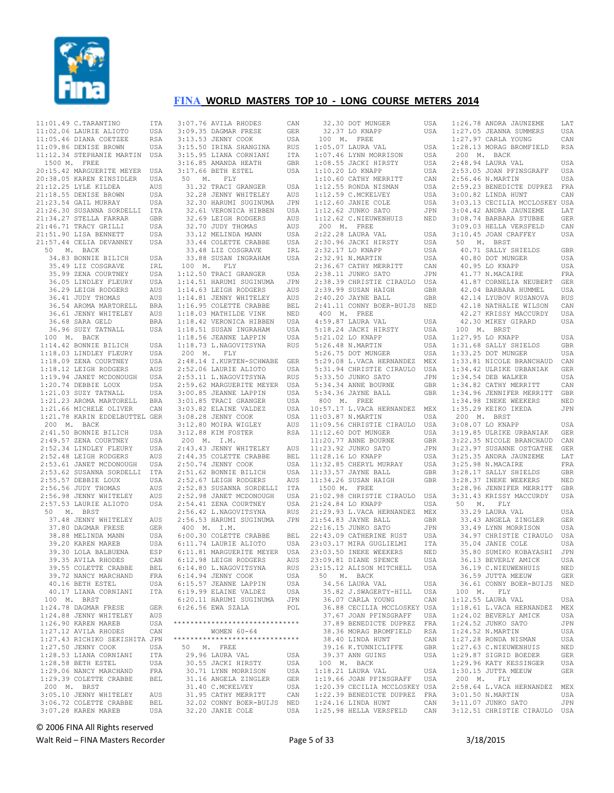

|                                                                                                                                                                                                                                               | ITA         |
|-----------------------------------------------------------------------------------------------------------------------------------------------------------------------------------------------------------------------------------------------|-------------|
|                                                                                                                                                                                                                                               |             |
| 11:01.49 C.TARANTINO<br>11:02.06 LAURIE ALIOTO<br>11:05.46 DIANA COETZEE                                                                                                                                                                      | USA<br>RSA  |
| 11:09.86 DENISE BROWN                                                                                                                                                                                                                         | USA         |
| 11:12.34 STEPHANIE MARTIN USA                                                                                                                                                                                                                 |             |
| 1500 M. FREE                                                                                                                                                                                                                                  |             |
| 20:15.42 MARGUERITE MEYER<br>20:38.05 KAREN EINSIDLER                                                                                                                                                                                         | USA         |
|                                                                                                                                                                                                                                               | USA         |
| 21:12.25 LYLE KILDEA                                                                                                                                                                                                                          | AUS         |
| 21:18.55 DENISE BROWN                                                                                                                                                                                                                         | USA         |
|                                                                                                                                                                                                                                               | USA         |
|                                                                                                                                                                                                                                               | ITA         |
|                                                                                                                                                                                                                                               | <b>GBR</b>  |
| 21:46.71 TRACY GRILLI<br>21:51.90 LISA BENNETT<br>21:51.90 LISA BENNETT<br>21:57 44 2000                                                                                                                                                      | USA         |
|                                                                                                                                                                                                                                               | USA         |
| 21:57.44 CELIA DEVANNEY                                                                                                                                                                                                                       | USA         |
| 50 M. BACK                                                                                                                                                                                                                                    |             |
| 34.83 BONNIE BILICH<br>35.49 LIZ COSGRAVE                                                                                                                                                                                                     | USA         |
| --- JUSTANE<br>35.99 ZENA COURTNEY<br>36 05 TINDITY                                                                                                                                                                                           | IRL         |
|                                                                                                                                                                                                                                               | USA         |
| 36.05 LINDLEY FLEURY<br>36.29 LEIGH RODGERS                                                                                                                                                                                                   | USA         |
|                                                                                                                                                                                                                                               | AUS         |
| 36.41 JUDY THOMAS<br>36.41 JUDY THOMAS<br>36.54 AROMA MARTORELL<br>36.61 JENNY WHITELEY                                                                                                                                                       | AUS         |
|                                                                                                                                                                                                                                               | <b>BRA</b>  |
|                                                                                                                                                                                                                                               | AUS<br>BRA  |
| 36.68 SARA GELD<br>36.96 SUZY TATNALL                                                                                                                                                                                                         | USA         |
| 100 M. BACK                                                                                                                                                                                                                                   |             |
| 1:14.42 BONNIE BILICH<br>1:18.03 LINDLEY FLEURY<br>1:18.09 ZENA COURTNEY<br>1:18.09 ZENA COURTNEY                                                                                                                                             | USA         |
|                                                                                                                                                                                                                                               | USA         |
|                                                                                                                                                                                                                                               | USA         |
|                                                                                                                                                                                                                                               |             |
|                                                                                                                                                                                                                                               |             |
| $\begin{tabular}{lllllllllll} 1:18.12 & \texttt{LEIGH RODEERS} & \texttt{AUS} \\ 1:19.94 & \texttt{JANET MCDONOUGH} & \texttt{USA} \\ 1:20.74 & \texttt{DEBBIE LOUX} & \texttt{USA} \end{tabular}$                                            |             |
| $1:21.03$ SUZY TATNALL                                                                                                                                                                                                                        | USA         |
| 1:21.23 AROMA MARTORELL BRA<br>1:21.66 MICHELE OLIVER CAN                                                                                                                                                                                     |             |
|                                                                                                                                                                                                                                               |             |
| 1:21.78 KARIN EDDELBUTTEL GER                                                                                                                                                                                                                 |             |
| 200 M. BACK                                                                                                                                                                                                                                   |             |
| 200 W. BACK CORTNEY USA<br>2:49.57 ZENA COURTNEY USA<br>2:49.57 ZENA COURTNEY USA<br>2:52.34 LINDLEY FLEURY USA<br>2:52.48 LEIGH RODGERS AUS<br>2:53.62 SUSANNA SORDELLI ITA<br>2:55.67 DEBBIE LOUX USA<br>2:55.57 DEBBIE LOUX USA<br>2:55.56 |             |
|                                                                                                                                                                                                                                               |             |
|                                                                                                                                                                                                                                               |             |
|                                                                                                                                                                                                                                               |             |
|                                                                                                                                                                                                                                               |             |
|                                                                                                                                                                                                                                               |             |
|                                                                                                                                                                                                                                               |             |
|                                                                                                                                                                                                                                               |             |
| 2:56.98 JENNY WHITELEY<br>2:57.53 LAURIE ALIOTO                                                                                                                                                                                               | AUS         |
|                                                                                                                                                                                                                                               | USA         |
| 50 M. BRST                                                                                                                                                                                                                                    | AUS         |
|                                                                                                                                                                                                                                               | GER         |
|                                                                                                                                                                                                                                               | USA         |
| 0 M. BRS1<br>37.48 JENNY WHITELEY<br>37.80 DAGMAR FRESE<br>38.88 MELINDA MANN<br>53.88 MELINDA MANN<br>39.20 KAREN MAREB USA<br>39.30 LOLA BALBUENA ESP<br>39.35 AVILA RHODES CAN                                                             |             |
|                                                                                                                                                                                                                                               |             |
|                                                                                                                                                                                                                                               |             |
| 39.55 COLETTE CRABBE                                                                                                                                                                                                                          | BEL         |
| 39.72 NANCY MARCHAND                                                                                                                                                                                                                          | FRA         |
| 40.16 BETH ESTEL                                                                                                                                                                                                                              | USA         |
| 40.17 LIANA CORNIANI                                                                                                                                                                                                                          | ITA         |
| 100 M. BRST                                                                                                                                                                                                                                   |             |
| $1:24.78$ DAGMAR FRESE                                                                                                                                                                                                                        | GER         |
| $1:24.88$ JENNY WHITELEY                                                                                                                                                                                                                      | AUS         |
| 1:26.90 KAREN MAREB                                                                                                                                                                                                                           | USA         |
| 1:27.12 AVILA RHODES                                                                                                                                                                                                                          | CAN         |
| 1:27.43 RICHIKO SEKISHITA JPN                                                                                                                                                                                                                 |             |
| 1:27.50 JENNY COOK                                                                                                                                                                                                                            | USA         |
| 1:28.53 LIANA CORNIANI                                                                                                                                                                                                                        | ITA         |
| $1:28.58$ BETH ESTEL                                                                                                                                                                                                                          | USA         |
| 1:29.06 NANCY MARCHAND<br>1:29.39 COLETTE CRABBE                                                                                                                                                                                              |             |
|                                                                                                                                                                                                                                               | ${\tt FRA}$ |
|                                                                                                                                                                                                                                               | <b>BEL</b>  |
|                                                                                                                                                                                                                                               |             |
|                                                                                                                                                                                                                                               | AUS         |
| 200 M. BRST<br>3:05.10 JENNY WHITELEY<br>3:06.72 COLETTE CRABBE<br>3:07.28 KAREN MAREB                                                                                                                                                        | BEL<br>USA  |

 3:07.76 AVILA RHODES CAN 3:09.35 DAGMAR FRESE GER 3:13.53 JENNY COOK USA 3:15.50 IRINA SHANGINA RUS 3:15.95 LIANA CORNIANI ITA 3:16.85 AMANDA HEATH GBR 3:17.66 BETH ESTEL USA 50 M. FLY 31.32 TRACI GRANGER USA<br>32.28 JENNY WHITELEY AUS 32.28 JENNY WHITELEY 32.30 HARUMI SUGINUMA JPN 32.61 VERONICA HIBBEN USA 32.69 LEIGH RODGERS AUS 32.70 JUDY THOMAS AUS 33.12 MELINDA MANN USA 33.44 COLETTE CRABBE USA<br>33.48 LIZ COSGRAVE IRL 33.48 LIZ COSGRAVE 33.88 SUSAN INGRAHAM USA 100 M. FLY 1:12.50 TRACI GRANGER USA 1:14.51 HARUMI SUGINUMA JPN 1:14.63 LEIGH RODGERS AUS 1:14.81 JENNY WHITELEY AUS 1:16.95 COLETTE CRABBE BEL 1:18.03 MATHILDE VINK NED 1:18.42 VERONICA HIBBEN USA 1:18.51 SUSAN INGRAHAM USA 1:18.56 JEANNE LAPPIN USA 1:18.73 L.NAGOVITSYNA RUS 5:26.48 N.MARTIN USA 200 M. FLY 2:48.14 I.KURTEN-SCHWABE GER 2:52.06 LAURIE ALIOTO USA 2:53.11 L.NAGOVITSYNA RUS 2:59.62 MARGUERITE MEYER USA 2.33.02 INDENTIONAL BRACK USA 3:01.85 TRACI GRANGER USA 3:03.82 ELAINE VALDEZ 3:08.28 JENNY COOK USA 3:12.80 MOIRA WIGLEY AUS 3:12.88 KIM FOSTER RSA 200 M. I.M. 2:43.43 JENNY WHITELEY AUS 11:23.92 JUNKO SATO JPN 2:44.35 COLETTE CRABBE BEL 11:28.16 LO KNAPP USA 2:50.74 JENNY COOK USA  $2:51.62$  BONNIE BILICH 2:52.67 LEIGH RODGERS AUS 2:52.83 SUSANNA SORDELLI ITA 2:52.98 JANET MCDONOUGH USA 2:54.41 ZENA COURTNEY USA 2:56.42 L.NAGOVITSYNA RUS 21:24.84 LO KNAPP USA 21:29.93 L.VACA HERNANDEZ MEX 2:56.53 HARUMI SUGINUMA JPN 21:54.83 JAYNE BALL GBR 400 M. I.M. 6:00.30 COLETTE CRABBE BEL 6:11.74 LAURIE ALIOTO USA 6:11.81 MARGUERITE MEYER USA<br>6:12.98 LEIGH RODGERS AUS 6:12.98 LEIGH RODGERS AUS 6:14.80 L.NAGOVITSYNA RUS 6:14.94 JENNY COOK USA 6:15.57 JEANNE LAPPIN USA 6:19.99 ELAINE VALDEZ USA 6:20.11 HARUMI SUGINUMA JPN 6:26.56 EWA SZALA POL \*\*\*\*\*\*\*\*\*\*\*\*\*\*\*\*\*\*\*\*\*\*\*\*\*\*\*\*\*\* WOMEN 60-64 \*\*\*\*\*\*\*\*\*\*\*\*\*\*\*\*\*\*\*\*\*\*\*\*\*\*\*\*\*\* 50 M. FREE 29.96 LAURA VAL USA 30.55 JACKI HIRSTY USA 30.71 LYNN MORRISON USA 31.16 ANGELA ZINGLER GER<br>31.40 C.MCKELVEY USA 31.40 C.MCKELVEY USA 31.95 CATHY MERRITT CAN 32.02 CONNY BOER-BUIJS NED<br>32.20 JANIE COLE USA 32.20 JANIE COLE

 32.30 DOT MUNGER USA 32.37 LO KNAPP USA 100 M. FREE 1:05.07 LAURA VAL USA 1:07.46 LYNN MORRISON USA 1:08.55 JACKI HIRSTY USA 1:10.20 LO KNAPP USA 1:10.60 CATHY MERRITT CAN 1:12.55 RONDA NISMAN USA 1:12.59 C.MCKELVEY USA 1:12.60 JANIE COLE USA 1:12.62 JUNKO SATO JPN 1:12.62 C.NIEUWENHUIS NED 200 M. FREE 2:22.28 LAURA VAL USA 2:30.96 JACKI HIRSTY USA 2:32.17 LO KNAPP USA 2:32.91 N.MARTIN USA 2:36.67 CATHY MERRITT CAN 2:38.11 JUNKO SATO JPN 2:38.39 CHRISTIE CIRAULO USA 2:38.39 CHRISTIN CINES<br>2:39.99 SUSAN HAIGH GBR 2:40.20 JAYNE BALL GBR 2:41.11 CONNY BOER-BUIJS NED 400 M. FREE 4:59.87 LAURA VAL USA 5:18.24 JACKI HIRSTY USA 5:21.02 LO KNAPP USA 5:26.75 DOT MUNGER USA 5:29.08 L.VACA HERNANDEZ MEX 5:31.94 CHRISTIE CIRAULO USA 5:33.50 JUNKO SATO JPN 5:34.34 ANNE BOURNE GBR 5:34.36 JAYNE BALL GBR 800 M. FREE 10:57.17 L.VACA HERNANDEZ MEX 11:03.87 N.MARTIN USA 11:09.56 CHRISTIE CIRAULO USA 11:12.60 DOT MUNGER USA 11:20.77 ANNE BOURNE GBR 11:32.85 CHERYL MURRAY USA USA 11:33.57 JAYNE BALL 11:34.26 SUSAN HAIGH GBR 1500 M. FREE 21:02.98 CHRISTIE CIRAULO USA 22:16.15 JUNKO SATO JPN 22:43.09 CATHERINE RUST USA<br>23:03.17 MIRA GUGLIELMI – TTA  $23 \cdot 03$  17 MIRA GUGLIELMI 23:03.50 INEKE WEEKERS NED<br>23:09.81 DIANE SPENCE 11SA  $23:09.81$  DIANE SPENCE 23:15.12 ALISON MITCHELL USA 50 M. BACK 34.56 LAURA VAL USA 35.82 J.SWAGERTY-HILL USA 36.07 CARLA YOUNG CAN 36.88 CECILIA MCCLOSKEY USA 37.67 JOAN PFINSGRAFF USA 37.89 BENEDICTE DUPREZ FRA 38.36 MORAG BROMFIELD RSA 38.40 LINDA HUNT CAN 39.16 K.TUNNICLIFFE GBR 39.37 ANN GUINS 100 M. BACK 1:18.21 LAURA VAL USA 1:19.66 JOAN PFINSGRAFF USA 1:20.39 CECILIA MCCLOSKEY USA 1:22.39 BENEDICTE DUPREZ FRA 1:24.16 LINDA HUNT CAN 1:25.98 HELLA VERSFELD CAN

|             | $1:26.78$ ANDRA JAUNZEME                            | LAT                         |
|-------------|-----------------------------------------------------|-----------------------------|
|             | $1:27.05$ JEANNA SUMMERS                            | USA                         |
|             | 1:27.97 CARLA YOUNG                                 | CAN                         |
|             | 1:28.13 MORAG BROMFIELD                             | <b>RSA</b>                  |
| 200 M. BACK |                                                     |                             |
|             | 2:48.94 LAURA VAL                                   | USA                         |
|             | 2:53.05 JOAN PFINSGRAFF                             | USA                         |
|             | 2:56.46 N.MARTIN                                    | USA                         |
|             |                                                     | FRA                         |
|             | 2:59.23 BENEDICTE DUPREZ<br>3:00.82 LINDA HUNT      | CAN                         |
|             | 3:03.13 CECILIA MCCLOSKEY USA                       |                             |
|             | $3:04.42$ ANDRA JAUNZEME                            | LAT                         |
|             | 3:08.74 BARBARA STUBBE                              | GER                         |
|             | 3:09.03 HELLA VERSFELD                              | CAN                         |
|             | 3:10.45 JOAN CRAFFEY                                | USA                         |
|             |                                                     |                             |
|             | 50 M. BRST<br>40.71 SALLY SHIELDS                   | GBR                         |
|             | 40.80 DOT MUNGER                                    | <b>USA</b>                  |
|             | 40.95 LO KNAPP                                      | USA                         |
|             | 41.77 N.MACAIRE                                     | FRA                         |
|             | 41.87 CORNELIA NEUBERT                              | GER                         |
|             | 42.04 BARBARA HUMMEL                                | USA                         |
|             | 42.14 LYUBOV RUSANOVA                               |                             |
|             | 42.18 NATHALIE WILSON                               | RUS                         |
|             | 42.27 KRISSY MACCURDY                               | CAN                         |
|             |                                                     | USA                         |
|             | 42.30 MIKEY GIRARD                                  | USA                         |
| 100 M. BRST |                                                     |                             |
|             | $1:27.95$ LO KNAPP                                  | USA                         |
|             | 1:31.68 SALLY SHIELDS                               | GBR                         |
|             | 1:33.25 DOT MUNGER                                  | USA                         |
|             | 1:33.81 NICOLE BRANCHAUD<br>1:34.42 ULRIKE URBANIAK | CAN                         |
|             |                                                     | GER                         |
|             | $1:34.54$ DEB WALKER                                | USA                         |
|             | 1:34.82 CATHY MERRITT                               | CAN                         |
|             | 1:34.96 JENNIFER MERRITT                            | GBR                         |
|             | 1:34.98 INEKE WEEKERS                               | NED                         |
|             | 1:35.29 KEIKO IKEDA                                 | JPN                         |
|             | 200 M. BRST                                         |                             |
|             | 3:08.07 LO KNAPP                                    | USA                         |
|             | 3:19.85 ULRIKE URBANIAK                             | GER                         |
|             | 3:22.35 NICOLE BRANCHAUD                            | CAN                         |
|             | 3:23.97 SUSANNE OSTGATHE                            | GER                         |
|             | 3:25.35 ANDRA JAUNZEME                              | LAT                         |
|             | 3:25.98 N.MACAIRE                                   | FRA                         |
|             | 3:28.17 SALLY SHIELDS                               | GBR                         |
|             | 3:28.37 INEKE WEEKERS                               | NED                         |
|             | 3:28.96 JENNIFER MERRITT                            | <b>GBR</b>                  |
|             | 3:31.43 KRISSY MACCURDY                             | USA                         |
| 50 M. FLY   |                                                     |                             |
|             | 33.29 LAURA VAL                                     | USA                         |
|             | 33.43 ANGELA ZINGLER                                | GER                         |
|             | 33.49 LYNN MORRISON                                 | USA                         |
|             | 34.97 CHRISTIE CIRAULO                              | USA                         |
|             | 35.04 JANIE COLE                                    | USA                         |
|             | 35.80 SUMIKO KOBAYASHI                              | JPN                         |
|             | 36.13 BEVERLY AMICK                                 | USA                         |
|             |                                                     |                             |
|             |                                                     |                             |
|             | 36.19 C.NIEUWENHUIS                                 | NED                         |
|             | 36.59 JUTTA MEEUW                                   | GER                         |
|             | 36.61 CONNY BOER-BUIJS                              | NED                         |
| 100 M.      | FLY                                                 |                             |
|             | 1:12.55 LAURA VAL                                   | USA                         |
|             |                                                     | MEX                         |
|             | 1:18.61 L.VACA HERNANDEZ<br>1:24.02 BEVERLY AMICK   | USA                         |
|             | 1:24.52 JUNKO SATO                                  | JPN                         |
|             | 1:24.52 N.MARTIN                                    | USA                         |
|             | 1:27.28 RONDA NISMAN                                | USA                         |
|             | 1:27.63 C.NIEUWENHUIS                               | $\mathop{\rm NED}\nolimits$ |
|             | 1:29.87 SIGRID BOEDER                               | GER                         |
|             | 1:29.96 KATY KESSINGER                              | USA                         |
|             | 1:30.15 JUTTA MEEUW                                 | GER                         |
| 200 M.      | FLY                                                 |                             |
|             | 2:58.64 L.VACA HERNANDEZ                            | MEX                         |
|             | 3:01.50 N.MARTIN                                    | USA                         |
|             | 3:11.07 JUNKO SATO                                  | JPN                         |
|             | 3:12.51 CHRISTIE CIRAULO USA                        |                             |

© 2006 FINA All Rights reserved

Walt Reid – FINA Masters Recorder 2008 1990 12:00 Page 5 of 33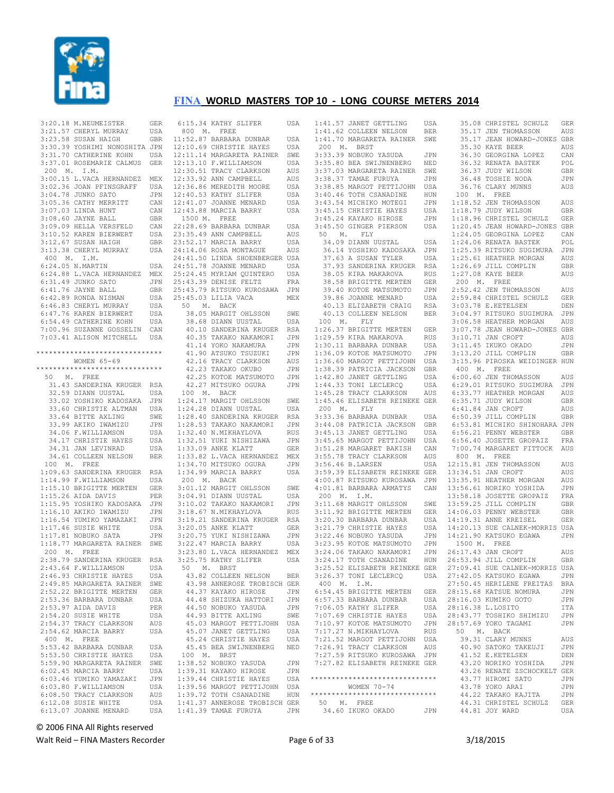

| 3:20.18 M.NEUMEISTER                                                                                                                                                                       | GER               |
|--------------------------------------------------------------------------------------------------------------------------------------------------------------------------------------------|-------------------|
| 3:21.57 CHERYL MURRAY USA<br>3:23.58 SUSAN HAIGH GBR<br>3:30.39 YOSHIMI NONOSHITA JPN                                                                                                      |                   |
|                                                                                                                                                                                            |                   |
|                                                                                                                                                                                            |                   |
| 3:31.70 CATHERINE KOHN USA                                                                                                                                                                 |                   |
| 3:37.01 ROSEMARIE CALMUS GER                                                                                                                                                               |                   |
| 200 M. I.M.                                                                                                                                                                                |                   |
| 3:00.15 L.VACA HERNANDEZ                                                                                                                                                                   | MEX               |
|                                                                                                                                                                                            | USA               |
| 3:02.36 JOAN PFINSGRAFF<br>3:04.78 JUNKO SATO                                                                                                                                              | JPN               |
|                                                                                                                                                                                            | CAN               |
|                                                                                                                                                                                            | CAN               |
| 3:05.36 CATHY MERRITT<br>3:05.36 CATHY MERRITT<br>3:07.03 LINDA HUNT<br>3:07.03 LINDA HUNT<br>3:08.60 JAYNE BALL                                                                           |                   |
|                                                                                                                                                                                            | GBR               |
|                                                                                                                                                                                            | CAN               |
|                                                                                                                                                                                            | USA               |
|                                                                                                                                                                                            | GBR               |
| 9109.09 HELLA VERSFELD<br>3:10.52 KAREN BIERWERT<br>3:12.67 SUSAN HAIGH<br>3:13.38 CHERYL MURRAY                                                                                           | USA               |
| 400 M. I.M.                                                                                                                                                                                |                   |
| $6:24.05$ N.MARTIN                                                                                                                                                                         | USA               |
| 6:24.88 L.VACA HERNANDEZ                                                                                                                                                                   | MEX               |
| 6:31.49 JUNKO SATO                                                                                                                                                                         | JPN               |
| 6:41.76 JAYNE BALL<br>6:42.89 RONDA NISMAN                                                                                                                                                 | GBR               |
|                                                                                                                                                                                            | USA               |
| 6:46.83 CHERYL MURRAY                                                                                                                                                                      | USA               |
|                                                                                                                                                                                            |                   |
| 6:47.76 KAREN BIERWERT<br>6:54.49 CATHERINE KOHN                                                                                                                                           | USA<br>USA        |
| 7:00.96 SUZANNE GOSSELIN                                                                                                                                                                   | CAN               |
| 7:03.41 ALISON MITCHELL USA                                                                                                                                                                |                   |
|                                                                                                                                                                                            |                   |
| *****************************                                                                                                                                                              |                   |
| WOMEN 65-69                                                                                                                                                                                |                   |
| ******************************                                                                                                                                                             |                   |
| 50 M. FREE                                                                                                                                                                                 |                   |
| 31.43 SANDERINA KRUGER RSA<br>32.59 DIANN UUSTAL USA                                                                                                                                       |                   |
|                                                                                                                                                                                            |                   |
| 33.02 YOSHIKO KADOSAKA                                                                                                                                                                     | JPN               |
| 33.60 CHRISTIE ALTMAN USA                                                                                                                                                                  |                   |
| 33.64 BITTE AXLING<br>33.99 AKIKO IWAMIZU<br>34.06 F.WILLIAMSON                                                                                                                            | SWE               |
|                                                                                                                                                                                            | JPN               |
|                                                                                                                                                                                            | USA               |
| 34.17 CHRISTIE HAYES                                                                                                                                                                       | USA               |
| 34.31 JAN LEVINRAD                                                                                                                                                                         | USA               |
| 34.61 COLLEEN NELSON                                                                                                                                                                       | <b>BER</b>        |
| 100 M. FREE                                                                                                                                                                                |                   |
| 1:09.63 SANDERINA KRUGER                                                                                                                                                                   | RSA               |
| $1:14.99$ F.WILLIAMSON                                                                                                                                                                     | USA               |
| 1:15.10 BRIGITTE MERTEN GER                                                                                                                                                                |                   |
|                                                                                                                                                                                            |                   |
|                                                                                                                                                                                            |                   |
|                                                                                                                                                                                            |                   |
|                                                                                                                                                                                            |                   |
|                                                                                                                                                                                            |                   |
| 1:15.10 BAISING<br>1:15.26 AIDA DAVIS<br>1:15.95 YOSHIKO KADOSAKA JPN<br>1:16.10 AKIKO IWAMIZU JPN<br>1:16.54 YUMIKO YAMAZAKI JPN<br>1:17.46 SUSIE WHITE USA JPN<br>1:17.46 NOSHE SATA JPN |                   |
| 1:17.81 NOBUKO SATA JPN<br>1:18.77 MARGARETA RAINER SWE                                                                                                                                    |                   |
| 200 M. FREE                                                                                                                                                                                |                   |
| 2:38.79 SANDERINA KRUGER RSA                                                                                                                                                               |                   |
| 2:43.64 F.WILLIAMSON                                                                                                                                                                       | USA               |
| 2:46.93 CHRISTIE HAYES                                                                                                                                                                     | USA               |
| 2:49.85 MARGARETA RAINER                                                                                                                                                                   |                   |
| 2:52.22 BRIGITTE MERTEN                                                                                                                                                                    | SWE               |
|                                                                                                                                                                                            | GER               |
| 2:53.36 BARBARA DUNBAR                                                                                                                                                                     | USA               |
| $2:53.97$ AIDA DAVIS<br>2:54.20 SUSIE WHITE                                                                                                                                                | PER<br><b>USA</b> |
|                                                                                                                                                                                            |                   |
| 2:54.37 TRACY CLARKSON                                                                                                                                                                     | AUS               |
| 2:54.62 MARCIA BARRY                                                                                                                                                                       | USA               |
| 400 M.<br>${\tt FREE}$                                                                                                                                                                     |                   |
| 5:53.42 BARBARA DUNBAR                                                                                                                                                                     | USA               |
| 5:53.50 CHRISTIE HAYES                                                                                                                                                                     | USA               |
| 5:59.90 MARGARETA RAINER                                                                                                                                                                   | SWE               |
| 6:02.45 MARCIA BARRY                                                                                                                                                                       | USA               |
| 6:03.46 YUMIKO YAMAZAKI<br>6:03.80 F.WILLIAMSON                                                                                                                                            | JPN               |
| 6:08.50 TRACY CLARKSON                                                                                                                                                                     | USA               |
|                                                                                                                                                                                            |                   |
|                                                                                                                                                                                            | AUS               |
| 6:12.08 SUSIE WHITE<br>6:13.07 JOANNE MENARD                                                                                                                                               | USA<br>USA        |

| 6:15.34 KATHY SLIFER                                                                                                                                                                                            | USA                         |
|-----------------------------------------------------------------------------------------------------------------------------------------------------------------------------------------------------------------|-----------------------------|
| 800 M. FREE                                                                                                                                                                                                     |                             |
| 11:52.87 BARBARA DUNBAR                                                                                                                                                                                         | USA                         |
| 12:10.69 CHRISTIE HAYES USA<br>12:11.14 MARGARETA RAINER SWE                                                                                                                                                    | USA                         |
|                                                                                                                                                                                                                 |                             |
| 12:13.10 F.WILLIAMSON                                                                                                                                                                                           | USA                         |
|                                                                                                                                                                                                                 | AUS                         |
| 12:30.51 TRACY CLARKSON<br>12:33.92 ANN CAMPBELL                                                                                                                                                                | $\mathop{\rm AUS}\nolimits$ |
| 12:36.86 MEREDITH MOORE<br>12:40.53 KATHY SLIFER<br>12:41.07 JOANNE MENARD<br>12:43.88 MARCIA BARDY                                                                                                             | USA                         |
|                                                                                                                                                                                                                 | USA                         |
|                                                                                                                                                                                                                 | USA                         |
| 12:43.88 MARCIA BARRY                                                                                                                                                                                           | USA                         |
|                                                                                                                                                                                                                 |                             |
| 1500 M. FREE                                                                                                                                                                                                    |                             |
| 22:28.69 BARBARA DUNBAR                                                                                                                                                                                         | USA                         |
| 23:35.49 ANN CAMPBELL<br>23:52.17 MARCIA BARRY                                                                                                                                                                  | AUS                         |
|                                                                                                                                                                                                                 | USA                         |
| 24:14.06 ROSA MONTAGUE                                                                                                                                                                                          | AUS                         |
| 24:41.50 LINDA SHOENBERGER USA                                                                                                                                                                                  |                             |
| 24:51.78 JOANNE MENARD                                                                                                                                                                                          | USA                         |
| 25:24.45 MYRIAM QUINTERO USA                                                                                                                                                                                    |                             |
| 25:43.39 DENISE FELTZ                                                                                                                                                                                           | FRA                         |
| 25:43.79 RITSUKO KUROSAWA                                                                                                                                                                                       | JPN                         |
| 25:45.03 LILIA VACA                                                                                                                                                                                             | MEX                         |
| 50 M. BACK                                                                                                                                                                                                      |                             |
| 0 FL DICK<br>38.05 MARGIT OHLSSON                                                                                                                                                                               | SWE                         |
| 38.68 DIANN UUSTAL                                                                                                                                                                                              | USA                         |
| 40.10 SANDERINA KRUGER                                                                                                                                                                                          | RSA                         |
|                                                                                                                                                                                                                 |                             |
| 40.35 TAKAKO NAKAMORI<br>41.14 YOKO NAKAMURA                                                                                                                                                                    | JPN                         |
|                                                                                                                                                                                                                 | JPN                         |
| 41.90 ATSUKO TSUZUKI                                                                                                                                                                                            | JPN                         |
| 42.16 TRACY CLARKSON<br>42.23 TAKAKO OKUBO                                                                                                                                                                      | AUS                         |
|                                                                                                                                                                                                                 | JPN                         |
| 42.25 IANANO ONGBO<br>42.25 KOTOE MATSUMOTO<br>42.27 MITSUKO OGURA                                                                                                                                              | JPN                         |
| 42.27 MITSUKO OGURA                                                                                                                                                                                             | JPN                         |
| 100 M. BACK                                                                                                                                                                                                     |                             |
| 1:24.17 MARGIT OHLSSON                                                                                                                                                                                          | SWE                         |
| 1:24.28 DIANN UUSTAL                                                                                                                                                                                            | USA                         |
| 1:28.40 SANDERINA KRUGER                                                                                                                                                                                        |                             |
| 1:28.53 TAKAKO NAKAMORI                                                                                                                                                                                         | RSA<br>JPN                  |
| 1:32.40 N.MIKHAYLOVA                                                                                                                                                                                            | RUS                         |
|                                                                                                                                                                                                                 | JPN                         |
| 1:32.51 YUKI NISHIZAWA<br>1:33.09 ANKE KLATT                                                                                                                                                                    | GER                         |
| 1:33.82 L.VACA HERNANDEZ                                                                                                                                                                                        | MEX                         |
| 1:34.70 MITSUKO OGURA                                                                                                                                                                                           | JPN                         |
| 1:34.99 MARCIA BARRY                                                                                                                                                                                            | USA                         |
| 200 M. BACK                                                                                                                                                                                                     |                             |
|                                                                                                                                                                                                                 |                             |
|                                                                                                                                                                                                                 |                             |
|                                                                                                                                                                                                                 |                             |
|                                                                                                                                                                                                                 |                             |
|                                                                                                                                                                                                                 |                             |
|                                                                                                                                                                                                                 |                             |
| 200 m. PARGIT OHLSSON SWE<br>3:01.12 MARGIT OHLSSON SWE<br>3:04.91 DIANN UUSTAL USA<br>3:10.02 TAKAKO NAKAMORI JPN<br>3:18.67 N.MIKHAYLOVA RUS<br>3:19.21 SANDERINA KRUGER RSA<br>3:20.05 ANKE KLATT GER<br>TEM |                             |
|                                                                                                                                                                                                                 |                             |
|                                                                                                                                                                                                                 | JPN                         |
| 3:20.75 YUKI NISHIZAWA<br>3:22.47 MARCIA BARRY                                                                                                                                                                  | USA                         |
| 3:23.80 L.VACA HERNANDEZ                                                                                                                                                                                        | MEX                         |
|                                                                                                                                                                                                                 | USA                         |
| 3:25.75 KATHY SLIFER<br>50 M. BRST                                                                                                                                                                              |                             |
|                                                                                                                                                                                                                 | <b>BER</b>                  |
| 43.82 COLLEEN NELSON<br>43.98 ANNEROSE TROBISCH GER                                                                                                                                                             |                             |
|                                                                                                                                                                                                                 |                             |
| 44.37 KAYAKO HIROSE                                                                                                                                                                                             | $_{\rm JPN}$                |
| 44.48 SHIZUKA HATTORI JPN                                                                                                                                                                                       |                             |
| 44.50 NOBUKO YASUDA                                                                                                                                                                                             | JPN                         |
| 44.93 BITTE AXLING                                                                                                                                                                                              | SWE                         |
| 45.03 MARGOT PETTIJOHN USA                                                                                                                                                                                      |                             |
| 45.07 JANET GETTLING                                                                                                                                                                                            | USA                         |
| 45.24 CHRISTIE HAYES                                                                                                                                                                                            | USA                         |
| 45.45 BEA SWIJNENBERG                                                                                                                                                                                           | NED                         |
|                                                                                                                                                                                                                 |                             |
| 100 M. BRST<br>1:38.52 NOBUKO YASUDA                                                                                                                                                                            | JPN                         |
| 1:39.31 KAYAKO HIROSE                                                                                                                                                                                           | JPN                         |
| 1:39.44 CHRISTIE HAYES                                                                                                                                                                                          | USA                         |
| 1:39.56 MARGOT PETTIJOHN                                                                                                                                                                                        | USA                         |
|                                                                                                                                                                                                                 |                             |
| 1:39.72 TOTH CSANADINE HUN<br>1:41.37 ANNEROSE TROBISCH GER<br>1:41.39 TAMAE FURUYA                                                                                                                             |                             |

| 1:41.57 JANET GETTLING         | USA                                     |
|--------------------------------|-----------------------------------------|
| COLLEEN NELSON                 |                                         |
| 1:41.62                        | <b>BER</b>                              |
| 1:41.70 MARGARETA RAINER       | TA TA TA TA TA TA TA TA TA TA TA<br>SWE |
| 200 M.<br>BRST                 |                                         |
|                                |                                         |
| 3:33.39 NOBUKO YASUDA          | JPN                                     |
| 3:35.80 BEA SWIJNENBERG        | NED                                     |
| 3:37.03 MARGARETA RAINER       | SWE                                     |
|                                |                                         |
| 3:38.37 TAMAE FURUYA           | JPN                                     |
| 3:38.85 MARGOT PETTIJOHN       | USA                                     |
| 3:40.46 TOTH CSANADINE         | 1(<br>HUN                               |
| 3:43.54 MICHIKO MOTEGI         |                                         |
|                                | JPN<br>1:1                              |
| 3:45.15 CHRISTIE HAYES         | 1:1<br>USA                              |
| 3:45.24 KAYAKO HIROSE          | 1:1<br>JPN                              |
|                                |                                         |
| 3:45.50 GINGER PIERSON         | 1:2<br>USA                              |
| 50<br>$M$ .<br><b>FLY</b>      | 1:2                                     |
| 34.09 DIANN UUSTAL             | 1:2<br>USA                              |
|                                |                                         |
| 36.14 YOSHIKO KADOSAKA         | 1:2<br>JPN                              |
| 37.63 A SUSAN TYLER            | 1:2<br>USA                              |
| 37.93 SANDERINA KRUGER         | 1:2<br>RSA                              |
|                                |                                         |
| 38.05 KIRA MAKAROVA            | 1:2<br>RUS                              |
| 38.58 BRIGITTE MERTEN          | 2(<br>GER                               |
| 39.40 KOTOE MATSUMOTO          | 2:5<br>JPN                              |
|                                |                                         |
| 39.86 JOANNE MENARD            | 2:5<br>USA                              |
| 40.13 ELIZABETH CRAIG          | 3:0<br>RSA                              |
| 40.13 COLLEEN NELSON           | 3:0<br><b>BER</b>                       |
|                                |                                         |
| 100 M.<br>FLY                  | 3:0                                     |
| 1:26.37 BRIGITTE MERTEN        | 3:0<br>GER                              |
| 1:29.59 KIRA MAKAROVA          | <b>RUS</b>                              |
|                                | 3:1                                     |
| 1:30.11 BARBARA DUNBAR         | 3:1<br>USA                              |
| 1:36.09 KOTOE MATSUMOTO        | 3:1<br>JPN                              |
|                                |                                         |
| 1:36.60 MARGOT PETTIJOHN       | 3:1<br>USA                              |
| 1:38.39 PATRICIA JACKSON       | 4(<br>GBR                               |
| 1:42.80 JANET GETTLING         | 6:0<br>USA                              |
|                                |                                         |
| 1:44.33 TONI LECLERCQ          | 6:2<br>USA                              |
| 1:45.28 TRACY CLARKSON         | 6:3<br>AUS                              |
| 1:45.46 ELISABETH REINEKE GER  | 6:3                                     |
|                                |                                         |
| 200 M. FLY                     | 6:4                                     |
| 3:33.36 BARBARA DUNBAR         | 6:5<br>USA                              |
| 3:44.08 PATRICIA JACKSON       | 6:5<br>GBR                              |
|                                |                                         |
| 3:45.13 JANET GETTLING         | 6:5<br>USA                              |
| 3:45.65 MARGOT PETTIJOHN       | 6:5<br>USA                              |
| 3:51.28 MARGARET BAKISH        | 7:0                                     |
|                                | CAN                                     |
| 3:55.78 TRACY CLARKSON         | 8 <sup>0</sup><br>AUS                   |
| 3:56.46 B.LARSEN               | USA<br>12:1                             |
|                                |                                         |
| 3:59.39 ELISABETH REINEKE GER  | 13:3                                    |
| 4:00.87 RITSUKO KUROSAWA       | 13:3<br>JPN                             |
| 4:01.81 BARBARA ARMATYS        | 13:5<br>CAN                             |
|                                |                                         |
| 200 M. I.M.                    | 13:5                                    |
| 3:11.68 MARGIT OHLSSON         | 13:5<br>SWE                             |
| 3:11.92 BRIGITTE MERTEN        | 14:0<br>GER                             |
|                                |                                         |
| 3:20.30 BARBARA DUNBAR         | 14:1<br>USA                             |
| 3:21.79 CHRISTIE HAYES         | USA<br>14:2                             |
| 3:22.46 NOBUKO YASUDA          | 14:2<br>JPN                             |
|                                |                                         |
| 3:23.95 KOTOE MATSUMOTO        | 15<br>JPN                               |
| 3:24.06 TAKAKO NAKAMORI        | JPN<br>26:1                             |
| 3:24.17 TOTH CSANADINE         | 26:5<br>HUN                             |
|                                |                                         |
| 3:25.52 ELISABETH REINEKE GER  | 27:0                                    |
| 3:26.37 TONI LECLERCQ          | 27:4<br>USA                             |
| 400 M. I.M.                    | 27:5                                    |
|                                |                                         |
| 6:54.45 BRIGITTE MERTEN        | 28:1<br>GER                             |
| 6:57.33 BARBARA DUNBAR         | 28:1<br>USA                             |
| 7:06.05 KATHY SLIFER           | USA<br>28:1                             |
|                                |                                         |
| 7:07.69 CHRISTIE HAYES         | 28:4<br>USA                             |
| 7:10.97 KOTOE MATSUMOTO        | 28:5<br>JPN                             |
| 7:17.27 N.MIKHAYLOVA           | 50                                      |
|                                | RUS                                     |
| 7:21.52 MARGOT PETTIJOHN       | ă<br>USA                                |
| 7:26.91 TRACY CLARKSON         | $\overline{\mathcal{L}}$<br>AUS         |
|                                |                                         |
| 7:27.59 RITSUKO KUROSAWA JPN   | $\overline{\mathcal{L}}$                |
| 7:27.82 ELISABETH REINEKE GER  | $\frac{2}{3}$                           |
|                                | $\overline{\phantom{a}}$                |
|                                |                                         |
| *****************************  |                                         |
| WOMEN 70-74                    |                                         |
| ****************************** | $\frac{2}{5}$                           |
|                                |                                         |
| 50 M. FREE                     | $\overline{\phantom{a}}$                |
| 34.60 IKUKO OKADO              | $\overline{\mathbf{r}}$<br><b>JPN</b>   |

 35.08 CHRISTEL SCHULZ GER 35.17 JEN THOMASSON AUS 35.17 JEAN HOWARD-JONES GBR 35.30 KAYE BEER AUS 36.30 GEORGINA LOPEZ CAN 36.32 RENATA BASTEK POL 36.37 JUDY WILSON GBR 36.48 TOSHIE NODA JPN 36.76 CLARY MUNNS AUS 00 M. FREE 1:18.52 JEN THOMASSON AUS 1:18.79 JUDY WILSON GBR 1:18.96 CHRISTEL SCHULZ GER 1:20.45 JEAN HOWARD-JONES GBR 24.05 GEORGINA LOPEZ CAN .<br>24.06 RENATA BASTEK POL 1:25.39 RITSUKO SUGIMURA JPN 25.61 HEATHER MORGAN AUS 1:26.69 JILL COMPLIN GBR 27.08 KAYE BEER AUS 200 M. FREE 2:52.42 JEN THOMASSON AUS 2:59.84 CHRISTEL SCHULZ GER 3:03.78 E.KETELSEN DEN 3:04.97 RITSUKO SUGIMURA JPN 3:06.58 HEATHER MORGAN AUS 07.78 JEAN HOWARD-JONES GBR<br>10.71 JAN CROFT AUS 10.71 JAN CROFT 3:11.45 IKUKO OKADO JPN 3:13.20 JILL COMPLIN GBR 3:15.96 PIROSKA WEIDINGER HUN 00 M. FREE 6:00.60 JEN THOMASSON AUS 6:29.01 RITSUKO SUGIMURA JPN 6:33.77 HEATHER MORGAN AUS 6:35.71 JUDY WILSON GBR 6:41.84 JAN CROFT AUS 6:50.39 JILL COMPLIN GBR 6:53.81 MICHIKO SHINOHARA JPN 6:56.21 PENNY WEBSTER GBR 6:56.40 JOSETTE GROPAIZ FRA 00.74 MARGARET FITTOCK AUS 00 M. FREE 15.81 JEN THOMASSON AUS<br>34.51 JAN CROFT AUS 34.51 JAN CROFT 35.91 HEATHER MORGAN AUS<br>56.61 NORIKO YOSHIDA JEPN 56.61 NORIKO YOSHIDA 13:58.18 JOSETTE GROPAIZ FRA 59.25 JILL COMPLIN GBR 06.03 PENNY WEBSTER GBR 14:19.31 ANNE KREISEL GER 14:20.13 SUE CALNEK-MORRIS USA 21.90 KATSUKO EGAWA JPN 1500 M. FREE .<br>26:17.43 JAN CROFT AUS<br>26:17.44 JILL COMPLINGRR 53.94 JILL COMPLIN 27:09.41 SUE CALNEK-MORRIS USA 27:42.05 KATSUKO EGAWA JPN <sup>50.45</sup> HERILENE FREITAS BRA 2015.68 KATSUE NOMURA JPN<br>6.03 KUMIKO GOTO JPN  $6.03$  KUMIKO GOTO 28:16.38 L.LOSITO ITA 28:43.77 TOSHIKO SHIMIZU JPN 57.69 YOKO TAGAMI JPN 50 M. BACK 39.31 CLARY MUNNS AUS .<br>10.90 SATOKO TAKEUJI JPN<br>11.52 F.KETELSEN DEN 11.52 E.KETELSEN 43.20 NORIKO YOSHIDA JPN 43.26 RENATE ZSCHOCKELT GER 43.77 HIROMI SATO JPN<br>43.78 YOKO ARAI JPN .<br>18.78 YOKO ARAI JPN<br>44.22 TAKAKO KAJITA JPN 44.22 TAKAKO KAJITA 44.31 CHRISTEL SCHULZ GER<br>44.81 JOY WARD USA 44.81 JOY WARD

© 2006 FINA All Rights reserved

Walt Reid – FINA Masters Recorder and the state of the Page 6 of 33 3/18/2015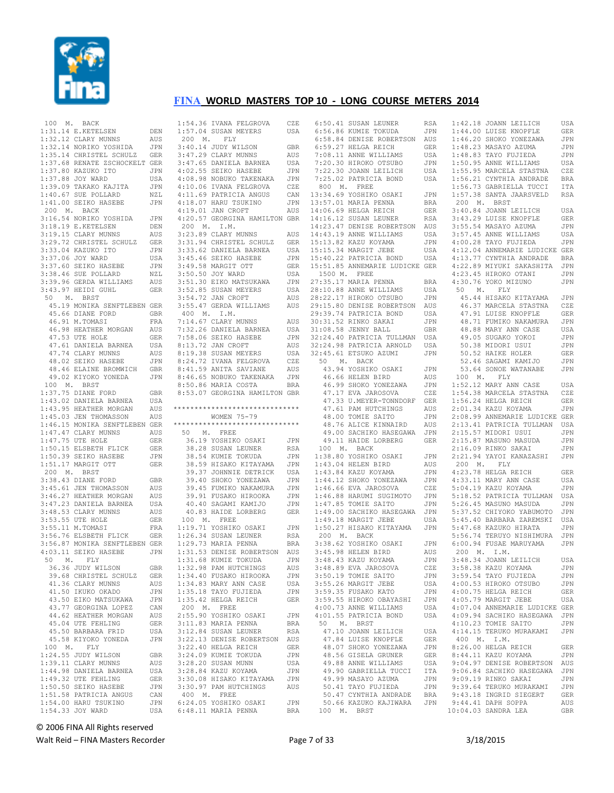

| 100 M. BACK |                                                                                                                                                                                                          |             |
|-------------|----------------------------------------------------------------------------------------------------------------------------------------------------------------------------------------------------------|-------------|
|             | $1:31.14$ E.KETELSEN                                                                                                                                                                                     | DEN         |
|             |                                                                                                                                                                                                          | AUS         |
|             | 1:31.14 E.KETELSEN<br>1:32.12 CLARY MUNNS<br>1:32.14 NORIKO YOSHIDA                                                                                                                                      | JPN         |
|             |                                                                                                                                                                                                          |             |
|             |                                                                                                                                                                                                          |             |
|             | 1:35.14 CHRISTEL SCHULZ GER<br>1:37.68 RENATE ZSCHOCKELT GER<br>1:37.68 RENATE ZSCHOCKELT GER<br>1:37.80 KAZUKO ITO JPN<br>1:40.67 SUE POLLARD NZL<br>1:40.67 SUE POLLARD NZL<br>1:40.67 SUE POLLARD NZL |             |
|             |                                                                                                                                                                                                          |             |
|             |                                                                                                                                                                                                          |             |
|             |                                                                                                                                                                                                          |             |
|             | 1:41.00 SEIKO HASEBE                                                                                                                                                                                     | JPN         |
| 200 M. BACK |                                                                                                                                                                                                          |             |
|             | 3:16.54 NORIKO YOSHIDA                                                                                                                                                                                   | JPN         |
|             |                                                                                                                                                                                                          |             |
|             | 3:18.19 E.KETELSEN DEN<br>3:19.15 CLARY MUNNS AUS<br>3:29.72 CHRISTEL SCHULZ GER                                                                                                                         |             |
|             |                                                                                                                                                                                                          |             |
|             | $3:33.04$ KAZUKO ITO                                                                                                                                                                                     | JPN         |
|             | 3:37.06 JOY WARD                                                                                                                                                                                         | USA         |
|             | 3:37.60 SEIKO HASEBE<br>3:38.46 SUE POLLARD                                                                                                                                                              | JPN         |
|             |                                                                                                                                                                                                          | NZL         |
|             | 3:38.46 SUE PULLERMS<br>3:39.96 GERDA WILLIAMS                                                                                                                                                           | AUS         |
|             | 3:43.97 HEIDI GUHL                                                                                                                                                                                       | GER         |
|             | 50 M. BRST                                                                                                                                                                                               |             |
|             | 45.19 MONIKA SENFTLEBEN GER                                                                                                                                                                              |             |
|             | 45.66 DIANE FORD<br>46.31 M TOMAST                                                                                                                                                                       | GBR         |
|             | 46.91 M.TOMASI                                                                                                                                                                                           | FRA         |
|             | 46.98 HEATHER MORGAN                                                                                                                                                                                     | AUS         |
|             |                                                                                                                                                                                                          | GER         |
|             | 47.53 UTE HOLE<br>47.61 DANIELA BARNEA                                                                                                                                                                   | USA         |
|             |                                                                                                                                                                                                          |             |
|             | $\begin{tabular}{llllll} 47.74 \text{ CLARY MUNNS} & \text{AUS} \\ 48.02 \text{ SEIKO HASEBE} & \text{JPN} \\ 48.46 \text{ ELANNE BROMWICH} & \text{GBR} \end{tabular}$                                  |             |
|             |                                                                                                                                                                                                          |             |
|             | 49.02 KIYOKO YONEDA                                                                                                                                                                                      | JPN         |
|             | $100$ M. BRST                                                                                                                                                                                            |             |
|             | $1:37.75$ DIANE FORD                                                                                                                                                                                     | GBR         |
|             |                                                                                                                                                                                                          | USA         |
|             | 1:43.02 DANIELA BARNEA<br>1:43.95 HEATHER MORGAN<br>1:45.03 JEN THOMASSON                                                                                                                                | AUS         |
|             |                                                                                                                                                                                                          | AUS         |
|             | 1:46.15 MONIKA SENFTLEBEN GER                                                                                                                                                                            |             |
|             | $1:47.47$ CLARY MUNNS                                                                                                                                                                                    | AUS         |
|             |                                                                                                                                                                                                          | <b>GER</b>  |
|             |                                                                                                                                                                                                          | GER         |
|             |                                                                                                                                                                                                          | JPN         |
|             | 1:47.75 UTE HOLE<br>1:50.15 ELSBETH FLICK<br>1:50.39 SEIKO HASEBE<br>1:51.17 MARGIT OTT                                                                                                                  | <b>GER</b>  |
| 200 M. BRST |                                                                                                                                                                                                          |             |
|             | 3:38.43 DIANE FORD                                                                                                                                                                                       | GBR         |
|             |                                                                                                                                                                                                          | AUS         |
|             |                                                                                                                                                                                                          | AUS         |
|             |                                                                                                                                                                                                          | USA         |
|             | 3:48.53 CLARY MUNNS<br>3:53.55 UTE HOLE<br>3:53.51 M.TOMASI                                                                                                                                              | AUS         |
|             |                                                                                                                                                                                                          | GER         |
|             | 3:55.11 M.TOMASI                                                                                                                                                                                         | FRA         |
|             | U.UU.IL M.TUMASI<br>3:56.76 ELSBETH FLICK<br>0.50.17                                                                                                                                                     | GER         |
|             | 3:56.87 MONIKA SENFTLEBEN GER                                                                                                                                                                            |             |
|             | 4:03.11 SEIKO HASEBE                                                                                                                                                                                     | JPN         |
|             | 50 M. FLY<br>36.36 JUDY WILSON<br>${\rm FLY}$                                                                                                                                                            |             |
| 36.         | GBR <sub>3</sub>                                                                                                                                                                                         |             |
|             | 39.68 CHRISTEL SCHULZ                                                                                                                                                                                    | <b>GER</b>  |
|             | 41.36 CLARY MUNNS                                                                                                                                                                                        | AUS         |
|             | 41.50 IKUKO OKADO                                                                                                                                                                                        | JPN         |
|             | 43.50 EIKO MATSUKAWA                                                                                                                                                                                     | JPN         |
|             | 43.77 GEORGINA LOPEZ                                                                                                                                                                                     | CAN         |
|             | 44.62 HEATHER MORGAN                                                                                                                                                                                     | AUS         |
|             | 45.04 UTE FEHLING                                                                                                                                                                                        | ${\tt GER}$ |
|             | 45.50 BARBARA FRID                                                                                                                                                                                       | USA         |
|             | 45.58 KIYOKO YONEDA                                                                                                                                                                                      | JPN         |
|             | 100 M. FLY                                                                                                                                                                                               |             |
|             | 1:24.55 JUDY WILSON                                                                                                                                                                                      | GBR         |
|             | 1:39.11 CLARY MUNNS                                                                                                                                                                                      | AUS         |
|             | 1:44.98 DANIELA BARNEA                                                                                                                                                                                   | USA         |
|             | 1:49.32 UTE FEHLING                                                                                                                                                                                      | GER         |
|             | $1:50.50$ SEIKO HASEBE                                                                                                                                                                                   | JPN         |
|             | 1:51.58 PATRICIA ANGUS                                                                                                                                                                                   | CAN         |
|             | 1:54.00 HARU TSUKINO                                                                                                                                                                                     | JPN         |
|             | 1:54.33 JOY WARD                                                                                                                                                                                         | USA         |

| 1:54.36 IVANA FELGROVA CZE                                                                                        |                |
|-------------------------------------------------------------------------------------------------------------------|----------------|
| $1:57.04$ SUSAN MEYERS                                                                                            | USA            |
| 200 M. FLY                                                                                                        |                |
| 3:40.14 JUDY WILSON<br>3:47.29 CLARY MUNNS                                                                        | GBR            |
|                                                                                                                   | AUS            |
| 3:47.65 DANIELA BARNEA                                                                                            | USA            |
| 4:02.55 SEIKO HASEBE                                                                                              | JPN            |
| 4:08.98 NOBUKO TAKENAKA<br>4:10.06 IVANA FELGROVA<br>4:11.69 PATRICIA ANGUS                                       | JPN            |
|                                                                                                                   | CZE<br>CAN     |
|                                                                                                                   | JPN            |
| 4:18.07 HARU TSUKINO<br>4:19.01 JAN CROFT                                                                         | AUS            |
| 4:20.57 GEORGINA HAMILTON GBR                                                                                     |                |
| 200 M. I.M.                                                                                                       |                |
| 3:23.89 CLARY MUNNS                                                                                               | AUS            |
| 3:31.94 CHRISTEL SCHULZ                                                                                           | GER            |
| 3:33.62 DANIELA BARNEA                                                                                            | USA            |
| 3:45.46 SEIKO HASEBE                                                                                              | JPN            |
| 3:49.58 MARGIT OTT                                                                                                | <b>GER</b>     |
| 3:50.50 JOY WARD                                                                                                  | USA            |
| 3:51.30 EIKO MATSUKAWA<br>3:52.85 SUSAN MEYERS                                                                    | JPN            |
|                                                                                                                   | USA            |
| 3:54.72 JAN CROFT                                                                                                 | AUS            |
| 3:55.47 GERDA WILLIAMS                                                                                            | AUS            |
| 400 M. I.M.                                                                                                       |                |
| 7:14.67 CLARY MUNNS                                                                                               | AUS            |
| 7:32.26 DANIELA BARNEA<br>7:58.06 SEIKO HASEBE<br>8:13.78 TIM STATE                                               | USA            |
|                                                                                                                   | JPN            |
| 8:13.72 JAN CROFT<br>8:13.72 JAN CROFT<br>8:19.38 SUSAN MEYERS<br>8:24.72 IVANA FELGROVA<br>8:41.59 ANITA SAVIANE | AUS            |
|                                                                                                                   | USA            |
|                                                                                                                   | CZE            |
|                                                                                                                   | AUS            |
| 8:46.65 NOBUKO TAKENAKA<br>8:50.86 MARIA COSTA                                                                    | JPN            |
| 8:53.07 GEORGINA HAMILTON GBR                                                                                     | BRA            |
|                                                                                                                   |                |
|                                                                                                                   |                |
| ******************************                                                                                    |                |
| WOMEN 75-79                                                                                                       |                |
| ******************************                                                                                    |                |
| 50 M. FREE                                                                                                        |                |
| 36.19 YOSHIKO OSAKI                                                                                               | JPN            |
| 38.28 SUSAN LEUNER                                                                                                | RSA            |
| 38.54 KUMIE TOKUDA                                                                                                | JPN            |
| 38.59 HISAKO KITAYAMA                                                                                             | JPN            |
|                                                                                                                   | USA            |
|                                                                                                                   | JPN            |
| 39.37 JOHNNIE DETRICK<br>39.40 SHOKO YONEZAWA<br>39.45 FUMIKO NAKAMURA                                            | JPN            |
|                                                                                                                   | JPN            |
|                                                                                                                   | JPN            |
| 39.91 FUSAKO HIROOKA<br>40.40 SAGAMI KAMIJO<br>40.83 HAIDE LORBERG                                                | <b>GER</b>     |
| 100 M. FREE                                                                                                       |                |
|                                                                                                                   | JPN            |
|                                                                                                                   | <b>RSA</b>     |
| 1:19.71 YOSHIKO OSAKI<br>1:26.34 SUSAN LEUNER<br>1:29.73 MARIA PENNA                                              | <b>BRA</b>     |
| 1:31.53 DENISE ROBERTSON                                                                                          | AUS            |
| 1:31.68 KUMIE TOKUDA                                                                                              | JPN            |
| 1:32.98 PAM HUTCHINGS                                                                                             | AUS            |
| 1:34.40 FUSAKO HIROOKA                                                                                            | JPN            |
| 1:34.83 MARY ANN CASE                                                                                             | USA            |
| 1:35.18 TAYO FUJIEDA                                                                                              | JPN            |
| 1:35.42 HELGA REICH                                                                                               | <b>GER</b>     |
|                                                                                                                   | JPN            |
| 200 M. FREE<br>2:55.90 YOSHIKO OSAKI                                                                              | $_{\rm BRA}$   |
| 3:11.83 MARIA PENNA                                                                                               | RSA            |
|                                                                                                                   | AUS            |
| 3:12.84 SUSAN LEUNER<br>3:22.13 DENISE ROBERTSON<br>3:22.40 HELGA REICH                                           | <b>GER</b>     |
| 3:24.09 KUMIE TOKUDA                                                                                              | JPN            |
| 3:28.20 SUSAN MUNN                                                                                                | USA            |
| 3:28.84 KAZU KOYAMA                                                                                               | JPN            |
|                                                                                                                   | $\mathtt{JPN}$ |
| 3:30.08 HISAKO KITAYAMA<br>3:30.97 PAM HUTCHINGS<br>400 M. FREE                                                   | AUS            |

6:24.05 YOSHIKO OSAKI JPN

 $6:48.11$  MARIA PENNA

|              | 6:50.41 SUSAN LEUNER           | RSA        |           | 1:42.18 JOANN LEILICH         | USA        |
|--------------|--------------------------------|------------|-----------|-------------------------------|------------|
|              | 6:56.86 KUMIE TOKUDA           | JPN        |           | 1:44.00 LUISE KNOPFLE         | GER        |
|              | 6:58.84 DENISE ROBERTSON       |            |           | 1:46.20 SHOKO YONEZAWA        |            |
|              |                                | AUS        |           |                               | JPN        |
|              | 6:59.27 HELGA REICH            | <b>GER</b> |           | 1:48.23 MASAYO AZUMA          | JPN        |
|              | 7:08.11 ANNE WILLIAMS          | USA        |           | 1:48.83 TAYO FUJIEDA          | JPN        |
|              | 7:20.30 HIROKO OTSUBO          | JPN        |           | 1:50.95 ANNE WILLIAMS         | USA        |
|              | 7:22.30 JOANN LEILICH          | USA        |           | 1:55.95 MARCELA STASTNA       | CZE        |
|              | 7:25.02 PATRICIA BOND          | USA        |           | 1:56.21 CYNTHIA ANDRADE       | BRA        |
| 800<br>М.    | FREE                           |            |           | 1:56.73 GABRIELLA TUCCI       | ITA        |
|              | 13:34.69 YOSHIKO OSAKI         | JPN        |           | 1:57.38 SANTA JAARSVELD       | RSA        |
|              | 13:57.01 MARIA PENNA           | BRA        | М.<br>200 | BRST                          |            |
|              | 14:06.69 HELGA REICH           | GER        |           | 3:40.84 JOANN LEILICH         | USA        |
|              |                                |            |           |                               | <b>GER</b> |
|              | 14:16.12 SUSAN LEUNER          | RSA        |           | 3:43.29 LUISE KNOPFLE         |            |
|              | 14:23.47 DENISE ROBERTSON      | AUS        |           | 3:55.54 MASAYO AZUMA          | JPN        |
|              | 14:43.19 ANNE WILLIAMS         | USA        |           | 3:57.45 ANNE WILLIAMS         | USA        |
|              | 15:13.82 KAZU KOYAMA           | JPN        |           | 4:00.28 TAYO FUJIEDA          | JPN        |
|              | 15:15.34 MARGIT JEBE           | USA        |           | 4:12.04 ANNEMARIE LUDICKE GER |            |
|              | 15:40.22 PATRICIA BOND         | USA        |           | 4:13.77 CYNTHIA ANDRADE       | BRA        |
|              | 15:51.85 ANNEMARIE LUDICKE GER |            |           | 4:22.89 MIYUKI SAKASHITA      | JPN        |
| 1500 M. FREE |                                |            |           | 4:23.45 HIROKO OTANI          | JPN        |
|              | 27:35.17 MARIA PENNA           | BRA        |           | 4:30.76 YOKO MIZUNO           | JPN        |
|              | 28:10.88 ANNE WILLIAMS         |            | 50<br>Μ.  | FLY                           |            |
|              |                                | USA        |           |                               |            |
|              | 28:22.17 HIROKO OTSUBO         | JPN        |           | 45.44 HISAKO KITAYAMA         | JPN        |
|              | 29:15.80 DENISE ROBERTSON      | AUS        |           | 46.37 MARCELA STASTNA         | CZE        |
|              | 29:39.74 PATRICIA BOND         | USA        |           | 47.91 LUISE KNOPFLE           | GER        |
|              | 30:31.52 RINKO SAKAI           | JPN        |           | 48.71 FUMIKO NAKAMURA         | JPN        |
|              | 31:08.58 JENNY BALL            | GBR        |           | 48.88 MARY ANN CASE           | USA        |
|              | 32:24.40 PATRICIA TULLMAN      | USA        |           | 49.05 SUGAKO YOKOI            | JPN        |
|              | 32:24.98 PATRICIA ARNOLD       | USA        |           | 50.38 MIDORI USUI             | JPN        |
|              | 32:45.61 ETSUKO AZUMI          | JPN        |           | 50.52 HAIKE HOLER             | GER        |
| 50           | M. BACK                        |            |           | 52.46 SAGAMI KAMIJO           | JPN        |
|              | 43.94 YOSHIKO OSAKI            | JPN        |           | 53.64 SONOE WATANABE          |            |
|              |                                |            |           |                               | JPN        |
|              | 46.66 HELEN BIRD               | AUS        | Μ.<br>100 | FLY                           |            |
|              | 46.99 SHOKO YONEZAWA           | JPN        |           | 1:52.12 MARY ANN CASE         | USA        |
|              | 47.17 EVA JAROSOVA             | CZE        |           | 1:54.38 MARCELA STASTNA       | CZE        |
|              | 47.33 U.MEYER-TONNDORF         | GER        |           | 1:56.24 HELGA REICH           | GER        |
|              | 47.61 PAM HUTCHINGS            | AUS        |           | 2:01.34 KAZU KOYAMA           | JPN        |
|              | 48.00 TOMIE SAITO              | JPN        |           | 2:08.99 ANNEMARIE LUDICKE GER |            |
|              | 48.76 ALICE KINNAIRD           | AUS        |           | 2:13.41 PATRICIA TULLMAN      | USA        |
|              | 49.00 SACHIKO HASEGAWA         | JPN        |           | 2:15.57 MIDORI USUI           | JPN        |
|              | 49.11 HAIDE LORBERG            | GER        |           | 2:15.87 MASUNO MASUDA         | JPN        |
|              |                                |            |           |                               |            |
| 100<br>М.    | BACK                           |            |           | 2:16.09 RINKO SAKAI           | JPN        |
|              | 1:38.80 YOSHIKO OSAKI          | JPN        |           | 2:21.94 YAYOI KANAZASHI       | JPN        |
|              | 1:43.04 HELEN BIRD             | AUS        | Μ.<br>200 | FLY                           |            |
|              | 1:43.84 KAZU KOYAMA            | JPN        |           | 4:23.78 HELGA REICH           | GER        |
|              | 1:44.12 SHOKO YONEZAWA         | JPN        |           | 4:33.11 MARY ANN CASE         | USA        |
|              | 1:46.66 EVA JAROSOVA           | CZE        |           | 5:04.19 KAZU KOYAMA           | JPN        |
|              | 1:46.88 HARUMI SUGIMOTO        | JPN        |           | 5:18.52 PATRICIA TULLMAN      | USA        |
|              | 1:47.85 TOMIE SAITO            | JPN        |           | 5:26.45 MASUNO MASUDA         | JPN        |
|              | 1:49.00 SACHIKO HASEGAWA       | JPN        |           | 5:37.52 CHIYOKO YABUMOTO      | JPN        |
|              | 1:49.18 MARGIT JEBE            | USA        |           | 5:45.40 BARBARA ZAREMSKI      | USA        |
|              |                                |            |           |                               |            |
|              | 1:50.27 HISAKO KITAYAMA        | JPN        |           | 5:47.68 KAZUKO HIRATA         | JPN        |
| 200<br>М.    | BACK                           |            |           | 5:56.74 TERUYO NISHIMURA      | JPN        |
|              | 3:38.62 YOSHIKO OSAKI          | JPN        |           | 6:00.94 FUSAE MARUYAMA        | JPN        |
|              | 3:45.98 HELEN BIRD             | AUS        | 200<br>Μ. | I.M.                          |            |
|              | 3:48.43 KAZU KOYAMA            | JPN        |           | 3:48.34 JOANN LEILICH         | USA        |
|              | 3:48.89 EVA JAROSOVA           | CZE        |           | 3:58.38 KAZU KOYAMA           | JPN        |
|              | 3:50.19 TOMIE SAITO            | JPN        |           | 3:59.54 TAYO FUJIEDA          | JPN        |
|              | 3:55.26 MARGIT JEBE            | USA        |           | 4:00.53 HIROKO OTSUBO         | JPN        |
|              | 3:59.35 FUSAKO KATO            | JPN        |           | 4:00.75 HELGA REICH           | GER        |
|              |                                |            |           |                               |            |
|              | 3:59.55 HIROKO OBAYASHI        | JPN        |           | 4:05.79 MARGIT JEBE           | USA        |
|              | 4:00.73 ANNE WILLIAMS          | USA        |           | 4:07.04 ANNEMARIE LUDICKE GER |            |
|              | 4:01.55 PATRICIA BOND          | USA        |           | 4:09.94 SACHIKO HASEGAWA      | JPN        |
| Μ.<br>50     | <b>BRST</b>                    |            |           | 4:10.23 TOMIE SAITO           | JPN        |
|              | 47.10 JOANN LEILICH            | USA        |           | 4:14.15 TERUKO MURAKAMI       | JPN        |
|              | 47.84 LUISE KNOPFLE            | GER        | 400<br>Μ. | I.M.                          |            |
|              | 48.07 SHOKO YONEZAWA           | JPN        |           | 8:26.00 HELGA REICH           | GER        |
|              | 48.56 GISELA GRUNER            | GER        |           | 8:44.11 KAZU KOYAMA           | JPN        |
|              | 49.88 ANNE WILLIAMS            |            |           | 9:04.97 DENISE ROBERTSON      |            |
|              |                                | USA        |           |                               | AUS        |
|              | 49.90 GABRIELLA TUCCI          | ITA        |           | 9:06.84 SACHIKO HASEGAWA      | JPN        |
|              | 49.99 MASAYO AZUMA             | JPN        |           | 9:09.19 RINKO SAKAI           | JPN        |
|              | 50.41 TAYO FUJIEDA             | JPN        |           | 9:39.64 TERUKO MURAKAMI       | JPN        |
|              | 50.47 CYNTHIA ANDRADE          | BRA        |           | 9:43.18 INGRID SIEGERT        | <b>GER</b> |
|              | 50.66 KAZUKO KAJIWARA          | JPN        |           | 9:44.41 DAPH SOPPA            | AUS        |
| 100 M. BRST  |                                |            |           | 10:04.03 SANDRA LEA           | GBR        |

© 2006 FINA All Rights reserved

Walt Reid – FINA Masters Recorder **Page 7 of 33** 3/18/2015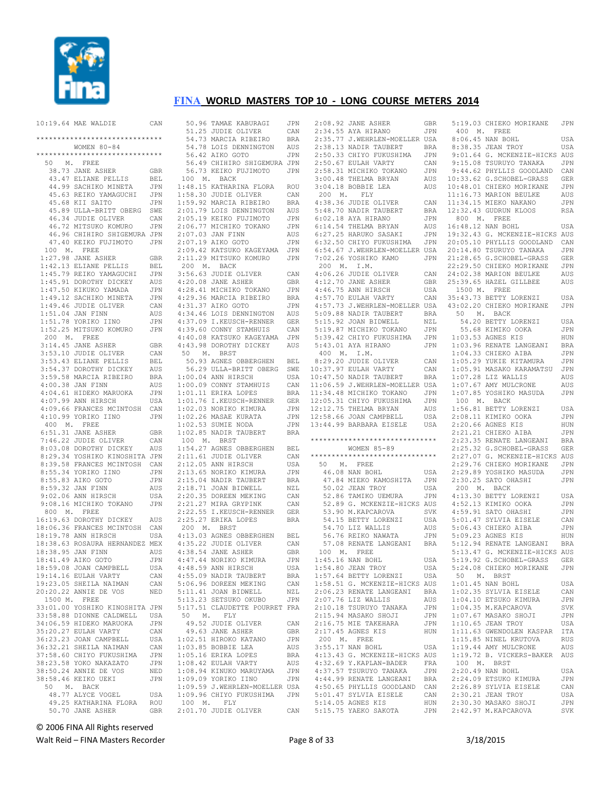

| 10:19.64 MAE WALDIE                                     | CAN               |             | 50.96 TAMAE KABURAGI<br>51.25 JUDIE OLIVER           | JPN<br>CAN        |                  | 2:08.92 JANE ASHER<br>2:34.55 AYA HIRANO                    | GBR<br>JPN        | 5:19.03 CHIEKO MORIKANE<br>400 M. FREE                   | JPN                      |  |
|---------------------------------------------------------|-------------------|-------------|------------------------------------------------------|-------------------|------------------|-------------------------------------------------------------|-------------------|----------------------------------------------------------|--------------------------|--|
| *****************************                           |                   |             | 54.73 MARCIA RIBEIRO                                 | <b>BRA</b>        |                  | 2:35.77 J.WEHRLEN-MOELLER USA                               |                   | 8:06.45 NAN BOHL                                         | USA                      |  |
| WOMEN 80-84                                             |                   |             | 54.78 LOIS DENNINGTON                                | AUS               |                  | 2:38.13 NADIR TAUBERT                                       | BRA               | 8:38.35 JEAN TROY                                        | USA                      |  |
| ******************************                          |                   |             | 56.42 AIKO GOTO                                      | JPN               |                  | 2:50.33 CHIYO FUKUSHIMA                                     | JPN               | 9:01.64 G. MCKENZIE-HICKS AUS                            |                          |  |
| M. FREE<br>50                                           |                   |             | 56.49 CHIHIRO SHIGEMURA JPN                          |                   |                  | 2:50.67 EULAH VARTY                                         | CAN               | 9:15.08 TSURUYO TANAKA                                   | <b>JPN</b>               |  |
| 38.73 JANE ASHER                                        | GBR               |             | 56.73 KEIKO FUJIMOTO<br>100 M. BACK                  | <b>JPN</b>        |                  | 2:58.31 MICHIKO TOKANO                                      | JPN               | 9:44.62 PHYLLIS GOODLAND CAN                             |                          |  |
| 43.47 ELIANE PELLIS<br>44.99 SACHIKO MINETA             | BEL<br>JPN        |             | 1:48.15 KATHARINA FLORA                              | ROU               |                  | 3:00.48 THELMA BRYAN<br>3:04.18 BOBBIE LEA                  | AUS<br>AUS        | 10:33.62 G.SCHOBEL-GRASS<br>10:48.01 CHIEKO MORIKANE     | <b>GER</b><br><b>JPN</b> |  |
| 45.63 REIKO YAMAGUCHI                                   | JPN               |             | 1:58.30 JUDIE OLIVER                                 | CAN               | 200 M.           | FLY                                                         |                   | 11:16.73 MARION BEULKE                                   | AUS                      |  |
| 45.68 KII SAITO                                         | JPN               |             | 1:59.92 MARCIA RIBEIRO                               | <b>BRA</b>        |                  | 4:38.36 JUDIE OLIVER                                        | CAN               | 11:34.15 MIEKO NAKANO                                    | JPN                      |  |
| 45.89 ULLA-BRITT OBERG                                  | SWE               |             | 2:01.79 LOIS DENNINGTON                              | AUS               |                  | 5:48.70 NADIR TAUBERT                                       | <b>BRA</b>        | 12:32.43 GUDRUN KLOOS                                    | RSA                      |  |
| 46.34 JUDIE OLIVER                                      | CAN               |             | 2:05.19 KEIKO FUJIMOTO                               | JPN               |                  | $6:02.18$ AYA HIRANO                                        | JPN               | 800 M. FREE                                              |                          |  |
| 46.72 MITSUKO KOMURO                                    | JPN               |             | 2:06.77 MICHIKO TOKANO                               | JPN               |                  | 6:14.54 THELMA BRYAN                                        | AUS               | 16:48.12 NAN BOHL                                        | USA                      |  |
| 46.96 CHIHIRO SHIGEMURA JPN                             |                   |             | 2:07.03 JAN FINN                                     | AUS               |                  | 6:27.25 HARUKO SASAKI                                       | JPN               | 19:32.43 G. MCKENZIE-HICKS AUS                           |                          |  |
| 47.40 KEIKO FUJIMOTO<br>100 M. FREE                     | <b>JPN</b>        |             | 2:07.19 AIKO GOTO<br>2:09.42 KATSUKO KAGEYAMA JPN    | JPN               |                  | 6:32.50 CHIYO FUKUSHIMA<br>6:54.67 J.WEHRLEN-MOELLER USA    | JPN               | 20:05.10 PHYLLIS GOODLAND<br>20:14.80 TSURUYO TANAKA     | CAN<br><b>JPN</b>        |  |
| 1:27.98 JANE ASHER                                      | <b>GBR</b>        |             | 2:11.29 MITSUKO KOMURO                               | JPN               |                  | 7:02.26 YOSHIKO KAMO                                        | JPN               | 21:28.65 G.SCHOBEL-GRASS                                 | <b>GER</b>               |  |
| 1:42.13 ELIANE PELLIS                                   | <b>BEL</b>        |             | 200 M. BACK                                          |                   | 200 M. I.M.      |                                                             |                   | 22:29.50 CHIEKO MORIKANE                                 | <b>JPN</b>               |  |
| 1:45.79 REIKO YAMAGUCHI                                 | JPN               |             | 3:56.63 JUDIE OLIVER                                 | CAN               |                  | 4:06.26 JUDIE OLIVER                                        | CAN               | 24:02.38 MARION BEULKE                                   | AUS                      |  |
| 1:45.91 DOROTHY DICKEY                                  | AUS               |             | 4:20.08 JANE ASHER                                   | <b>GBR</b>        |                  | 4:12.70 JANE ASHER                                          | GBR               | 25:39.65 HAZEL GILLBEE                                   | AUS                      |  |
| 1:47.50 KIKUKO YAMADA                                   | JPN               |             | 4:28.41 MICHIKO TOKANO                               | JPN               |                  | 4:46.75 ANN HIRSCH                                          | USA               | 1500 M. FREE                                             |                          |  |
| 1:49.12 SACHIKO MINETA                                  | JPN               |             | 4:29.36 MARCIA RIBEIRO<br>4:31.37 AIKO GOTO          | <b>BRA</b><br>JPN |                  | 4:57.70 EULAH VARTY<br>4:57.73 J.WEHRLEN-MOELLER USA        | CAN               | 35:43.73 BETTY LORENZI<br>43:02.20 CHIEKO MORIKANE       | USA                      |  |
| 1:49.46 JUDIE OLIVER<br>1:51.04 JAN FINN                | CAN<br>AUS        |             | 4:34.46 LOIS DENNINGTON                              | AUS               |                  | 5:09.88 NADIR TAUBERT                                       | <b>BRA</b>        | 50 M. BACK                                               | JPN                      |  |
| 1:51.78 YORIKO IINO                                     | JPN               |             | 4:37.09 I.KEUSCH-RENNER                              | GER               |                  | 5:15.92 JOAN BIDWELL                                        | NZL               | 54.20 BETTY LORENZI                                      | USA                      |  |
| 1:52.25 MITSUKO KOMURO                                  | JPN               |             | 4:39.60 CONNY STAMHUIS                               | CAN               |                  | 5:19.87 MICHIKO TOKANO                                      | JPN               | 55.68 KIMIKO OOKA                                        | JPN                      |  |
| 200 M. FREE                                             |                   |             | 4:40.08 KATSUKO KAGEYAMA                             | JPN               |                  | 5:39.42 CHIYO FUKUSHIMA                                     | JPN               | 1:03.53 AGNES KIS                                        | HUN                      |  |
| 3:14.45 JANE ASHER                                      | <b>GBR</b>        |             | 4:43.98 DOROTHY DICKEY                               | AUS               |                  | 5:43.01 AYA HIRANO                                          | JPN               | 1:03.96 RENATE LANGEANI                                  | <b>BRA</b>               |  |
| 3:53.10 JUDIE OLIVER                                    | CAN               |             | 50 M. BRST                                           |                   | 400 M. I.M.      |                                                             |                   | 1:04.33 CHIEKO AIBA                                      | JPN                      |  |
| 3:53.43 ELIANE PELLIS<br>3:54.37 DOROTHY DICKEY         | BEL               |             | 50.93 AGNES OBBERGHEN                                | BEL               |                  | 8:29.20 JUDIE OLIVER                                        | CAN               | 1:05.29 YUKIE KITAMURA                                   | <b>JPN</b>               |  |
| 3:59.58 MARCIA RIBEIRO                                  | AUS<br><b>BRA</b> |             | 56.29 ULLA-BRITT OBERG<br>1:00.04 ANN HIRSCH         | SWE<br>USA        |                  | 10:37.97 EULAH VARTY<br>10:47.50 NADIR TAUBERT              | CAN<br><b>BRA</b> | 1:05.91 MASAKO KARAMATSU<br>1:07.28 LIZ WALLIS           | JPN<br>AUS               |  |
| 4:00.38 JAN FINN                                        | AUS               |             | 1:00.09 CONNY STAMHUIS                               | CAN               |                  | 11:06.59 J.WEHRLEN-MOELLER USA                              |                   | 1:07.67 AMY MULCRONE                                     | AUS                      |  |
| 4:04.61 HIDEKO MARUOKA                                  | JPN               |             | 1:01.11 ERIKA LOPES                                  | <b>BRA</b>        |                  | 11:34.48 MICHIKO TOKANO                                     | JPN               | 1:07.85 YOSHIKO MASUDA                                   | JPN                      |  |
| 4:07.99 ANN HIRSCH                                      | USA               |             | 1:01.76 I.KEUSCH-RENNER                              | <b>GER</b>        |                  | 12:05.31 CHIYO FUKUSHIMA                                    | JPN               | 100 M. BACK                                              |                          |  |
| 4:09.66 FRANCES MCINTOSH                                | CAN               |             | 1:02.03 NORIKO KIMURA                                | JPN               |                  | 12:12.75 THELMA BRYAN                                       | AUS               | 1:56.81 BETTY LORENZI                                    | USA                      |  |
| 4:10.99 YORIKO IINO                                     | JPN               |             | 1:02.26 MASAE KURATA                                 | JPN               |                  | 12:58.66 JOAN CAMPBELL                                      | USA               | 2:08.11 KIMIKO OOKA                                      | <b>JPN</b>               |  |
| 400 M. FREE                                             |                   |             | 1:02.53 SUMIE NODA                                   | JPN<br>BRA        |                  | 13:44.99 BARBARA EISELE                                     | USA               | 2:20.66 AGNES KIS                                        | HUN                      |  |
|                                                         |                   |             |                                                      |                   |                  |                                                             |                   |                                                          |                          |  |
| 6:51.31 JANE ASHER                                      | GBR               |             | 1:02.85 NADIR TAUBERT                                |                   |                  | ******************************                              |                   | 2:21.21 CHIEKO AIBA                                      | JPN                      |  |
| 7:46.22 JUDIE OLIVER                                    | CAN               | 100 M. BRST |                                                      |                   |                  |                                                             |                   | 2:23.35 RENATE LANGEANI                                  | <b>BRA</b>               |  |
| 8:03.08 DOROTHY DICKEY<br>8:29.34 YOSHIKO KINOSHITA JPN | AUS               |             | 1:54.27 AGNES OBBERGHEN<br>2:11.61 JUDIE OLIVER      | BEL<br>CAN        | **************** | WOMEN 85-89                                                 |                   | 2:25.32 G.SCHOBEL-GRASS<br>2:27.07 G. MCKENZIE-HICKS AUS | <b>GER</b>               |  |
| 8:39.58 FRANCES MCINTOSH                                | CAN               |             | 2:12.05 ANN HIRSCH                                   | USA               | 50               | M. FREE                                                     |                   | 2:29.76 CHIEKO MORIKANE                                  | <b>JPN</b>               |  |
| 8:55.34 YORIKO IINO                                     | JPN               |             | 2:13.65 NORIKO KIMURA                                | JPN               |                  | 46.08 NAN BOHL                                              | USA               | 2:29.89 YOSHIKO MASUDA                                   | <b>JPN</b>               |  |
| 8:55.83 AIKO GOTO                                       | JPN               |             | 2:15.04 NADIR TAUBERT                                | <b>BRA</b>        |                  | 47.84 MIEKO KAMOSHITA                                       | JPN               | 2:30.25 SATO OHASHI                                      | <b>JPN</b>               |  |
| 8:59.32 JAN FINN                                        | AUS               |             | 2:18.71 JOAN BIDWELL                                 | NZL               |                  | 50.02 JEAN TROY                                             | USA               | 200 M. BACK                                              |                          |  |
| 9:02.06 ANN HIRSCH                                      | USA               |             | 2:20.35 DOREEN MEKING                                | CAN               |                  | 52.86 TAMIKO UEMURA                                         | JPN               | 4:13.30 BETTY LORENZI                                    | USA                      |  |
| 9:08.16 MICHIKO TOKANO<br>800 M. FREE                   | JPN               |             | 2:21.27 MIRA GRYPINK<br>2:22.55 I.KEUSCH-RENNER      | CAN<br>GER        |                  | 52.89 G. MCKENZIE-HICKS AUS<br>53.90 M. KAPCAROVA           | SVK               | 4:52.13 KIMIKO OOKA<br>4:59.91 SATO OHASHI               | JPN<br>JPN               |  |
| 16:19.63 DOROTHY DICKEY                                 | AUS               |             | 2:25.27 ERIKA LOPES                                  | <b>BRA</b>        |                  | 54.15 BETTY LORENZI                                         | USA               | 5:01.47 SYLVIA EISELE                                    | CAN                      |  |
| 18:06.36 FRANCES MCINTOSH                               | CAN               |             | 200 M. BRST                                          |                   |                  | 54.70 LIZ WALLIS                                            | AUS               | 5:06.43 CHIEKO AIBA                                      | <b>JPN</b>               |  |
| 18:19.78 ANN HIRSCH                                     | USA               |             | 4:13.03 AGNES OBBERGHEN                              | BEL               |                  | 56.76 REIKO NAWATA                                          | JPN               | 5:09.23 AGNES KIS                                        | HUN                      |  |
| 18:38.63 ROSAURA HERNANDEZ MEX                          |                   |             | 4:35.22 JUDIE OLIVER                                 | CAN               |                  | 57.08 RENATE LANGEANI                                       | BRA               | 5:12.94 RENATE LANGEANI                                  | <b>BRA</b>               |  |
| 18:38.95 JAN FINN                                       | AUS               |             | 4:38.54 JANE ASHER                                   | GBR               | 100 M. FREE      |                                                             |                   | 5:13.47 G. MCKENZIE-HICKS AUS                            |                          |  |
| 18:41.49 AIKO GOTO                                      | JPN<br>USA        |             | 4:47.44 NORIKO KIMURA                                | <b>JPN</b><br>USA |                  | 1:45.16 NAN BOHL<br>$1:54.80$ JEAN TROY                     | USA<br>USA        | 5:19.92 G.SCHOBEL-GRASS<br>5:24.08 CHIEKO MORIKANE       | <b>GER</b><br>JPN        |  |
| 18:59.08 JOAN CAMPBELL<br>19:14.16 EULAH VARTY          | CAN               |             | 4:48.59 ANN HIRSCH<br>4:55.09 NADIR TAUBERT          | BRA               |                  | 1:57.64 BETTY LORENZI USA                                   |                   | 50 M. BRST                                               |                          |  |
| 19:23.05 SHEILA NAIMAN                                  | CAN               |             | 5:06.96 DOREEN MEKING                                | CAN               |                  | 1:58.51 G. MCKENZIE-HICKS AUS                               |                   | $1:01.45$ NAN BOHL                                       | USA                      |  |
| 20:20.22 ANNIE DE VOS                                   | NED               |             | 5:11.41 JOAN BIDWELL                                 | NZL               |                  | 2:06.23 RENATE LANGEANI BRA                                 |                   | 1:02.35 SYLVIA EISELE                                    | CAN                      |  |
| 1500 M. FREE                                            |                   |             | 5:13.23 SETSUKO OKUBO                                | JPN               |                  | 2:07.76 LIZ WALLIS                                          | AUS               | 1:04.10 ETSUKO KIMURA                                    | JPN                      |  |
| 33:01.00 YOSHIKO KINOSHITA JPN                          |                   |             | 5:17.51 CLAUDETTE POURRET FRA                        |                   |                  | 2:10.18 TSURUYO TANAKA                                      | JPN               | 1:04.35 M.KAPCAROVA                                      | SVK                      |  |
| 33:58.88 DIONNE CALDWELL                                | USA               | 50 M. FLY   |                                                      |                   |                  | 2:15.94 MASAKO SHOJI                                        | JPN               | 1:07.67 MASAKO SHOJI                                     | JPN                      |  |
| 34:06.59 HIDEKO MARUOKA<br>35:20.27 EULAH VARTY         | JPN<br>CAN        |             | 49.52 JUDIE OLIVER<br>49.63 JANE ASHER               | CAN<br>GBR        |                  | 2:16.75 MIE TAKEHARA<br>2:17.45 AGNES KIS                   | JPN<br>HUN        | 1:10.65 JEAN TROY<br>1:11.63 GWENDOLEN KASPAR ITA        | USA                      |  |
| 36:23.23 JOAN CAMPBELL                                  | USA               |             | 1:02.51 HIROKO KATANO                                | JPN               | 200 M. FREE      |                                                             |                   | 1:15.85 NINEL KRUTOVA                                    | RUS                      |  |
| 36:32.21 SHEILA NAIMAN                                  | CAN               |             | $1:03.85$ BOBBIE LEA                                 | AUS               |                  | 3:55.17 NAN BOHL                                            | USA               | 1:19.44 AMY MULCRONE                                     | AUS                      |  |
| 37:58.60 CHIYO FUKUSHIMA                                | JPN               |             | $1:05.16$ ERIKA LOPES                                | BRA               |                  | 4:13.43 G. MCKENZIE-HICKS AUS                               |                   | 1:19.72 B. VICKERS-BAKER AUS                             |                          |  |
| 38:23.58 YOKO NAKAZATO                                  | JPN               |             | $1:08.42$ EULAH VARTY                                | AUS               |                  | 4:32.69 Y.KAPLAN-BADER                                      | FRA               | 100 M. BRST                                              |                          |  |
| 38:50.24 ANNIE DE VOS                                   | NED               |             | 1:08.94 KINUKO MARUYAMA JPN                          |                   |                  | 4:37.57 TSURUYO TANAKA                                      | JPN               | 2:20.49 NAN BOHL                                         | USA                      |  |
| 38:58.46 KEIKO UEKI<br>50 M. BACK                       | JPN               |             | 1:09.09 YORIKO IINO<br>1:09.59 J.WEHRLEN-MOELLER USA | JPN               |                  | 4:44.99 RENATE LANGEANI BRA<br>4:50.65 PHYLLIS GOODLAND CAN |                   | 2:24.09 ETSUKO KIMURA<br>2:26.89 SYLVIA EISELE           | JPN<br>CAN               |  |
| 48.77 ALYCE VOGEL                                       | USA               |             | 1:09.96 CHIYO FUKUSHIMA JPN                          |                   |                  | 5:01.47 SYLVIA EISELE                                       | CAN               | 2:30.21 JEAN TROY                                        | USA                      |  |
| 49.25 KATHARINA FLORA<br>50.70 JANE ASHER               | ROU<br>GBR        | 100 M. FLY  | 2:01.70 JUDIE OLIVER                                 | CAN               |                  | 5:14.05 AGNES KIS<br>5:15.75 YAEKO SAKOTA                   | HUN<br>JPN        | 2:30.30 MASAKO SHOJI<br>2:42.97 M.KAPCAROVA              | JPN<br>SVK               |  |

© 2006 FINA All Rights reserved

Walt Reid – FINA Masters Recorder and European Page 8 of 33 3/18/2015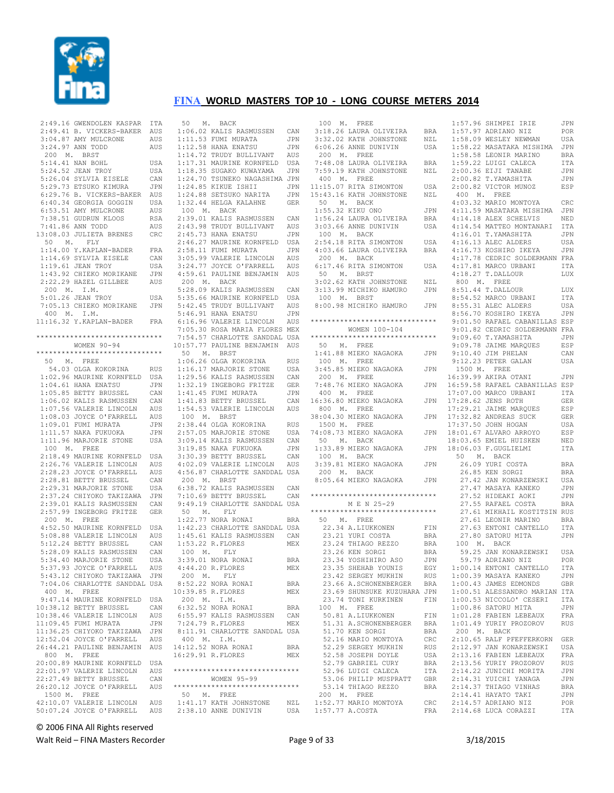

|  |  |  |  | 2:49.16 GWENDOLEN KASPAR ITA                                                                                                                                                                                                                           |            |
|--|--|--|--|--------------------------------------------------------------------------------------------------------------------------------------------------------------------------------------------------------------------------------------------------------|------------|
|  |  |  |  | 2:49.41 B. VICKERS-BAKER AUS<br>3:04.87 AMY MULCRONE AUS<br>3:24.97 ANN TODD AUS<br>200 M. BRST                                                                                                                                                        |            |
|  |  |  |  |                                                                                                                                                                                                                                                        | AUS        |
|  |  |  |  |                                                                                                                                                                                                                                                        |            |
|  |  |  |  | 200 M. BRST                                                                                                                                                                                                                                            |            |
|  |  |  |  |                                                                                                                                                                                                                                                        | USA        |
|  |  |  |  | 5:14.41 NAN BOHL<br>5:24.52 JEAN TROY                                                                                                                                                                                                                  | USA        |
|  |  |  |  |                                                                                                                                                                                                                                                        |            |
|  |  |  |  |                                                                                                                                                                                                                                                        |            |
|  |  |  |  | 5:24.52 JEAN TROY USA<br>5:26.04 SYLVIA EISELE CAN<br>5:29.73 ETSUKO KIMURA JPN<br>6:29.76 B. VICKERS-BAKER AUS                                                                                                                                        |            |
|  |  |  |  |                                                                                                                                                                                                                                                        |            |
|  |  |  |  | 6:40.34 GEORGIA GOGGIN<br>6:53.51 AMY MULCRONE<br>7:38.51 GUDRUN KLOOS                                                                                                                                                                                 | USA        |
|  |  |  |  |                                                                                                                                                                                                                                                        | AUS        |
|  |  |  |  |                                                                                                                                                                                                                                                        | <b>RSA</b> |
|  |  |  |  | 7:41.86 ANN TODD                                                                                                                                                                                                                                       | AUS        |
|  |  |  |  | 13:08.03 JULIETA BRENES                                                                                                                                                                                                                                | CRC        |
|  |  |  |  | 50 M. FLY                                                                                                                                                                                                                                              |            |
|  |  |  |  |                                                                                                                                                                                                                                                        | FRA        |
|  |  |  |  | 1:14.00 Y.KAPLAN-BADER<br>1:14.69 SYLVIA EISELE<br>1:19.61 JEAN TROY                                                                                                                                                                                   | CAN        |
|  |  |  |  |                                                                                                                                                                                                                                                        | USA        |
|  |  |  |  |                                                                                                                                                                                                                                                        | JPN        |
|  |  |  |  | 1:43.92 CHIEKO MORIKANE<br>2:22.29 HAZEL GILLBEE<br>200 M T M                                                                                                                                                                                          | AUS        |
|  |  |  |  | 200 M. I.M.                                                                                                                                                                                                                                            |            |
|  |  |  |  | 5:01.26 JEAN TROY                                                                                                                                                                                                                                      | USA        |
|  |  |  |  | 7:05.13 CHIEKO MORIKANE                                                                                                                                                                                                                                | JPN        |
|  |  |  |  | $400$ M. I.M.                                                                                                                                                                                                                                          |            |
|  |  |  |  | 11:16.32 Y. KAPLAN-BADER FRA                                                                                                                                                                                                                           |            |
|  |  |  |  |                                                                                                                                                                                                                                                        |            |
|  |  |  |  | *******************************                                                                                                                                                                                                                        |            |
|  |  |  |  | WOMEN 90-94                                                                                                                                                                                                                                            |            |
|  |  |  |  | *****************************                                                                                                                                                                                                                          |            |
|  |  |  |  | 50 M. FREE                                                                                                                                                                                                                                             |            |
|  |  |  |  | 54.03 OLGA KOKORINA                                                                                                                                                                                                                                    | <b>RUS</b> |
|  |  |  |  | 1:02.96 MAURINE KORNFELD                                                                                                                                                                                                                               | USA<br>JPN |
|  |  |  |  |                                                                                                                                                                                                                                                        |            |
|  |  |  |  |                                                                                                                                                                                                                                                        |            |
|  |  |  |  |                                                                                                                                                                                                                                                        |            |
|  |  |  |  |                                                                                                                                                                                                                                                        |            |
|  |  |  |  |                                                                                                                                                                                                                                                        |            |
|  |  |  |  |                                                                                                                                                                                                                                                        |            |
|  |  |  |  | 1.02.30 PRONAINE NORMELLD USA<br>1.05.85 BETTY BRUSSEL CAN<br>1.05.85 BETTY BRUSSEL CAN<br>1.06.02 KALIS RASMUSSEN CAN<br>1.07.56 VALERIE LINCOLN AUS<br>1.08.03 JOYCE O'FARRELL AUS<br>1.09.01 FUMI MURATA JPN<br>1.11.57 NARA FUKUOKA JPN<br>1.11.57 |            |
|  |  |  |  | 1:11.96 MARJORIE STONE                                                                                                                                                                                                                                 | USA        |
|  |  |  |  | $100$ $\,$ M. $\,$ FREE                                                                                                                                                                                                                                |            |
|  |  |  |  | 2:18.49 MAURINE KORNFELD                                                                                                                                                                                                                               | USA<br>AUS |
|  |  |  |  | 2:26.76 VALERIE LINCOLN                                                                                                                                                                                                                                |            |
|  |  |  |  | 2:28.23 JOYCE O'FARRELL<br>2:28.23 JOYCE O'FARRELL<br>2:29.31 MARJORIE STONE<br>2:37.24 CHIYOKO TAKIZAWA<br>2:39.01 KALIS RASMUSSEN                                                                                                                    | AUS        |
|  |  |  |  |                                                                                                                                                                                                                                                        | CAN        |
|  |  |  |  |                                                                                                                                                                                                                                                        | USA<br>JPN |
|  |  |  |  |                                                                                                                                                                                                                                                        |            |
|  |  |  |  |                                                                                                                                                                                                                                                        | CAN        |
|  |  |  |  | 2:57.99 INGEBORG FRITZE GER                                                                                                                                                                                                                            |            |
|  |  |  |  | $200$ M. FREE                                                                                                                                                                                                                                          |            |
|  |  |  |  | 4:52.50 MAURINE KORNFELD                                                                                                                                                                                                                               | USA        |
|  |  |  |  | 5:08.88 VALERIE LINCOLN AUS                                                                                                                                                                                                                            |            |
|  |  |  |  | 5:12.24 BETTY BRUSSEL                                                                                                                                                                                                                                  | CAN        |
|  |  |  |  |                                                                                                                                                                                                                                                        |            |
|  |  |  |  | 5:28.09 KALIS RASMUSSEN CAN<br>5:34.40 MARJORIE STONE USA                                                                                                                                                                                              |            |
|  |  |  |  | 5:37.93 JOYCE O'FARRELL                                                                                                                                                                                                                                | AUS        |
|  |  |  |  | 5:43.12 CHIYOKO TAKIZAWA                                                                                                                                                                                                                               | JPN        |
|  |  |  |  | 7:04.06 CHARLOTTE SANDDAL USA                                                                                                                                                                                                                          |            |
|  |  |  |  | 400 M. FREE                                                                                                                                                                                                                                            |            |
|  |  |  |  | 9:47.14 MAURINE KORNFELD                                                                                                                                                                                                                               | USA        |
|  |  |  |  | 10:38.12 BETTY BRUSSEL                                                                                                                                                                                                                                 | CAN        |
|  |  |  |  | 10:38.46 VALERIE LINCOLN                                                                                                                                                                                                                               | AUS        |
|  |  |  |  | 11:09.45 FUMI MURATA<br>11:36.25 CHIYOKO TAKIZAWA                                                                                                                                                                                                      | JPN        |
|  |  |  |  |                                                                                                                                                                                                                                                        | JPN        |
|  |  |  |  | 12:52.04 JOYCE O'FARRELL                                                                                                                                                                                                                               | AUS        |
|  |  |  |  | 26:44.21 PAULINE BENJAMIN                                                                                                                                                                                                                              | AUS        |
|  |  |  |  | 800 M. FREE<br>20:00.89 MAURINE KORNFELD                                                                                                                                                                                                               | USA        |
|  |  |  |  | 22:01.97 VALERIE LINCOLN                                                                                                                                                                                                                               | AUS        |
|  |  |  |  | 22:27.49 BETTY BRUSSEL                                                                                                                                                                                                                                 | CAN        |
|  |  |  |  | 22:27.49 BETTY BRUSSEL<br>26:20.12 JOYCE O'FARRELL                                                                                                                                                                                                     | AUS        |
|  |  |  |  | 1500 M. FREE                                                                                                                                                                                                                                           |            |
|  |  |  |  | 42:10.07 VALERIE LINCOLN                                                                                                                                                                                                                               | AUS        |
|  |  |  |  | 50:07.24 JOYCE O'FARRELL                                                                                                                                                                                                                               |            |
|  |  |  |  |                                                                                                                                                                                                                                                        | AUS        |

|  |  |  |  | 50 M. BACK                              |  |                     |                                                                                                                                                                                                                             |            |
|--|--|--|--|-----------------------------------------|--|---------------------|-----------------------------------------------------------------------------------------------------------------------------------------------------------------------------------------------------------------------------|------------|
|  |  |  |  |                                         |  |                     | 1:06.02 KALIS RASMUSSEN CAN                                                                                                                                                                                                 |            |
|  |  |  |  |                                         |  |                     |                                                                                                                                                                                                                             | JPN        |
|  |  |  |  | $1:12.58$ HANA ENATSU                   |  |                     | 1:11.53 FUMI MURATA<br>1:12.58 HANA ENATSU                                                                                                                                                                                  | JPN        |
|  |  |  |  |                                         |  |                     | 1:12.58 HANA ENAISU ULNUS<br>1:14.72 TRUDY BULLIVANT AUS                                                                                                                                                                    |            |
|  |  |  |  |                                         |  |                     | 1:17.31 MAURINE KORNFELD USA<br>1:18.35 SUGAKO KUWAYAMA JPN                                                                                                                                                                 |            |
|  |  |  |  |                                         |  |                     |                                                                                                                                                                                                                             |            |
|  |  |  |  |                                         |  |                     | 1:24.70 TSUNEKO NAGASHIMA JPN                                                                                                                                                                                               |            |
|  |  |  |  |                                         |  | 1:24.85 KIKUE ISHII | 1:24.88 SETSUKO NARITA<br>1:24.88 SETSUKO NARITA<br>1:32.44 HELGA KALAHNE<br>100 M. BACK                                                                                                                                    | JPN        |
|  |  |  |  |                                         |  |                     |                                                                                                                                                                                                                             | JPN        |
|  |  |  |  |                                         |  |                     |                                                                                                                                                                                                                             | GER        |
|  |  |  |  |                                         |  |                     |                                                                                                                                                                                                                             |            |
|  |  |  |  |                                         |  |                     | 2:39.01 KALIS RASMUSSEN CAN<br>2:43.98 TRUDY BULLIVANT AUS                                                                                                                                                                  |            |
|  |  |  |  |                                         |  |                     |                                                                                                                                                                                                                             |            |
|  |  |  |  |                                         |  | 2:45.73 HANA ENATSU |                                                                                                                                                                                                                             | JPN        |
|  |  |  |  |                                         |  |                     | 2:46.27 MAURINE KORNFELD USA<br>2:58.11 FUMI MURATA JPN<br>3:05.99 VALERIE LINCOLN AUS                                                                                                                                      |            |
|  |  |  |  |                                         |  |                     |                                                                                                                                                                                                                             |            |
|  |  |  |  |                                         |  |                     |                                                                                                                                                                                                                             |            |
|  |  |  |  |                                         |  |                     | 3:24.77 JOYCE O'FARRELL AUS<br>4:59.61 PAULINE BENJAMIN AUS                                                                                                                                                                 |            |
|  |  |  |  | 200 M. BACK                             |  |                     |                                                                                                                                                                                                                             |            |
|  |  |  |  |                                         |  |                     | 5:28.09 KALIS RASMUSSEN CAN<br>5:35.66 MAURINE KORNFELD USA<br>5:42.45 TRUDY BULLIVANT AUS<br>5:46.91 HANA ENATSU JPN<br>6:16.96 VALERIE LINCOLN AUS<br>7:05.30 ROSA MARIA FLORES MEX<br>7:05.30 ROSA MARIA FLORES MEX      |            |
|  |  |  |  |                                         |  |                     |                                                                                                                                                                                                                             |            |
|  |  |  |  |                                         |  |                     |                                                                                                                                                                                                                             |            |
|  |  |  |  |                                         |  |                     |                                                                                                                                                                                                                             |            |
|  |  |  |  |                                         |  |                     |                                                                                                                                                                                                                             |            |
|  |  |  |  |                                         |  |                     |                                                                                                                                                                                                                             |            |
|  |  |  |  |                                         |  |                     | 7:54.57 CHARLOTTE SANDDAL USA                                                                                                                                                                                               |            |
|  |  |  |  |                                         |  |                     | 10:57.77 PAULINE BENJAMIN AUS                                                                                                                                                                                               |            |
|  |  |  |  | 50 M. BRST                              |  |                     |                                                                                                                                                                                                                             |            |
|  |  |  |  |                                         |  |                     | 30 F. BRST<br>1:16.17 MARJORIE STONE USA<br>1:16.17 MARJORIE STONE USA<br>1:29.56 KALIS RASMUSSEN CAN<br>1:32.19 INGEBORG FRITZE GER<br>1:41.45 FUMI MURATA JPN<br>1:41.83 BETTY BRUSSEL CAN<br>1:54.53 VALERIE LINCOLN AUS |            |
|  |  |  |  |                                         |  |                     |                                                                                                                                                                                                                             |            |
|  |  |  |  |                                         |  |                     |                                                                                                                                                                                                                             |            |
|  |  |  |  |                                         |  |                     |                                                                                                                                                                                                                             |            |
|  |  |  |  |                                         |  |                     |                                                                                                                                                                                                                             |            |
|  |  |  |  |                                         |  |                     |                                                                                                                                                                                                                             |            |
|  |  |  |  |                                         |  |                     |                                                                                                                                                                                                                             |            |
|  |  |  |  | 100 M. BRST                             |  |                     |                                                                                                                                                                                                                             |            |
|  |  |  |  |                                         |  |                     | 2:38.44 OLGA KOKORINA<br>2:57.05 MARJORIE STONE                                                                                                                                                                             | RUS<br>USA |
|  |  |  |  |                                         |  |                     |                                                                                                                                                                                                                             | CAN        |
|  |  |  |  |                                         |  |                     |                                                                                                                                                                                                                             | JPN        |
|  |  |  |  |                                         |  |                     | 3:09.14 KALIS RASMUSSEN<br>3:09.14 KALIS RASMUSSEN<br>3:19.85 NAKA FUKUOKA<br>3:30.39 BETTY BRUSSEL<br>4:02.09 VALERIE LINCOLN                                                                                              | CAN        |
|  |  |  |  |                                         |  |                     |                                                                                                                                                                                                                             | AUS        |
|  |  |  |  |                                         |  |                     | 4:56.87 CHARLOTTE SANDDAL USA                                                                                                                                                                                               |            |
|  |  |  |  | 200 M. BRST                             |  |                     |                                                                                                                                                                                                                             |            |
|  |  |  |  |                                         |  |                     |                                                                                                                                                                                                                             |            |
|  |  |  |  |                                         |  |                     | 6:38.72 KALIS RASMUSSEN CAN<br>7:10.69 BETTY BRUSSEL CAN                                                                                                                                                                    |            |
|  |  |  |  |                                         |  |                     | 9:49.19 CHARLOTTE SANDDAL USA                                                                                                                                                                                               |            |
|  |  |  |  | 50 M. FLY                               |  |                     |                                                                                                                                                                                                                             |            |
|  |  |  |  | $1:22.77$ NORA RONAI                    |  |                     |                                                                                                                                                                                                                             | BRA        |
|  |  |  |  |                                         |  |                     | 1:42.23 CHARLOTTE SANDDAL USA                                                                                                                                                                                               |            |
|  |  |  |  |                                         |  |                     | 1:45.61 KALIS RASMUSSEN CAN<br>1:53.22 R.FLORES MEX                                                                                                                                                                         |            |
|  |  |  |  |                                         |  |                     |                                                                                                                                                                                                                             |            |
|  |  |  |  | $100$ M. FLY                            |  |                     |                                                                                                                                                                                                                             |            |
|  |  |  |  | 3:39.01 NORA RONAI                      |  |                     |                                                                                                                                                                                                                             | BRA        |
|  |  |  |  | 4:44.20 R.FLORES                        |  |                     |                                                                                                                                                                                                                             | MEX        |
|  |  |  |  | $200$ $\,$ M. $\,$ FLY                  |  |                     |                                                                                                                                                                                                                             |            |
|  |  |  |  | 8:52.22 NORA RONAI<br>10:39.85 R.FLORES |  |                     |                                                                                                                                                                                                                             | BRA        |
|  |  |  |  | 200 M. I.M.                             |  |                     |                                                                                                                                                                                                                             | MEX        |
|  |  |  |  | 6:32.52 NORA RONAI                      |  |                     |                                                                                                                                                                                                                             | BRA        |
|  |  |  |  |                                         |  |                     | 6:55.97 KALIS RASMUSSEN                                                                                                                                                                                                     | CAN        |
|  |  |  |  | 7:24.79 R.FLORES                        |  |                     |                                                                                                                                                                                                                             | MEX        |
|  |  |  |  |                                         |  |                     | 8:11.91 CHARLOTTE SANDDAL USA                                                                                                                                                                                               |            |
|  |  |  |  | 400 M. I.M.                             |  |                     |                                                                                                                                                                                                                             |            |
|  |  |  |  | 14:12.52 NORA RONAI                     |  |                     |                                                                                                                                                                                                                             | <b>BRA</b> |
|  |  |  |  | 16:29.91 R.FLORES                       |  |                     |                                                                                                                                                                                                                             | <b>MEX</b> |
|  |  |  |  |                                         |  |                     |                                                                                                                                                                                                                             |            |
|  |  |  |  |                                         |  |                     | ******************************                                                                                                                                                                                              |            |
|  |  |  |  | WOMEN 95-99                             |  |                     |                                                                                                                                                                                                                             |            |
|  |  |  |  |                                         |  |                     | ******************************                                                                                                                                                                                              |            |
|  |  |  |  | 50 M. FREE                              |  |                     |                                                                                                                                                                                                                             |            |
|  |  |  |  |                                         |  |                     | 1:41.17 KATH JOHNSTONE                                                                                                                                                                                                      | NZL        |
|  |  |  |  |                                         |  |                     | 2:38.10 ANNE DUNIVIN                                                                                                                                                                                                        | USA        |

| 100 M.           | FREE                                        |            |           | 1:57.96 SHIMPEI IRIE                             | JPN         |
|------------------|---------------------------------------------|------------|-----------|--------------------------------------------------|-------------|
|                  | 3:18.26 LAURA OLIVEIRA                      | BRA        |           | 1:57.97 ADRIANO NIZ                              | POR         |
|                  | 3:32.02 KATH JOHNSTONE                      | NZL        |           | 1:58.09 WESLEY NEWMAN                            | USA         |
|                  | 6:06.26 ANNE DUNIVIN                        | USA        |           | 1:58.22 MASATAKA MISHIMA                         | JPN         |
| 200 M. FREE      |                                             |            |           | 1:58.58 LEONIR MARINO                            | BRA         |
|                  | 7:48.08 LAURA OLIVEIRA                      | BRA        |           | 1:59.22 LUIGI CALECA                             | ITA         |
|                  | 7:59.19 KATH JOHNSTONE                      | NZL        |           | 2:00.36 EIJI TANABE                              | JPN         |
| 400 M. FREE      |                                             |            |           | 2:00.82 T.YAMASHITA                              | JPN         |
|                  | 11:15.07 RITA SIMONTON                      | USA        |           | 2:00.82 VICTOR MUNOZ                             | ESP         |
|                  | 15:43.16 KATH JOHNSTONE                     | NZL        |           | 400 M. FREE                                      |             |
| 50<br>M. BACK    |                                             |            |           | 4:03.32 MARIO MONTOYA                            | CRC         |
| 1:55.32 KIKU ONO |                                             | JPN        |           | 4:11.59 MASATAKA MISHIMA                         | JPN         |
|                  | 1:56.24 LAURA OLIVEIRA                      | BRA        |           | 4:14.18 ALEX SCHELVIS                            | NED         |
| 100 M. BACK      | 3:03.66 ANNE DUNIVIN                        | USA        |           | 4:14.54 MATTEO MONTANARI<br>4:16.01 T.YAMASHITA  | <b>ITA</b>  |
|                  | 2:54.18 RITA SIMONTON                       | USA        |           | 4:16.13 ALEC ALDERS                              | JPN<br>USA  |
|                  | 4:03.66 LAURA OLIVEIRA                      | BRA        |           | 4:16.73 KOSHIRO IKEYA                            | JPN         |
| 200 M. BACK      |                                             |            |           | 4:17.78 CEDRIC SOLDERMANN FRA                    |             |
|                  | 6:17.46 RITA SIMONTON                       | USA        |           | 4:17.81 MARCO URBANI                             | ITA         |
| M. BRST<br>50    |                                             |            |           | 4:18.27 T.DALLOUR                                | LUX         |
|                  | 3:02.62 KATH JOHNSTONE                      | NZL        |           | 800 M. FREE                                      |             |
|                  | 3:13.99 MICHIKO HAMURO                      | JPN        |           | 8:51.44 T.DALLOUR                                | LUX         |
| 100 M. BRST      |                                             |            |           | 8:54.52 MARCO URBANI                             | ITA         |
|                  | 8:00.98 MICHIKO HAMURO                      | JPN        |           | 8:55.31 ALEC ALDERS                              | USA         |
|                  |                                             |            |           | 8:56.70 KOSHIRO IKEYA                            | JPN         |
|                  | ******************************              |            |           | 9:01.50 RAFAEL CABANILLAS ESP                    |             |
|                  | WOMEN 100-104                               |            |           | 9:01.82 CEDRIC SOLDERMANN FRA                    |             |
|                  | ******************************              |            |           | 9:09.60 T.YAMASHITA                              | JPN         |
| 50<br>М.         | FREE                                        |            |           | 9:09.78 JAIME MARQUES                            | ESP         |
|                  | 1:41.88 MIEKO NAGAOKA                       | JPN        |           | 9:10.40 JIM PHELAN                               | CAN         |
| 100 M. FREE      |                                             |            |           | 9:12.23 PETER GALAN                              | USA         |
|                  | 3:45.85 MIEKO NAGAOKA                       | JPN        |           | 1500 M. FREE                                     |             |
| 200 M. FREE      |                                             |            |           | 16:39.99 AKIRA OTANI                             | JPN         |
|                  | 7:48.76 MIEKO NAGAOKA                       | <b>JPN</b> |           | 16:59.58 RAFAEL CABANILLAS ESP                   |             |
| 400 M. FREE      |                                             |            |           | 17:07.00 MARCO URBANI                            | <b>ITA</b>  |
|                  | 16:36.80 MIEKO NAGAOKA                      | JPN        |           | 17:28.62 JENS ROTH                               | GER         |
| 800 M. FREE      |                                             |            |           | 17:29.21 JAIME MARQUES                           | ESP         |
|                  | 38:04.30 MIEKO NAGAOKA                      | JPN        |           | 17:32.82 ANDREAS SUCK                            | GER         |
| 1500 M. FREE     |                                             |            |           | 17:37.50 JOHN HOGAN                              | USA         |
|                  | 74:08.73 MIEKO NAGAOKA                      | JPN        |           | 18:01.67 ALVARO ARROYO                           | ESP         |
| M. BACK<br>50    |                                             |            |           | 18:03.65 EMIEL HUISKEN                           | NED         |
| 100 M. BACK      | 1:33.89 MIEKO NAGAOKA                       | JPN        | 50 -      | 18:06.03 F.GUGLIELMI<br>M. BACK                  | ITA         |
|                  | 3:39.81 MIEKO NAGAOKA                       |            |           | 26.09 YURI COSTA                                 | BRA         |
| 200 M. BACK      |                                             | JPN        |           | 26.85 KEN SORGI                                  | BRA         |
|                  | 8:05.64 MIEKO NAGAOKA                       | JPN        |           | 27.42 JAN KONARZEWSKI                            | USA         |
|                  |                                             |            |           | 27.47 MASAYA KANEKO                              | JPN         |
|                  | ******************************              |            |           | 27.52 HIDEAKI AOKI                               | JPN         |
|                  | M E N 25-29                                 |            |           | 27.55 RAFAEL COSTA                               | BRA         |
|                  | ******************************              |            |           | 27.61 MIKHAIL KOSTITSIN RUS                      |             |
| 50               | M. FREE                                     |            |           | 27.61 LEONIR MARINO                              | <b>BRA</b>  |
|                  | 22.34 A.LIUKKONEN                           | FIN        |           | 27.63 ENTONI CANTELLO                            | ITA         |
|                  | 23.21 YURI COSTA                            | <b>BRA</b> |           | 27.80 SATORU MITA                                | JPN         |
|                  | 23.24 THIAGO REZZO                          | BRA        | 100<br>М. | BACK                                             |             |
|                  | 23.26 KEN SORGI                             | <b>BRA</b> |           | 59.25 JAN KONARZEWSKI                            | USA         |
|                  | 23.34 YOSHIHIRO ASO                         | JPN        |           | 59.79 ADRIANO NIZ                                | POR         |
|                  | 23.35 SHEHAB YOUNIS                         | EGY        |           | 1:00.14 ENTONI CANTELLO                          | ITA         |
|                  | 23.42 SERGEY MUKHIN                         | RUS        |           | 1:00.39 MASAYA KANEKO                            | JPN         |
|                  | 23.66 A.SCHONENBERGER                       | BRA        |           | 1:00.43 JAMES EDMONDS                            | GBR         |
|                  | 23.69 SHUNSUKE KUZUHARA JPN                 |            |           | 1:00.51 ALESSANDRO MARIAN ITA                    |             |
|                  | 23.74 TONI KURKINEN                         | FIN        |           | 1:00.53 NICCOLO' CESERI                          | ITA         |
| 100 M. FREE      |                                             |            |           | 1:00.86 SATORU MITA                              | JPN         |
|                  | 50.81 A.LIUKKONEN                           | FIN        |           | 1:01.28 FABIEN LEBEAUX                           | FRA         |
|                  | 51.31 A.SCHONENBERGER                       | <b>BRA</b> |           | 1:01.49 YURIY PROZOROV                           | <b>RUS</b>  |
|                  | 51.70 KEN SORGI                             | BRA        | 200 M.    | <b>BACK</b>                                      |             |
|                  | 52.16 MARIO MONTOYA                         | CRC        |           | 2:10.65 RALF PFEFFERKORN                         | GER         |
|                  | 52.29 SERGEY MUKHIN                         | RUS        |           | 2:12.97 JAN KONARZEWSKI                          | USA         |
|                  | 52.58 JOSEPH DOYLE                          | USA        |           | 2:13.16 FABIEN LEBEAUX                           | ${\rm FRA}$ |
|                  | 52.79 GABRIEL CURY                          | BRA        |           | 2:13.56 YURIY PROZOROV<br>2:14.22 JUNICHI MORITA | <b>RUS</b>  |
|                  | 52.96 LUIGI CALECA<br>53.06 PHILIP MUSPRATT | ITA<br>GBR |           | 2:14.31 YUICHI YANAGA                            | JPN<br>JPN  |
|                  | 53.14 THIAGO REZZO                          | BRA        |           | 2:14.37 THIAGO VINHAS                            | <b>BRA</b>  |
| $M$ .<br>200     | FREE                                        |            |           | 2:14.41 HAYATO TAKI                              | JPN         |
|                  | 1:52.77 MARIO MONTOYA                       | CRC        |           | 2:14.57 ADRIANO NIZ                              | POR         |
| 1:57.77 A.COSTA  |                                             | FRA        |           | 2:14.68 LUCA CORAZZI                             | ITA         |
|                  |                                             |            |           |                                                  |             |

# © 2006 FINA All Rights reserved

Walt Reid – FINA Masters Recorder **Page 9 of 33** 3/18/2015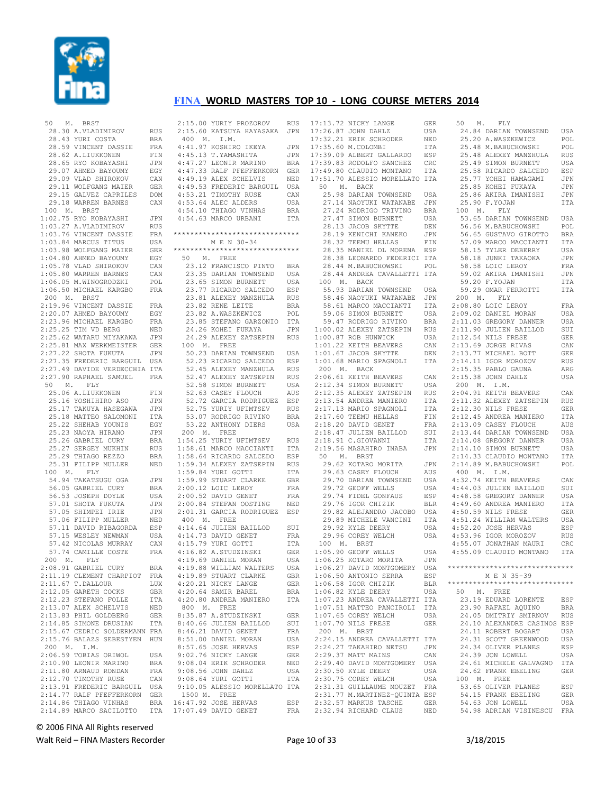

| 50<br>М.         | BRST                          |            |             | 2:15.00 YURIY PROZOROV  |
|------------------|-------------------------------|------------|-------------|-------------------------|
|                  | 28.30 A.VLADIMIROV            | RUS        |             | 2:15.60 KATSUYA HAYASAI |
|                  | 28.43 YURI COSTA              | BRA        | 400 M.      | I.M.                    |
|                  | 28.59 VINCENT DASSIE          | FRA        |             | 4:41.97 KOSHIRO IKEYA   |
|                  | 28.62 A.LIUKKONEN             | FIN        |             | 4:45.13 T.YAMASHITA     |
|                  | 28.65 RYO KOBAYASHI           |            |             |                         |
|                  |                               | JPN        |             | 4:47.27 LEONIR MARINO   |
|                  | 29.07 AHMED BAYOUMY           | EGY        |             | 4:47.33 RALF PFEFFERKO  |
|                  | 29.09 VLAD SHIROKOV           | CAN        |             | 4:49.19 ALEX SCHELVIS   |
|                  | 29.11 WOLFGANG MAIER          | GER        |             | 4:49.53 FREDERIC BARGU  |
|                  | 29.15 GALVEZ CAPRILES         | DOM        |             | 4:53.21 TIMOTHY RUSE    |
|                  | 29.18 WARREN BARNES           | CAN        |             | 4:53.64 ALEC ALDERS     |
| 100              | М.<br>BRST                    |            |             | 4:54.10 THIAGO VINHAS   |
|                  | 1:02.75 RYO KOBAYASHI         | JPN        |             | 4:54.63 MARCO URBANI    |
|                  | 1:03.27 A.VLADIMIROV          | <b>RUS</b> |             |                         |
|                  | 1:03.76 VINCENT DASSIE        | FRA        |             | *********************** |
|                  | 1:03.84 MARCUS TITUS          | USA        |             | M E N 30-34             |
|                  | 1:03.98 WOLFGANG MAIER        | <b>GER</b> |             | *********************** |
|                  | 1:04.80 AHMED BAYOUMY         | EGY        | 50 M.       | FREE                    |
|                  | 1:05.78 VLAD SHIROKOV         | CAN        |             | 23.12 FRANCISCO PINT    |
|                  |                               |            |             | 23.35 DARIAN TOWNSEN!   |
|                  | 1:05.80 WARREN BARNES         | CAN        |             |                         |
|                  | 1:06.05 M.WINOGRODZKI         | POL        |             | 23.65 SIMON BURNETT     |
|                  | 1:06.50 MICHAEL KARGBO        | FRA        |             | 23.77 RICARDO SALCED    |
| 200 M. BRST      |                               |            |             | 23.81 ALEXEY MANZHUL    |
|                  | 2:19.96 VINCENT DASSIE        | FRA        |             | 23.82 RENE LEITE        |
|                  | 2:20.07 AHMED BAYOUMY         | EGY        |             | 23.82 A.WASZKEWICZ      |
|                  | 2:23.96 MICHAEL KARGBO        | FRA        |             | 23.85 STEFANO GARZON    |
|                  | 2:25.25 TIM VD BERG           | NED        |             | 24.26 KOHEI FUKAYA      |
|                  | 2:25.62 WATARU MIYAKAWA       | JPN        |             | 24.29 ALEXEY ZATSEPI    |
|                  | 2:25.81 MAX WERKMEISTER       | GER        | 100 M.      | FREE                    |
|                  | 2:27.22 SHOTA FUKUTA          | JPN        |             | 50.23 DARIAN TOWNSEN    |
|                  | 2:27.35 FREDERIC BARGUIL      | USA        |             | 52.23 RICARDO SALCED    |
|                  | 2:27.49 DAVIDE VERDECCHIA ITA |            |             | 52.45 ALEXEY MANZHUL    |
|                  | 2:27.90 RAPHAEL SAMUEL        | FRA        |             | 52.47 ALEXEY ZATSEPII   |
|                  |                               |            |             |                         |
| 50<br>М.         | FLY                           |            |             | 52.58 SIMON BURNETT     |
|                  | 25.06 A.LIUKKONEN             | FIN        |             | 52.63 CASEY FLOUCH      |
|                  | 25.16 YOSHIHIRO ASO           | JPN        |             | 52.72 GARCIA RODRIGUI   |
|                  | 25.17 TAKUYA HASEGAWA         | JPN        |             | 52.75 YURIY UFIMTSEV    |
|                  | 25.18 MATTEO SALOMONI         | ITA        |             | 53.07 RODRIGO RIVINO    |
|                  | 25.22 SHEHAB YOUNIS           | EGY        |             | 53.22 ANTHONY DIERS     |
|                  | 25.23 NAOYA HIRANO            | JPN        | 200 M. FREE |                         |
|                  | 25.26 GABRIEL CURY            | BRA        |             | 1:54.25 YURIY UFIMTSEV  |
|                  | 25.27 SERGEY MUKHIN           | RUS        |             | 1:58.61 MARCO MACCIANT  |
|                  | 25.29 THIAGO REZZO            | BRA        |             | 1:58.64 RICARDO SALCED  |
|                  | 25.31 FILIPP MULLER           | NED        |             | 1:59.34 ALEXEY ZATSEPI  |
| 100<br>M.        | FLY                           |            |             | 1:59.84 YURI GOTTI      |
|                  | 54.94 TAKATSUGU OGA           | JPN        |             | 1:59.99 STUART CLARKE   |
|                  | 56.05 GABRIEL CURY            | BRA        |             | 2:00.12 LOIC LEROY      |
|                  | 56.53 JOSEPH DOYLE            | USA        |             | 2:00.52 DAVID GENET     |
|                  | 57.01 SHOTA FUKUTA            | JPN        |             | 2:00.84 STEFAN OOSTING  |
|                  | 57.05 SHIMPEI IRIE            | JPN        |             | 2:01.31 GARCIA RODRIGUI |
|                  | 57.06 FILIPP MULLER           | NED        | 400 M.      | FREE                    |
|                  | 57.11 DAVID RIBAGORDA         | ESP        |             | 4:14.64 JULIEN BAILLOD  |
|                  |                               | USA        |             |                         |
|                  | 57.15 WESLEY NEWMAN           |            |             | 4:14.73 DAVID GENET     |
|                  | 57.42 NICOLAS MURRAY          | CAN        |             | 4:15.79 YURI GOTTI      |
|                  | 57.74 CAMILLE COSTE           | FRA        |             | 4:16.82 A.STUDZINSKI    |
| 200 M.           | FLY                           |            |             | 4:19.69 DANIEL MORAN    |
|                  | 2:08.91 GABRIEL CURY          | BRA        |             | 4:19.88 WILLIAM WALTER: |
|                  | 2:11.19 CLEMENT CHARPIOT      | <b>FRA</b> |             | 4:19.89 STUART CLARKE   |
|                  | 2:11.67 T.DALLOUR             | LUX        |             | 4:20.21 NICKY LANGE     |
|                  | 2:12.05 GARETH COCKS          | GBR        |             | 4:20.64 SAMIR BAREL     |
|                  | 2:12.23 STEFANO FOLLE         | ITA        |             | 4:20.80 ANDREA MANIERO  |
|                  | 2:13.07 ALEX SCHELVIS         | NED        | 800<br>М.   | FREE                    |
|                  | 2:13.83 PHIL GOLDBERG         | <b>GER</b> |             | 8:35.87 A.STUDZINSKI    |
|                  | 2:14.85 SIMONE DRUSIAN        | ITA        |             | 8:40.66 JULIEN BAILLOD  |
|                  | 2:15.67 CEDRIC SOLDERMANN     | FRA        |             | 8:46.21 DAVID GENET     |
|                  | 2:15.76 BALAZS SEBESTYEN      | HUN        |             | 8:51.00 DANIEL MORAN    |
| 200<br><b>M.</b> | I.M.                          |            |             | 8:57.65 JOSE HERVAS     |
|                  |                               |            |             |                         |
|                  | 2:06.59 TOBIAS ORIWOL         | USA        |             | 9:02.76 NICKY LANGE     |
|                  | 2:10.90 LEONIR MARINO         | <b>BRA</b> |             | 9:08.04 ERIK SCHRODER   |
|                  | 2:11.80 ARNAUD RONDAN         | FRA        |             | 9:08.56 JOHN DAHLZ      |
|                  | 2:12.70 TIMOTHY RUSE          | CAN        |             | 9:08.64 YURI GOTTI      |
|                  | 2:13.91 FREDERIC BARGUIL      | USA        |             | 9:10.05 ALESSIO MORELL  |
|                  | 2:14.77 RALF PFEFFERKORN      | GER        | 1500 M.     | FREE                    |
|                  | 2:14.86 THIAGO VINHAS         | BRA        |             | 16:47.92 JOSE HERVAS    |
|                  | 2:14.89 MARCO SACILOTTO       | ITA        |             | 17:07.49 DAVID GENET    |

#### 2:15.00 YURIY PROZOROV RUS 2:15.60 KATSUYA HAYASAKA JPN 400 M. I.M. 4:41.97 KOSHIRO IKEYA JPN 4:45.13 T.YAMASHITA JPN 4:47.27 LEONIR MARINO BRA 4:47.33 RALF PFEFFERKORN GER 4:49.19 ALEX SCHELVIS NED 4:49.53 FREDERIC BARGUIL USA 4:49.53 PREMIERT CAN<br>4:53.21 TIMOTHY RUSE CAN 4:53.64 ALEC ALDERS USA 4:54.10 THIAGO VINHAS BRA 4:54.63 MARCO URBANI ITA \*\*\*\*\*\*\*\*\*\*\*\*\*\*\*\*\*\*\*\*\*\*\*\*\*\*\*\*\*\* M E N 30-34 \*\*\*\*\*\*\*\*\*\*\*\*\*\*\*\*\*\*\*\*\*\*\*\*\*\*\*\*\*\* 50 M. FREE 23.12 FRANCISCO PINTO BRA 23.35 DARIAN TOWNSEND USA 23.65 SIMON BURNETT USA 23.77 RICARDO SALCEDO ESP 23.81 ALEXEY MANZHULA RUS 23.82 RENE LEITE BRA 23.82 A.WASZKEWICZ POL 23.85 STEFANO GARZONIO ITA 24.26 KOHEI FUKAYA JPN 24.29 ALEXEY ZATSEPIN RUS 100 M. FREE 50.23 DARIAN TOWNSEND USA 52.23 RICARDO SALCEDO ESP 52.45 ALEXEY MANZHULA RUS 52.47 ALEXEY ZATSEPIN RUS 52.58 SIMON BURNETT USA 52.63 CASEY FLOUCH AUS 52.72 GARCIA RODRIGUEZ ESP 52.75 YURIY UFIMTSEV RUS 53.07 RODRIGO RIVINO BRA 53.22 ANTHONY DIERS USA 200 M. FREE 1:54.25 YURIY UFIMTSEV RUS 1:58.61 MARCO MACCIANTI ITA 1:58.64 RICARDO SALCEDO ESP 1:59.34 ALEXEY ZATSEPIN RUS  $1:59.84$  YURI GOTTI 1:59.99 STUART CLARKE GBR<br>2:00.12 LOIC LEROY FRA  $2:00.12$  LOIC LEROY 2:00.52 DAVID GENET FRA 2:00.84 STEFAN OOSTING NED 2:01.31 GARCIA RODRIGUEZ ESP 400 M. FREE 4:14.64 JULIEN BAILLOD SUI 4:14.73 DAVID GENET FRA<br>4:15.79 YURI GOTTI TTA  $4:15.79$  YURI GOTTI 4:16.82 A.STUDZINSKI GER<br>4:19.69 DANIFI, MORAN USA 4:19.69 DANIEL MORAN 4:19.88 WILLIAM WALTERS USA 4:19.89 STUART CLARKE GBR 4:20.21 NICKY LANGE GER 4:20.21 NICKY LANGE GER<br>4:20.64 SAMIR BAREL BRA 4:20.80 ANDREA MANIERO ITA 800 M. FREE 8:35.87 A.STUDZINSKI GER 8:40.66 JULIEN BAILLOD SUI 8:46.21 DAVID GENET FRA 8:51.00 DANIEL MORAN USA 8:57.65 JOSE HERVAS ESP<br>9:02.76 NICKY LANGE GER 9:02.76 NICKY LANGE 9:08.04 ERIK SCHRODER NED 9:08.56 JOHN DAHLZ USA 9:08.64 YURI GOTTI ITA 9:10.05 ALESSIO MORELLATO ITA 1500 M. FREE 1500 M. FREE<br>16:47.92 JOSE HERVAS ESP<br>17:07.49 DAVID GENET FRA

| 17:13.72 NICKY LANGE                                                                                                                                                                                                                                                             | GER               |
|----------------------------------------------------------------------------------------------------------------------------------------------------------------------------------------------------------------------------------------------------------------------------------|-------------------|
| 17:26.87 JOHN DAHLZ                                                                                                                                                                                                                                                              | USA               |
| 17:32.21 ERIK SCHRODER                                                                                                                                                                                                                                                           | NED               |
| 17:35.60 M.COLOMBI                                                                                                                                                                                                                                                               | <b>ITA</b>        |
| 17:39.09 ALBERT GALLARDO                                                                                                                                                                                                                                                         |                   |
|                                                                                                                                                                                                                                                                                  |                   |
| 17:39.83 RODOLFO SANCHEZ<br>17:49.80 CLAUDIO MONTANO                                                                                                                                                                                                                             | ESP<br>CRC<br>ITA |
| 17:51.70 ALESSIO MORELLATO ITA                                                                                                                                                                                                                                                   |                   |
| 50 M. BACK                                                                                                                                                                                                                                                                       |                   |
| 25.98 DARIAN TOWNSEND USA                                                                                                                                                                                                                                                        |                   |
| 27.14 NAOYUKI WATANABE                                                                                                                                                                                                                                                           | JPN               |
|                                                                                                                                                                                                                                                                                  |                   |
| 27.24 RODRIGO TRIVINO BRA<br>27.47 SIMON BURNETT USA                                                                                                                                                                                                                             |                   |
| 28.13 JACOB SKYTTE                                                                                                                                                                                                                                                               | DEN               |
|                                                                                                                                                                                                                                                                                  | JPN               |
| 28.19 KENICHI KANEKO<br>28.32 TEEMU HELLAS                                                                                                                                                                                                                                       | ${\rm FIN}$       |
| 28.35 MANIEL DL MORENA ESP                                                                                                                                                                                                                                                       |                   |
| 28.38 LEONARDO FEDERICI ITA                                                                                                                                                                                                                                                      |                   |
| 28.44 M.BABUCHOWSKI                                                                                                                                                                                                                                                              | POL               |
| 28.44 ANDREA CAVALLETTI ITA                                                                                                                                                                                                                                                      |                   |
| 100 M. BACK                                                                                                                                                                                                                                                                      |                   |
| 55.93 DARIAN TOWNSEND USA                                                                                                                                                                                                                                                        |                   |
|                                                                                                                                                                                                                                                                                  |                   |
|                                                                                                                                                                                                                                                                                  |                   |
|                                                                                                                                                                                                                                                                                  |                   |
|                                                                                                                                                                                                                                                                                  |                   |
|                                                                                                                                                                                                                                                                                  |                   |
|                                                                                                                                                                                                                                                                                  |                   |
|                                                                                                                                                                                                                                                                                  |                   |
| 58.36 DANIAN LOWADER JON<br>58.46 NANCO MACCIANTI ITA<br>59.06 SIMON BURNETT USA<br>59.47 RODRIGO RIVINO BRA<br>59.47 RODRIGO RIVINO BRA<br>1:00.07 ROB HUNNICK USA<br>1:00.87 ROB HUNNICK USA<br>1:01.22 KEITH BEAVERS CAN<br>1:01.22 KEITH BEAVERS C<br>$1:01.67$ JACOB SKYTTE | DEN               |
| 1:01.68 MARIO SPAGNOLI                                                                                                                                                                                                                                                           | ITA               |
| 200 M. BACK                                                                                                                                                                                                                                                                      |                   |
|                                                                                                                                                                                                                                                                                  | CAN               |
|                                                                                                                                                                                                                                                                                  |                   |
| 2:06.61 KEITH BEAVERS<br>2:12.34 SIMON BURNETT<br>2:12.35 ALEXEY ZATSEPIN                                                                                                                                                                                                        | USA<br>RUS        |
| 2:13.54 ANDREA MANIERO                                                                                                                                                                                                                                                           | ITA               |
| 2:13.54 ANDREA PANILING<br>2:17.13 MARIO SPAGNOLI                                                                                                                                                                                                                                |                   |
|                                                                                                                                                                                                                                                                                  | ITA<br>FIN        |
| 2:17.50 MANIO STAGROLI<br>2:17.60 TEEMU HELLAS<br>2:18.20 DAVID GENET<br>2:18.47 JULIEN BAILLOD                                                                                                                                                                                  | FRA               |
|                                                                                                                                                                                                                                                                                  | SUI               |
| 2:18.91 C.GIOVANNI                                                                                                                                                                                                                                                               | ITA               |
| 2:19.56 MASAHIRO INABA                                                                                                                                                                                                                                                           | JPN               |
| 50 M. BRST                                                                                                                                                                                                                                                                       |                   |
|                                                                                                                                                                                                                                                                                  | JPN               |
| 29.62 KOTARO MORITA<br>29 63 CASEY FLOUCH<br>29.63 CASEY FLOUCH                                                                                                                                                                                                                  | AUS               |
| 29.70 DARIAN TOWNSEND                                                                                                                                                                                                                                                            |                   |
|                                                                                                                                                                                                                                                                                  | USA<br>USA        |
|                                                                                                                                                                                                                                                                                  |                   |
| 29.72 GEOFF WELLS<br>29.74 FIDEL GONFAUS ESP<br>29.76 IGOR CHIZIK BLR<br>29.82 ALEJANDRO JACOBO USA                                                                                                                                                                              |                   |
|                                                                                                                                                                                                                                                                                  |                   |
|                                                                                                                                                                                                                                                                                  |                   |
| 29.89 MICHELE VANCINI<br>29.92 KYLE DEERY<br>29.92 KYLE DEERY                                                                                                                                                                                                                    | USA               |
| 29.96 COREY WELCH                                                                                                                                                                                                                                                                | USA               |
| 100 M. BRST                                                                                                                                                                                                                                                                      |                   |
| 1:05.90 GEOFF WELLS                                                                                                                                                                                                                                                              |                   |
| 1:05.90 GEOFF WELLS<br>1:06.25 KOTARO MORITA                                                                                                                                                                                                                                     |                   |
| 1:06.27 DAVID MONTGOMERY                                                                                                                                                                                                                                                         | USA               |
|                                                                                                                                                                                                                                                                                  | <b>JPN</b>        |
|                                                                                                                                                                                                                                                                                  | USA               |
| 1:06.50 ANTONIO SERRA                                                                                                                                                                                                                                                            | ESP               |
|                                                                                                                                                                                                                                                                                  | $_{\rm BLR}$      |
| 1:06.58 IGOR CHIZIK<br>1:06.82 KYLE DEERY                                                                                                                                                                                                                                        | USA               |
| 1:07.23 ANDREA CAVALLETTI                                                                                                                                                                                                                                                        | ITA               |
| 1:07.51 MATTEO PANCIROLI                                                                                                                                                                                                                                                         | ITA               |
| 1:07.65 COREY WELCH                                                                                                                                                                                                                                                              | USA               |
| 1:07.70 NILS FRESE                                                                                                                                                                                                                                                               | GER               |
|                                                                                                                                                                                                                                                                                  |                   |
| 200 M. BRST<br>2:24.15 ANDREA CAVALLETTI                                                                                                                                                                                                                                         | ITA               |
| 2:24.27 TAKAHIRO NETSU                                                                                                                                                                                                                                                           | JPN               |
| 2:29.37 MATT MAINS                                                                                                                                                                                                                                                               | CAN               |
| 2:29.40 DAVID MONTGOMERY                                                                                                                                                                                                                                                         | USA               |
| 2:30.50 KYLE DEERY                                                                                                                                                                                                                                                               | USA               |
| 2:30.75 COREY WELCH                                                                                                                                                                                                                                                              | USA               |
| 2:31.31 GUILLAUME MOUZET FRA                                                                                                                                                                                                                                                     |                   |
| 2:31.77 M.MARTINEZ-QUINTA ESP<br>2:32.57 MARKUS TASCHE<br>2:32.94 RICHARD CLAUS NED                                                                                                                                                                                              | GER               |

|       | 50 M. FLY                                                                                                                                                                                                                                                                       |                          |
|-------|---------------------------------------------------------------------------------------------------------------------------------------------------------------------------------------------------------------------------------------------------------------------------------|--------------------------|
|       | 24.84 DARIAN TOWNSEND USA<br>25.20 A.WASZKEWICZ POL<br>25.48 M.BABUCHOWSKI POL                                                                                                                                                                                                  |                          |
|       | 25.20 ARMARINTURINISHIN USA<br>25.48 M.BABUCHOWSKI POL<br>25.48 M.BABUCHOWSKI POL<br>25.49 SIMON BURNETT USA<br>25.58 RICARDO SALCED<br>25.58 RICARDO SALCED<br>25.77 YOHEI HAMAGAMI JPN<br>25.86 AKIRA IMANISHI JPN<br>25.86 AKIRA IMANISHI J                                  |                          |
|       |                                                                                                                                                                                                                                                                                 |                          |
|       |                                                                                                                                                                                                                                                                                 |                          |
|       |                                                                                                                                                                                                                                                                                 |                          |
|       |                                                                                                                                                                                                                                                                                 |                          |
|       |                                                                                                                                                                                                                                                                                 |                          |
|       |                                                                                                                                                                                                                                                                                 |                          |
|       |                                                                                                                                                                                                                                                                                 |                          |
|       | 25.90 F.YOJAN                                                                                                                                                                                                                                                                   | ITA                      |
|       | 100 M. FLY                                                                                                                                                                                                                                                                      |                          |
|       | 53.65 DARIAN TOWNSEND USA                                                                                                                                                                                                                                                       |                          |
|       | 56.56 M.BABUCHOWSKI POL<br>56.65 GUSTAVO GIROTTO BRA<br>57.09 MARCO MACCIANTI ITA                                                                                                                                                                                               |                          |
|       |                                                                                                                                                                                                                                                                                 |                          |
|       |                                                                                                                                                                                                                                                                                 |                          |
|       |                                                                                                                                                                                                                                                                                 | USA<br>JPN               |
|       | 58.15 TYLER DEBERRY<br>58.18 JUNKI TAKAOKA<br>58.58 LOIC LEROY                                                                                                                                                                                                                  |                          |
|       |                                                                                                                                                                                                                                                                                 | FRA                      |
|       | 59.02 AKIRA IMANISHI                                                                                                                                                                                                                                                            | JPN                      |
|       |                                                                                                                                                                                                                                                                                 | ITA                      |
|       | 59.20 F.YOJAN<br>59.29 OMAR FERROTTI                                                                                                                                                                                                                                            | ITA                      |
|       | 200 M. FLY                                                                                                                                                                                                                                                                      |                          |
|       |                                                                                                                                                                                                                                                                                 | FRA                      |
|       |                                                                                                                                                                                                                                                                                 | USA                      |
|       |                                                                                                                                                                                                                                                                                 | USA<br>SUI               |
|       |                                                                                                                                                                                                                                                                                 |                          |
|       |                                                                                                                                                                                                                                                                                 | GER                      |
|       |                                                                                                                                                                                                                                                                                 | CAN                      |
|       |                                                                                                                                                                                                                                                                                 | <b>GER</b>               |
|       |                                                                                                                                                                                                                                                                                 | RUS                      |
|       |                                                                                                                                                                                                                                                                                 | ARG                      |
|       | 200 M. FLY<br>2:08.80 LOIC LEROY<br>2:09.02 DANIEL MORAN<br>2:11.03 GREGORY DANNER<br>2:11.03 GREGORY DANNER<br>2:12.54 NILS FRESE<br>2:13.69 JORGE RIVAS<br>2:13.77 MICHAEL BOTT<br>2:14.11 IGOR MOROZOV<br>2:15.35 PABLO GAUNA<br>7:15.38 PABLO GAUNA<br>$2:15.38$ JOHN DAHLZ | USA                      |
|       | 200 M. I.M.                                                                                                                                                                                                                                                                     |                          |
|       | 200 m. 1.m.<br>2:04.91 KEITH BEAVERS<br>2:11.32 ALEXEY ZATSEPIN                                                                                                                                                                                                                 | CAN                      |
|       |                                                                                                                                                                                                                                                                                 | RUS                      |
|       | 2.11.00<br>2:12.30 NILS FRESE<br>2:12.45 ANDREA MANIERO                                                                                                                                                                                                                         | GER                      |
|       |                                                                                                                                                                                                                                                                                 | ITA                      |
|       | 2:12:13 MWW. HTM<br>2:13.44 DARIAN TOWNSEND<br>2:13.44 DARIAN TOWNSEND<br>2:14.08 GREGORY DANNER                                                                                                                                                                                | AUS                      |
|       |                                                                                                                                                                                                                                                                                 |                          |
|       |                                                                                                                                                                                                                                                                                 | USA<br>USA<br>USA        |
|       |                                                                                                                                                                                                                                                                                 |                          |
|       |                                                                                                                                                                                                                                                                                 | ITA<br>DOI               |
|       | 2:14.08 GREGORI DANNETT<br>2:14.10 SIMON BURNETT<br>2:14.33 CLAUDIO MONTANO<br>2:14.89 M.BABUCHOWSKI                                                                                                                                                                            | POL                      |
|       | 400 M. I.M.                                                                                                                                                                                                                                                                     |                          |
|       | 4:32.74 KEITH BEAVERS<br>4:44.03 JULIEN BAILLOD                                                                                                                                                                                                                                 | CAN                      |
|       |                                                                                                                                                                                                                                                                                 | SUI                      |
|       |                                                                                                                                                                                                                                                                                 | USA                      |
|       | 4:48.58 GREGORY DANNER<br>4:49.60 ANDREA MANIERO<br>4:50.59 NILS FRESE                                                                                                                                                                                                          |                          |
|       |                                                                                                                                                                                                                                                                                 | ITA<br>GER               |
|       |                                                                                                                                                                                                                                                                                 |                          |
|       |                                                                                                                                                                                                                                                                                 |                          |
|       |                                                                                                                                                                                                                                                                                 |                          |
|       | 1.51.24 WILLIAM WALTERS<br>4:52.20 JOSE HERVAS<br>4:53.96 IGOR MOROZOV<br>4:55.07 JONATHAN MAURI                                                                                                                                                                                | USA<br>ESP<br>RUS<br>CRC |
|       | 4:55.09 CLAUDIO MONTANO ITA                                                                                                                                                                                                                                                     |                          |
|       |                                                                                                                                                                                                                                                                                 |                          |
|       | *****************************                                                                                                                                                                                                                                                   |                          |
|       | M E N 35-39                                                                                                                                                                                                                                                                     |                          |
|       | *****************************                                                                                                                                                                                                                                                   |                          |
|       | 50 M. FREE                                                                                                                                                                                                                                                                      |                          |
|       | 23.19 EDUARD LORENTE                                                                                                                                                                                                                                                            | ESP                      |
|       | 23.90 RAFAEL AQUINO                                                                                                                                                                                                                                                             | BRA                      |
|       | 24.05 DMITRIY SMIRNOV                                                                                                                                                                                                                                                           | RUS                      |
|       | 24.10 ALEXANDRE CASINOS ESP                                                                                                                                                                                                                                                     |                          |
|       | 24.11 ROBERT BOGART                                                                                                                                                                                                                                                             | USA                      |
|       | 24.31 SCOTT GREENWOOD                                                                                                                                                                                                                                                           | USA                      |
|       | 24.34 OLIVER PLANES                                                                                                                                                                                                                                                             | ESP                      |
|       | 24.39 JON LOWELL                                                                                                                                                                                                                                                                | USA                      |
|       | 24.61 MICHELE GALVAGNO                                                                                                                                                                                                                                                          | ITA                      |
| 24.62 | FRANK EBELING                                                                                                                                                                                                                                                                   | GER                      |
|       | 100 M. FREE                                                                                                                                                                                                                                                                     |                          |
|       | 53.65 OLIVER PLANES                                                                                                                                                                                                                                                             | ESP                      |
|       | 54.15 FRANK EBELING                                                                                                                                                                                                                                                             | <b>GER</b>               |
|       | 54.63 JON LOWELL                                                                                                                                                                                                                                                                | USA                      |
|       | 54.98 ADRIAN VISINESCU                                                                                                                                                                                                                                                          | FRA                      |
|       |                                                                                                                                                                                                                                                                                 |                          |

## © 2006 FINA All Rights reserved

Walt Reid – FINA Masters Recorder The Communication of 33 3/18/2015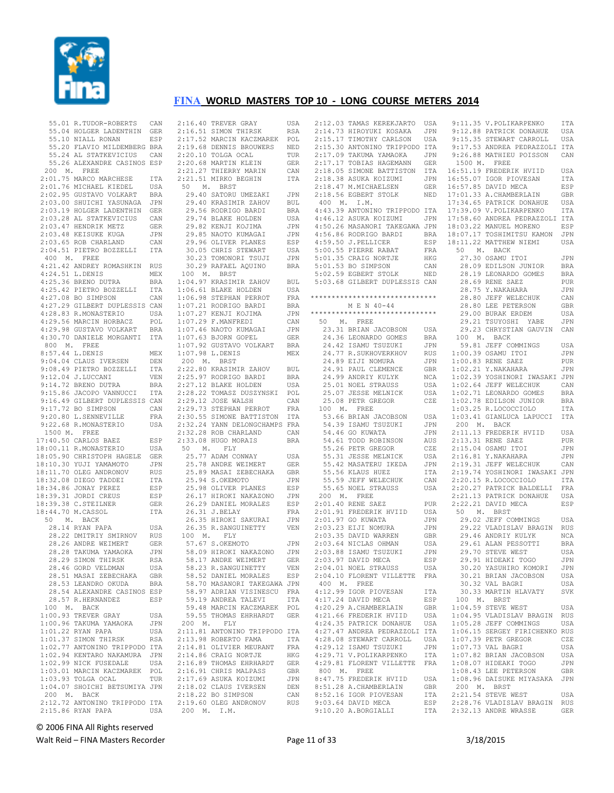

| 55.01 R.TUDOR-ROBERTS CAN                                                                                                                                                                                                                              |                   |
|--------------------------------------------------------------------------------------------------------------------------------------------------------------------------------------------------------------------------------------------------------|-------------------|
|                                                                                                                                                                                                                                                        |                   |
| 55.10 NIALL RONAN                                                                                                                                                                                                                                      | ESP               |
| 55.20 FLAVIO MILDEMBERG BRA                                                                                                                                                                                                                            |                   |
| 55.24 AL STATKEVICIUS CAN                                                                                                                                                                                                                              |                   |
| 55.26 ALEXANDRE CASINOS ESP                                                                                                                                                                                                                            |                   |
| 200 M. FREE<br>2:01.75 MARCO MARCHESE ITA                                                                                                                                                                                                              |                   |
|                                                                                                                                                                                                                                                        |                   |
|                                                                                                                                                                                                                                                        |                   |
|                                                                                                                                                                                                                                                        |                   |
| 2:01.76 MICHAEL KIEDEL USA<br>2:02.95 GUSTAVO VOLKART BRA<br>2:03.00 SHUICHI YASUNAGA JPN                                                                                                                                                              |                   |
|                                                                                                                                                                                                                                                        |                   |
| 2:03.19 HOLGER LADENTHINGER<br>2:03.19 HOLGER LADENTHINGER<br>2:03.28 AL STATKEVICIUS CAN<br>2:03.47 HENDRIK METZ GER<br>2:03.48 KEISUKE KUGA JPN<br>2:03.65 ROB CHARLAND CAN<br>2:04.51 PIETRO BOZZELLI ITA                                           |                   |
|                                                                                                                                                                                                                                                        |                   |
|                                                                                                                                                                                                                                                        |                   |
|                                                                                                                                                                                                                                                        |                   |
|                                                                                                                                                                                                                                                        |                   |
|                                                                                                                                                                                                                                                        |                   |
| 400 M. FREE                                                                                                                                                                                                                                            |                   |
|                                                                                                                                                                                                                                                        |                   |
| 4:21.42 ANDREY ROMASHKIN RUS<br>4:24.51 L.DENIS MEX                                                                                                                                                                                                    |                   |
|                                                                                                                                                                                                                                                        |                   |
| 4:24.51 L.DENIS<br>4:25.36 BRENO DUTRA BRA<br>4:25.42 PIETRO BOZZELLI ITA<br>4:27.08 BO SIMPSON CAN<br>4:27.09 CILENCE DE                                                                                                                              |                   |
|                                                                                                                                                                                                                                                        |                   |
|                                                                                                                                                                                                                                                        |                   |
| 4:27.29 GILBERT DUPLESSIS CAN                                                                                                                                                                                                                          |                   |
| 4:28.83 R.MONASTERIO USA                                                                                                                                                                                                                               |                   |
| 4:29.56 MARCIN HORBACZ<br>4:29.98 GUSTAVO VOLKART                                                                                                                                                                                                      |                   |
|                                                                                                                                                                                                                                                        | POL<br>BRA        |
|                                                                                                                                                                                                                                                        |                   |
| 4:30.70 DANIELE MORGANTI ITA                                                                                                                                                                                                                           |                   |
| 800 M. FREE                                                                                                                                                                                                                                            |                   |
| 8:57.44 L.DENIS                                                                                                                                                                                                                                        | MEX               |
| 9:04.04 CLAUS IVERSEN                                                                                                                                                                                                                                  | DEN               |
| 9:08.49 PIETRO BOZZELLI                                                                                                                                                                                                                                | ITA               |
|                                                                                                                                                                                                                                                        | VEN               |
| 9:12.04 J.LUCCANI<br>9:14.72 BRENO DUTRA                                                                                                                                                                                                               |                   |
|                                                                                                                                                                                                                                                        | BRA               |
| 9:15.86 JACOPO VANNUCCI ITA                                                                                                                                                                                                                            |                   |
| 9:16.49 GILBERT DUPLESSIS CAN                                                                                                                                                                                                                          |                   |
|                                                                                                                                                                                                                                                        | CAN               |
| 9:17.72 BO SIMPSON<br>9:20.80 L.SENNEVILLE<br>9:22.68 R.MONASTERIO                                                                                                                                                                                     | FRA               |
|                                                                                                                                                                                                                                                        | USA               |
|                                                                                                                                                                                                                                                        |                   |
|                                                                                                                                                                                                                                                        |                   |
| 1500 M. FREE                                                                                                                                                                                                                                           |                   |
|                                                                                                                                                                                                                                                        | ESP               |
| 17:40.50 CARLOS BAEZ<br>18:00.11 R.MONASTERIO                                                                                                                                                                                                          | USA               |
|                                                                                                                                                                                                                                                        |                   |
|                                                                                                                                                                                                                                                        |                   |
|                                                                                                                                                                                                                                                        |                   |
|                                                                                                                                                                                                                                                        |                   |
|                                                                                                                                                                                                                                                        |                   |
|                                                                                                                                                                                                                                                        |                   |
|                                                                                                                                                                                                                                                        |                   |
|                                                                                                                                                                                                                                                        |                   |
|                                                                                                                                                                                                                                                        |                   |
|                                                                                                                                                                                                                                                        |                   |
| 18:00.11 R.MONASTERIO USA<br>18:05.90 CHRISTOPH HAGELE GER<br>18:10.30 YUJI YAMAMOTO JPN<br>18:11.70 OLEG ANDRONOV RUS<br>18:32.08 DIEGO TADDEI ITA<br>18:39.38 C.STEILNER ESP<br>18:39.38 C.STEILNER GER<br>18:44.70 M.CASSOL ITA<br>50 M. BACK 28.14 |                   |
|                                                                                                                                                                                                                                                        |                   |
| 28.14 RYAN PAPA<br>28.22 DMITRIY SMIRNOV<br>28.26 ANDRE WEIMERT                                                                                                                                                                                        |                   |
|                                                                                                                                                                                                                                                        | RUS<br>GER<br>JPN |
| 28.28 TAKUMA YAMAOKA<br>28.29 SIMON THIRSK                                                                                                                                                                                                             | <b>RSA</b>        |
| 28.46 GORD VELDMAN                                                                                                                                                                                                                                     | USA               |
| 28.51 MASAI ZEBECHAKA                                                                                                                                                                                                                                  | GBR               |
| 28.53 LEANDRO OKUDA                                                                                                                                                                                                                                    | BRA               |
| 28.54 ALEXANDRE CASINOS ESP                                                                                                                                                                                                                            |                   |
| 28.57 R.HERNANDEZ                                                                                                                                                                                                                                      | ESP               |
| 100 M. BACK                                                                                                                                                                                                                                            |                   |
|                                                                                                                                                                                                                                                        |                   |
| 1:00.93 TREVER GRAY                                                                                                                                                                                                                                    | USA               |
| 1:00.96 TAKUMA YAMAOKA                                                                                                                                                                                                                                 | JPN               |
| 1:01.22 RYAN PAPA                                                                                                                                                                                                                                      | USA               |
| 1:01.37 SIMON THIRSK                                                                                                                                                                                                                                   | <b>RSA</b>        |
| 1:02.77 ANTONINO TRIPPODO ITA                                                                                                                                                                                                                          |                   |
| $1:02.94$ KENTARO NAKAMURA                                                                                                                                                                                                                             | JPN               |
| 1:02.99 NICK FUSEDALE                                                                                                                                                                                                                                  | USA               |
| 1:03.01 MARCIN KACZMAREK                                                                                                                                                                                                                               | POL               |
| 1:03.93 TOLGA OCAL                                                                                                                                                                                                                                     | TUR               |
|                                                                                                                                                                                                                                                        |                   |
| 1:04.07 SHOICHI BETSUMIYA JPN                                                                                                                                                                                                                          |                   |
| 200 M. BACK                                                                                                                                                                                                                                            |                   |
| 2:12.72 ANTONINO TRIPPODO ITA<br>2:15.86 RYAN PAPA                                                                                                                                                                                                     | USA               |

| 2:16.40 TREVER GRAY                                                                                                                                                    | USA                  |
|------------------------------------------------------------------------------------------------------------------------------------------------------------------------|----------------------|
| 2:16.51 SIMON THIRSK<br>2:16.51 SIMON THIRSK                                                                                                                           | RSA                  |
|                                                                                                                                                                        | $\texttt{POL}{}$     |
| 2:17.52 MARCIN KACZMAREK<br>2:19.68 DENNIS BROUWERS                                                                                                                    | $\operatorname{NED}$ |
| $2:20.10$ TOLGA OCAL                                                                                                                                                   | TUR                  |
| 2:20.68 MARTIN KLEIN                                                                                                                                                   | GER                  |
|                                                                                                                                                                        |                      |
| 2:21.27 THIERRY MARIN<br>2:21.51 MIRKO BEGHIN                                                                                                                          | CAN                  |
|                                                                                                                                                                        | ITA                  |
| 50 M. BRST                                                                                                                                                             |                      |
| 29.40 SATORU UMEZAKI<br>29.40 SATORU UMEZAKI<br>29.56 RODRIGO BARDI<br>29.56 RODRIGO BARDI<br>29.82 KENJI KOJIMA<br>29.82 KENJI KOJIMA                                 | JPN                  |
|                                                                                                                                                                        | BUL                  |
|                                                                                                                                                                        | <b>BRA</b>           |
|                                                                                                                                                                        | USA                  |
|                                                                                                                                                                        | $\mathtt{JPN}$       |
|                                                                                                                                                                        | JPN                  |
| 29.96 OLIVER PLANES                                                                                                                                                    | ESP                  |
| 30.05 CHRIS STEWART<br>30.05 CHRIS STEWART                                                                                                                             | USA                  |
| 30.23 TOMONORI TSUJI                                                                                                                                                   | JPN                  |
|                                                                                                                                                                        |                      |
| 30.29 RAFAEL AQUINO                                                                                                                                                    | <b>BRA</b>           |
| 100 M. BRST                                                                                                                                                            |                      |
| 1:04.97 KRASIMIR ZAHOV                                                                                                                                                 | BUL                  |
| $1:06.61$ BLAKE HOLDEN                                                                                                                                                 | USA                  |
|                                                                                                                                                                        | FRA                  |
|                                                                                                                                                                        | BRA                  |
|                                                                                                                                                                        | <b>JPN</b>           |
| 1:06.98 STEPHAN PERROT<br>1:07.21 RODRIGO BARDI<br>1:07.27 KENJI KOJIMA<br>1:07.27 KENJI KOJIMA<br>1:07.29 F.MANFREDI<br>1:07.46 NAOTO KUMAGAI<br>1:07.63 BJORN GOPET. | CAN                  |
|                                                                                                                                                                        | JPN                  |
| $1:07.63$ BJORN GOPEL                                                                                                                                                  | GER                  |
| 1:07.92 GUSTAVO VOLKART                                                                                                                                                |                      |
|                                                                                                                                                                        | BRA                  |
| 1:07.98 L.DENIS                                                                                                                                                        | <b>MEX</b>           |
| 200 M. BRST                                                                                                                                                            |                      |
| 2:22.80 KRASIMIR ZAHOV<br>2:25.97 RODRIGO BARDI                                                                                                                        | BUL                  |
|                                                                                                                                                                        | BRA                  |
| 2:27.12 BLAKE HOLDEN                                                                                                                                                   | USA                  |
| 2:28.22 TOMASZ DUSZYNSKI POL                                                                                                                                           |                      |
| 2:29.12 JOSE WALSH                                                                                                                                                     | CAN                  |
| 2:29.73 STEPHAN PERROT                                                                                                                                                 | FRA                  |
| 2:30.55 SIMONE BATTISTON ITA                                                                                                                                           |                      |
| 2:32.24 YANN DELONGCHAMPS FRA                                                                                                                                          |                      |
|                                                                                                                                                                        |                      |
| 2:32.28 ROB CHARLAND<br>2:33.08 HUGO MORAIS                                                                                                                            | CAN                  |
|                                                                                                                                                                        | <b>BRA</b>           |
| 50 M. FLY<br>25.77 ADAM CONWAY<br>25.78 ANDRE WEIMERT<br>25.89 MASAI ZEBECHAKA                                                                                         |                      |
|                                                                                                                                                                        | USA                  |
|                                                                                                                                                                        | GER                  |
|                                                                                                                                                                        | GBR                  |
| 25.94 S.OKEMOTO                                                                                                                                                        | JPN                  |
| 25.98 OLIVER PLANES                                                                                                                                                    | ESP                  |
|                                                                                                                                                                        | JPN                  |
| 26.17 HIROKI NAKAZONO<br>26.29 DANIEL MORALES                                                                                                                          | ESP                  |
| 26.31 J.BELAY                                                                                                                                                          | FRA                  |
| - 26.31 J.Dr. 2012<br>26.35 HIROKI SAKURAI<br>ביימידי היישוביים                                                                                                        | JPN                  |
| 26.35 R.SANGUINETTY                                                                                                                                                    |                      |
|                                                                                                                                                                        | VEN                  |
| 100 M. FLY                                                                                                                                                             |                      |
| 57.67 S.OKEMOTO                                                                                                                                                        | $\mathtt{JPN}$       |
| 58.09 HIROKI NAKAZONO JPN                                                                                                                                              |                      |
| 58.17 ANDRE WEIMERT                                                                                                                                                    | ${\tt GER}$          |
|                                                                                                                                                                        | VEN                  |
| 58.23 R.SANGUINETTY<br>58.52 DANIEL MORALES                                                                                                                            | ESP                  |
| 58.70 MASANORI TAKEGAWA JPN                                                                                                                                            |                      |
| 58.97 ADRIAN VISINESCU FRA<br>59.19 ANDREA TALEVI ITA                                                                                                                  |                      |
|                                                                                                                                                                        |                      |
| 59.48 MARCIN KACZMAREK                                                                                                                                                 | TTA<br>POL           |
| 59.55 THOMAS EHRHARDT                                                                                                                                                  | GER                  |
| $_{\rm FLY}$<br>200 M.                                                                                                                                                 |                      |
|                                                                                                                                                                        |                      |
| 2:11.81 ANTONINO TRIPPODO ITA                                                                                                                                          |                      |
| 2:13.98 ROBERTO FAMA                                                                                                                                                   | ITA                  |
| 2:14.81 OLIVIER MEURANT FRA                                                                                                                                            |                      |
| 2:14.86 CRAIG NORTJE                                                                                                                                                   | HKG                  |
| 2:16.89 THOMAS EHRHARDT<br>2:16.89 THOMAS EHRHARDT<br>2:16.91 CHRIS MALPASS<br>2:17.69 ASUKA KOIZUMI                                                                   | <b>GER</b>           |
|                                                                                                                                                                        | GBR                  |
|                                                                                                                                                                        | JPN                  |
| 2:18.02 CLAUS IVERSEN                                                                                                                                                  | DEN                  |
| 2:18.22 BO SIMPSON                                                                                                                                                     | CAN                  |
| 2:19.60 OLEG ANDRONOV                                                                                                                                                  | RUS                  |
| 200 M. I.M.                                                                                                                                                            |                      |
|                                                                                                                                                                        |                      |

| 2:12.03 TAMAS KEREKJARTO USA                                       |            |
|--------------------------------------------------------------------|------------|
|                                                                    |            |
|                                                                    | JPN        |
| 2:14.73 HIROYUKI KOSAKA JPN<br>2:15.17 TIMOTHY CARLSON USA         |            |
|                                                                    |            |
| 2:15.30 ANTONINO TRIPPODO ITA                                      |            |
| 2:17.09 TAKUMA YAMAOKA                                             | JPN        |
| 2:17.17 TOBIAS HAGEMANN                                            | GER        |
| 2:18.05 SIMONE BATTISTON                                           | ITA        |
|                                                                    |            |
| 2:18.38 ASUKA KOIZUMI                                              | JPN        |
| $2:18.47$ M.MICHAELSEN                                             | GER        |
| 2:18.56 EGBERT STOLK                                               | NED        |
| 400 M. I.M.                                                        |            |
|                                                                    |            |
| 4:43.39 ANTONINO TRIPPODO ITA                                      |            |
| 4:46.12 ASUKA KOIZUMI                                              | JPN        |
| 4:50.26 MASANORI TAKEGAWA JPN                                      |            |
| 4:56.86 RODRIGO BARDI                                              | <b>BRA</b> |
| 4:59.50 J.PELLICER                                                 |            |
| 4:59.50 J.PELLICER<br>5:00.55 PIERRE RABAT<br>5:01.35 CRAIG NORTJE | ESP        |
|                                                                    | FRA        |
|                                                                    | HKG        |
| 5:01.53 BO SIMPSON                                                 | CAN        |
| $5:02.59$ EGBERT STOLK                                             | NED        |
|                                                                    |            |
| 5:03.68 GILBERT DUPLESSIS CAN                                      |            |
|                                                                    |            |
| ******************************                                     |            |
| M E N 40-44                                                        |            |
| ******************************                                     |            |
|                                                                    |            |
| 50 M. FREE                                                         |            |
| 23.31 BRIAN JACOBSON<br>24.36 LEONARDO GOMES                       | USA        |
|                                                                    | BRA        |
|                                                                    | JPN        |
|                                                                    |            |
|                                                                    | <b>RUS</b> |
| 24.42 ISAMU TSUZUKI<br>24.77 R.SUKHOVERKHOV<br>24.89 EIJI NOMURA   | JPN        |
|                                                                    | GBR        |
| 24.91 PAUL CLEMENCE<br>24.99 ANDRIY KULYK<br>25.01 NOEL STRAUSS    | <b>NCA</b> |
|                                                                    |            |
|                                                                    | USA        |
| 25.07 JESSE MELNICK                                                | USA        |
| 25.08 PETR GREGOR                                                  | CZE        |
| 100 M. FREE                                                        |            |
|                                                                    |            |
| 53.66 BRIAN JACOBSON<br>54.39 ISAMU TSUZUKI<br>54.46.39 IIIIII     | USA        |
|                                                                    | JPN        |
| 54.46 GO KUWATA                                                    | JPN        |
| 54.61 TODD ROBINSON                                                | AUS        |
| 55.26 PETR GREGOR                                                  | CZE        |
| 55.31 JESSE MELNICK                                                |            |
|                                                                    |            |
|                                                                    | USA        |
|                                                                    | JPN        |
| 55.42 MASATERU IKEDA                                               |            |
| 55.56 KLAUS HUEZ                                                   | ITA        |
| 55.59 JEFF WELECHUK                                                | CAN        |
| 55.65 NOEL STRAUSS                                                 | USA        |
| 200 M. FREE                                                        |            |
|                                                                    | PUR        |
|                                                                    |            |
| 2:01.40 RENE SAEZ<br>2:01.91 FREDERIK HVIID                        | USA        |
| 2:01.97 GO KUWATA                                                  | JPN        |
|                                                                    | JPN        |
|                                                                    | GBR        |
| 2:03.23 EIJI NOMURA<br>2:03.35 DAVID WARREN                        |            |
|                                                                    | USA        |
| 2:03.64 NICLAS OHMAN<br>2:03.88 ISAMU TSUZUKI                      | <b>JPN</b> |
| 2:03.97 DAVID MECA                                                 | ESP        |
| 2:04.01 NOEL STRAUSS                                               | USA        |
|                                                                    |            |
| 2:04.10 FLORENT VILLETTE                                           | FRA        |
| 400 M.<br>FREE                                                     |            |
|                                                                    | ITA        |
| 4:12.99 IGOR PIOVESAN<br>4:17.24 DAVID MECA                        | ESP        |
|                                                                    | GBR        |
| 4:20.29 A.CHAMBERLAIN                                              |            |
| 4:21.66 FREDERIK HVIID                                             | USA        |
| 4:24.35 PATRICK DONAHUE                                            | USA        |
| 4:27.47 ANDREA PEDRAZZOLI ITA                                      |            |
| 4:28.08 STEWART CARROLL                                            | USA        |
|                                                                    |            |
| 4:29.12<br>ISAMU TSUZUKI                                           | JPN        |
| 4:29.71 V. POLIKARPENKO                                            | ITA        |
| 4:29.81 FLORENT VILLETTE                                           | FRA        |
| 800 M. FREE                                                        |            |
|                                                                    | USA        |
| 8:47.75 FREDERIK HVIID                                             |            |
| 8:51.28 A.CHAMBERLAIN                                              | GBR        |
|                                                                    | ITA        |
| 8:52.16 IGOR PIOVESAN<br>9:03.64 DAVID MECA                        | ESP        |

| 9:11.35 V.POLIKARPENKO                                                                | ITA        |
|---------------------------------------------------------------------------------------|------------|
| 9:11.30 V.FULLNANLENNUS<br>9:12.88 PATRICK DONAHUE USA                                |            |
| 9:15.35 STEWART CARROLL                                                               | USA        |
|                                                                                       |            |
| 9:17.53 ANDREA PEDRAZZOLI ITA<br>9:26.88 MATHIEU POISSON CAN                          |            |
| 1500 M. FREE                                                                          |            |
| 16:51.19 FREDERIK HVIID<br>16:55.07 IGOR PIOVESAN                                     | USA        |
|                                                                                       | <b>ITA</b> |
| 16:57.85 DAVID MECA                                                                   | ESP        |
| 17:01.33 A.CHAMBERLAIN                                                                | GBR        |
|                                                                                       |            |
| 17:34.65 PATRICK DONAHUE USA<br>17:39.09 V.POLIKARPENKO ITA                           |            |
| 17:58.60 ANDREA PEDRAZZOLI ITA<br>18:03.22 MANUEL MORENO ESP                          |            |
|                                                                                       |            |
| 18:07.17 TOSHIMITSU KAMON                                                             | JPN        |
| 18:11.22 MATTHEW NIEMI                                                                | USA        |
| 50 M. BACK<br>27.30 OSAMU ITOI                                                        |            |
|                                                                                       | JPN        |
| 28.09 EDILSON JUNIOR<br>28.19 LEONARDO GOMES<br>28.69 RENE SAEZ                       | <b>BRA</b> |
|                                                                                       | BRA        |
|                                                                                       | PUR        |
| 28.75 Y.NAKAHARA                                                                      | JPN        |
| 28.80 JEFF WELECHUK<br>28.80 LEE PETERSON                                             | CAN        |
|                                                                                       | GBR        |
| 29.00 BURAK ERDEM                                                                     | USA        |
| 29.21 TSUYOSHI YABE<br>29.23 CHRYSTIAN GAUVIN CAN                                     | JPN        |
|                                                                                       |            |
| 100 M. BACK<br>59.81 JEFF COMMINGS                                                    | <b>USA</b> |
| 1:00.39 OSAMU ITOI                                                                    | <b>JPN</b> |
|                                                                                       | PUR        |
| 1:00.83 RENE SAEZ<br>1:02.21 Y.NAKAHARA                                               | JPN        |
| 1:02.39 YOSHINORI IWASAKI JPN                                                         |            |
| 1:02.64 JEFF WELECHUK CAN                                                             |            |
|                                                                                       |            |
| 1:02.71 LEONARDO GOMES BRA<br>1:02.78 EDILSON JUNIOR BRA                              |            |
| $1:03.25$ R.LOCOCCIOLO                                                                | ITA        |
| 1:03.41 GIANLUCA LAPUCCI ITA                                                          |            |
| 200 M. BACK                                                                           |            |
| 2:11.13 FREDERIK HVIID                                                                | USA        |
| 2:13.31 RENE SAEZ                                                                     | PUR        |
| 2:15.04 OSAMU ITOI<br>2:16.81 Y NAKAHARA                                              | JPN        |
| $2:16.81$ Y. NAKAHARA                                                                 | JPN        |
| $2:19.31$ JEFF WELECHUK                                                               | CAN        |
| 2:19.74 YOSHINORI IWASAKI JPN                                                         |            |
| 2:20.15 R.LOCOCCIOLO                                                                  | ITA        |
| 2:20.27 PATRICK BALDELLI FRA<br>2:21.13 PATRICK DONAHUE USA<br>2:22.21 DAVID MECA ESP |            |
|                                                                                       |            |
|                                                                                       |            |
| 50 M. BRST<br>29.02 JEFF COMMINGS                                                     |            |
| 29.22<br>VLADISLAV BRAGIN RUS                                                         | USA        |
| 29.46 ANDRIY KULYK                                                                    | NCA        |
|                                                                                       | <b>BRA</b> |
| 29.61 ALAN PESSOTTI<br>29.70 STEVE WEST                                               | <b>USA</b> |
| 29.91 HIDEAKI TOGO                                                                    | <b>JPN</b> |
| YASUHIRO KOMORI<br>30.20                                                              | JPN        |
| 30.21 BRIAN JACOBSON                                                                  | USA        |
| 30.32 VAL BAGRI                                                                       | USA        |
| 30.33 MARTIN HLAVATY                                                                  | <b>SVK</b> |
| 100 M.<br>BRST                                                                        |            |
| 1:04.59 STEVE WEST<br>1:04.95 VLADISLAV BRAGIN                                        | USA        |
|                                                                                       | <b>RUS</b> |
| 1:05.28 JEFF COMMINGS                                                                 | USA        |
| 1:06.15 SERGEY FIRICHENKO RUS                                                         |            |
| 1:07.39 PETR GREGOR                                                                   | CZE        |
| $1:07.73$ VAL BAGRI                                                                   | USA        |
| $1:07.82$ BRIAN JACOBSON                                                              | USA        |
| 1:08.07 HIDEAKI TOGO                                                                  | JPN        |
| 1:08.43 LEE PETERSON                                                                  | GBR        |
| 1:08.96 DAISUKE MIYASAKA                                                              | JPN        |
| 200 M. BRST                                                                           | USA        |
| 2:21.54 STEVE WEST<br>2:28.76 VLADISLAV BRAGIN                                        | RUS        |
| 2:32.13 ANDRE WRASSE                                                                  | <b>GER</b> |
|                                                                                       |            |
|                                                                                       |            |

# © 2006 FINA All Rights reserved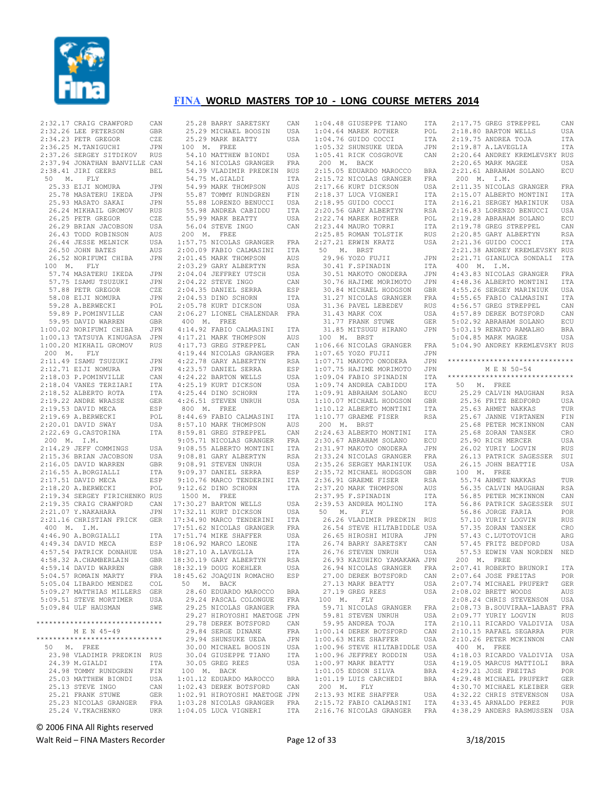

|             | $100$ M. FLY                                                                                                                                                                                                                                     |                   |
|-------------|--------------------------------------------------------------------------------------------------------------------------------------------------------------------------------------------------------------------------------------------------|-------------------|
|             |                                                                                                                                                                                                                                                  |                   |
|             |                                                                                                                                                                                                                                                  |                   |
|             |                                                                                                                                                                                                                                                  |                   |
|             |                                                                                                                                                                                                                                                  |                   |
|             |                                                                                                                                                                                                                                                  |                   |
|             |                                                                                                                                                                                                                                                  |                   |
|             |                                                                                                                                                                                                                                                  |                   |
|             | 100 M. FLY<br>57.74 MASATERU IKEDA JPN<br>57.75 ISAMU TSUZUKI JPN<br>57.75 ISAMU TSUZUKI JPN<br>57.88 PETR GREGOR CZE<br>58.08 EIJI NOMURA JPN<br>59.89 P.POMINVILLE CAN<br>59.89 P.POMINVILLE CAN<br>59.89 P.POMINVILLE CAN<br>59.95 DAVID WARR |                   |
| 200 M. FLY  |                                                                                                                                                                                                                                                  |                   |
|             | 2:11.49 ISAMU TSUZUKI<br>2:12.71 EIJI NOMURA                                                                                                                                                                                                     | JPN<br>JPN        |
|             |                                                                                                                                                                                                                                                  | CAN               |
|             |                                                                                                                                                                                                                                                  | ITA<br>ITA        |
|             |                                                                                                                                                                                                                                                  | <b>GER</b>        |
|             |                                                                                                                                                                                                                                                  | ESP               |
|             |                                                                                                                                                                                                                                                  | POL               |
|             | 2:12.71 EJJI NOMURA<br>2:18.03 P.POMINVILLE<br>2:18.04 VANES TERZIARI<br>2:18.52 ALBERTO ROTA<br>2:19.22 ANDRE WRASSE<br>2:19.53 DAVID MECA<br>2:19.69 A.BERWECKI<br>2:20.01 DAVID SWAY                                                          | USA               |
|             | 2:22.69 G.CASTORINA                                                                                                                                                                                                                              | ITA               |
|             |                                                                                                                                                                                                                                                  |                   |
| 200 M. I.M. |                                                                                                                                                                                                                                                  | USA               |
|             |                                                                                                                                                                                                                                                  | USA               |
|             | 200 m. 1.m.<br>2:14.29 JEFF COMMINGS<br>2:15.36 BRIAN JACOBSON<br>2:16.05 DAVID WARREN                                                                                                                                                           | <b>GBR</b>        |
|             |                                                                                                                                                                                                                                                  | ITA<br>ESP        |
|             | 2:16.05 DAVID<br>2:16.55 A.BORGIALLI<br>2:10 DAVID MECA<br>2:17.51 DAVID MECA<br>2:18.20 A.BERWECKI                                                                                                                                              | POL               |
|             |                                                                                                                                                                                                                                                  |                   |
|             | 2:19.34 SERGEY FIRICHENKO RUS<br>2:19.35 CRAIG CRAWFORD CAN                                                                                                                                                                                      | CAN               |
|             | $2:21.07$ Y. NAKAHARA<br>2:21.16 CHRISTIAN FRICK GER                                                                                                                                                                                             | JPN               |
| 400 M. I.M. |                                                                                                                                                                                                                                                  |                   |
|             | $4:46.90$ A.BORGIALLI                                                                                                                                                                                                                            | ITA               |
|             | 4:49.34 DAVID MECA                                                                                                                                                                                                                               | ESP               |
|             |                                                                                                                                                                                                                                                  |                   |
|             | 4:57.54 PATRICK DONAHUE USA<br>4:58.32 A.CHAMBERLAIN GBR<br>4:58.14 DAVID MARDEN CRD<br>4:59.14 DAVID WARREN                                                                                                                                     | GBR               |
|             | 5:04.57 ROMAIN MARTY                                                                                                                                                                                                                             | <b>FRA</b>        |
|             | 5:05.04 LIBARDO MENDEZ<br>5:09.27 MATTHIAS MILLERS                                                                                                                                                                                               | COL<br>GER        |
|             | 5:09.51 STEVE MORTIMER                                                                                                                                                                                                                           | USA               |
|             | 5:09.84 ULF HAUSMAN                                                                                                                                                                                                                              | SWE               |
|             | ******************************                                                                                                                                                                                                                   |                   |
|             | M E N 45-49                                                                                                                                                                                                                                      |                   |
|             | ******************************                                                                                                                                                                                                                   |                   |
|             | 50 M. FREE<br>23.98 VLADIMIR PREDKIN                                                                                                                                                                                                             | RUS               |
|             | 24.39 M.GIALDI                                                                                                                                                                                                                                   | ITA               |
|             | 24.98 TOMMY RUNDGREN                                                                                                                                                                                                                             | FIN               |
|             | 25.03 MATTHEW BIONDI                                                                                                                                                                                                                             | USA<br>CAN        |
|             | 25.13 STEVE INGO<br>25.21 FRANK STUWE                                                                                                                                                                                                            | GER               |
|             | 25.23 NICOLAS GRANGER<br>25.24 V.TKACHENKO                                                                                                                                                                                                       | FRA<br><b>UKR</b> |

| CAN            | 25.28 BARRY SARETSKY                                                            | CAN        |
|----------------|---------------------------------------------------------------------------------|------------|
| GBR            | 25.29 MICHAEL BOOSIN                                                            | USA        |
| CZE            | 25.29 MARK BEATTY                                                               | USA        |
| JPN            | 100 M. FREE                                                                     |            |
| RUS            | 54.10 MATTHEW BIONDI                                                            | USA        |
| CAN            | 54.16 NICOLAS GRANGER                                                           | FRA        |
| BEL            | 54.39 VLADIMIR PREDKIN RUS                                                      |            |
|                | 54.75 M.GIALDI                                                                  | ITA        |
| JPN            | 54.99 MARK THOMPSON                                                             | AUS        |
| JPN            | 55.87 TOMMY RUNDGREN                                                            | FIN        |
| JPN            | 55.88 LORENZO BENUCCI USA                                                       |            |
| RUS            | 55.98 ANDREA CABIDDU                                                            | ITA        |
| CZE            | 55.99 MARK BEATTY                                                               |            |
|                | 56.04 STEVE INGO                                                                | USA        |
| USA            |                                                                                 | CAN        |
| AUS            | 200 M. FREE<br>1:57.75 NICOLAS GRANGER                                          |            |
| USA            |                                                                                 | FRA        |
| AUS            | $2:00.09$ FABIO CALMASINI                                                       | ITA        |
| JPN            | 2:01.45 MARK THOMPSON                                                           | AUS        |
|                | 2:03.29 GARY ALBERTYN                                                           | RSA        |
| JPN            | 2:04.04 JEFFREY UTSCH                                                           | USA        |
| JPN            | 2:04.22 STEVE INGO                                                              | CAN        |
| CZE            | $2:04.35$ DANIEL SERRA                                                          | ESP        |
| JPN            | 2:04.53 DINO SCHORN                                                             | ITA        |
| POL            | 2:05.78 KURT DICKSON                                                            | USA        |
| CAN            | 2:06.27 LIONEL CHALENDAR FRA                                                    |            |
| GBR            | 400 M. FREE                                                                     |            |
| JPN            | 4:14.92 FABIO CALMASINI ITA                                                     |            |
| JPN            | 4:17.21 MARK THOMPSON<br>4:17.73 GREG STREPPEL<br>4:19.44 NICOLAS GRANGER       | AUS        |
| RUS            |                                                                                 | CAN        |
|                |                                                                                 | FRA        |
| JPN            | 4:22.78 GARY ALBERTYN<br>4:23.57 DANIEL SERRA                                   | RSA        |
| JPN            |                                                                                 | ESP        |
| $\mathtt{CAN}$ | 4:24.22 BARTON WELLS                                                            | USA        |
| ITA            | $4:25.19$ KURT DICKSON                                                          | USA        |
| ITA            | 4:25.44 DINO SCHORN                                                             | <b>ITA</b> |
| GER            | 4:26.51 STEVEN UNRUH                                                            | USA        |
| ESP            | 800 M. FREE                                                                     |            |
| POL            | 8:44.69 FABIO CALMASINI                                                         | ITA        |
| USA            | 8:57.10 MARK THOMPSON<br>8:59 81 GREG STREPPEL                                  | AUS        |
| ITA            | 8:59.81 GREG STREPPEL                                                           | CAN        |
|                | 9:05.71 NICOLAS GRANGER                                                         | FRA        |
| USA            | 9:08.55 ALBERTO MONTINI                                                         | ITA        |
| USA            | 9:08.81 GARY ALBERTYN                                                           | RSA        |
| GBR            | 9:08.91 STEVEN UNRUH                                                            | USA        |
| ITA            | 9:09.37 DANIEL SERRA<br>9:09.37 DANIEL SERRA                                    | ESP        |
| ESP            | 9:10.76 MARCO TENDERINI                                                         | ITA        |
| POL            | 9:12.62 DINO SCHORN                                                             | ITA        |
| RUS            | 1500 M. FREE                                                                    |            |
| CAN            | 17:30.27 BARTON WELLS                                                           | USA        |
| JPN            | 17:32.11 KURT DICKSON                                                           | USA        |
| GER            | 17:34.90 MARCO TENDERINI                                                        | ITA        |
|                | 17:51.62 NICOLAS GRANGER                                                        | FRA        |
|                |                                                                                 | USA        |
|                | 178 1751.74 MIKE SHARVER<br>ESP 18:06.92 MARCO LEONE<br>USA 18:27.10 A.LAVEGITA | ITA        |
|                | 18:27.10 A.LAVEGLIA                                                             | <b>ITA</b> |
|                |                                                                                 | RSA        |
| GBR<br>C       | 18:30.19 GARY ALBERTYN                                                          |            |
| GBR            | 18:32.19 DOUG KOEHLER                                                           | USA        |
| FRA            | 18:45.62 JOAQUIN ROMACHO                                                        | ESP        |
| COL            | 50 M. BACK                                                                      |            |
| GER            | 28.60 EDUARDO MAROCCO                                                           | <b>BRA</b> |
| USA            | 29.24 PASCAL COLONGUE                                                           | FRA        |
| SWE            | 29.25 NICOLAS GRANGER                                                           | FRA        |
|                | 29.27 HIROYOSHI MAETOGE JPN                                                     |            |
| ****           | 29.78 DEREK BOTSFORD                                                            | CAN        |
|                | 29.84 SERGE DINANE                                                              | FRA        |
| ****           | 29.94 SHUNSUKE UEDA                                                             | JPN        |
|                | 30.00 MICHAEL BOOSIN                                                            | USA        |
| RUS            | 30.04 GIUSEPPE TIANO                                                            | ITA        |
| ITA            | 30.05 GREG REES                                                                 | USA        |
| FIN            | 100 M. BACK                                                                     |            |
| USA            | 1:01.12 EDUARDO MAROCCO                                                         | BRA        |
| CAN            | 1:02.43 DEREK BOTSFORD                                                          | CAN        |
| GER            | 1:02.91 HIROYOSHI MAETOGE JPN                                                   |            |
| FRA            | 1:03.28 NICOLAS GRANGER FRA                                                     |            |
|                | UKR 1:04.05 LUCA VIGNERI                                                        | ITA        |

|                                                                                                                                                                     | ITA            |
|---------------------------------------------------------------------------------------------------------------------------------------------------------------------|----------------|
| 1:04.48 GIUSEPPE TIANO<br>1:04.64 MAREK ROTHER                                                                                                                      | $\mathtt{POL}$ |
| $1:04.76$ GUIDO COCCI                                                                                                                                               | ITA            |
| 1:04.76 GUIDO COCCI ITA<br>1:05.32 SHUNSUKE UEDA JPN<br>1:05.41 RICK COSGROVE CAN                                                                                   |                |
|                                                                                                                                                                     |                |
|                                                                                                                                                                     |                |
| 200 M. BACK                                                                                                                                                         |                |
|                                                                                                                                                                     | <b>BRA</b>     |
|                                                                                                                                                                     |                |
|                                                                                                                                                                     | FRA            |
|                                                                                                                                                                     | USA            |
|                                                                                                                                                                     | ITA            |
| 200 m. LEON<br>2:15.05 EDUARDO MAROCCO<br>2:15.72 NICOLAS GRANGER<br>2:17.66 KURT DICKSON<br>2:18.37 LUCA VIGNERI<br>2:20.56 GARY ALBERTYN<br>2.20.56 GARY ALBERTYN | ITA            |
|                                                                                                                                                                     |                |
|                                                                                                                                                                     | <b>RSA</b>     |
|                                                                                                                                                                     | POL            |
| 2:22.74 MAREK ROTHER<br>2:23.44 MAURO TORRI<br>2:25.85 ROMAN TOLSTIK                                                                                                | ITA            |
|                                                                                                                                                                     |                |
|                                                                                                                                                                     | ${\tt RUS}$    |
| 2:27.21 ERWIN KRATZ                                                                                                                                                 | USA            |
| 50 M. BRST                                                                                                                                                          |                |
|                                                                                                                                                                     |                |
|                                                                                                                                                                     | JPN            |
|                                                                                                                                                                     | ITA            |
| 29.96 YOZO FUJII<br>30.41 F.SPINADIN<br>30.51 MAKOTO ONODERA<br>30.76 HAJIME MORIMOTO<br>30.84 MICHAEL HODGSON                                                      | JPN            |
|                                                                                                                                                                     |                |
|                                                                                                                                                                     | JPN            |
|                                                                                                                                                                     | GBR            |
|                                                                                                                                                                     | FRA            |
| 31.27 NICOLAS GRANGER<br>31.36 PAVEL LEBEDEV<br>31.43 MARK GOV                                                                                                      | $_{\rm RUS}$   |
|                                                                                                                                                                     |                |
| 31.43 MARK COX                                                                                                                                                      | USA            |
| 31.77 FRANK STUWE<br>31.95 ****                                                                                                                                     | GER            |
| 31.85 MITSUGU HIRANO                                                                                                                                                | JPN            |
|                                                                                                                                                                     |                |
| 100 M. BRST                                                                                                                                                         |                |
| 1:06.66 NICOLAS GRANGER<br>1:07.65 YOZO FUJII<br>1:07.71 MAKOTO ONODERA                                                                                             | FRA            |
|                                                                                                                                                                     | JPN            |
|                                                                                                                                                                     |                |
|                                                                                                                                                                     | JPN            |
|                                                                                                                                                                     | JPN            |
| 1:07.75 HAJIME MORIMOTO<br>1:09.04 FABIO SPINADIN<br>1:09.74 ANDREA CABIDDU                                                                                         |                |
|                                                                                                                                                                     | ITA<br>ITA     |
|                                                                                                                                                                     |                |
|                                                                                                                                                                     | $_{\rm ECU}$   |
|                                                                                                                                                                     | GBR            |
| 1:09.91 ABRAHAM SOLANO<br>1:10.07 MICHAEL HODGSON<br>1:10.12 ALBERTO MONTINI                                                                                        | $_{\tt ITA}$   |
|                                                                                                                                                                     |                |
| 1:10.77 GRAEME FISER<br>200 M. BRST                                                                                                                                 | RSA            |
|                                                                                                                                                                     |                |
|                                                                                                                                                                     |                |
|                                                                                                                                                                     |                |
|                                                                                                                                                                     |                |
|                                                                                                                                                                     |                |
|                                                                                                                                                                     | JPN            |
|                                                                                                                                                                     |                |
| 2:24.63 ALBERTO MONTINI ITA<br>2:30.67 ABRAHAM SOLANO ECU<br>2:31.97 MAKOTO ONODERA JPN<br>2:33.24 NICOLAS GRANGER FRA                                              |                |
|                                                                                                                                                                     | USA            |
|                                                                                                                                                                     | GBR            |
|                                                                                                                                                                     | RSA            |
|                                                                                                                                                                     |                |
|                                                                                                                                                                     | AUS            |
| 2:35.26 SERGEY MARINIUK<br>2:35.26 SERGEY MARINIUK<br>2:35.72 MICHAEL HODGSON<br>2:36.91 GRAEME FISER<br>2:37.20 MARK THOMPSON<br>2:37.95 F.SPINADIN                | ITA            |
| 2:39.53 ANDREA MOLINO                                                                                                                                               | ITA            |
| 50 M. FLY                                                                                                                                                           |                |
|                                                                                                                                                                     |                |
| 26.26 VLADIMIR PREDKIN RUS                                                                                                                                          |                |
| 26.54 STEVE HILTABIDDLE USA                                                                                                                                         |                |
|                                                                                                                                                                     | JPN            |
|                                                                                                                                                                     | CAN            |
|                                                                                                                                                                     |                |
| $\begin{tabular}{llllll} 26.65 HIROSHI MIURA & JPN \\ 26.74 BARRY SARETSKY & CAN \\ 26.76 STEVEN UNRUH & USA \\ \end{tabular}$                                      |                |
| 26.93 KAZUHIKO YAMAKAWA JPN                                                                                                                                         |                |
|                                                                                                                                                                     | FRA            |
|                                                                                                                                                                     |                |
| 20.19<br>26.94 NICOLAS GRANGER<br>27.00 DEREK BOTSFORD                                                                                                              | CAN            |
| 27.13 MARK BEATTY                                                                                                                                                   | USA            |
| 27.19 GREG REES                                                                                                                                                     | USA            |
| 100 M. FLY                                                                                                                                                          |                |
|                                                                                                                                                                     |                |
| 59.71 NICOLAS GRANGER FRA                                                                                                                                           |                |
| 59.81 STEVEN UNRUH                                                                                                                                                  | USA            |
|                                                                                                                                                                     | ITA            |
|                                                                                                                                                                     | CAN            |
| 59.95 ANDREA TOJA<br>1:00.14 DEREK BOTSFORD                                                                                                                         |                |
| 1:00.63 MIKE SHAFFER                                                                                                                                                | USA            |
|                                                                                                                                                                     |                |
|                                                                                                                                                                     |                |
| 1:00.96 STEVE HILTABIDDLE USA<br>1:00.96 JEFFREY RODDIN USA                                                                                                         |                |
| $1:00.97$ MARK BEATTY                                                                                                                                               | USA            |
| 1:01.05 EDSON SILVA                                                                                                                                                 | <b>BRA</b>     |
| 1:01.19 LUIS CARCHEDI                                                                                                                                               | <b>BRA</b>     |
|                                                                                                                                                                     |                |
|                                                                                                                                                                     |                |
| 200 M. FLY<br>2:13.93 MIKE SHAFFER                                                                                                                                  | USA            |
| 2:15.72 FABIO CALMASINI<br>2:16.76 NICOLAS GRANGER                                                                                                                  | ITA<br>FRA     |

| 2:17.75 GREG STREPPEL                                                                                                                                                              | CAN        |
|------------------------------------------------------------------------------------------------------------------------------------------------------------------------------------|------------|
| 2:18.80 BARTON WELLS<br>2:19.75 ANDREA TOJA                                                                                                                                        | USA        |
|                                                                                                                                                                                    | ITA        |
| $2:19.87$ A.LAVEGLIA                                                                                                                                                               | <b>ITA</b> |
| 2:20.64 ANDREY KREMLEVSKY RUS                                                                                                                                                      |            |
|                                                                                                                                                                                    |            |
| 2:20.65 MARK MAGEE                                                                                                                                                                 | USA        |
| 2:21.61 ABRAHAM SOLANO                                                                                                                                                             | ECU        |
| 200 M. I.M.                                                                                                                                                                        |            |
| 2:11.35 NICOLAS GRANGER<br>2:15.07 ALBERTO MONTINI                                                                                                                                 | FRA        |
|                                                                                                                                                                                    | ITA        |
|                                                                                                                                                                                    | USA        |
| 2:16.21 SERGEY MARINIUK<br>2:16.83 LORENZO BENUCCI<br>2:19.28 ABRAHAM SOLANO                                                                                                       | USA        |
|                                                                                                                                                                                    | ECU        |
| 2:19.78 GREG STREPPEL                                                                                                                                                              | CAN        |
|                                                                                                                                                                                    |            |
| 2:20.85 GARY ALBERTYN<br>2:21.36 GUIDO COCCI                                                                                                                                       | RSA        |
|                                                                                                                                                                                    | ITA        |
| 2:21.38 ANDREY KREMLEVSKY RUS                                                                                                                                                      |            |
| 2:21.71 GIANLUCA SONDALI ITA                                                                                                                                                       |            |
| 400 M. I.M.                                                                                                                                                                        |            |
| 4:43.83 NICOLAS GRANGER                                                                                                                                                            | FRA        |
| 4.48.36 ALBERTO MONTINI TRA<br>4.55.26 SERGEY MARINIUK USA<br>4.55.65 FABIO CALMASINI TTA<br>4.56.57 GREG STREPPEL CAN<br>4.57.89 DEREK BOTSFORD CAN<br>5.02.92 ABRAHAM SOLANO ECU |            |
|                                                                                                                                                                                    |            |
|                                                                                                                                                                                    |            |
|                                                                                                                                                                                    |            |
|                                                                                                                                                                                    |            |
|                                                                                                                                                                                    | CAN        |
|                                                                                                                                                                                    |            |
|                                                                                                                                                                                    | <b>BRA</b> |
| 5:03.19 RENATO RAMALHO<br>5:04.85 MARK MAGEE                                                                                                                                       | USA        |
| 5:04.90 ANDREY KREMLEVSKY RUS                                                                                                                                                      |            |
|                                                                                                                                                                                    |            |
|                                                                                                                                                                                    |            |
| *****************************                                                                                                                                                      |            |
| M E N 50-54                                                                                                                                                                        |            |
| ******************************                                                                                                                                                     |            |
| 50 M. FREE                                                                                                                                                                         |            |
| 25.29 CALVIN MAUGHAN                                                                                                                                                               | RSA        |
|                                                                                                                                                                                    | USA        |
| 25.36 FRITZ BEDFORD<br>25.63 AHMET NAKKAS                                                                                                                                          | TUR        |
|                                                                                                                                                                                    |            |
| 25.67 JANNE VIRTANEN                                                                                                                                                               | FIN        |
|                                                                                                                                                                                    | CAN        |
|                                                                                                                                                                                    | CRO        |
| 25.68 PETER MCKINNON<br>25.68 ZORAN TANSEK<br>25.90 RICH MERCER<br>26.02 YURIY LOGVIN                                                                                              | USA        |
|                                                                                                                                                                                    | RUS        |
| 26.13 PATRICK SAGESSER                                                                                                                                                             | SUI        |
| 26.15 JOHN BEATTIE                                                                                                                                                                 | USA        |
|                                                                                                                                                                                    |            |
| 100 M. FREE                                                                                                                                                                        |            |
| 55.74 AHMET NAKKAS<br>55.74 ARPLE<br>56.35 CALVIN MAUGHAN                                                                                                                          | TUR        |
|                                                                                                                                                                                    | RSA        |
| 56.85 PETER MCKINNON                                                                                                                                                               | CAN        |
| 56.86 PATRICK SAGESSER                                                                                                                                                             | SUI        |
|                                                                                                                                                                                    | POR        |
| 56.86 JORGE FARIA<br>57.10 YURIY LOGVIN                                                                                                                                            | <b>RUS</b> |
| 57.35 ZORAN TANSEK                                                                                                                                                                 | CRO        |
| 57.43 C.LUTOTOVICH                                                                                                                                                                 |            |
|                                                                                                                                                                                    | ARG        |
| 57.45 FRITZ BEDFORD                                                                                                                                                                | USA        |
| 57.53 EDWIN VAN NORDEN NED                                                                                                                                                         |            |
| 200 M. FREE                                                                                                                                                                        |            |
| 2:07.<br>41 ROBERTO BRUNORI                                                                                                                                                        | ITA        |
| 2:07.64 JOSE FREITAS                                                                                                                                                               | POR        |
| 2:07.74 MICHAEL PRUFERT                                                                                                                                                            | GER        |
| 2:08.02 BRETT WOODS                                                                                                                                                                | AUS        |
|                                                                                                                                                                                    |            |
| 2:08.24 CHRIS STEVENSON                                                                                                                                                            | USA        |
| 2:08.73 B.SOUVIRAA-LABAST FRA                                                                                                                                                      |            |
| 2:09.77 YURIY LOGVIN                                                                                                                                                               | <b>RUS</b> |
| 2:10.11 RICARDO VALDIVIA                                                                                                                                                           | USA        |
| 2:10.15 RAFAEL SEGARRA                                                                                                                                                             | PUR        |
| 2:10.26 PETER MCKINNON                                                                                                                                                             | CAN        |
| 400 M. FREE                                                                                                                                                                        |            |
| 4:18.03 RICARDO VALDIVIA                                                                                                                                                           | USA        |
|                                                                                                                                                                                    |            |
| 4:19.05 MARCUS MATTIOLI                                                                                                                                                            | <b>BRA</b> |
| 4:29.21 JOSE FREITAS                                                                                                                                                               | POR        |
| 4:29.48 MICHAEL PRUFERT                                                                                                                                                            | <b>GER</b> |
| 4:30.70 MICHAEL KLEIBER                                                                                                                                                            | GER        |
| 4:32.22 CHRIS STEVENSON                                                                                                                                                            | USA        |
| 4:33.45 ARNALDO PEREZ                                                                                                                                                              | <b>PUR</b> |
| 4:38.29 ANDERS RASMUSSEN                                                                                                                                                           | USA        |
|                                                                                                                                                                                    |            |
|                                                                                                                                                                                    |            |

© 2006 FINA All Rights reserved

Walt Reid – FINA Masters Recorder 2008 12 of 33 3/18/2015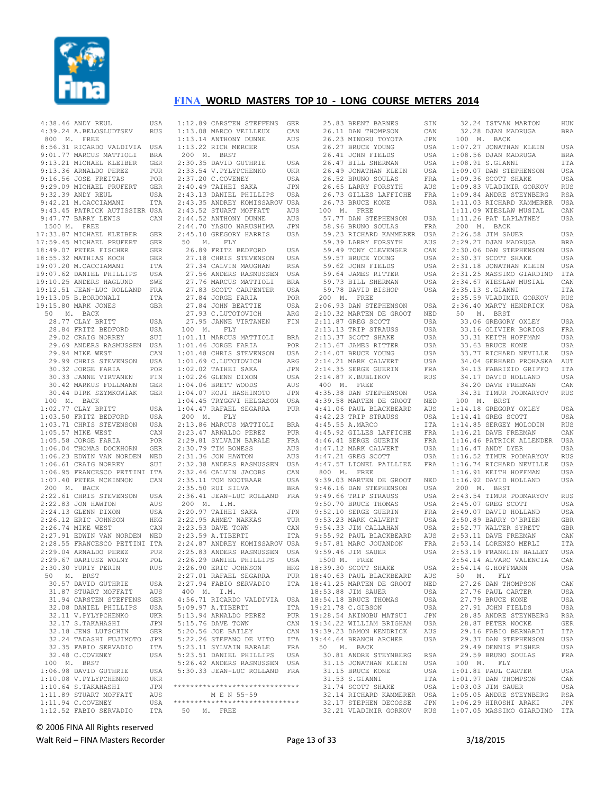

| 4:38.46 ANDY REUL                                                                                                   | USA        |
|---------------------------------------------------------------------------------------------------------------------|------------|
| 4:39.24 A.BELOSLUDTSEV                                                                                              | RUS        |
| 800 M. FREE                                                                                                         |            |
| 8:56.31 RICARDO VALDIVIA USA                                                                                        |            |
|                                                                                                                     |            |
|                                                                                                                     |            |
| 9:01.77 MARCUS MATTIOLI BRA<br>9:13.21 MICHAEL KLEIBER GER<br>9:13.36 ARNALDO PEREZ PUR<br>9:16.56 JOSE FREITAS POR |            |
|                                                                                                                     |            |
| 9:29.09 MICHAEL PRUFERT GER                                                                                         |            |
| 9:32.39 ANDY REUL                                                                                                   |            |
|                                                                                                                     |            |
| 9:32.39 ANDY REUL USA<br>9:42.21 M.CACCIAMANI ITA<br>9:43.45 PATRICK AUTISSIER USA                                  |            |
| 9:47.77 BARRY LEWIS                                                                                                 | CAN        |
| 1500 M. FREE                                                                                                        |            |
|                                                                                                                     |            |
| 17:33.87 MICHAEL KLEIBER GER<br>17:59.45 MICHAEL PRUFERT GER                                                        |            |
|                                                                                                                     | <b>GER</b> |
|                                                                                                                     | <b>GER</b> |
| 18:49.07 PETER FISCHER<br>18:55.32 MATHIAS KOCH<br>19:07.20 M.CACCIAMANI                                            | ITA        |
| 19:07.62 DANIEL PHILLIPS<br>19:07.62 DANIEL PHILLIPS<br>19:10.25 ANDERS HAGLUND                                     | USA        |
|                                                                                                                     | SWE        |
| 19:12.51 JEAN-LUC ROLLAND FRA                                                                                       |            |
|                                                                                                                     | ITA        |
| 19:13.05 B.BORDONALI<br>19:15.80 MARK JONES                                                                         | GBR        |
| 50 M. BACK                                                                                                          |            |
| 28.77 CLAY BRITT                                                                                                    |            |
| 28.84 FRITZ BEDFORD                                                                                                 | USA        |
| 29.02 CRAIG BEDFORD<br>29.02 CRAIG NORREY<br>29.69 AMPRES                                                           | USA        |
| 29.69 ANDERS RASMUSSEN                                                                                              | SUI<br>USA |
|                                                                                                                     |            |
| 29.94 MIKE WEST                                                                                                     | CAN        |
| 29.99 CHRIS STEVENSON USA                                                                                           |            |
| 30.32 JORGE FARIA                                                                                                   | POR        |
| 30.33 JANNE VIRTANEN                                                                                                | FIN        |
| 30.42 MARKUS FOLLMANN<br>30.44 DIRK SZYMKOWIAK                                                                      | GER<br>GER |
|                                                                                                                     |            |
| 100 M. BACK                                                                                                         |            |
| $1:02.77$ CLAY BRITT<br>1.02.77 CLAY BRITT<br>1:03.50 FRITZ BEDFORD<br>1.00.71 -                                    | USA        |
|                                                                                                                     | USA        |
| 1:03.71 CHRIS STEVENSON<br>1:05.57 MIKE WEST                                                                        | USA        |
|                                                                                                                     | CAN        |
| $1:05.58$ JORGE FARIA                                                                                               | POR        |
| 1:06.04 THOMAS DOCKHORN                                                                                             | GER        |
| 1:06.23 EDWIN VAN NORDEN NED                                                                                        |            |
| $1:06.61$ CRAIG NORREY                                                                                              | SUI        |
| 1:06.95 FRANCESCO PETTINI ITA                                                                                       |            |
| 1:07.40 PETER MCKINNON CAN                                                                                          |            |
| 200 M. BACK                                                                                                         |            |
| 2:22.61 CHRIS STEVENSON<br>2:22.83 JON HAWTON                                                                       | USA        |
|                                                                                                                     | AUS        |
|                                                                                                                     | USA        |
|                                                                                                                     | HKG        |
| 2:26.74 MIKE WEST                                                                                                   | CAN        |
| 2:27.91 EDWIN VAN NORDEN NED                                                                                        |            |
| 2:28.55 FRANCESCO PETTINI ITA                                                                                       |            |
| ---- ARNALDO PEREZ<br>2:29.67 DARIUSZ WOLNY<br>2:30.30 YURIY PERTN                                                  | PUR<br>POL |
|                                                                                                                     |            |
|                                                                                                                     | RUS        |
| 50 M. BRST                                                                                                          |            |
| 30.57 DAVID GUTHRIE                                                                                                 | USA        |
| 31.87 STUART MOFFATT                                                                                                | AUS        |
| 31.94 CARSTEN STEFFENS                                                                                              | <b>GER</b> |
| 32.08 DANIEL PHILLIPS                                                                                               | USA        |
| 32.11 V.PYLYPCHENKO                                                                                                 | <b>UKR</b> |
| 32.17 S. TAKAHASHI                                                                                                  | JPN        |
| 32.18 JENS LUTSCHIN                                                                                                 | <b>GER</b> |
| 32.24 TADASHI FUJIMOTO                                                                                              | JPN        |
| 32.35 FABIO SERVADIO                                                                                                | ITA        |
| 32.48 C.COVENEY                                                                                                     | USA        |
| 100 M. BRST                                                                                                         |            |
| 1:06.98 DAVID GUTHRIE                                                                                               | USA        |
| 1:10.08 V.PYLYPCHENKO                                                                                               | UKR        |
| 1:10.64 S.TAKAHASHI                                                                                                 | JPN        |
| 1:11.89 STUART MOFFATT                                                                                              |            |
|                                                                                                                     | AUS        |
| 1:11.94 C.COVENEY                                                                                                   | USA        |

| 1:12.89 CARSTEN STEFFENS                                                                                                       | GER        |
|--------------------------------------------------------------------------------------------------------------------------------|------------|
|                                                                                                                                | CAN        |
| 1:13.08 MARCO VEILLEUX<br>1:13.14 ANTHONY DUNNE<br>1:13.22 RICH MERCER                                                         |            |
|                                                                                                                                | AUS        |
|                                                                                                                                | USA        |
| 200 M. BRST                                                                                                                    |            |
|                                                                                                                                |            |
| 2:30.35 DAVID GUTHRIE<br>2:33.54 V.PYLYPCHENKO                                                                                 | USA        |
|                                                                                                                                | <b>UKR</b> |
| 2:37.20 C.COVENEY                                                                                                              | USA        |
| 2:40.49 TAIHEI SAKA                                                                                                            | <b>JPN</b> |
|                                                                                                                                |            |
| 2:43.13 DANIEL PHILLIPS                                                                                                        | USA        |
| 2:43.35 ANDREY KOMISSAROV USA                                                                                                  |            |
|                                                                                                                                | AUS        |
|                                                                                                                                | AUS        |
|                                                                                                                                |            |
| 2:43.52 STUART MOFFATT<br>2:44.52 STUART MOFFATT<br>2:44.52 ANTHONY DUNNE<br>2:44.70 YASUO NARUSHIMA<br>2:45.10 GREGORY HARRIS | JPN        |
|                                                                                                                                | USA        |
| 50 M. FLY                                                                                                                      |            |
| 26.89 FRITZ BEDFORD                                                                                                            |            |
|                                                                                                                                | USA        |
|                                                                                                                                | USA        |
| 27.18 CHRIS STEVENSON<br>27.34 CALVIN MAUGHAN                                                                                  | RSA        |
| 27.56 ANDERS RASMUSSEN                                                                                                         | USA        |
| 27.76 MARCUS MATTIOLI                                                                                                          |            |
|                                                                                                                                | <b>BRA</b> |
| 27.83 SCOTT CARPENTER USA                                                                                                      |            |
|                                                                                                                                | POR        |
|                                                                                                                                | USA        |
| 27.84 JORGE FARIA<br>27.84 JOHN BEATTIE<br>27.93 C.LUTOTOVICH                                                                  |            |
|                                                                                                                                | ARG        |
| 27.95 JANNE VIRTANEN                                                                                                           | FIN        |
| 100 M. FLY                                                                                                                     |            |
|                                                                                                                                |            |
| 1:01.11 MARCUS MATTIOLI BRA                                                                                                    |            |
| $1:01.46$ JORGE FARIA                                                                                                          | POR        |
|                                                                                                                                | USA        |
|                                                                                                                                | ARG        |
| 1:01.48 CHRIS STEVENSON<br>1:01.69 C.LUTOTOVICH<br>1:02.02 TAIHEI SAKA                                                         |            |
|                                                                                                                                | JPN        |
| $1:02.26$ GLENN DIXON                                                                                                          | USA        |
|                                                                                                                                | AUS        |
| 1:04.06 BRETT WOODS<br>1:04.07 KOJI HASHIMOTO                                                                                  | JPN        |
|                                                                                                                                |            |
| 1:04.45 TRYGGVI HELGASON                                                                                                       | USA        |
| 1:04.47 RAFAEL SEGARRA                                                                                                         | PUR        |
| 200 M. FLY                                                                                                                     |            |
| 2:13.86 MARCUS MATTIOLI                                                                                                        | <b>BRA</b> |
|                                                                                                                                |            |
| 2:23.47 ARNALDO PEREZ                                                                                                          | PUR        |
| 2:29.81 SYLVAIN BARALE                                                                                                         | FRA        |
| 2.2, --<br>2:30.79 TIM BONESS                                                                                                  | AUS        |
| 2:31.36 JON HAWTON                                                                                                             | AUS        |
|                                                                                                                                |            |
| 2:32.38 ANDERS RASMUSSEN USA                                                                                                   |            |
| 2:32.46 CALVIN JACOBS                                                                                                          | CAN        |
| 2:35.11 TOM NOOTBAAR<br>2:35.50 RUI SILVA                                                                                      | USA        |
|                                                                                                                                | <b>BRA</b> |
|                                                                                                                                |            |
| 2:36.41 JEAN-LUC ROLLAND                                                                                                       | FRA        |
| 200 M. I.M.                                                                                                                    |            |
| 2:20.97 TAIHEI SAKA                                                                                                            | JPN        |
| 2:22.95 AHMET NAKKAS                                                                                                           | TUR        |
|                                                                                                                                |            |
| 2:23.53 DAVE TOWN                                                                                                              | CAN        |
| 2:23.59 A.TIBERTI ITA<br>2:24.87 ANDREY KOMISSAROV USA                                                                         |            |
|                                                                                                                                |            |
| 2:25.83 ANDERS RASMUSSEN USA                                                                                                   |            |
| 2:26.29 DANIEL PHILLIPS                                                                                                        |            |
|                                                                                                                                | USA        |
| 2:26.90 ERIC JOHNSON                                                                                                           | HKG        |
| 2:27.01 RAFAEL SEGARRA                                                                                                         | <b>PUR</b> |
| 2:27.94 FABIO SERVADIO                                                                                                         | ITA        |
| 400 M. I.M.                                                                                                                    |            |
|                                                                                                                                |            |
| 4:56.71 RICARDO VALDIVIA<br>5:09.97 A.TIBERTI                                                                                  | USA        |
|                                                                                                                                | ITA        |
| 5:13.94 ARNALDO PEREZ                                                                                                          | PUR        |
| 5:15.76 DAVE TOWN                                                                                                              | CAN        |
|                                                                                                                                |            |
| 5:20.56 JOE BAILEY                                                                                                             | CAN        |
| 5:22.26 STEFANO DE VITO                                                                                                        | ITA        |
| 5:23.11 SYLVAIN BARALE                                                                                                         | FRA        |
|                                                                                                                                |            |
| 5:23.51 DANIEL PHILLIPS<br>5:26.42 ANDERS RASMUSSEN                                                                            |            |
|                                                                                                                                | USA        |
| 5:30.33 JEAN-LUC ROLLAND                                                                                                       | USA        |
|                                                                                                                                | FRA        |
|                                                                                                                                |            |
| *****************************                                                                                                  |            |
| M E N 55-59                                                                                                                    |            |
| *****************************                                                                                                  |            |
| 50 M. FREE                                                                                                                     |            |

|                   | 25.83 BRENT BARNES<br>26.11 DAN THOMPSON CAN<br>26.23 MINORU TOYOTA JPN<br>26.27 BRUCE YOUNG USA<br>26.41 JOHN FIELDS USA<br>26.47 BILL SHERMAN USA            |                             |
|-------------------|----------------------------------------------------------------------------------------------------------------------------------------------------------------|-----------------------------|
|                   |                                                                                                                                                                |                             |
|                   |                                                                                                                                                                |                             |
|                   |                                                                                                                                                                |                             |
|                   |                                                                                                                                                                |                             |
|                   |                                                                                                                                                                |                             |
|                   |                                                                                                                                                                |                             |
|                   |                                                                                                                                                                | USA                         |
|                   | 26.49 JONATHAN KLEIN<br>26.52 BRUNO SOULAS<br>26.65 LARRY FORSYTH                                                                                              |                             |
|                   |                                                                                                                                                                | FRA                         |
|                   |                                                                                                                                                                | AUS                         |
|                   | 26.73 GILLES LAFFICHE                                                                                                                                          | FRA                         |
|                   | 26.73 BRUCE KONE                                                                                                                                               | USA                         |
| 100 M. FREE       |                                                                                                                                                                |                             |
|                   |                                                                                                                                                                |                             |
|                   |                                                                                                                                                                | USA                         |
|                   | 57.77 DAN STEPHENSON<br>58.96 BRUNO SOULAS                                                                                                                     | FRA                         |
|                   | 59.23 RICHARD KAMMERER                                                                                                                                         | USA                         |
|                   | 59.39 LARRY FORSYTH                                                                                                                                            | AUS                         |
|                   | 59.49 TONY CLEVENGER                                                                                                                                           | CAN                         |
|                   |                                                                                                                                                                | USA                         |
|                   |                                                                                                                                                                |                             |
|                   |                                                                                                                                                                | USA                         |
|                   | 59.57 BRUCE YOUNG<br>59.57 BRUCE YOUNG<br>59.62 JOHN FIELDS<br>59.73 BILL SHERMAN<br>59.73 BILL SHERMAN<br>COLORATION FIELDS                                   | USA                         |
|                   |                                                                                                                                                                | USA                         |
|                   | 59.78 DAVID BISHOP                                                                                                                                             | USA                         |
| 200 M. FREE       |                                                                                                                                                                |                             |
|                   | 2:06.93 DAN STEPHENSON                                                                                                                                         |                             |
|                   |                                                                                                                                                                | USA                         |
|                   | 2:10.32 MARTEN DE GROOT<br>2:11.87 GREG SCOTT                                                                                                                  | NED                         |
|                   |                                                                                                                                                                | USA                         |
|                   | 2:13.13 TRIP STRAUSS<br>2:13.37 SCOTT SHAKE                                                                                                                    | USA                         |
|                   |                                                                                                                                                                | USA                         |
|                   |                                                                                                                                                                |                             |
|                   |                                                                                                                                                                | USA                         |
|                   |                                                                                                                                                                | USA                         |
|                   |                                                                                                                                                                | USA                         |
|                   | 2:13.37 SCOTT SHAKE<br>2:13.37 SCOTT SHAKE<br>2:13.67 JAMES RITTER<br>2:14.21 MARK CALVERT<br>2:14.35 SERGE GUERIN<br>2:14.87 K.BUBLIKOV<br>2:14.87 K.BUBLIKOV | FRA                         |
|                   |                                                                                                                                                                | <b>RUS</b>                  |
| 400 M. FREE       |                                                                                                                                                                |                             |
|                   |                                                                                                                                                                |                             |
|                   | 4:35.38 DAN STEPHENSON                                                                                                                                         | USA                         |
|                   |                                                                                                                                                                | NED                         |
|                   | 4:39.58 MARTEN DE GROOT<br>4:41.06 PAUL BLACKBEARD                                                                                                             | AUS                         |
|                   |                                                                                                                                                                | USA                         |
|                   | 4:42.23 TRIP STRAUSS<br>4·45 55 A.MARCO<br>$4:45.55$ A.MARCO                                                                                                   | ITA                         |
|                   | 4:45.92 GILLES LAFFICHE FRA                                                                                                                                    |                             |
|                   |                                                                                                                                                                |                             |
|                   | 4:46.41 SERGE GUERIN                                                                                                                                           | FRA                         |
|                   | 4:47.12 MARK CALVERT                                                                                                                                           | USA                         |
|                   | 4:47.21 GREG SCOTT                                                                                                                                             | USA                         |
|                   | 4:47.57 LIONEL PAILLIEZ                                                                                                                                        | FRA                         |
| 800 $M$ . FREE    |                                                                                                                                                                |                             |
|                   | 9:39.03 MARTEN DE GROOT NED                                                                                                                                    |                             |
|                   |                                                                                                                                                                |                             |
|                   |                                                                                                                                                                | USA                         |
|                   |                                                                                                                                                                | USA                         |
|                   | 9:46.16 DAN STEPHENSON<br>9:49.66 TRIP STRAUSS<br>9:50.70 BRUCE THOMAS                                                                                         | USA                         |
|                   | 9:52.10 SERGE GUERIN                                                                                                                                           | FRA                         |
|                   |                                                                                                                                                                | USA                         |
|                   |                                                                                                                                                                | USA                         |
|                   |                                                                                                                                                                |                             |
|                   | SUBATH<br>9:54.33 JIM CALLAHAN<br>9:54.33 JIM CALLAHAN<br>9:55.92 PAUL BIACHT<br>9:54.33 JIM CALLANARY<br>9:55.92 PAUL BLACKBEARD<br>9:57.81 MARC JOUANDON     | AUS                         |
|                   |                                                                                                                                                                | FRA                         |
|                   | 9:59.46 JIM SAUER                                                                                                                                              | USA                         |
|                   | 1500 M. FREE                                                                                                                                                   |                             |
|                   | 18:39.30 SCOTT SHAKE                                                                                                                                           | USA                         |
|                   |                                                                                                                                                                |                             |
|                   | 18:40.63 PAUL BLACKBEARD                                                                                                                                       | $\mathop{\rm AUS}\nolimits$ |
|                   | 18:41.25 MARTEN DE GROOT                                                                                                                                       | NED                         |
|                   | 18:53.88 JIM SAUER                                                                                                                                             | USA                         |
|                   | 18:54.18 BRUCE THOMAS                                                                                                                                          | USA                         |
| 19:21.78 C.GIBSON |                                                                                                                                                                | USA                         |
|                   | 19:28.54 AKINOBU MATSUI                                                                                                                                        | JPN                         |
|                   |                                                                                                                                                                |                             |
|                   | 19:34.22 WILLIAM BRIGHAM                                                                                                                                       | USA                         |
|                   | 19:39.23 DAMON KENDRICK                                                                                                                                        | $\mathop{\rm AUS}\nolimits$ |
|                   | 19:44.64 BRANCH ARCHER                                                                                                                                         | USA                         |
| 50 M. BACK        |                                                                                                                                                                |                             |
|                   | 30.81 ANDRE STEYNBERG                                                                                                                                          | RSA                         |
|                   |                                                                                                                                                                | USA                         |
|                   | 31.15 JONATHAN KLEIN                                                                                                                                           |                             |
|                   | 31.15 BRUCE KONE                                                                                                                                               | USA                         |
|                   | 31.53 S.GIANNI                                                                                                                                                 | <b>ITA</b>                  |
|                   | 31.74 SCOTT SHAKE                                                                                                                                              | USA                         |
|                   |                                                                                                                                                                | USA                         |
|                   | 32.14 RICHARD KAMMERER<br>32.17 STEPHEN DECOSSE                                                                                                                | JPN                         |
|                   |                                                                                                                                                                |                             |
|                   | 32.21 VLADIMIR GORKOV                                                                                                                                          | RUS                         |

| 'N                    | 32.24 ISTVAN MARTON<br>32.28 DJAN MADRUGA                                                                                          | HUN        |
|-----------------------|------------------------------------------------------------------------------------------------------------------------------------|------------|
| ιN                    |                                                                                                                                    | BRA        |
| $^{\circ}$ N          | 100 M. BACK                                                                                                                        |            |
|                       |                                                                                                                                    |            |
| $\lambda$             |                                                                                                                                    | USA        |
| 3Α                    | 1:07.27 JONATHAN KLEIN<br>1:08.56 DJAN MADRUGA                                                                                     | BRA        |
| δA                    | 1:08.91 S.GIANNI<br>1:09.07 DAN STEPHENSON                                                                                         | ITA        |
| SΑ                    |                                                                                                                                    | USA        |
|                       | $1:09.36$ SCOTT SHAKE                                                                                                              |            |
| ξĀ                    |                                                                                                                                    | USA        |
| JS<br>\A              |                                                                                                                                    | <b>RUS</b> |
|                       |                                                                                                                                    | RSA        |
| A:                    | 1:09.83 VLADIMIR GORKOV<br>1:09.84 ANDRE STEYNBERG<br>1:11.03 RICHARD KAMMERER                                                     | USA        |
|                       |                                                                                                                                    |            |
|                       | 1:11.09 WIESLAW MUSIAL                                                                                                             | CAN        |
| A                     | $1:11.26$ PAT LAPLATNEY                                                                                                            | USA        |
| ιĀ                    | 1:11.26 PAT LAPLAT<br>200 M. BACK<br>2:26.58 JIM SAUER                                                                             |            |
| δA                    |                                                                                                                                    | USA        |
|                       |                                                                                                                                    |            |
| JS                    | 2:29.27 DJAN MADRUGA<br>2:30.06 DAN STEPHENSON                                                                                     | BRA        |
| $\overline{N}$        |                                                                                                                                    | USA        |
| δĀ                    | 2:30.37 SCOTT SHAKE                                                                                                                | USA        |
| SΑ                    | 2:31.18 JONATHAN KLEIN<br>2:31.25 MASSIMO GIARDINO                                                                                 | USA        |
|                       |                                                                                                                                    |            |
| δA                    |                                                                                                                                    | ITA        |
| δA                    | 2:34.67 WIESLAW MUSIAL<br>2:35.13 S.GIANNI                                                                                         | CAN        |
| δA                    |                                                                                                                                    | ITA        |
|                       |                                                                                                                                    | RUS        |
|                       | 2:35.59 VLADIMIR GORKOV<br>2:36.40 MARTY HENDRICK                                                                                  |            |
| ЗA.                   |                                                                                                                                    | USA        |
| ID.                   | 50 M. BRST                                                                                                                         |            |
| δĀ                    | 30 F. DIN.<br>33.06 GREGORY OXLEY<br>33.16 OLIVIER BORIOS                                                                          | USA        |
| δA                    |                                                                                                                                    | FRA        |
|                       |                                                                                                                                    |            |
|                       |                                                                                                                                    | USA        |
| SA<br>SA              | 33.31 KEITH HOFFMAN<br>33.63 BRUCE KONE                                                                                            | USA        |
| SΑ                    | 33.77 RICHARD NEVILLE                                                                                                              | USA        |
|                       |                                                                                                                                    |            |
| iA<br>የA<br>- ^       | 34.04 GERHARD PROHASKA<br>34.13 FABRIZIO GRIFFO                                                                                    | AUT        |
|                       |                                                                                                                                    |            |
| JS                    | 34.17 DAVID HOLLAND<br>34.20 DAVE FREEMAN                                                                                          | ITA<br>USA |
|                       | 34.20 DAVE FREEMAN<br>34.31 TIMUR PODMARYOV<br>100 M. BRST<br>1:14.18 GREGORY OXLEY<br>1:14.41 GREG SCOTT<br>1:14.85 SFRCFY MOLOCY | CAN        |
|                       | 34.31 TIMUR PODMARYOV                                                                                                              |            |
| δA                    |                                                                                                                                    | RUS        |
| ID.                   |                                                                                                                                    |            |
|                       |                                                                                                                                    | USA        |
| JS<br>;A              |                                                                                                                                    | USA        |
|                       |                                                                                                                                    |            |
| 'A                    | 1:14.85 SERGEY MOLODIN                                                                                                             | RUS        |
| ξÅ                    | $1:16.21$ DAVE FREEMAN                                                                                                             | CAN        |
| ₹Ā                    | 1:16.46 PATRICK ALLENDER USA                                                                                                       |            |
| δA                    | $1:16.47$ ANDY DYER                                                                                                                | USA        |
|                       |                                                                                                                                    |            |
| δA                    | 1:16.52 TIMUR PODMARYOV<br>1:16.74 RICHARD NEVILLE                                                                                 | RUS        |
| ξĀ                    |                                                                                                                                    | USA        |
|                       | 1:16.91 KEITH HOFFMAN                                                                                                              | USA        |
| CD.                   | $1:16.92$ DAVID HOLLAND                                                                                                            | USA        |
|                       |                                                                                                                                    |            |
| SΑ                    | 200 M. BRST                                                                                                                        |            |
| A                     |                                                                                                                                    |            |
|                       |                                                                                                                                    |            |
|                       | 2:43.54 TIMUR PODMARYOV RUS<br>2:45.07 GREG SCOTT USA<br>2:45.07 GREG SCOTT                                                        | USA        |
|                       |                                                                                                                                    |            |
|                       | 2:49.07 DAVID HOLLAND                                                                                                              | USA        |
|                       | 2:50.89 BARRY O'BRIEN                                                                                                              | GBR        |
| 3A<br>≷A<br>3A<br>SΑ. | 2:52.77 WALTER SYRETT                                                                                                              | GBR        |
| JS                    | 2:53.11 DAVE FREEMAN                                                                                                               | CAN        |
|                       |                                                                                                                                    |            |
| ξÅ                    | 2:53.14 LORENZO MERLI                                                                                                              | ITA        |
| ίĀ                    | 2:53.19 FRANKLIN HALLEY                                                                                                            | USA        |
|                       | 2:54.14 ALVARO VALENCIA                                                                                                            | CAN        |
| зĀ                    | 2:54.14 G.HOFFMANN                                                                                                                 | USA        |
| JS                    | 50 M. FLY                                                                                                                          |            |
|                       |                                                                                                                                    |            |
| L.                    | 27.26 DAN THOMPSON                                                                                                                 | CAN        |
| šΑ                    | 27.76 PAUL CARTER                                                                                                                  | USA        |
| šΑ                    | 27.79 BRUCE KONE                                                                                                                   | USA        |
| šΑ                    |                                                                                                                                    |            |
|                       | 27.91 JOHN FIELDS                                                                                                                  | USA        |
| 'N                    | 28.85 ANDRE STEYNBERG                                                                                                              | RSA        |
| šΑ                    | 28.87 PETER NOCKE                                                                                                                  | GER        |
| JS                    |                                                                                                                                    | ITA        |
| 3Α                    | 29.16 FABIO BERNARDI                                                                                                               |            |
|                       | 29.37 DAN STEPHENSON                                                                                                               | USA        |
|                       | 29.49 DENNIS FISHER                                                                                                                | USA        |
| šΑ                    | 29.59 BRUNO SOULAS                                                                                                                 | FRA        |
| SΑ.                   | 100 M. FLY                                                                                                                         |            |
| ЗA.                   |                                                                                                                                    |            |
|                       | $1:01.81$ PAUL CARTER                                                                                                              | USA        |
| 'A                    | $1:01.97$ DAN THOMPSON                                                                                                             | CAN        |
| SΑ                    | 1:03.03 JIM SAUER                                                                                                                  | USA        |
| ЗA.                   | 1:05.05 ANDRE STEYNBERG                                                                                                            | RSA        |
| 'N                    |                                                                                                                                    |            |
|                       | 1:06.29 HIROSHI ARAKI                                                                                                              | JPN        |
| JS                    | $1:07.05$ MASSIMO GIARDINO ITA                                                                                                     |            |

# © 2006 FINA All Rights reserved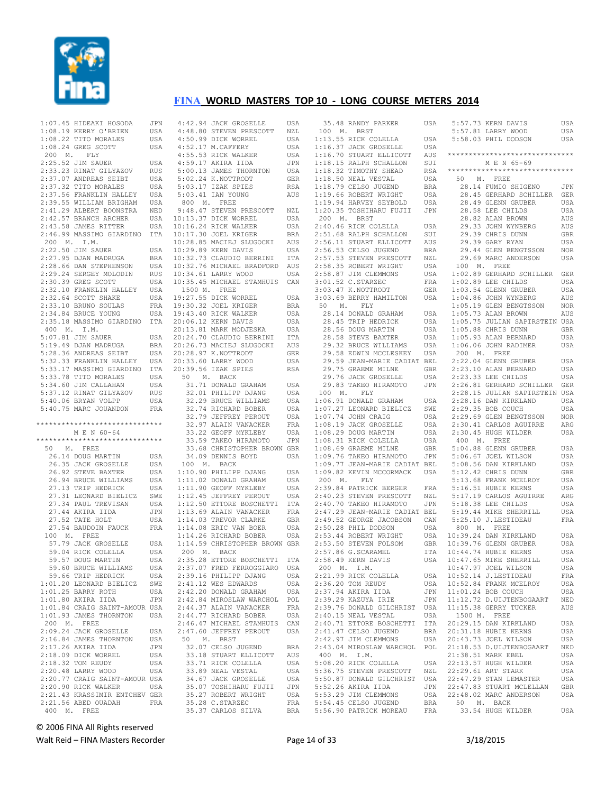

 1:07.45 HIDEAKI HOSODA JPN 1:08.19 KERRY O'BRIEN USA 1:08.22 TITO MORALES USA 1:08.24 GREG SCOTT USA 200 M. FLY 2:25.52 JIM SAUER USA 2:33.23 RINAT GILYAZOV RUS 2:37.07 ANDREAS SEIBT USA  $2:37.32$  TITO MORALES 2:37.56 FRANKLIN HALLEY USA 2:39.55 WILLIAM BRIGHAM USA 2:41.29 ALBERT BOONSTRA NED 2:42.57 BRANCH ARCHER USA 2:43.58 JAMES RITTER USA 200 M. I.M. 2:22.50 JIM SAUER USA  $2:27.95$  DJAN MADRUGA  $2:28.66$  DAN STEPHENSON 2:29.24 SERGEY MOLODIN RUS  $2 \cdot 30$ .39 GREG SCOTT 2:32.10 FRANKLIN HALLEY USA  $2:32.64$  SCOTT SHAKE  $2:33.10$  BRUNO SOULAS 400 M. I.M. 5:07.81 JIM SAUER USA  $5:19.49$  DJAN MADRUGA 5:28.36 ANDREAS SEIBT 5:32.33 FRANKLIN HALLEY USA 5:33.17 MASSIMO GIARDINO ITA 5:33.78 TITO MORALES USA 5:34.60 JIM CALLAHAN USA 5:37.12 RINAT GILYAZOV RUS 5:40.06 BRYAN VOLPP USA 5:40.75 MARC JOUANDON FRA \*\*\*\*\*\*\*\*\*\*\*\*\*\*\*\*\*\*\*\*\*\*\*\*\*\*\*\*\*\* M E N 60-64 \*\*\*\*\*\*\*\*\*\*\*\*\*\*\*\*\*\*\*\*\*\*\*\*\*\*\*\*\*\* 50 M. FREE 26.14 DOUG MARTIN USA 26.35 JACK GROSELLE USA 26.92 STEVE BAXTER 26.94 BRUCE WILLIAMS USA<br>27.13 TRIP HEDRICK USA 27.13 TRIP HEDRICK 27.31 LEONARD BIELICZ SWE 27.34 PAUL TREVISAN USA 27.44 AKIRA IIDA JPN 27.52 TATE HOLT USA 27.54 BAUDOIN FAUCK FRA 100 M. FREE 57.79 JACK GROSELLE 59.04 RICK COLELLA USA<br>59.57 DOUG MARTIN USA 59.57 DOUG MARTIN 59.60 BRUCE WILLIAMS USA 59.66 TRIP HEDRICK USA 1:01.20 LEONARD BIELICZ SWE 1:01.25 BARRY ROTH USA<br>1:01.80 AKIRA IIDA ...  $1:01.80$  AKIRA IIDA 1:01.84 CRAIG SAINT-AMOUR USA 1:01.93 JAMES THORNTON USA 200 M. FREE 2:09.24 JACK GROSELLE USA 2:16.84 JAMES THORNTON USA 2:17.26 AKIRA IIDA JPN<br>2:18 09 DICK WORREL USA 2:18.09 DICK WORREL USA<br>2:18.32 TOM REUDY USA 2:18.32 TOM REUDY USA 2:20.48 LARRY WOOD USA 2:20.77 CRAIG SAINT-AMOUR USA 2:20.90 RICK WALKER USA 2:21.43 KRASSIMIR ENTCHEV GER 2:21.56 ABED OUADAH FRA 400 M. FREE

 2:46.99 MASSIMO GIARDINO ITA 10:17.30 JOEL KRIGER BRA 2:34.84 BRUCE YOUNG USA 2:35.18 MASSIMO GIARDINO ITA 19:43.40 RICK WALKER USA 20:06.12 KERN DAVIS USA 4:42.94 JACK GROSELLE USA 4:48.80 STEVEN PRESCOTT NZL 4:50.99 DICK WORREL USA 4:52.17 M.CAFFERY USA 4:55.53 RICK WALKER USA 4:59.17 AKIRA IIDA JPN 5:00.13 JAMES THORNTON USA 5:02.24 K.NOTTRODT GER 5:03.17 IZAK SPIES RSA 5:03.41 IAN YOUNG AUS 800 M. FREE 9:48.47 STEVEN PRESCOTT NZL 10:13.37 DICK WORREL USA 10:16.24 RICK WALKER USA 10:28.85 MACIEJ SLUGOCKI AUS USA 10:29.89 KERN DAVIS USA BRA 10:32.73 CLAUDIO BERRINI ITA 10:32.76 MICHAEL BRADFORD AUS 10:34.61 LARRY WOOD USA USA 10:35.45 MICHAEL STAMHUIS CAN 1500 M. FREE USA 19:27.55 DICK WORREL USA 19:30.32 JOEL KRIGER BRA 20:13.81 MARK MODJESKA USA 20:24.70 CLAUDIO BERRINI ITA 20:26.73 MACIEJ SLUGOCKI AUS 20:28.97 K.NOTTRODT GER 20:33.60 LARRY WOOD USA 20:39.56 IZAK SPIES RSA 50 M. BACK 31.71 DONALD GRAHAM USA 32.01 PHILIPP DJANG USA 32.29 BRUCE WILLIAMS USA 32.74 RICHARD BOBER USA 32.79 JEFFREY PEROUT USA 32.97 ALAIN VANACKER FRA 33.22 GEOFF MYKLEBY USA 33.59 TAKEO HIRAMOTO JPN 33.68 CHRISTOPHER BROWN GBR 34.09 DENNIS BOYD USA 100 M. BACK USA 1:10.90 PHILIPP DJANG USA 1:11.02 DONALD GRAHAM USA<br>1:11.90 GEOEF MYKLERY USA 1:11.02 DONALD GRAHAM<br>1:11.90 GEOFF MYKLEBY 1:12.45 JEFFREY PEROUT USA 1:12.50 ETTORE BOSCHETTI ITA 1:13.69 ALAIN VANACKER FRA 1:14.03 TREVOR CLARKE GBR 1:14.08 ERIC VAN BOER USA 1:14.26 RICHARD BOBER USA USA 1:14.59 CHRISTOPHER BROWN GBR 200 M. BACK 2:35.28 ETTORE BOSCHETTI ITA 2:37.07 FRED FERROGGIARO USA 2:39.16 PHILIPP DJANG USA 2:41.12 WES EDWARDS USA 2:42.20 DONALD GRAHAM USA 2:42.84 MIROSLAW WARCHOL POL 2:44.37 ALAIN VANACKER FRA 2:44.77 RICHARD BOBER USA 2:46.47 MICHAEL STAMHUIS CAN 2:47.60 JEFFREY PEROUT USA 50 M. BRST 32.07 CELSO JUGEND BRA 33.18 STUART ELLICOTT AUS 33.71 RICK COLELLA USA 33.89 NEAL VESTAL USA 34.67 JACK GROSELLE USA 35.07 TOSHIHARU FUJII JPN 35.27 ROBERT WRIGHT USA 35.28 C.STARZEC FRA 35.37 CARLOS SILVA BRA

|             | 35.48 RANDY PARKER<br>100 M. BRST                                                                                                                                                                                           | USA          |
|-------------|-----------------------------------------------------------------------------------------------------------------------------------------------------------------------------------------------------------------------------|--------------|
|             | 10 M. BASICK COLELLA<br>1:13.55 RICK COLELLA<br>1:16.37 JACK GROSELLE<br>1:16.70 STUART ELLICOTT<br>1:18.32 THOTHY SHEAD<br>1:18.32 THOTHY SHEAD<br>1:18.56 ROBERT WRIGHT<br>1:19.66 ROBERT WRIGHT<br>1:19.66 ROBERT WRIGHT | USA          |
|             |                                                                                                                                                                                                                             | USA          |
|             |                                                                                                                                                                                                                             |              |
|             |                                                                                                                                                                                                                             | AUS          |
|             |                                                                                                                                                                                                                             | SUI          |
|             |                                                                                                                                                                                                                             | RSA          |
|             |                                                                                                                                                                                                                             | USA          |
|             |                                                                                                                                                                                                                             | <b>BRA</b>   |
|             |                                                                                                                                                                                                                             | USA          |
|             | 1:19.94 HARVEY SEYBOLD                                                                                                                                                                                                      | USA          |
|             | 1:20.35 TOSHIHARU FUJII JPN                                                                                                                                                                                                 |              |
| 200 M. BRST |                                                                                                                                                                                                                             |              |
|             |                                                                                                                                                                                                                             | USA          |
|             |                                                                                                                                                                                                                             | SUI          |
|             |                                                                                                                                                                                                                             | AUS          |
|             | 200 M. DRO.<br>2:51.68 RALPH SCHALLON<br>2:51.68 RALPH SCHALLON<br>2:56.11 STUART ELLICOTT<br>2:56.53 CELSO JUGEND                                                                                                          | <b>BRA</b>   |
|             |                                                                                                                                                                                                                             |              |
|             |                                                                                                                                                                                                                             |              |
|             |                                                                                                                                                                                                                             |              |
|             | 2.00.00 DEMD DERA<br>2.58.35 STEVEN PRESCOTT NZL<br>2.58.35 ROBERT WRIGHT USA<br>2.58.35 ROBERT WRIGHT USA<br>3.01.52 C.STARZEC FRA<br>3.03.47 K.NOTTRODT GER                                                               |              |
|             |                                                                                                                                                                                                                             |              |
|             | 3:03.69 BERRY HAMILTON                                                                                                                                                                                                      |              |
|             |                                                                                                                                                                                                                             | USA          |
|             | 50 M. FLY<br>28.14 DONALD GRAHAM                                                                                                                                                                                            |              |
|             |                                                                                                                                                                                                                             | USA          |
|             |                                                                                                                                                                                                                             | USA          |
|             |                                                                                                                                                                                                                             | USA          |
|             |                                                                                                                                                                                                                             | USA          |
|             | 28.45 TRIP HEDRICK<br>28.56 DOUG MARTIN<br>28.58 STEVE BAXTER<br>29.32 BRUCE WILLIAMS                                                                                                                                       | USA          |
|             | 29.58 EDWIN MCCLESKEY USA<br>29.59 JEAN-MARIE CADIAT BEL                                                                                                                                                                    |              |
|             |                                                                                                                                                                                                                             |              |
|             | 29.33 UPIN<br>29.75 GRAEME MILNE                                                                                                                                                                                            | GBR          |
|             | 29.76 JACK GROSELLE                                                                                                                                                                                                         | USA          |
|             | 29.83 TAKEO HIRAMOTO JPN                                                                                                                                                                                                    |              |
|             | 100 M. FLY                                                                                                                                                                                                                  |              |
|             |                                                                                                                                                                                                                             | USA          |
|             |                                                                                                                                                                                                                             | SWE          |
|             | 1:06.91 DONALD GRAHAM<br>1:07.27 LEONARD BIELICZ<br>1:07.74 JOHN CRAIG                                                                                                                                                      | USA          |
|             |                                                                                                                                                                                                                             | USA          |
|             |                                                                                                                                                                                                                             | USA          |
|             | 1:08.19 JACK GROSELLE<br>1:08.29 DOUG MARTIN<br>1:08.31 RICK COLELLA<br>1:08.69 GRAEME MILNE                                                                                                                                | USA          |
|             |                                                                                                                                                                                                                             | GBR          |
|             | 1:08.69 GRAEME MILNE GBR<br>1:09.76 TAKEO HIRAMOTO JPN<br>1:09.77 JEAN-MARIE CADIAT BEL                                                                                                                                     |              |
|             |                                                                                                                                                                                                                             |              |
|             |                                                                                                                                                                                                                             |              |
|             | 1:09.82 KEVIN MCCORMACK USA                                                                                                                                                                                                 |              |
|             | 200 M. FLY                                                                                                                                                                                                                  |              |
|             | 2:39.84 PATRICK BERGER                                                                                                                                                                                                      | FRA          |
|             | 2:40.23 STEVEN PRESCOTT NZL<br>2:40.70 TAKEO HIRAMOTO JPN                                                                                                                                                                   | $_{\rm NZL}$ |
|             |                                                                                                                                                                                                                             |              |
|             |                                                                                                                                                                                                                             |              |
|             | --<br>2:47.29 JEAN-MARIE CAPIAL L__<br>2:49.52 GEORGE JACOBSON CAN                                                                                                                                                          |              |
|             |                                                                                                                                                                                                                             |              |
|             |                                                                                                                                                                                                                             | USA<br>GBR   |
|             |                                                                                                                                                                                                                             |              |
|             | 2:47.2.<br>2:49.52 GEORGE JAV<br>2:53.48 RIL DODSON<br>2:53.44 ROBERT WRIGHT<br>2:53.50 STEVEN FOLSOM<br>2:53.50 STEVEN FOLSOM                                                                                              | <b>ITA</b>   |
|             | 2:58.49 KERN DAVIS                                                                                                                                                                                                          | USA          |
|             | 200 M. I.M.                                                                                                                                                                                                                 |              |
|             | 2:21.99 RICK COLELLA                                                                                                                                                                                                        | USA          |
|             | 2:36.20 TOM REUDY                                                                                                                                                                                                           | USA          |
|             | 2:37.94 AKIRA IIDA                                                                                                                                                                                                          | JPN          |
|             | 2:39.29 KAZUYA IRIE                                                                                                                                                                                                         | JPN          |
|             |                                                                                                                                                                                                                             | USA          |
|             | 2:39.76 DONALD GILCHRIST<br>2:40.15 NEAL VESTAL                                                                                                                                                                             | USA          |
|             | 2:40.71 ETTORE BOSCHETTI                                                                                                                                                                                                    | ITA          |
|             | 2:41.47 CELSO JUGEND                                                                                                                                                                                                        | <b>BRA</b>   |
|             | 2:42.97 JIM CLEMMONS                                                                                                                                                                                                        | USA          |
|             |                                                                                                                                                                                                                             | POL          |
|             | 2:43.04 MIROSLAW WARCHOL                                                                                                                                                                                                    |              |
| 400 M. I.M. |                                                                                                                                                                                                                             |              |
|             | 5:08.20 RICK COLELLA                                                                                                                                                                                                        | USA          |
|             | 5:36.75 STEVEN PRESCOTT                                                                                                                                                                                                     | NZL          |
|             | 5:50.87 DONALD GILCHRIST<br>5:52.26 AKIRA IIDA                                                                                                                                                                              | USA          |
|             |                                                                                                                                                                                                                             |              |
|             |                                                                                                                                                                                                                             | JPN          |
|             | 5:53.29 JIM CLEMMONS                                                                                                                                                                                                        | USA          |
|             | 5:54.45 CELSO JUGEND<br>5:56.90 PATRICK MOREAU                                                                                                                                                                              | BRA<br>FRA   |

| Α  |              | 5:57.73 KERN DAVIS                                | USA |
|----|--------------|---------------------------------------------------|-----|
|    |              | 5:57.81 LARRY WOOD                                | USA |
| Α  |              | 5:58.03 PHIL DODSON                               | USA |
| Α  |              |                                                   |     |
| S  |              | ******************************                    |     |
| I  |              |                                                   |     |
|    |              | M E N 65-69<br>******************************     |     |
| Α  |              |                                                   |     |
| Α  | 50 M. FREE   |                                                   |     |
| Α  |              | 28.14 FUMIO SHIGENO                               | JPN |
| Α  |              | 28.45 GERHARD SCHILLER                            | GER |
| Α  |              | 28.49 GLENN GRUBER<br>28.58 LEE CHILDS            | USA |
| Ν  |              | 28.58 LEE CHILDS                                  | USA |
|    |              | 28.82 ALAN BROWN                                  | AUS |
| Α  |              | 29.33 JOHN WYNBERG                                | AUS |
| I  |              | 29.39 CHRIS DUNN                                  | GBR |
|    |              | 29.39 GARY RYAN                                   | USA |
| S  |              |                                                   |     |
| Α  |              | 29.44 GLEN BENGTSSON                              | NOR |
| L  |              | 29.69 MARC ANDERSON                               | USA |
| A  | 100 M. FREE  |                                                   |     |
| Α  |              | 1:02.89 GERHARD SCHILLER                          | GER |
| Α  |              | 1:02.89 LEE CHILDS                                | USA |
| R  |              | 1:03.54 GLENN GRUBER<br>1:04.86 JOHN WYNBERG      | USA |
| Α  |              |                                                   | AUS |
|    |              | 1:04.86 JOIN MARKETSSON<br>1:05.19 GLEN BENGTSSON | NOR |
|    |              |                                                   |     |
| Α  |              | $1:05.73$ ALAN BROWN                              | AUS |
| Α  |              | 1:05.75 JULIAN SAPIRSTEIN USA                     |     |
| Α  |              | 1:05.88 CHRIS DUNN                                | GBR |
| Α  |              | $1:05.93$ ALAN BERNARD                            | USA |
| Α  |              | 1:06.06 JOHN RADIMER                              | USA |
| Α  | 200 M. FREE  |                                                   |     |
| L  |              | 2:22.04 GLENN GRUBER                              | USA |
| R  |              | 2:23.10 ALAN BERNARD                              | USA |
|    |              |                                                   | USA |
| Α  |              | 2:23.33 LEE CHILDS                                |     |
| N  |              | 2:26.81 GERHARD SCHILLER GER                      |     |
|    |              | 2:28.15 JULIAN SAPIRSTEIN USA                     |     |
| Α  |              | $2:28.16$ DAN KIRKLAND                            | USA |
| E. |              | 2:29.35 BOB COUCH                                 | USA |
| Α  |              | 2:29.69 GLEN BENGTSSON                            | NOR |
| Α  |              | 2:30.41 CARLOS AGUIRRE                            | ARG |
| Α  |              | 2:30.45 HUGH WILDER                               | USA |
| Α  | 400 M.       | FREE                                              |     |
| R  |              | 5:04.88 GLENN GRUBER                              | USA |
|    |              |                                                   |     |
| Ν  |              | 5:06.67 JOEL WILSON                               | USA |
| L  |              | $5:08.56$ DAN KIRKLAND                            | USA |
| Α  |              | 5:12.42 CHRIS DUNN                                | GBR |
|    |              | 5:13.68 FRANK MCELROY<br>5:16.51 HUBIE KERNS      | USA |
| Α  |              | 5:16.51 HUBIE KERNS                               | USA |
| L  |              | 5:17.19 CARLOS AGUIRRE                            | ARG |
| Ν  |              | 5:18.38 LEE CHILDS                                | USA |
| L  |              | 5:19.44 MIKE SHERRILL                             | USA |
|    |              |                                                   |     |
| Ν  |              | 5:25.10 J.LESTIDEAU                               | FRA |
| Α  | 800 M. FREE  |                                                   |     |
| Α  |              | 10:39.24 DAN KIRKLAND                             | USA |
| R  |              | 10:39.76 GLENN GRUBER                             | USA |
| Α  |              | 10:44.74 HUBIE KERNS                              | USA |
| Α  |              | 10:47.65 MIKE SHERRILL                            | USA |
|    |              | 10:47.97 JOEL WILSON                              | USA |
| Α  |              | 10:52.14 J.LESTIDEAU                              | FRA |
| Α  |              | 10:52.84 FRANK MCELROY                            | USA |
|    |              |                                                   |     |
| Ν  |              | 11:01.24 BOB COUCH                                | USA |
| N  |              | 11:12.72 D.UIJTENBOGAART                          | NED |
| Α  |              | 11:15.38 GERRY TUCKER                             | AUS |
| Α  | 1500 M. FREE |                                                   |     |
| Α  |              | 20:29.15 DAN KIRKLAND                             | USA |
| Α  |              | 20:31.18 HUBIE KERNS                              | USA |
| Α  |              | 20:43.73 JOEL WILSON                              | USA |
| L  |              | 21:18.53 D.UIJTENBOGAART                          | NED |
|    |              |                                                   |     |
|    |              | 21:38.51 MARK EBEL                                | USA |
| Α  |              | 22:13.57 HUGH WILDER                              | USA |
| L  |              | 22:29.61 ART STARK                                | USA |
| Α  |              | 22:47.29 STAN LEMASTER                            | USA |
| Ν  |              | 22:47.83 STUART MCLELLAN                          | GBR |
| Α  |              | 22:48.02 MARC ANDERSON                            | USA |
| Α  | 50 M. BACK   |                                                   |     |
| Α  |              | 33.54 HUGH WILDER                                 | USA |
|    |              |                                                   |     |
|    |              |                                                   |     |

© 2006 FINA All Rights reserved

Walt Reid – FINA Masters Recorder and the Seconder Page 14 of 33 3/18/2015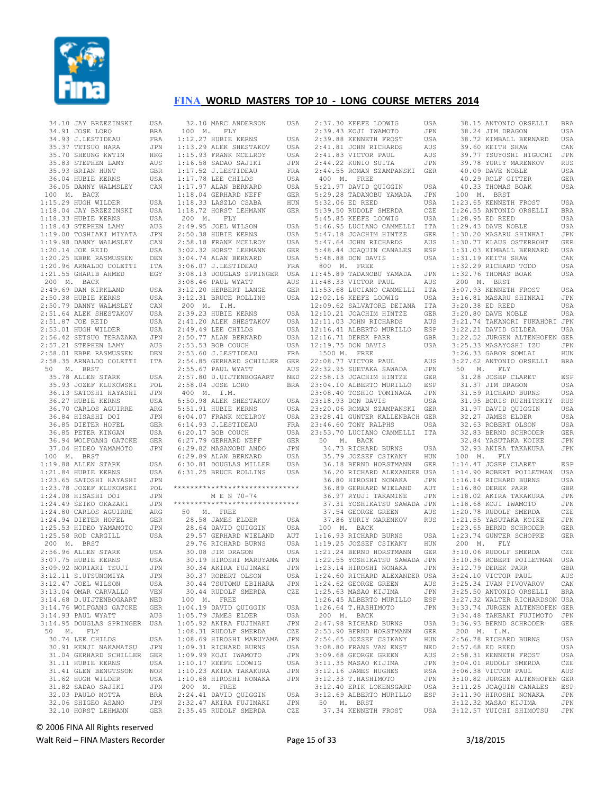

| 34.10 JAY BRZEZINSKI                                                                                                                                                                                                                                          | USA               |
|---------------------------------------------------------------------------------------------------------------------------------------------------------------------------------------------------------------------------------------------------------------|-------------------|
| 34.91 JOSE LORO<br>34.93 J.LESTIDEAU<br>34.93 J.LESTIDEAU<br>35.37 TETSUO HARA<br>35.70 SHEUNG KWTIN<br>35.83 STRPHEN LAMY<br>36.93 BRIAN HUNT<br>36.04 HUBIE KERNS                                                                                           | <b>BRA</b>        |
|                                                                                                                                                                                                                                                               | FRA               |
|                                                                                                                                                                                                                                                               | JPN               |
|                                                                                                                                                                                                                                                               |                   |
|                                                                                                                                                                                                                                                               | HKG               |
|                                                                                                                                                                                                                                                               | AUS               |
|                                                                                                                                                                                                                                                               | GBR               |
| 36.04 HUBIE KERNS                                                                                                                                                                                                                                             | USA               |
| 36.05 DANNY WALMSLEY                                                                                                                                                                                                                                          | CAN               |
| 100 M. BACK                                                                                                                                                                                                                                                   |                   |
| 100 M. BACK<br>1:15.29 HUGH WILDER<br>1:16.04 JAY BRZEZINSKI<br>1:16.04 JAY BRZEZINSKI<br>1:16.33 HUBIE KERNS<br>1:19.00 TOSHIAKI MIYATA<br>1:19.98 DANNY WALMSLEY<br>1:20.25 EBBE RASMUSSEN<br>1:20.96 ARNALDO COLETTI<br>1:21.55 GRARIB AHMED               | USA               |
|                                                                                                                                                                                                                                                               | USA               |
|                                                                                                                                                                                                                                                               |                   |
|                                                                                                                                                                                                                                                               | USA               |
|                                                                                                                                                                                                                                                               | AUS               |
|                                                                                                                                                                                                                                                               | JPN               |
|                                                                                                                                                                                                                                                               | CAN               |
|                                                                                                                                                                                                                                                               | USA               |
|                                                                                                                                                                                                                                                               | DEN               |
|                                                                                                                                                                                                                                                               | ITA               |
|                                                                                                                                                                                                                                                               |                   |
| 1:21.55 GHARIB AHMED                                                                                                                                                                                                                                          | EGY               |
| 200 M. BACK<br>200 M. BACK ACHERIAND USA<br>2:49.69 DAN KIRKLAND USA<br>2:50.38 HUBIE KERNS USA<br>2:50.79 DANNY WALMSLEY CAN<br>2:51.64 ALEK SHESTAKOV USA<br>2:51.87 JOE REID USA<br>2:53.01 HUGH WILDER USA<br>2:56.42 SETSUO TERAZAWA JPN<br>2:57.21 STEP |                   |
|                                                                                                                                                                                                                                                               |                   |
|                                                                                                                                                                                                                                                               |                   |
|                                                                                                                                                                                                                                                               |                   |
|                                                                                                                                                                                                                                                               |                   |
|                                                                                                                                                                                                                                                               |                   |
|                                                                                                                                                                                                                                                               |                   |
|                                                                                                                                                                                                                                                               |                   |
|                                                                                                                                                                                                                                                               |                   |
|                                                                                                                                                                                                                                                               |                   |
|                                                                                                                                                                                                                                                               |                   |
| 2:58.35 ARNALDO COLETTI ITA                                                                                                                                                                                                                                   |                   |
| 50 M. BRST                                                                                                                                                                                                                                                    |                   |
| 35.78 ALLEN STARK                                                                                                                                                                                                                                             | USA               |
|                                                                                                                                                                                                                                                               |                   |
| 35.93 JOZEF KLUKOWSKI<br>36.13 SATOSHI HAYASHI                                                                                                                                                                                                                | POL<br>JPN        |
|                                                                                                                                                                                                                                                               |                   |
|                                                                                                                                                                                                                                                               |                   |
|                                                                                                                                                                                                                                                               | ${\sf ARG}$       |
|                                                                                                                                                                                                                                                               |                   |
| 36.27 HUBIE KERNS<br>36.27 HUBIE KERNS<br>36.30 CARLOS AGUIRRE<br>36.84 HISASHI DOI JPN<br>36.85 DIETER HOFEL GER<br>36.85 PETER KINGAN USA<br>36.94 WOLFGANG GATCKE GER<br>36.94 WOLFGANG GATCKE GER                                                         |                   |
|                                                                                                                                                                                                                                                               | USA               |
|                                                                                                                                                                                                                                                               |                   |
| 37.04 HIDEO YAMAMOTO                                                                                                                                                                                                                                          |                   |
|                                                                                                                                                                                                                                                               | JPN               |
| 100 M. BRST                                                                                                                                                                                                                                                   |                   |
| 1:19.88 ALLEN STARK<br>1:21.84 HUBIE KERNS                                                                                                                                                                                                                    | USA               |
|                                                                                                                                                                                                                                                               | USA               |
| 1:21.66 BOBLE RENNS<br>1:23.65 SATOSHI HAYASHI JPN<br>1:23.78 JOZEF KLUKOWSKI POL<br>1:24.08 HISASHI DOI JPN<br>1:24.49 SEIKO OKAZAKI JPN<br>1:24.80 CARLOS AGUIRRE ARG<br>1:24.94 DIETER HOFEL GER<br>1:24.94 DIETER HOFEL GER                               | JPN               |
|                                                                                                                                                                                                                                                               |                   |
|                                                                                                                                                                                                                                                               |                   |
|                                                                                                                                                                                                                                                               |                   |
|                                                                                                                                                                                                                                                               |                   |
|                                                                                                                                                                                                                                                               |                   |
|                                                                                                                                                                                                                                                               |                   |
| 1:25.53 HIDEO YAMAMOTO<br>1:25.58 ROD CARGILL                                                                                                                                                                                                                 | JPN               |
|                                                                                                                                                                                                                                                               | USA               |
| 200 M. BRST                                                                                                                                                                                                                                                   |                   |
|                                                                                                                                                                                                                                                               | USA               |
| 2:56.96 ALLEN STARK<br>3:07.75 HUBIE KERNS<br>3:09.92 NOPTAKI TSUJI                                                                                                                                                                                           | USA               |
| 3:09.92 NORIAKI TSUJI                                                                                                                                                                                                                                         | JPN               |
|                                                                                                                                                                                                                                                               |                   |
| 3:12.11 S.UTSUNOMIYA<br>3:12.47 JOEL WILSON                                                                                                                                                                                                                   | JPN               |
|                                                                                                                                                                                                                                                               | USA               |
| 3:13.04 OMAR CARVALLO                                                                                                                                                                                                                                         | VEN               |
| 3:14.68 D.UIJTENBOGAART                                                                                                                                                                                                                                       | NED               |
| 3:14.76 WOLFGANG GATCKE                                                                                                                                                                                                                                       | GER               |
| 3:14.93 PAUL WYATT                                                                                                                                                                                                                                            | AUS               |
| 3:14.95 DOUGLAS SPRINGER                                                                                                                                                                                                                                      | USA               |
| 50 —<br>FLY                                                                                                                                                                                                                                                   |                   |
| Μ.                                                                                                                                                                                                                                                            |                   |
|                                                                                                                                                                                                                                                               |                   |
| 30.74 LEE CHILDS                                                                                                                                                                                                                                              | USA               |
| 30.91 KENJI NAKAMATSU                                                                                                                                                                                                                                         | JPN               |
| 31.04 GERHARD SCHILLER                                                                                                                                                                                                                                        | GER               |
| 31.11 HUBIE KERNS                                                                                                                                                                                                                                             | USA               |
|                                                                                                                                                                                                                                                               |                   |
| 31.41 GLEN BENGTSSON                                                                                                                                                                                                                                          | <b>NOR</b>        |
|                                                                                                                                                                                                                                                               | USA               |
| 31.62 HUGH WILDER<br>31.82 SADAO SAJIKI                                                                                                                                                                                                                       | JPN               |
| 32.03 PAULO MOTTA                                                                                                                                                                                                                                             | <b>BRA</b>        |
| 32.06 SHIGEO ASANO<br>32.10 HORST LEHMANN                                                                                                                                                                                                                     | JPN<br><b>GER</b> |

| 32.10 MARC ANDERSON                                                                                                                                                                                                                                                                                                                                                                                      | USA                      |
|----------------------------------------------------------------------------------------------------------------------------------------------------------------------------------------------------------------------------------------------------------------------------------------------------------------------------------------------------------------------------------------------------------|--------------------------|
|                                                                                                                                                                                                                                                                                                                                                                                                          |                          |
| 100 M. FLY                                                                                                                                                                                                                                                                                                                                                                                               |                          |
| $1:12.27$ HUBIE KERNS                                                                                                                                                                                                                                                                                                                                                                                    | USA                      |
|                                                                                                                                                                                                                                                                                                                                                                                                          |                          |
|                                                                                                                                                                                                                                                                                                                                                                                                          | USA                      |
|                                                                                                                                                                                                                                                                                                                                                                                                          |                          |
|                                                                                                                                                                                                                                                                                                                                                                                                          | USA<br>USA<br>JPN        |
|                                                                                                                                                                                                                                                                                                                                                                                                          |                          |
|                                                                                                                                                                                                                                                                                                                                                                                                          | FRA                      |
|                                                                                                                                                                                                                                                                                                                                                                                                          | USA                      |
|                                                                                                                                                                                                                                                                                                                                                                                                          |                          |
|                                                                                                                                                                                                                                                                                                                                                                                                          |                          |
|                                                                                                                                                                                                                                                                                                                                                                                                          |                          |
|                                                                                                                                                                                                                                                                                                                                                                                                          |                          |
| 1:12.27 HUBIE KERNS<br>1:13.29 ALEK SHESTAKOV<br>1:16.58 SRANK MCELROY<br>1:16.58 SADAO SAJIKI<br>1:17.52 J.LESTIDEAU<br>1:17.78 LEE CHILDS<br>1:17.97 ALAN BERNARD<br>1:18.04 GERHARD NEFF<br>1:18.04 GERHARD NEFF<br>1:18.33 LASZLO CSABA<br>1:18.33 LASZL                                                                                                                                             | USA<br>GER<br>HUN<br>GER |
| 1:18.72 HORST LEHMANN                                                                                                                                                                                                                                                                                                                                                                                    |                          |
| 200 M. FLY                                                                                                                                                                                                                                                                                                                                                                                               |                          |
|                                                                                                                                                                                                                                                                                                                                                                                                          |                          |
|                                                                                                                                                                                                                                                                                                                                                                                                          |                          |
|                                                                                                                                                                                                                                                                                                                                                                                                          |                          |
|                                                                                                                                                                                                                                                                                                                                                                                                          |                          |
|                                                                                                                                                                                                                                                                                                                                                                                                          |                          |
|                                                                                                                                                                                                                                                                                                                                                                                                          |                          |
|                                                                                                                                                                                                                                                                                                                                                                                                          |                          |
|                                                                                                                                                                                                                                                                                                                                                                                                          |                          |
|                                                                                                                                                                                                                                                                                                                                                                                                          |                          |
|                                                                                                                                                                                                                                                                                                                                                                                                          |                          |
| $\begin{tabular}{llllllllll} 200 & \text{M.} & \text{F-LY} \\ 2.49.95 & \text{JOEL WILSON} & \text{USA} \\ 2.50.38 & \text{HUELE KERNS} & \text{USA} \\ 2.58.18 & \text{FRANK MCELROY} & \text{USA} \\ 3.02.32 & \text{HORST LEHMANN} & \text{GER} \\ 3.04.74 & \text{ALAN BERNARD} & \text{USA} \\ 3.06.07 & \text{J.LESTIDEAU} & \text{FRA} \\ 3.06.13 & \text{DOOLLAS SPRINGER} & \text{USA} \\ 3.08$ |                          |
|                                                                                                                                                                                                                                                                                                                                                                                                          |                          |
|                                                                                                                                                                                                                                                                                                                                                                                                          |                          |
|                                                                                                                                                                                                                                                                                                                                                                                                          |                          |
| 3:08.46 PAUL WYATT AUS<br>3:12.20 HERBERT LANGE GER<br>3:12.31 BRUCE ROLLINS USA                                                                                                                                                                                                                                                                                                                         |                          |
| 200 M. I.M.                                                                                                                                                                                                                                                                                                                                                                                              |                          |
| 2:39.23 HUBIE KERNS                                                                                                                                                                                                                                                                                                                                                                                      | USA                      |
|                                                                                                                                                                                                                                                                                                                                                                                                          |                          |
| 2:41.20 ALEK SHESTAKOV                                                                                                                                                                                                                                                                                                                                                                                   | USA                      |
| 2:49.49 LEE CHILDS                                                                                                                                                                                                                                                                                                                                                                                       | USA                      |
|                                                                                                                                                                                                                                                                                                                                                                                                          |                          |
|                                                                                                                                                                                                                                                                                                                                                                                                          | USA                      |
|                                                                                                                                                                                                                                                                                                                                                                                                          | USA                      |
| 2:50.77 ALAN BERNARD<br>2:53.53 BOB COUCH<br>2:53.60 J.LESTIDEAU                                                                                                                                                                                                                                                                                                                                         |                          |
|                                                                                                                                                                                                                                                                                                                                                                                                          | FRA                      |
|                                                                                                                                                                                                                                                                                                                                                                                                          |                          |
|                                                                                                                                                                                                                                                                                                                                                                                                          |                          |
|                                                                                                                                                                                                                                                                                                                                                                                                          |                          |
| 2:54.85 GERHARD SCHILLER GER<br>2:55.67 PAUL WYATT AUS<br>2:57.80 D.UIJTENBOGAART NED                                                                                                                                                                                                                                                                                                                    |                          |
| 2:58.04 JOSE LORO                                                                                                                                                                                                                                                                                                                                                                                        | <b>BRA</b>               |
|                                                                                                                                                                                                                                                                                                                                                                                                          |                          |
| 400 M. I.M.                                                                                                                                                                                                                                                                                                                                                                                              |                          |
| 5:50.98 ALEK SHESTAKOV USA<br>5:51.91 HUBIE KERNS USA                                                                                                                                                                                                                                                                                                                                                    |                          |
|                                                                                                                                                                                                                                                                                                                                                                                                          |                          |
|                                                                                                                                                                                                                                                                                                                                                                                                          | USA                      |
|                                                                                                                                                                                                                                                                                                                                                                                                          |                          |
|                                                                                                                                                                                                                                                                                                                                                                                                          |                          |
|                                                                                                                                                                                                                                                                                                                                                                                                          | USA                      |
|                                                                                                                                                                                                                                                                                                                                                                                                          | FRA                      |
|                                                                                                                                                                                                                                                                                                                                                                                                          | USA                      |
|                                                                                                                                                                                                                                                                                                                                                                                                          |                          |
|                                                                                                                                                                                                                                                                                                                                                                                                          |                          |
|                                                                                                                                                                                                                                                                                                                                                                                                          |                          |
|                                                                                                                                                                                                                                                                                                                                                                                                          | GER<br>JPN               |
|                                                                                                                                                                                                                                                                                                                                                                                                          | USA                      |
|                                                                                                                                                                                                                                                                                                                                                                                                          | USA                      |
|                                                                                                                                                                                                                                                                                                                                                                                                          | USA                      |
| 5:51.91 HUBIE KERNS<br>5:51.91 HUBIE KERNS<br>6:04.07 FRANK MCELROY<br>6:14.93 J.LESTIDEAU<br>6:20.17 BOB COUCH<br>6:27.79 GERHARD MEFF<br>6:29.82 MASANOBU ANDO<br>6:29.82 MASANOBU ANDO<br>6:30.81 DOUGLAS MILLER<br>6:31.25 BRUCE ROLLINS                                                                                                                                                             |                          |
|                                                                                                                                                                                                                                                                                                                                                                                                          |                          |
| *****************************                                                                                                                                                                                                                                                                                                                                                                            |                          |
| M E N 70-74                                                                                                                                                                                                                                                                                                                                                                                              |                          |
|                                                                                                                                                                                                                                                                                                                                                                                                          |                          |
| ******************************                                                                                                                                                                                                                                                                                                                                                                           |                          |
| 50 M. FREE                                                                                                                                                                                                                                                                                                                                                                                               |                          |
|                                                                                                                                                                                                                                                                                                                                                                                                          |                          |
|                                                                                                                                                                                                                                                                                                                                                                                                          |                          |
| 28.58 JAMES ELDER<br>28.64 DAVID QUIGGIN                                                                                                                                                                                                                                                                                                                                                                 | USA<br>USA               |
|                                                                                                                                                                                                                                                                                                                                                                                                          |                          |
|                                                                                                                                                                                                                                                                                                                                                                                                          |                          |
|                                                                                                                                                                                                                                                                                                                                                                                                          | AUT<br>USA               |
| 29.57 GERHARD WIELAND<br>29.76 RICHARD BURNS<br>30.08 JIM DRAGON                                                                                                                                                                                                                                                                                                                                         |                          |
|                                                                                                                                                                                                                                                                                                                                                                                                          |                          |
| 30.08 JIM DRAGON USA<br>30.19 HIROSHI MARUYAMA JPN                                                                                                                                                                                                                                                                                                                                                       |                          |
|                                                                                                                                                                                                                                                                                                                                                                                                          | JPN                      |
| 30.34 AKIRA FUJIMAKI<br>30.37 ROBERT OLSON                                                                                                                                                                                                                                                                                                                                                               | USA                      |
|                                                                                                                                                                                                                                                                                                                                                                                                          |                          |
|                                                                                                                                                                                                                                                                                                                                                                                                          | JPN                      |
| 30.44 TSUTOMU EBIHARA<br>30.44 RUDOLF SMERDA                                                                                                                                                                                                                                                                                                                                                             | CZE                      |
| FREE                                                                                                                                                                                                                                                                                                                                                                                                     |                          |
| 100 M.                                                                                                                                                                                                                                                                                                                                                                                                   |                          |
| $1:04.19$ DAVID QUIGGIN                                                                                                                                                                                                                                                                                                                                                                                  | USA                      |
| $1:05.79$ JAMES ELDER                                                                                                                                                                                                                                                                                                                                                                                    | USA                      |
|                                                                                                                                                                                                                                                                                                                                                                                                          |                          |
| 1:05.92 AKIRA FUJIMAKI                                                                                                                                                                                                                                                                                                                                                                                   | JPN                      |
|                                                                                                                                                                                                                                                                                                                                                                                                          | CZE                      |
|                                                                                                                                                                                                                                                                                                                                                                                                          | JPN                      |
| 1:08.31 RUDOLF SMERDA<br>1:08.69 HIROSHI MARUYAMA                                                                                                                                                                                                                                                                                                                                                        |                          |
| 1:09.31 RICHARD BURNS                                                                                                                                                                                                                                                                                                                                                                                    | USA                      |
| 1:09.99 KOJI IWAMOTO                                                                                                                                                                                                                                                                                                                                                                                     | JPN                      |
|                                                                                                                                                                                                                                                                                                                                                                                                          |                          |
|                                                                                                                                                                                                                                                                                                                                                                                                          | USA                      |
|                                                                                                                                                                                                                                                                                                                                                                                                          | JPN                      |
| 1:00:00 NOOT IMMHOTO<br>1:10.17 KEEFE LODWIG<br>1:10.23 AKIRA TAKAKURA                                                                                                                                                                                                                                                                                                                                   |                          |
| 1:10.68 HIROSHI NONAKA                                                                                                                                                                                                                                                                                                                                                                                   | JPN                      |
| 200 M. FREE                                                                                                                                                                                                                                                                                                                                                                                              |                          |
|                                                                                                                                                                                                                                                                                                                                                                                                          | USA                      |
|                                                                                                                                                                                                                                                                                                                                                                                                          |                          |
| 2:24.41 DAVID QUIGGIN<br>2:32.47 AKIRA FUJIMAKI<br>2:35.45 RUDOLF SMERDA                                                                                                                                                                                                                                                                                                                                 | JPN<br>CZE               |

| 2:37.30 KEEFE LODWIG<br>2:39.43 KOJI IWAMOTO<br>2:39.88 KENNETH FROST<br>2:41.81 JOHN RICHARDS         |              |
|--------------------------------------------------------------------------------------------------------|--------------|
|                                                                                                        | USA          |
|                                                                                                        | $_{\rm JPN}$ |
|                                                                                                        |              |
|                                                                                                        | USA          |
|                                                                                                        | AUS          |
|                                                                                                        | AUS          |
| 2:41.01 US<br>2:41.83 VICTOR PAUL<br>---------- SIITTA                                                 |              |
| 2:44.22 KUNIO SUITA                                                                                    | JPN          |
| 2:44.55 ROMAN SZAMPANSKI GER                                                                           |              |
|                                                                                                        |              |
| 400 M. FREE<br>5:21.97 DAVID QUIGGIN                                                                   |              |
|                                                                                                        | USA          |
| 5:29.28 TADANOBU YAMADA                                                                                | JPN          |
| 5:32.06 ED REED                                                                                        | USA          |
| 5:39.50 RUDOLF SMERDA                                                                                  | CZE          |
|                                                                                                        |              |
| 5:45.85 KEEFE LODWIG                                                                                   | USA          |
| 5:46.95 LUCIANO CAMMELLI<br>5:47.18 JOACHIM HINTZE<br>5:47.64 JOHN RICHARDS<br>5:48.44 JOAQUIN CANALES | ITA          |
|                                                                                                        | GER          |
|                                                                                                        | AUS          |
|                                                                                                        |              |
|                                                                                                        | ESP          |
| 5:48.88 DON DAVIS                                                                                      | USA          |
| 800 M. FREE                                                                                            |              |
| 11:45.89 TADANOBU YAMADA                                                                               | JPN          |
|                                                                                                        |              |
| 11:48.33 VICTOR PAUL                                                                                   | AUS          |
|                                                                                                        | ITA          |
| 11:53.68 LUCIANO CAMMELLI<br>12:02.16 KEEFE LODWIG                                                     | USA          |
| 12:09.62 SALVATORE DEIANA                                                                              | ITA          |
|                                                                                                        |              |
| 12:10.21 JOACHIM HINTZE<br>12:11.03 JOHN RICHARDS                                                      | GER          |
|                                                                                                        | AUS          |
| 12:16.41 ALBERTO MURILLO                                                                               | ESP          |
|                                                                                                        | <b>GBR</b>   |
| 12:16.71 DEREK PARR<br>12:19.75 DON DAVIS                                                              |              |
|                                                                                                        | USA          |
| 1500 M. FREE                                                                                           |              |
| 22:08.77 VICTOR PAUL                                                                                   | AUS          |
| 22:32.95 SUETAKA SAWADA                                                                                | JPN          |
|                                                                                                        |              |
| 22:58.13 JOACHIM HINTZE                                                                                | GER          |
| 23:04.10 ALBERTO MURILLO<br>23:08.40 TOSHIO TOMINAGA                                                   | $_{ESP}$     |
|                                                                                                        | JPN          |
|                                                                                                        |              |
| 23:18.93 DON DAVIS USA<br>23:20.06 ROMAN SZAMPANSKI GER                                                |              |
|                                                                                                        |              |
| 23:28.41 GUNTER KALLENBACH GER                                                                         |              |
| 23:46.60 TONY RALPHS                                                                                   | USA          |
|                                                                                                        |              |
|                                                                                                        |              |
| 23:53.70 LUCIANO CAMMELLI                                                                              | ITA          |
|                                                                                                        |              |
| 50 M. BACK<br>34.73 RICHARD BURNS                                                                      | USA          |
| 35.79 JOZSEF CSIKANY                                                                                   | HUN          |
| 36.18 BERND HORSTMANN GER                                                                              |              |
|                                                                                                        |              |
| 36.20 RICHARD ALEXANDER USA                                                                            |              |
| 36.80 HIROSHI NONAKA                                                                                   | JPN          |
|                                                                                                        |              |
|                                                                                                        |              |
| 36.89 GERHARD WIELAND AUT<br>36.97 RYUJI TAKAMINE JPN<br>37.31 YOSHIKATSU SAWADA JPN                   |              |
|                                                                                                        |              |
|                                                                                                        | AUS          |
| 37.54 GEORGE GREEN<br>37.86 YURIY MARENKOV                                                             | <b>RUS</b>   |
| 100 M. BACK                                                                                            |              |
|                                                                                                        | USA          |
|                                                                                                        | HUN          |
| 1:16.93 RICHARD BURNS<br>1:19.25 JOZSEF CSIKANY                                                        |              |
| 1:21.24 BERND HORSTMANN                                                                                | GER          |
| 1:22.55 YOSHIKATSU SAWADA JPN                                                                          |              |
| 1:23.14 HIROSHI NONAKA                                                                                 | JPN          |
|                                                                                                        |              |
| 1:24.60 RICHARD ALEXANDER USA                                                                          |              |
| 1:24.62 GEORGE GREEN                                                                                   | AUS          |
| 1:25.63 MASAO KIJIMA                                                                                   | JPN          |
| 1:26.45 ALBERTO MURILLO                                                                                | ESP          |
| 1:26.64 T.HASHIMOTO                                                                                    | JPN          |
| <b>BACK</b>                                                                                            |              |
| 200 M.                                                                                                 |              |
| 2:47.98<br>RICHARD BURNS                                                                               | USA          |
| 2:53.90 BERND HORSTMANN                                                                                | GER          |
| 2:54.65 JOZSEF CSIKANY                                                                                 | HUN          |
| 3:08.80 FRANS VAN ENST                                                                                 | NED          |
|                                                                                                        |              |
| 3:09.68 GEORGE GREEN                                                                                   | AUS          |
| 3:11.35 MASAO KIJIMA                                                                                   | JPN          |
| 3:12.16 JAMES HUGHES                                                                                   | RSA          |
| 3:12.33 T.HASHIMOTO                                                                                    | JPN          |
| 3:12.40 ERIK LOKENSGARD                                                                                | USA          |

| 38.15 ANTONIO ORSELLI<br>38.24 JIM DRAGON                                            |              |
|--------------------------------------------------------------------------------------|--------------|
|                                                                                      | <b>BRA</b>   |
|                                                                                      | USA          |
|                                                                                      | USA          |
| 38.72 KIMBALL BERNARD                                                                |              |
| 39.60 KEITH SHAW                                                                     | CAN          |
| 39.77 TSUYOSHI HIGUCHI                                                               | JPN          |
|                                                                                      | <b>RUS</b>   |
| 39.78 YURIY MARENKOV<br>40 09 DAVE NOBLE                                             |              |
| 40.09 DAVE NOBLE                                                                     | USA          |
| 40.05 2011<br>40.29 ROLF GITTER                                                      | <b>GER</b>   |
| 40.33 THOMAS BOAK                                                                    | USA          |
|                                                                                      |              |
| 100 M. BRST                                                                          |              |
| 1:00 M. 2NOT<br>1:23.65 KENNETH FROST<br>1:26.55 ANTONIO ORSELLI                     | USA          |
|                                                                                      | BRA          |
|                                                                                      |              |
| 1:28.95 ED REED                                                                      | USA          |
| $1:29.43$ DAVE NOBLE                                                                 | USA          |
| $1:30.20$ MASARU SHINKAI                                                             | JPN          |
|                                                                                      |              |
| 1:30.77 KLAUS OSTERROHT                                                              | GER          |
| 1:31.03 KIMBALL BERNARD                                                              | USA          |
| 1:31.19 KEITH SHAW                                                                   | CAN          |
|                                                                                      |              |
|                                                                                      | USA          |
| 1:32.29 RICHARD TODD<br>1:32.76 THOMAS BOAK                                          | USA          |
| 200 M. BRST                                                                          |              |
|                                                                                      |              |
| 3:07.93 KENNETH FROST                                                                | USA          |
| 3:16.81 MASARU SHINKAI                                                               | JPN          |
| 3:20.38 ED REED                                                                      | USA          |
|                                                                                      |              |
| $3:20.80$ DAVE NOBLE                                                                 | USA          |
| 3:21.74 TAKANORI FUKAHORI JPN<br>3:22.21 DAVID GILDEA USA                            |              |
|                                                                                      |              |
|                                                                                      |              |
| 3:22.52 JURGEN ALTENHOFEN GER                                                        |              |
|                                                                                      |              |
| 3:25.33 MASAYOSHI IZU JPN<br>3:26.33 GABOR SOMLAI HUN                                |              |
|                                                                                      |              |
| 3:27.62 ANTONIO ORSELLI BRA                                                          |              |
| 50 M. FLY                                                                            |              |
| 31.28 JOSEP CLARET                                                                   | ESP          |
|                                                                                      |              |
| 31.37 JIM DRAGON                                                                     | USA          |
| 31.59 RICHARD BURNS                                                                  | USA          |
| 31.95 BORIS RUZHITSKIY RUS                                                           |              |
|                                                                                      |              |
| 31.97 DAVID QUIGGIN<br>32.27 JAMES ELDER                                             | USA          |
|                                                                                      | USA          |
| 32.27 JAMES EDDER<br>32.63 ROBERT OLSON<br>32.83 BERND SCHRODER                      | USA          |
|                                                                                      |              |
|                                                                                      | GER          |
| 32.84 YASUTAKA KOIKE<br>32.93 AKIRA TAKAKURA                                         | JPN          |
|                                                                                      | JPN          |
|                                                                                      |              |
| 100 M. FLY                                                                           |              |
|                                                                                      |              |
|                                                                                      | ESP          |
| $1:14.47$ JOSEP CLARET                                                               |              |
| 1:14.90 ROBERT POILETMAN USA                                                         |              |
| 1:16.14 RICHARD BURNS                                                                | USA          |
|                                                                                      | GBR          |
| $1:16.80$ DEREK PARR                                                                 |              |
| 1:16.80 DEREK PARR<br>1:18.02 AKIRA TAKAKURA                                         | JPN          |
|                                                                                      | JPN          |
|                                                                                      | CZE          |
|                                                                                      |              |
| 1:18.68 KOJI IWAMOTO<br>1:20.78 RUDOLF SMERDA<br>1:21.55 YASUTAKA KOIKE              | JPN          |
| 1:23.65 BERND SCHRODER                                                               | GER          |
| 1:23.74 GUNTER SCHOPKE                                                               | GER          |
|                                                                                      |              |
| 200 M.<br>FLY                                                                        |              |
| 3:10.06 RUDOLF SMERDA                                                                | CZE          |
| 3:10.36 ROBERT POILETMAN USA                                                         |              |
|                                                                                      |              |
| 3:12.79 DEREK PARR                                                                   | GBR          |
| 3:24.10 VICTOR PAUL                                                                  | AUS          |
| 3:25.34 IVAN PIVOVAROV                                                               | CAN          |
|                                                                                      |              |
| 3:25.50 ANTONIO ORSELLI BRA                                                          |              |
| 3:27.32 WALTER RICHARDSON USA                                                        |              |
| 3:33.74 JURGEN ALTENHOFEN GER                                                        |              |
|                                                                                      |              |
|                                                                                      |              |
| 3:34.48 TAKEAKI FUJIMOTO JPN<br>3:36.93 BERND SCHRODER GER<br>3:36.93 BERND SCHRODER | GER          |
| 200 M. I.M.                                                                          |              |
|                                                                                      | USA          |
| 2:56.78 RICHARD BURNS                                                                |              |
| 2:57.68 ED REED                                                                      | USA          |
|                                                                                      | USA          |
|                                                                                      | CZE          |
| 2:58.31 KENNETH FROST<br>3:04.01 RUDOLF SMERDA                                       |              |
| 3:06.38 VICTOR PAUL                                                                  | AUS          |
| 3:10.82 JURGEN ALTENHOFEN GER                                                        |              |
|                                                                                      |              |
| 3:11.25 JOAQUIN CANALES                                                              | ESP          |
| 3:11.90 HIROSHI NONAKA                                                               | $_{\rm JPN}$ |
| 3:12.32 MASAO KIJIMA                                                                 | JPN          |
| 3:12.57 YUICHI SHIMOTSU                                                              | JPN          |

© 2006 FINA All Rights reserved

Walt Reid – FINA Masters Recorder 2008 2009 15 and 2008 2009 15 and 2008 2009 2009 16 and 2008 2009 2009 2009 200

50 M. BRST

37.34 KENNETH FROST USA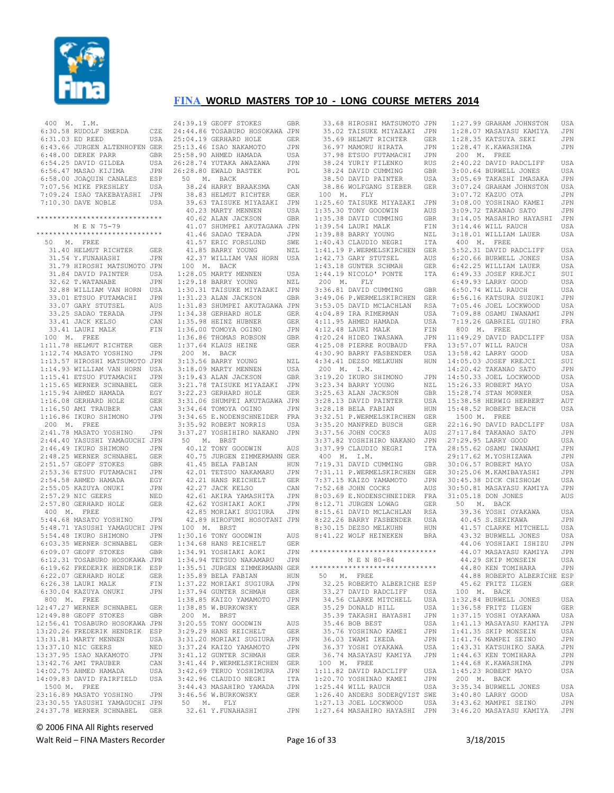

| 400 M. I.M.                                                                                                                                     |                   |
|-------------------------------------------------------------------------------------------------------------------------------------------------|-------------------|
| 6:30.58 RUDOLF SMERDA<br>6:31.03 ED REED                                                                                                        | CZE               |
|                                                                                                                                                 | USA               |
| 6:43.66 JURGEN ALTENHOFEN GER                                                                                                                   |                   |
|                                                                                                                                                 | GBR               |
|                                                                                                                                                 | USA               |
| 6:48.00 DEREK PARR<br>6:54.25 DAVID GILDEA<br>6:56.47 MASAO KIJIMA<br>6:58.00 JOAQUIN CANALES<br>7:07.56 MIKE FRESHLEY<br>7:07.56 MIKE FRESHLEY | JPN               |
|                                                                                                                                                 | ESP               |
|                                                                                                                                                 | USA               |
| 7:09.24 ISAO TAKEBAYASHI                                                                                                                        | JPN               |
| 7:10.30 DAVE NOBLE                                                                                                                              | USA               |
|                                                                                                                                                 |                   |
| *****************************                                                                                                                   |                   |
| M E N 75-79                                                                                                                                     |                   |
| ******************************                                                                                                                  |                   |
| 50 M. FREE                                                                                                                                      |                   |
| 31.40 HELMUT RICHTER                                                                                                                            | <b>GER</b>        |
| 31.54 Y.FUNAHASHI                                                                                                                               | JPN               |
| 31.79 HIROSHI MATSUMOTO JPN                                                                                                                     |                   |
| 31.84 DAVID PAINTER                                                                                                                             | USA               |
| 32.62 T.WATANABE<br>32.62 T.WATANABE<br>32.88 WILLIAM VAN HORN                                                                                  | JPN               |
|                                                                                                                                                 | USA               |
| 93.01 ETSUO FUTAMACHI<br>33.07 GARY STUTSEL<br>33.25 SADAO TERADA<br>33.41 JACK KELSO<br>33.41 JAUBI MALK                                       | JPN               |
|                                                                                                                                                 | AUS               |
|                                                                                                                                                 | JPN               |
|                                                                                                                                                 | CAN               |
| 33.41 LAURI MALK                                                                                                                                | FIN               |
| 100 M. FREE                                                                                                                                     |                   |
| 1:11.78 HELMUT RICHTER GER<br>1:12.74 MASATO YOSHINO JPN<br>1:13.57 HIROSHI MATSUMOTO JPN                                                       |                   |
|                                                                                                                                                 |                   |
|                                                                                                                                                 |                   |
|                                                                                                                                                 |                   |
|                                                                                                                                                 |                   |
| 1:14.93 WILLIAM VAN HORN USA<br>1:15.41 ETSUO FUTAMACHI JPN<br>1:15.65 WERNER SCHNABEL GER<br>1:15.65 WERNER SCHNABEL GER                       |                   |
|                                                                                                                                                 | EGY               |
| 1:15.94 AHMED HAMADA<br>1:16.08 GERHARD HOLE<br>1:16.50 AMI TRAUBER                                                                             | GER               |
|                                                                                                                                                 | CAN               |
| $1:16.86$ IKURO SHIMONO                                                                                                                         | JPN               |
| 200 M. FREE                                                                                                                                     |                   |
| 2:41.78 MASATO YOSHINO                                                                                                                          | JPN               |
| 2:44.40 YASUSHI YAMAGUCHI JPN                                                                                                                   |                   |
| 2:46.49 IKURO SHIMONO                                                                                                                           | JPN               |
| 2:48.25 WERNER SCHNABEL GER                                                                                                                     |                   |
| 2:51.57 GEOFF STOKES                                                                                                                            | GBR               |
| 2:53.36 ETSUO FUTAMACHI<br>2:54.58 AHMED HAMADA<br>2:55.05 KAZUYA ONUKI<br>2:57.29 NIC GEERS                                                    | JPN               |
|                                                                                                                                                 | EGY               |
|                                                                                                                                                 | JPN               |
| 2:57.29 NIC GEERS                                                                                                                               | NED               |
| 2:57.80 GERHARD HOLE                                                                                                                            | GER               |
| 400 M. FREE                                                                                                                                     |                   |
| 5:44.68 MASATO YOSHINO                                                                                                                          | JPN               |
| 5:48.71 YASUSHI YAMAGUCHI JPN<br>5:54.48 IKURO SHIMONO JPN                                                                                      |                   |
|                                                                                                                                                 |                   |
| 9.9.1.0 INCREASE CHRABEL GER<br>6:03.35 WERNER SCHNABEL GER<br>6:09.07 GEOFF STOKES GBR<br>6:12.31 TOSABURO HOSOKAWA JPN                        | GER               |
|                                                                                                                                                 | GBR               |
|                                                                                                                                                 |                   |
| 6:19.62 FREDERIK HENDRIK ESP                                                                                                                    |                   |
| 6:22.07 GERHARD HOLE                                                                                                                            |                   |
|                                                                                                                                                 | <b>GER</b>        |
|                                                                                                                                                 |                   |
| $6:26.38$ LAURI MALK<br>6:30.04 KAZUYA ONUKI                                                                                                    | FIN<br><b>JPN</b> |
|                                                                                                                                                 |                   |
| 800 M. FREE<br>12:47.27 WERNER SCHNABEL GER                                                                                                     |                   |
|                                                                                                                                                 |                   |
|                                                                                                                                                 |                   |
|                                                                                                                                                 |                   |
| 12:49.88 GEOFF STOKES GBR<br>12:56.41 TOSABURO HOSOKAWA JPN<br>13:20.26 FREDERIK HENDRIK ESP                                                    | USA               |
|                                                                                                                                                 | NED               |
| 13:31.81 MARTY MENNEN<br>13:37.10 NIC GEERS                                                                                                     | JPN               |
| 13:37.95 ISAO NAKAMOTO                                                                                                                          | CAN               |
| 13:42.76 AMI TRAUBER                                                                                                                            | USA               |
| 14:02.75 AHMED HAMADA<br>14:09.83 DAVID FAIRFIELD                                                                                               | USA               |
| 1500 M. FREE                                                                                                                                    |                   |
| 23:16.89 MASATO YOSHINO                                                                                                                         | $_{\rm JPN}$      |
|                                                                                                                                                 |                   |
| 23:30.55 YASUSHI YAMAGUCHI JPN<br>24:37.78 WERNER SCHNABEL                                                                                      | GER               |

24:39.19 GEOFF STOKES GBR 24:44.86 TOSABURO HOSOKAWA JPN 25:04.19 GERHARD HOLE GER 25:13.46 ISAO NAKAMOTO JPN 25:58.90 AHMED HAMADA USA 26:28.74 YUTAKA AWAZAWA JPN 26:28.80 EWALD BASTEK POL 50 M. BACK 38.24 HARRY BRAAKSMA CAN 38.83 HELMUT RICHTER GER 39.63 TAISUKE MIYAZAKI JPN 40.23 MARTY MENNEN USA 40.62 ALAN JACKSON GBR 41.07 SHUMPEI AKUTAGAWA JPN 41.46 SADAO TERADA JPN 41.57 ERIC FORSLUND SWE 41.85 BARRY YOUNG NZL 42.37 WILLIAM VAN HORN USA 100 M. BACK 1:28.05 MARTY MENNEN USA 1:29.18 BARRY YOUNG NZL 1:30.31 TAISUKE MIYAZAKI JPN 1:31.23 ALAN JACKSON GBR 1:31.83 SHUMPEI AKUTAGAWA JPN 1:34.38 GERHARD HOLE GER 1:35.98 HEINZ HUBNER GER 1:36.00 TOMOYA OGINO JPN 1:36.86 THOMAS ROBSON GBR 1:37.64 KLAUS HEINE GER 200 M. BACK 3:13.56 BARRY YOUNG NZL 3:18.09 MARTY MENNEN USA 3:19.43 ALAN JACKSON GBR 3:21.78 TAISUKE MIYAZAKI JPN 3:22.23 GERHARD HOLE GER 3:31.06 SHUMPEI AKUTAGAWA JPN 3:34.64 TOMOYA OGINO JPN 3:34.65 E.NODENSCHNEIDER FRA 3:35.92 ROBERT NORRIS USA 3:37.27 YOSHIHIRO NAKANO JPN 50 M. BRST 10.12 TONY GOODWIN AUS 40.75 JURGEN ZIMMERMANN GER 41.45 BELA FABIAN HUN 42.01 TETSUO NAKAMARU JPN 42.21 HANS REICHELT GER<br>42.27 JACK KELSO CAN 42.27 JACK KELSO CAN 42.61 AKIRA YAMASHITA JPN 42.62 YOSHIAKI AOKI JPN 42.85 MORIAKI SUGIURA JPN 42.89 HIROFUMI HOSOTANI JPN 100 M. BRST 100 M. BRST<br>1:30.16 TONY GOODWIN AUS<br>1:34.68 HANS REICHELT GER 1:34.68 HANS REICHELT GER 1:34.91 YOSHIAKI AOKI JPN 1:34.94 TETSUO NAKAMARU JPN 1:35.51 JURGEN ZIMMERMANN GER  $1:35.89$  BELA FABIAN 1:37.22 MORIAKI SUGIURA JPN 1:37.94 GUNTER SCHMAH GER<br>1:38.85 KAIZO YAMAMOTO JEN  $1:38.85$  KAIZO YAMAMOTO 1:38.85 W.BURKOWSKY GER 200 M. BRST 3:20.55 TONY GOODWIN AUS 3:29.29 HANS REICHELT GER 3:31.20 MORIAKI SUGIURA JPN 3:37.24 KAIZO YAMAMOTO JPN<br>3:41.12 GUNTER SCHMAH GER 3:41.12 GUNTER SCHMAH 3:41.44 P.WERMELSKIRCHEN GER<br>3:42.69 TERUO YOSHIMURA JPN 3:42.69 TERUO YOSHIMURA 3:42.96 CLAUDIO NEGRI ITA<br>3:44.43 MASAHIRO YAMADA JPN 3:44.43 MASAHIRO YAMADA JPN  $3:46.56$  W.BURKOWSKY 50 M. FLY 32.61 Y.FUNAHASHI JPN

|   | GBR        | 33.68 HIROSHI MATSUMOTO             | JPN         |
|---|------------|-------------------------------------|-------------|
| l | JPN        | 35.02 TAISUKE MIYAZAKI              | JPN         |
|   | GER        | 35.69 HELMUT RICHTER                | GER         |
|   |            |                                     |             |
|   | JPN        | 36.97 MAMORU HIRATA                 | JPN         |
|   | USA        | 37.98 ETSUO FUTAMACHI               | JPN         |
|   | JPN        | 38.24 YURIY FILENKO                 | <b>RUS</b>  |
|   | POL        | 38.24 DAVID CUMMING                 | GBR         |
|   |            | 38.50 DAVID PAINTER                 | USA         |
|   | CAN        | 38.86 WOLFGANG SIEBER               | GER         |
|   | GER        | 100 M. FLY                          |             |
|   | JPN        | 1:25.60 TAISUKE MIYAZAKI            | JPN         |
|   | USA        | 1:35.30 TONY GOODWIN                | AUS         |
|   | GBR        | 1:35.38 DAVID CUMMING               | GBR         |
|   | JPN        | 1:39.54 LAURI MALK                  | FIN         |
|   | JPN        | 1:39.88 BARRY YOUNG                 | NZL         |
|   | SWE        | 1:40.43 CLAUDIO NEGRI               | ITA         |
|   |            | 1:41.19 P.WERMELSKIRCHEN            |             |
|   | NZL        |                                     | GER         |
|   | USA        | 1:42.73 GARY STUTSEL                | AUS         |
|   |            | 1:43.18 GUNTER SCHMAH               | GER         |
|   | USA        | 1:44.19<br>NICOLO' PONTE            | ITA         |
|   | NZL        | 200 M. FLY                          |             |
|   | JPN        | 3:36.81 DAVID CUMMING               | GBR         |
|   | GBR        | 3:49.06 P.WERMELSKIRCHEN            | GER         |
|   | JPN        | 3:53.05 DAVID MCLACHLAN             | <b>RSA</b>  |
|   | GER        | 4:04.89 IRA RIMERMAN                | USA         |
|   | GER        | 4:11.95 AHMED HAMADA                | USA         |
|   | JPN        | $4:12.48$ LAURI MALK                | ${\rm FIN}$ |
|   | <b>GBR</b> | 4:20.24 HIDEO IWASAWA               | JPN         |
|   | GER        | 4:25.08 PIERRE ROUBAUD              | FRA         |
|   |            | 4:30.90 BARRY FASBENDER             | USA         |
|   |            |                                     |             |
|   | NZL        | 4:34.41 DEZSO MELKUHN               | HUN         |
|   | USA        | 200 M. I.M.                         |             |
|   | GBR        | 3:19.20 IKURO SHIMONO               | JPN         |
|   | JPN        | 3:23.34 BARRY YOUNG                 | NZL         |
|   | GER        | 3:25.63 ALAN JACKSON                | GBR         |
|   | JPN        | 3:28.13 DAVID PAINTER               | USA         |
|   | JPN        | 3:28.18 BELA FABIAN                 | ${\tt HUN}$ |
|   | FRA        | 3:32.51 P.WERMELSKIRCHEN            | GER         |
|   | USA        | 3:35.20 MANFRED BUSCH               | GER         |
|   | JPN        | 3:37.56 JOHN COCKS                  | AUS         |
|   |            | 3:37.82 YOSHIHIRO NAKANO            | JPN         |
|   | AUS        | 3:37.99 CLAUDIO NEGRI               | ITA         |
| Į | GER        | 400 M. I.M.                         |             |
|   | HUN        | 7:19.31 DAVID CUMMING               | GBR         |
|   | JPN        | 7:31.11 P.WERMELSKIRCHEN            | GER         |
|   | GER        | 7:37.15 KAIZO YAMAMOTO              | JPN         |
|   |            |                                     |             |
|   | CAN        | 7:52.68 JOHN COCKS                  | AUS         |
|   | JPN        | 8:03.69 E.NODENSCHNEIDER            | FRA         |
|   | JPN        | 8:12.71 JURGEN LOWAG                | <b>GER</b>  |
|   | JPN        | 8:15.61 DAVID MCLACHLAN             | <b>RSA</b>  |
|   | JPN        | 8:22.26 BARRY FASBENDER             | USA         |
|   |            | 8:30.15 DEZSO MELKUHN               | HUN         |
|   | AUS        | 8:41.22 WOLF HEINEKEN               | <b>BRA</b>  |
|   | GER        |                                     |             |
|   | JPN        | ******************************      |             |
|   | JPN        | M E N 80-84                         |             |
| Ţ |            | GER ******************************* |             |
|   | HUN        | 50 M. FREE                          |             |
|   | JPN        | 32.25 ROBERTO ALBERICHE ESP         |             |
|   | GER        | 33.27 DAVID RADCLIFF                | USA         |
|   | JPN        | 34.56 CLARKE MITCHELL               | USA         |
|   | GER        | 35.29 DONALD HILL                   | USA         |
|   |            | 35.39 TAKASHI HAYASHI               | JPN         |
|   |            |                                     |             |
|   | AUS        | 35.46 BOB BEST                      | USA         |
|   | GER        | 35.76 YOSHINAO KAMEI                | JPN         |
|   | JPN        | 36.03 IWAMI IKEDA                   | JPN         |
|   | JPN        | 36.37 YOSHI OYAKAWA                 | USA         |
|   | GER        | 36.74 MASAYASU KAMIYA               | JPN         |
|   | GER        | 100 M. FREE                         |             |
|   | JPN        | 1:11.82 DAVID RADCLIFF              | USA         |
|   | ITA        | 1:20.70 YOSHINAO KAMEI              | JPN         |
|   | JPN        | 1:25.44 WILL RAUCH                  | USA         |
|   | GER        | 1:26.40 ANDERS SODERQVIST SWE       |             |
|   |            | 1:27.13 JOEL LOCKWOOD USA           |             |
|   |            | JPN 1:27.64 MASAHIRO HAYASHI JPN    |             |
|   |            |                                     |             |

| 'N          |                              | 1:27.99 GRAHAM JOHNSTON                     | USA |
|-------------|------------------------------|---------------------------------------------|-----|
|             |                              |                                             |     |
| 'N          |                              | $1:28.07$ MASAYASU KAMIYA                   | JPN |
| R           |                              |                                             | JPN |
| 'N          |                              | 1:28.35 KATSUYA SEKI<br>1:28.47 K.KAWASHIMA | JPN |
|             |                              |                                             |     |
| 'N          | 200 M. FREE                  |                                             |     |
| 'S          |                              | 2:40.22 DAVID RADCLIFF                      | USA |
| R.          |                              | 3:00.64 BURWELL JONES                       | USA |
|             |                              | 3:05.69 TAKASHI IMASAKA                     |     |
| Α           |                              |                                             | JPN |
| $\mathbb R$ |                              | 3:07.24 GRAHAM JOHNSTON                     | USA |
|             |                              |                                             | JPN |
| 'N          |                              | 3:07.72 KAZUO OTA<br>3:08.00 YOSHINAO KAMEI | JPN |
|             |                              |                                             |     |
| 'S          |                              | 3:09.72 TAKANAO SATO                        | JPN |
| R           |                              | 3:14.05 MASAHIRO HAYASHI JPN                |     |
| Ν           |                              | 3:14.46 WILL RAUCH                          | USA |
|             |                              |                                             |     |
| L           |                              | 3:18.01 WILLIAM LAUER                       | USA |
| Ά           |                              | 400 M. FREE<br>5:52.31 DAVID RADCLIFF       |     |
| $\mathbb R$ |                              |                                             | USA |
|             |                              |                                             |     |
| 'S          |                              | 6:20.66 BURWELL JONES                       | USA |
| $\mathbb R$ |                              | $6:42.25$ WILLIAM LAUER                     | USA |
| Ά           |                              | 6:49.33 JOSEF KREJCI                        | SUI |
|             |                              |                                             |     |
|             |                              | 6:49.93 LARRY GOOD                          | USA |
| R.          |                              | 6:50.74 WILL RAUCH                          | USA |
| R           |                              | 6:56.16 KATSURA SUZUKI                      | JPN |
|             |                              | 7:05.46 JOEL LOCKWOOD                       |     |
| Α           |                              |                                             | USA |
| Α           |                              | $7:09.88$ OSAMU IWANAMI                     | JPN |
| Α           |                              | 7:19.26 GABRIEL GUIHO                       | FRA |
|             | $800$ M. FREE                |                                             |     |
| N           |                              |                                             |     |
| 'N          |                              | $11:49.29$ DAVID RADCLIFF                   | USA |
| A           |                              | 13:57.07 WILL RAUCH                         | USA |
|             |                              |                                             |     |
| Α           |                              | 13:58.42 LARRY GOOD                         | USA |
| N           |                              | 14:05.03 JOSEF KREJCI                       | SUI |
|             |                              | 14:20.42 TAKANAO SATO                       | JPN |
| 'N          |                              | 14:50.33 JOEL LOCKWOOD                      | USA |
|             |                              |                                             |     |
| L           |                              | 15:26.33 ROBERT MAYO                        | USA |
| R           |                              | 15:28.74 STAN MORNER                        | USA |
| Α           |                              | 15:38.58 HERWIG HERBERT                     | AUT |
|             |                              |                                             |     |
| N           |                              | 15:48.52 ROBERT BEACH                       | USA |
| $\mathbb R$ | $500 M$ . FREE<br>22:16 00 - |                                             |     |
| R           |                              | 22:16.90 DAVID RADCLIFF                     | USA |
|             |                              |                                             |     |
| S           |                              | 27:17.84 TAKANAO SATO                       | JPN |
| N           |                              | 27:29.95 LARRY GOOD                         | USA |
| Ά           |                              | 28:55.62 OSAMU IWANAMI                      | JPN |
|             |                              | 29:17.62 M.YOSHIZAWA                        | JPN |
|             |                              |                                             |     |
| R           |                              | 30:06.57 ROBERT MAYO                        | USA |
| R           |                              | 30:25.06 M. KAMIBAYASHI                     | JPN |
| 'N          |                              | 30:45.38 DICK CHISHOLM                      | USA |
|             |                              |                                             |     |
| 'S          |                              | 30:50.81 MASAYASU KAMIYA                    | JPN |
| A           |                              | 31:05.18 DON JONES                          | AUS |
| $\mathbb R$ |                              | 50 M. BACK                                  |     |
|             |                              |                                             |     |
| Α           |                              | 39.36 YOSHI OYAKAWA                         | USA |
| Α           |                              | 40.45 S.SEKIKAWA                            | JPN |
| N           |                              | 41.57 CLARKE MITCHELL                       | USA |
| Α           |                              |                                             |     |
|             |                              | 43.32 BURWELL JONES                         | USA |
|             |                              | 44.06 YOSHIAKI ISHIZU                       | JPN |
| $\star$     |                              | 44.07 MASAYASU KAMIYA                       | JPN |
|             |                              | 44.29 SKIP MONSEIN                          | USA |
| $\star$     |                              |                                             |     |
|             |                              | 44.80 KEN TOMIHARA                          | JPN |
|             |                              | 44.88 ROBERTO ALBERICHE ESP                 |     |
| P           |                              | 45.62 FRITZ ILGEN                           | GER |
|             |                              |                                             |     |
| Α           | 100 M. BACK                  |                                             |     |
| Α           |                              | 1:32.84 BURWELL JONES                       | USA |
| Α           |                              | 1:36.58 FRITZ ILGEN                         | GER |
|             |                              |                                             |     |
| N           |                              | 1:37.15 YOSHI OYAKAWA                       | USA |
| Α           |                              | $1:41.13$ MASAYASU KAMIYA                   | JPN |
| 'N          |                              | 1:41.35 SKIP MONSEIN                        | USA |
|             |                              | 1:41.76 MAMPEI SEINO                        |     |
| 'N          |                              |                                             | JPN |
| Α           |                              | 1:43.31 KATSUHIKO SAKA                      | JPN |
| 'N          |                              | 1:44.63 KEN TOMIHARA                        | JPN |
|             |                              | 1:44.68 K.KAWASHIMA                         |     |
|             |                              |                                             | JPN |
| Α           |                              | 1:45.23 ROBERT MAYO                         | USA |
| 'N          | 200 M. BACK                  |                                             |     |
| Α           |                              | 3:35.34 BURWELL JONES                       | USA |
|             |                              |                                             |     |
| E           |                              | 3:40.80 LARRY GOOD                          | USA |
| Α           |                              | 3:43.62 MAMPEI SEINO                        | JPN |
| 'N          |                              | 3:46.20 MASAYASU KAMIYA                     | JPN |
|             |                              |                                             |     |
|             |                              |                                             |     |

© 2006 FINA All Rights reserved

Walt Reid – FINA Masters Recorder The Communication of 33 3/18/2015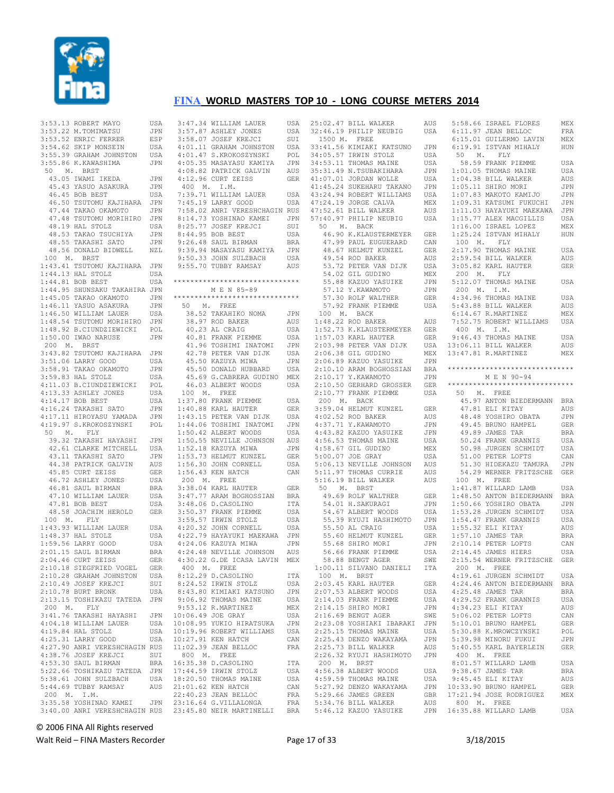

| 3:53.13 ROBERT MAYO                                                                                         |                                                                                                 | USA             |              |
|-------------------------------------------------------------------------------------------------------------|-------------------------------------------------------------------------------------------------|-----------------|--------------|
| 3:53.22 M.TOMIMATSU<br>3:53.52 ENRIC FERRER<br>3:54.62 SKIP MONSEIN                                         |                                                                                                 | JPN             |              |
|                                                                                                             |                                                                                                 | ESP <sub></sub> |              |
|                                                                                                             |                                                                                                 | USA             |              |
| 3:55.39 GRAHAM JOHNSTON<br>3:55.86 K.KAWASHIMA                                                              |                                                                                                 | USA             |              |
| 3:55.86 K.KAWASHIMA                                                                                         |                                                                                                 | JPN             |              |
| 50 M. BRST                                                                                                  |                                                                                                 |                 |              |
| 43.05 IWAMI IKEDA                                                                                           |                                                                                                 | JPN             |              |
|                                                                                                             | 45.00 1mm.1 -<br>45.43 YASUO ASAKURA                                                            | JPN             |              |
| 46.45 BOB BEST                                                                                              |                                                                                                 | USA             |              |
|                                                                                                             | 46.50 TSUTOMU KAJIHARA                                                                          | JPN             |              |
|                                                                                                             | 47.44 TAKAO OKAMOTO                                                                             | JPN             |              |
|                                                                                                             | 47.48 TSUTOMU MORIHIRO JPN                                                                      |                 |              |
| 48.19 HAL STOLZ                                                                                             |                                                                                                 | USA             |              |
|                                                                                                             | 48.53 TAKAO TSUCHIYA<br>48.55 TAKASHI SATO<br>48.56 DONALD BIDWELL                              | JPN             |              |
|                                                                                                             |                                                                                                 | JPN             |              |
|                                                                                                             |                                                                                                 | NZL             |              |
| 100 M. BRST                                                                                                 |                                                                                                 |                 |              |
| 1:43.41 TSUTOMU KAJIHARA JPN                                                                                |                                                                                                 |                 |              |
| 1:44.13 HAL STOLZ USA<br>1:44.81 BOB BEST USA<br>1:44.95 SHUNSAKU TAKAHIRA JPN                              |                                                                                                 |                 |              |
|                                                                                                             |                                                                                                 |                 | ź            |
|                                                                                                             |                                                                                                 |                 |              |
| 1:45.05 TAKAO OKAMOTO JPN                                                                                   |                                                                                                 |                 | ź            |
|                                                                                                             |                                                                                                 | JPN             |              |
|                                                                                                             |                                                                                                 |                 |              |
| 1:46.11 YASUO ASAKURA JPN<br>1:46.50 WILLIAM LAUER USA<br>1:48.54 TSUTOMU MORIHIRO JPN                      |                                                                                                 |                 |              |
| -.<br>1:48.92 B.CIUNDZIEWICKI<br>1:50.00 IWAO NARUSE                                                        |                                                                                                 | POL             |              |
| $1:50.00$ IWAO NARUSE                                                                                       |                                                                                                 | JPN             |              |
| 200 M. BRST                                                                                                 |                                                                                                 |                 |              |
| 3:43.82 TSUTOMU KAJIHARA JPN<br>3:51.06 LARRY GOOD USA<br>3:58.91 TAKAO OKAMOTO JPN                         |                                                                                                 |                 |              |
|                                                                                                             |                                                                                                 |                 |              |
|                                                                                                             |                                                                                                 |                 |              |
| 3:59.83 HAL STOLZ                                                                                           |                                                                                                 | USA             |              |
| 4:11.03 B.CIUNDZIEWICKI POL                                                                                 |                                                                                                 |                 |              |
| 4:11.03 B.C.COMP--<br>4:13.33 ASHLEY JONES                                                                  |                                                                                                 | USA             |              |
| $4:14.17$ BOB BEST                                                                                          |                                                                                                 | USA             |              |
| 4:16.24 TAKASHI SATO JPN<br>4:17.11 HIROYASU YAMADA JPN<br>4:19.97 S.KROKOSZYNSKI POL                       |                                                                                                 |                 |              |
|                                                                                                             |                                                                                                 |                 |              |
|                                                                                                             |                                                                                                 |                 |              |
| 50 M. FLY                                                                                                   |                                                                                                 |                 |              |
|                                                                                                             | 39.32 TAKASHI HAYASHI JPN                                                                       |                 |              |
|                                                                                                             |                                                                                                 |                 |              |
|                                                                                                             |                                                                                                 |                 |              |
|                                                                                                             | 42.61 CLARKE MITCHELL USA<br>43.11 TAKASHI SATO JPN<br>44.38 PATRICK GALVIN AUS                 |                 |              |
| 45.85 CURT ZEISS                                                                                            |                                                                                                 | GER             |              |
|                                                                                                             | 1.10 UURI ZEISS<br>46.81 SAUL BIRMAN<br>47.10 WILLIAM LAUER<br>47.81 BOB BEST<br>47.81 BOB BEST | USA             |              |
|                                                                                                             |                                                                                                 | <b>BRA</b>      |              |
|                                                                                                             |                                                                                                 | USA             |              |
|                                                                                                             |                                                                                                 | USA             |              |
|                                                                                                             | 48.58 JOACHIM HEROLD GER                                                                        |                 |              |
| 100 M. FLY                                                                                                  |                                                                                                 |                 |              |
| $1:43.93$ WILLIAM LAUER                                                                                     |                                                                                                 | USA             |              |
| $1:48.37$ HAL STOLZ                                                                                         |                                                                                                 | USA             |              |
|                                                                                                             |                                                                                                 | USA             |              |
| 1:48.37 HAL SIULA<br>1:59.56 LARRY GOOD<br>2:01.15 SAUL BIRMAN<br>2:04.46 CURT ZEISS<br>50 CORT ZERTS VOCEL |                                                                                                 |                 |              |
|                                                                                                             |                                                                                                 | BRA<br>GER      |              |
| 2:10.18 SIEGFRIED VOGEL                                                                                     |                                                                                                 | GER             |              |
| 2:10.28 GRAHAM JOHNSTON                                                                                     |                                                                                                 | USA             |              |
| 2:10.49 JOSEF KREJCI                                                                                        |                                                                                                 | SUI             |              |
| 2:10.78 BURT BRONK                                                                                          |                                                                                                 | USA             |              |
| 2:13.15 TOSHIKAZU TATEDA                                                                                    |                                                                                                 | JPN             |              |
| 200 M.<br>FLY                                                                                               |                                                                                                 |                 |              |
| 3:41.76 TAKASHI HAYASHI                                                                                     |                                                                                                 | JPN             | 1            |
| 4:04.18 WILLIAM LAUER                                                                                       |                                                                                                 | USA             | $\mathbf{1}$ |
| 4:19.84 HAL STOLZ                                                                                           |                                                                                                 | USA             | 1            |
| 4:25.31 LARRY GOOD                                                                                          |                                                                                                 | USA             | $\mathbf{1}$ |
| 4:27.90 ANRI VERESHCHAGIN RUS                                                                               |                                                                                                 |                 | $\mathbf{1}$ |
| 4:38.76 JOSEF KREJCI                                                                                        |                                                                                                 | SUI             |              |
| 4:53.30 SAUL BIRMAN                                                                                         |                                                                                                 | <b>BRA</b>      | 1            |
| 5:22.66 TOSHIKAZU TATEDA                                                                                    |                                                                                                 | JPN             | $\mathbf{1}$ |
| 5:38.61 JOHN SULZBACH                                                                                       |                                                                                                 | USA             | $\mathbf{1}$ |
| 5:44.69 TUBBY RAMSAY                                                                                        |                                                                                                 | AUS             | 2            |
| 200 M. I.M.                                                                                                 |                                                                                                 |                 | 2            |
| 3:35.58 YOSHINAO KAMEI                                                                                      |                                                                                                 | JPN             | 2            |
| 3:40.00 ANRI VERESHCHAGIN RUS                                                                               |                                                                                                 |                 | 2            |
|                                                                                                             |                                                                                                 |                 |              |

|  |  |  | 3:47.34 WILLIAM LAUER                                                                                                                                                                                                                   |                   |
|--|--|--|-----------------------------------------------------------------------------------------------------------------------------------------------------------------------------------------------------------------------------------------|-------------------|
|  |  |  |                                                                                                                                                                                                                                         | USA               |
|  |  |  |                                                                                                                                                                                                                                         | USA               |
|  |  |  |                                                                                                                                                                                                                                         |                   |
|  |  |  |                                                                                                                                                                                                                                         |                   |
|  |  |  | 3:47.34 WILLIAM LAOLAY OUR CORREST 3:58.07 ASHLEY JONES USA 3:58.07 JOSEF KREJCI SUI 4:01.11 GRAHAM JOHNSTON USA 4:01.47 S.KROKOSZYNSKI POL<br>4:01.11 GRAHAM JOHNSTON USA 4:01.47 S.KROKOSZYNSKI POL<br>4:05.35 MASAYASU KAMIYA JPN    |                   |
|  |  |  |                                                                                                                                                                                                                                         |                   |
|  |  |  |                                                                                                                                                                                                                                         |                   |
|  |  |  |                                                                                                                                                                                                                                         |                   |
|  |  |  |                                                                                                                                                                                                                                         |                   |
|  |  |  |                                                                                                                                                                                                                                         |                   |
|  |  |  |                                                                                                                                                                                                                                         |                   |
|  |  |  | 4:12.96 CURT ZEISS                                                                                                                                                                                                                      | GER               |
|  |  |  | 400 M. I.M.                                                                                                                                                                                                                             |                   |
|  |  |  | 7:39.71 WILLIAM LAUER<br>7:45.19 LARRY GOOD                                                                                                                                                                                             | USA               |
|  |  |  |                                                                                                                                                                                                                                         |                   |
|  |  |  |                                                                                                                                                                                                                                         | USA               |
|  |  |  |                                                                                                                                                                                                                                         |                   |
|  |  |  | 7:58.02 ANRI VERESHCHAGIN RUS                                                                                                                                                                                                           |                   |
|  |  |  |                                                                                                                                                                                                                                         |                   |
|  |  |  |                                                                                                                                                                                                                                         |                   |
|  |  |  |                                                                                                                                                                                                                                         |                   |
|  |  |  |                                                                                                                                                                                                                                         | USA               |
|  |  |  |                                                                                                                                                                                                                                         |                   |
|  |  |  |                                                                                                                                                                                                                                         |                   |
|  |  |  |                                                                                                                                                                                                                                         |                   |
|  |  |  |                                                                                                                                                                                                                                         |                   |
|  |  |  |                                                                                                                                                                                                                                         |                   |
|  |  |  |                                                                                                                                                                                                                                         |                   |
|  |  |  | 9138.02 ANNI VERESRURAMEN NOSTRINA (SP.1973 YOSHINAO KAMEI JPN 8144.95 BOB BEST USA (SP.1974)<br>8125.77 JOSEF KREJCI SUI SUI 8144.95 BOB BEST USA (SP.1974) BRA<br>9126.48 SAUL BIRMAN BRA<br>9139.94 MASAYASU KAMIYA JPN 9150.33 JOHN |                   |
|  |  |  |                                                                                                                                                                                                                                         |                   |
|  |  |  | *****************************                                                                                                                                                                                                           |                   |
|  |  |  | M E N 85-89                                                                                                                                                                                                                             |                   |
|  |  |  |                                                                                                                                                                                                                                         |                   |
|  |  |  | *****************************                                                                                                                                                                                                           |                   |
|  |  |  | $50 \qquad \textrm{M.} \quad \textrm{FREE}$                                                                                                                                                                                             |                   |
|  |  |  |                                                                                                                                                                                                                                         |                   |
|  |  |  | 38.52 TAKAHIKO NOMA                                                                                                                                                                                                                     | JPN               |
|  |  |  | 38.97 ROD BAKER<br>40 23 AL CRAIG                                                                                                                                                                                                       | AUS               |
|  |  |  |                                                                                                                                                                                                                                         |                   |
|  |  |  | 40.23 AL CRAIG                                                                                                                                                                                                                          | USA               |
|  |  |  | 40.81 FRANK PIEMME<br>41.96 TOSHIMI INATOMI                                                                                                                                                                                             | USA               |
|  |  |  |                                                                                                                                                                                                                                         |                   |
|  |  |  |                                                                                                                                                                                                                                         | JPN               |
|  |  |  |                                                                                                                                                                                                                                         | USA               |
|  |  |  |                                                                                                                                                                                                                                         |                   |
|  |  |  |                                                                                                                                                                                                                                         | JPN               |
|  |  |  | 42.78 PETER VAN DIJK<br>45.50 KAZUYA MIWA<br>45.50 DONALD HUBBARD                                                                                                                                                                       | USA               |
|  |  |  |                                                                                                                                                                                                                                         |                   |
|  |  |  | 45.69 G.CABRERA GUDINO                                                                                                                                                                                                                  | MEX               |
|  |  |  | 46.03 ALBERT WOODS                                                                                                                                                                                                                      |                   |
|  |  |  |                                                                                                                                                                                                                                         | USA               |
|  |  |  | 100 M. FREE                                                                                                                                                                                                                             |                   |
|  |  |  | 1:37.80 FRANK PIEMME<br>1:40.88 KARL HAUTER<br>1:43.15 PETER VAN DIJK<br>1:44.06 TOSHIMI INATOMI<br>1:50.42 ALBERT WOODS                                                                                                                | USA               |
|  |  |  |                                                                                                                                                                                                                                         |                   |
|  |  |  |                                                                                                                                                                                                                                         | GER               |
|  |  |  |                                                                                                                                                                                                                                         | USA               |
|  |  |  |                                                                                                                                                                                                                                         |                   |
|  |  |  |                                                                                                                                                                                                                                         | $_{\rm JPN}$      |
|  |  |  |                                                                                                                                                                                                                                         | USA               |
|  |  |  | 1:50.42 ALBERT WOODS                                                                                                                                                                                                                    |                   |
|  |  |  | 1:50.55 NEVILLE JOHNSON AUS                                                                                                                                                                                                             |                   |
|  |  |  |                                                                                                                                                                                                                                         |                   |
|  |  |  |                                                                                                                                                                                                                                         | JPN               |
|  |  |  |                                                                                                                                                                                                                                         | GER               |
|  |  |  |                                                                                                                                                                                                                                         |                   |
|  |  |  |                                                                                                                                                                                                                                         | USA               |
|  |  |  | 1:52.18 KAZUYA MIWA<br>1:53.73 HELMUT KUNZEL<br>1:56.30 JOHN CORNELL<br>1:56.43 KEN HATCH                                                                                                                                               | CAN               |
|  |  |  | 200 M. FREE                                                                                                                                                                                                                             |                   |
|  |  |  |                                                                                                                                                                                                                                         |                   |
|  |  |  |                                                                                                                                                                                                                                         | GER<br>BRA        |
|  |  |  |                                                                                                                                                                                                                                         |                   |
|  |  |  |                                                                                                                                                                                                                                         |                   |
|  |  |  |                                                                                                                                                                                                                                         | ITA               |
|  |  |  |                                                                                                                                                                                                                                         | USA               |
|  |  |  |                                                                                                                                                                                                                                         |                   |
|  |  |  |                                                                                                                                                                                                                                         | USA               |
|  |  |  |                                                                                                                                                                                                                                         | USA               |
|  |  |  |                                                                                                                                                                                                                                         |                   |
|  |  |  |                                                                                                                                                                                                                                         | $\mathtt{JPN}$    |
|  |  |  |                                                                                                                                                                                                                                         | JPN               |
|  |  |  | 1.02 UURNELL<br>4:22.79 HAYAYUKI MAEKAWA<br>4:24.06 KAZUYA MIWA<br>4.24.40 Witter                                                                                                                                                       |                   |
|  |  |  | 4:24.48 NEVILLE JOHNSON                                                                                                                                                                                                                 | AUS               |
|  |  |  |                                                                                                                                                                                                                                         | MEX               |
|  |  |  | $4:30.22$ G.DE ICASA LAVIN<br>400 M. FREE                                                                                                                                                                                               |                   |
|  |  |  |                                                                                                                                                                                                                                         |                   |
|  |  |  |                                                                                                                                                                                                                                         | ITA               |
|  |  |  |                                                                                                                                                                                                                                         |                   |
|  |  |  | 8:12.29 D.CASOLINO<br>8:24.52 IRWIN STOLZ<br>8:43.80 KIMIAKI KATSUNO                                                                                                                                                                    | USA               |
|  |  |  |                                                                                                                                                                                                                                         | JPN               |
|  |  |  | $9:06.92$ THOMAS MAINE                                                                                                                                                                                                                  | USA               |
|  |  |  |                                                                                                                                                                                                                                         |                   |
|  |  |  |                                                                                                                                                                                                                                         | MEX               |
|  |  |  | 9:53.12 R.MARTINEZ<br>10:06.49 JOE GRAY<br>10:08.95 YUKIO HIRATSUKA                                                                                                                                                                     | USA               |
|  |  |  |                                                                                                                                                                                                                                         |                   |
|  |  |  |                                                                                                                                                                                                                                         | JPN               |
|  |  |  |                                                                                                                                                                                                                                         | USA               |
|  |  |  | 10:19.96 ROBERT WILLIAMS<br>10:19.96 ROBERT WILLIAMS<br>10:27.91 KEN HATCH                                                                                                                                                              | CAN               |
|  |  |  |                                                                                                                                                                                                                                         |                   |
|  |  |  | 11:02.39 JEAN BELLOC                                                                                                                                                                                                                    | FRA               |
|  |  |  | 800 M. FREE                                                                                                                                                                                                                             |                   |
|  |  |  |                                                                                                                                                                                                                                         |                   |
|  |  |  | 16:35.38 D.CASOLINO<br>17:44.59 IRWIN STOLZ                                                                                                                                                                                             | ITA               |
|  |  |  |                                                                                                                                                                                                                                         | USA               |
|  |  |  |                                                                                                                                                                                                                                         |                   |
|  |  |  | 18:20.50 THOMAS MAINE                                                                                                                                                                                                                   | USA               |
|  |  |  | 21:01.62 KEN HATCH                                                                                                                                                                                                                      | CAN               |
|  |  |  | 22:40.23 JEAN BELLOC                                                                                                                                                                                                                    |                   |
|  |  |  |                                                                                                                                                                                                                                         |                   |
|  |  |  |                                                                                                                                                                                                                                         | FRA               |
|  |  |  |                                                                                                                                                                                                                                         |                   |
|  |  |  | 23:16.64 G.VILLALONGA<br>23:45.80 NEIR MARTINELLI                                                                                                                                                                                       | FRA<br><b>BRA</b> |

| 25:02.47 BILL WALKER                                                                |                     |
|-------------------------------------------------------------------------------------|---------------------|
| 1500 M The WALKER AUS 32:46.19 PHILIP NEUBIG USA                                    | USA                 |
| 1500 M. FREE                                                                        |                     |
| 33:41.56 KIMIAKI KATSUNO                                                            | JPN                 |
|                                                                                     | USA<br>USA          |
| 34:05.57 IRWIN STOLZ<br>34:53.11 THOMAS MAINE<br>35:31.49 N.TSUBAKIHARA             | JPN                 |
| 41:07.01 JORDAN WOLLE                                                               | USA                 |
|                                                                                     | JPN                 |
| 41:45.24 SUKEHARU TAKANO JPN<br>43:24.94 ROBERT WILLIAMS USA                        |                     |
| 47:24.19 JORGE CALVA<br>47:52.61 BILL WALKER                                        | MEX                 |
| 57:40.97 PHILIP NEUBIG                                                              | AUS                 |
| 50 M. BACK                                                                          | USA                 |
|                                                                                     | GER                 |
| 46.90 K.KLAUSTERMEYER<br>47.99 PAUL EUGUERARD<br>12.07 William Willow               | CAN                 |
| 47.99 PAUL LOOD                                                                     | GER                 |
| 49.54 ROD BAKER                                                                     | AUS                 |
| 53.72 PETER VAN DIJK                                                                | USA                 |
| 54.02 GIL GUDINO                                                                    | MEX<br>JPN          |
| 55.88 KAZUO YASUIKE<br>57.12 Y.KAWAMOTO<br>57.30 ROLF WALITHER                      | JPN                 |
|                                                                                     | GER                 |
| 57.92 FRANK PIEMME                                                                  | USA                 |
| 100 M. BACK                                                                         |                     |
| 1:48.22 ROD BAKER                                                                   | AUS                 |
| 1:32.73 K.KLAUSTERMEYER                                                             | <b>GER</b>          |
| $1:57.03$ KARL HAUTER<br>2:03.98 PETER VAN DIJK                                     | GER<br>USA          |
| $2:06.38$ GIL GUDINO                                                                | MEX                 |
| 2:00:00 011 0001110<br>2:06.89 KAZUO YASUIKE JPN<br>2:10.10 ARAM BOGHOSSIAN BRA     | JPN                 |
|                                                                                     |                     |
| 2:10.17 Y.KAWAMOTO                                                                  | JPN                 |
| $2:10.50$ GERHARD GROSSER                                                           | GER                 |
| 2:10.77 FRANK PIEMME                                                                | USA                 |
| 200 M. BACK<br>3:59.04 HELMUT KUNZEL                                                | GER                 |
| $4:02.52$ ROD BAKER                                                                 | AUS                 |
| 4:02.32 ROD BARER<br>4:37.71 Y.KAWAMOTO<br>4:43.82 KAZUO YASUIKE                    | JPN                 |
|                                                                                     | JPN                 |
| 4:56.53 THOMAS MAINE                                                                | USA                 |
| 4:58.67 GIL GUDINO<br>5:00.07 JOE GRAY<br>5:00.07 JOE GRAY                          | MEX<br>USA          |
|                                                                                     |                     |
| 5:06.13 NEVILLE JOHNSON AUS<br>5:11.97 THOMAS CURRIE AUS<br>5:16.19 BILL WALKER AUS |                     |
|                                                                                     |                     |
| 50 M. BRST                                                                          |                     |
| 49.69 ROLF WALTHER                                                                  | GER                 |
| 54.01 H.SAKURAGI<br>54.67 ALBERT WOODS                                              | JPN                 |
| 55.39 RYUJI HASHIMOTO                                                               | USA<br>JPN          |
| 55.50 AL CRAIG                                                                      | USA                 |
| 55.60 HELMUT KUNZEL<br>55.68 SHIRO MORI                                             | GER                 |
|                                                                                     | JPN                 |
| 56.66 FRANK PIEMME                                                                  | USA                 |
| 58.88 BENGT AGER<br>1:00.11 SILVANO DANIELI                                         | SWE                 |
| $100$ M. BRST                                                                       | ITA                 |
| $2:03.45$ KARL HAUTER                                                               | GER                 |
| 2:03.45 KARL HAUTER<br>2:07.53 ALBERT WOODS                                         | USA                 |
| $2:14.03$ FRANK PIEMME                                                              | USA                 |
| 2:14.15 SHIRO MORI                                                                  | JPN                 |
| -------<br>2:16.69 BENGT AGER<br>2:23.08 YOSHIAKI IBARAKI                           | SWE                 |
|                                                                                     | JPN                 |
| 2:25.00 ICONTINUATION<br>2:25.15 THOMAS MAINE<br>2:25.43 DENZO WAKAYAMA             | USA<br>JPN          |
| 2:25.73 BILL WALKER                                                                 | AUS                 |
| 2:26.32 RYUJI HASHIMOTO                                                             | JPN                 |
| 200 M. BRST<br>4:56.38 ALBERT WOODS<br>4:59.59 THOMAS MAINE                         |                     |
|                                                                                     | USA                 |
| 4:59.59 THOMAS MAINE<br>5:27.92 DENZO WAKAYAMA                                      | USA                 |
|                                                                                     | $_{\rm JPN}$<br>GBR |
| 5:34.76 BILL WALKER<br>5:34.76 BILL WALKER<br>5:46 12 MACHIC                        | AUS                 |
| 5:46.12 KAZUO YASUIKE JPN                                                           |                     |

 2:03.98 PETER VAN DIJK USA 13:06.11 BILL WALKER AUS AUS 5:58.66 ISRAEL FLORES MEX 6:11.97 JEAN BELLOC FRA 6:15.01 GUILERMO LAVIN MEX 6:19.91 ISTVAN MIHALY HUN 50 M. FLY 58.59 FRANK PIEMME USA 1:01.05 THOMAS MAINE USA 1:04.38 BILL WALKER AUS<br>1:05.11 SHIRO MORI ...  $1:05.11$  SHIRO MORI 1:07.83 MAKOTO KAMIJO JPN 1:09.31 KATSUMI FUKUCHI JPN 1:11.03 HAYAYUKI MAEKAWA JPN 1:15.77 ALEX MACGILLIS USA 1:16.00 ISRAEL LOPEZ MEX 1:25.24 ISTVAN MIHALY HUN 100 M. FLY 2:17.90 THOMAS MAINE USA 2:59.54 BILL WALKER AUS 3:05.82 KARL HAUTER GER 200 M. FLY 5:12.07 THOMAS MAINE USA 200 M. I.M. 4:34.96 THOMAS MAINE USA 5:43.88 BILL WALKER AUS 6:14.67 R.MARTINEZ MEX 7:52.75 ROBERT WILLIAMS USA 400 M. I.M. 9:46.43 THOMAS MAINE USA 13:47.81 R.MARTINEZ MEX \*\*\*\*\*\*\*\*\*\*\*\*\*\*\*\*\*\*\*\*\*\*\*\*\*\*\*\*\*\* M F N 90-94 \*\*\*\*\*\*\*\*\*\*\*\*\*\*\*\*\*\*\*\*\*\*\*\*\*\*\*\*\*\* 50 M. FREE 45.97 ANTON BIEDERMANN BRA 47.81 ELI KITAY 48.48 YOSHIRO OBATA JPN 49.45 BRUNO HAMPEL GER 49.89 JAMES TAR BRA 50.24 FRANK GRANNIS USA 50.98 JURGEN SCHMIDT USA 51.00 PETER LOFTS CAN 51.30 HIDEKAZU TAMURA JPN 54.29 WERNER FRITZSCHE GER 100 M. FREE 1:41.87 WILLARD LAMB USA 1:48.50 ANTON BIEDERMANN BRA 1:50.66 YOSHIRO OBATA JPN 1:53.28 JURGEN SCHMIDT USA 1:54.47 FRANK GRANNIS USA 1:55.32 ELI KITAY AUS 1:57.10 JAMES TAR BRA<br>2:10.14 PETER LOFTS CAN  $2:10.14$  PETER LOFTS 2:14.45 JAMES HIERS USA 2:15.54 WERNER FRITZSCHE GER 200 M. FREE 4:19.61 JURGEN SCHMIDT USA 4:24.46 ANTON BIEDERMANN BRA 4:25.48 JAMES TAR BRA<br>4:29.52 FRANK GRANNIS LISA 4:29.52 FRANK GRANNIS 4:34.23 ELI KITAY AUS<br>5:06.02 PETER LOETS CAN 5:06.02 PETER LOFTS CAN 5:10.01 BRUNO HAMPEL GER 5:30.88 K.MROWCZYNSKI POL 5:39.98 MINORU FUKUI JPN 5:40.55 KARL BAYERLEIN GER 400 M. FREE 8:01.57 WILLARD LAMB USA<br>9:38.67 JAMES TAR REA 9:38.67 JAMES TAR BRA 9:45.45 ELI KITAY AUS<br>10:33.90 BRUNO HAMPEL GER 10:33.90 BRUNO HAMPEL GER<br>17:21.94 JOSE RODRIGUEZ MEX 17:21.94 JOSE RODRIGUEZ MEX 800 M. FREE JPN 16:35.88 WILLARD LAMB USA

© 2006 FINA All Rights reserved

Walt Reid – FINA Masters Recorder The Communication of 33 3/18/2015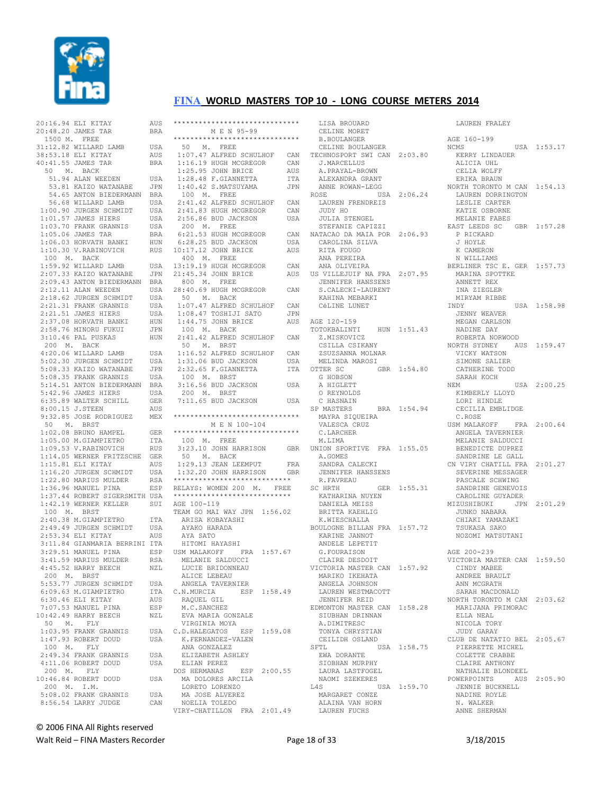

20:16.94 ELI KITAY AUS

## **FINA WORLD MASTERS TOP 10 - LONG COURSE METERS 2014**

 $20 \cdot 48$   $20$  JAMES TAR BRA 1500 M. FREE 31:12.82 WILLARD LAMB USA 38:53.18 ELI KITAY AUS 40:41.55 JAMES TAR BRA 50 M. BACK 51.94 ALAN WEEDEN USA 53.81 KAIZO WATANABE JPN 54.65 ANTON BIEDERMANN BRA 56.68 WILLARD LAMB USA 1:00.90 JURGEN SCHMIDT USA 1:01.57 JAMES HIERS USA 1:03.70 FRANK GRANNIS USA 1:05.06 JAMES TAR BRA 1:06.03 HORVATH BANKI HUN 1:10.30 V.RABINOVICH RUS 100 M. BACK 1:59.92 WILLARD LAMB USA 2:07.33 KAIZO WATANABE JPN 2:09.43 ANTON BIEDERMANN BRA 2:12.11 ALAN WEEDEN USA 2:18.62 JURGEN SCHMIDT USA 2:21.31 FRANK GRANNIS USA 2:21.51 JAMES HIERS USA 2:37.08 HORVATH BANKI HUN<br>2:58.76 MINORU FUKUI JPN 2:58.76 MINORU FUKUI 3:10.46 PAL PUSKAS HUN 200 M. BACK 4:20.06 WILLARD LAMB USA<br>5:02.30 JURGEN SCHMIDT USA 5:02.30 JURGEN SCHMIDT 5:08.33 KAIZO WATANABE JPN 5:08.35 FRANK GRANNIS USA 5:14.51 ANTON BIEDERMANN BRA 5:42.96 JAMES HIERS USA 6:35.89 WALTER SCHILL GER 8:00.15 J.STEEN AUS 9:32.85 JOSE RODRIGUEZ MEX 50 M. BRST 1:02.08 BRUNO HAMPEL GER 1:05.00 M.GIAMPIETRO ITA 1:09.53 V.RABINOVICH RUS 1:14.05 WERNER FRITZSCHE GER 1:15.81 ELI KITAY AUS 1:16.20 JURGEN SCHMIDT USA 1:22.80 MARIUS MULDER RSA 1:36.96 MANUEL PINA ESP 1:37.44 ROBERT SIGERSMITH USA 1:42.19 WERNER KELLER SUI 100 M. BRST 2:40.38 M.GIAMPIETRO ITA 2:49.49 JURGEN SCHMIDT USA 2:53.34 ELI KITAY AUS 3:11.84 GIANMARIA BERRINI ITA 3:29.51 MANUEL PINA ESP<br>3:41 59 MARIUS MULDER RSA 3:41.59 MARIUS MULDER 4:45.52 HARRY BEECH NZL 200 M. BRST 5:53.77 JURGEN SCHMIDT USA 6:09.63 M.GIAMPIETRO ITA 6:30.46 ELI KITAY AUS 7:07.53 MANUEL PINA ESP 10:42.49 HARRY BEECH NZL 50 M. FLY 1:03.95 FRANK GRANNIS USA 1:47.93 ROBERT DOUD USA 100 M. FLY 2:49.34 FRANK GRANNIS USA 4:11.06 ROBERT DOUD USA 200 M. FLY 10:46.84 ROBERT DOUD USA 200 M. I.M. 5:08.02 FRANK GRANNIS USA 8:56.54 LARRY JUDGE CAN

| ******************************                                            |            |  |
|---------------------------------------------------------------------------|------------|--|
| M E N 95-99                                                               |            |  |
| ******************************                                            |            |  |
| 50 M. FREE                                                                |            |  |
| 1:07.47 ALFRED SCHULHOF<br>1:16.19 HUGH MCGREGOR<br>1:16.19 HUGH MCGREGOR | CAN        |  |
|                                                                           | CAN        |  |
| 1:25.95 JOHN BRICE<br>1:28.48 F.GIANNETTA<br>1:40.42 S.MATSUYAMA          | AUS        |  |
|                                                                           | <b>ITA</b> |  |
|                                                                           | JPN        |  |
| 100 M. FREE                                                               |            |  |
| 2:41.42 ALFRED SCHULHOF<br>2:41.83 HUGH MCGREGOR<br>3.56.86 PUP JACKON    | CAN        |  |
| 2:56.86 BUD JACKSON                                                       | CAN        |  |
| 200 M. FREE                                                               | USA        |  |
|                                                                           | CAN        |  |
| 6:21.53 HUGH MCGREGOR<br>6:28.25 BUD JACKSON                              | USA        |  |
| 10:17.12 JOHN BRICE                                                       | AUS        |  |
| 400 M. FREE                                                               |            |  |
| 13:19.19 HUGH MCGREGOR                                                    | CAN        |  |
| 21:45.34 JOHN BRICE                                                       | AUS        |  |
| 800 M. FREE                                                               |            |  |
| 28:40.69 HUGH MCGREGOR                                                    | CAN        |  |
| 50 M. BACK                                                                |            |  |
|                                                                           | CAN        |  |
| 1:07.47 ALFRED SCHULHOF<br>1:08.47 TOSHIJI SATO                           | JPN        |  |
| 1:44.75 JOHN BRICE                                                        | AUS        |  |
| 100 M. BACK                                                               |            |  |
| 2:41.42 ALFRED SCHULHOF CAN                                               |            |  |
| 50 M. BRST                                                                |            |  |
|                                                                           | CAN        |  |
|                                                                           | USA        |  |
| 1:16.52 ALFRED SCHULHOF<br>1:31.06 BUD JACKSON<br>2:32.65 F.GIANNETTA     | <b>ITA</b> |  |
| 100 M. BRST                                                               |            |  |
| 3:16.56 BUD JACKSON                                                       | USA        |  |
| 200 M. BRST                                                               |            |  |
| 7:11.65 BUD JACKSON                                                       | USA        |  |
|                                                                           |            |  |
| ******************************                                            |            |  |
| M E N 100-104                                                             |            |  |
| *****************************                                             |            |  |
| 100 M. FREE                                                               |            |  |
| 3:23.10 JOHN HARRISON                                                     | GBR        |  |
| 50 M. BACK                                                                |            |  |
| 1:29.13 JEAN LEEMPUT FRA<br>1:32.20 JOHN HARRISON GBR                     |            |  |
|                                                                           |            |  |
| ****************************                                              |            |  |
| RELAYS: WOMEN 200 M. FREE                                                 |            |  |
| ****************************                                              |            |  |
| AGE 100-119                                                               |            |  |
| TEAM GO MAI WAY JPN 1:56.02                                               |            |  |
| ARISA KOBAYASHI                                                           |            |  |
| AYAKO HARADA                                                              |            |  |
|                                                                           |            |  |
| AYA SATO                                                                  |            |  |
| HITOMI HAYASHI                                                            |            |  |
| USM MALAKOFF FRA 1:57.67                                                  |            |  |
| MELANIE SALDUCCI                                                          |            |  |
| LUCIE BRIDONNEAU                                                          |            |  |
| ALICE LEBEAU                                                              |            |  |
| ANGELA TAVERNIER                                                          |            |  |
| ESP 1:58.49<br>C.N.MURCIA                                                 |            |  |
| RAQUEL GIL                                                                |            |  |
| M.C.SANCHEZ                                                               |            |  |
| EVA MARIA GONZALE                                                         |            |  |
| VIRGINIA MOYA                                                             |            |  |
| C.D.HALEGATOS ESP 1:59.08                                                 |            |  |
| K.FERNANDEZ-VALEN                                                         |            |  |
| ANA GONZALEZ                                                              |            |  |
| ELIZABETH ASHLEY                                                          |            |  |
| ELIAN PEREZ                                                               |            |  |
| DOS HERMANAS<br>ESP 2:00.55                                               |            |  |
| MA DOLORES ARCILA                                                         |            |  |
| LORETO LORENZO                                                            |            |  |
| MA JOSE ALVEREZ<br>NOELIA TOLEDO                                          |            |  |

 LISA BROUARD CELINE MORET B.BOULANGER CELINE BOULANGER TECHNOSPORT SWI CAN 2:03.80 J.MARCELLUS A.PRAYAL-BROWN ALEXANDRA GRANT ANNE ROWAN-LEGG ROSE USA 2:06.24 LAUREN FRENDREIS JUDY HO JULIA STENGEL STEFANIE CAPIZZI NATACAO DA MAIA POR 2:06.93 CAROLINA SILVA RITA FOUGO ANA PEREIRA ANA OLIVEIRA US VILLEJUIF NA FRA 2:07.95 JENNIFER HANSSENS S.CALECKI-LAURENT KAHINA MEBARKI CéLINE LUNET AGE 120-159 TOTOKBALINTI HUN 1:51.43 Z. MISKOVICZ CSILLA CSIKANY ZSUZSANNA MOLNAR MELINDA MAROSI OTTER SC GBR 1:54.80 G HOBSON A HIGLETT O REYNOLDS C HASNAIN<br>SP MASTERS SP MASTERS BRA 1:54.94 MAYRA SIQUEIRA VALESCA CRUZ C.LARCHER M. T.TMA UNION SPORTIVE FRA 1:55.05 A.GOMES SANDRA CALECKI JENNIFER HANSSENS R.FAVREAU<br>SC HRTH SC HRTH GER 1:55.31 KATHARINA NUYEN DANIELA MEISS BRITTA KAEHLIG K.WIESCHALLA BOULOGNE BILLAN FRA 1:57.72 KARINE JANNOT ANDELE LEPETIT G.FOURAISON CLAIRE DESDOIT VICTORIA MASTER CAN 1:57.92 MARIKO IKEHATA ANGELA JOHNSON LAUREN WESTMACOTT JENNIFER REID EDMONTON MASTER CAN 1:58.28 SIUBHAN DRINNAN A.DIMITRESC TONYA CHRYSTIAN CEILIDH OSLAND SFTL USA 1:58.75 EWA DORANTE SIOBHAN MURPHY LAURA LASTFOGEL NAOMI SZEKERES L4S USA 1:59.70 MARGARET CONZE ALAINA VAN HORN LAUREN FUCHS

 LAUREN FRALEY AGE 160-199 NCMS USA 1:53.17 KERRY LINDAUER ALICIA UHL CELIA WOLFF ERIKA BRAUN NORTH TORONTO M CAN 1:54.13 LAUREN DORRINGTON<br>LAUREN DORRINGTON LESLIE CARTER KATIE OSBORNE MELANIE FABES EAST LEEDS SC GBR 1:57.28 P RICKARD J HOYLE K CAMERON N WILLIAMS BERLINER TSC E. GER 1:57.73 MARINA SPOTTKE ANNETT REX INA ZIEGLER MIRYAM RIBBE INDY USA 1:58.98 JENNY WEAVER MEGAN CARLSON NADINE DAY ROBERTA NORWOOD NORTH SYDNEY AUS 1:59.47 VICKY WATSON SIMONE SALIER CATHERINE TODD SARAH KOCH NEM USA 2:00.25 KIMBERLY LLOYD LORI HINDLE CECILIA EMBLIDGE C.ROSE USM MALAKOFF FRA 2:00.64 ANGELA TAVERNIER MELANIE SALDUCCI BENEDICTE DUPREZ SANDRINE LE GALL CN VIRY CHATILL FRA 2:01.27 SEVERINE MESSAGER PASCALE SCHWING SANDRINE GENEVOIS CAROLINE GUYADER MIZUSHIBUKI JPN 2:01.29 JUNKO NABARA CHIAKI YAMAZAKI TSUKASA SAKO NOZOMI MATSUTANI AGE 200-239 VICTORIA MASTER CAN 1:59.50 CINDY MABEE ANDREE BRAULT ANN MCGRATH SARAH MACDONALD NORTH TORONTO M CAN 2:03.62 MARIJANA PRIMORAC ELLA NEAL NICOLA TORY JUDY GARAY CLUB DE NATATIO BEL 2:05.67 PIERRETTE MICHEL COLETTE CRABBE CLAIRE ANTHONY NATHALIE BLONDEEL POWERPOINTS AUS 2:05.90 JENNIE BUCKNELL NADINE ROYLE N. WALKER ANNE SHERMAN

© 2006 FINA All Rights reserved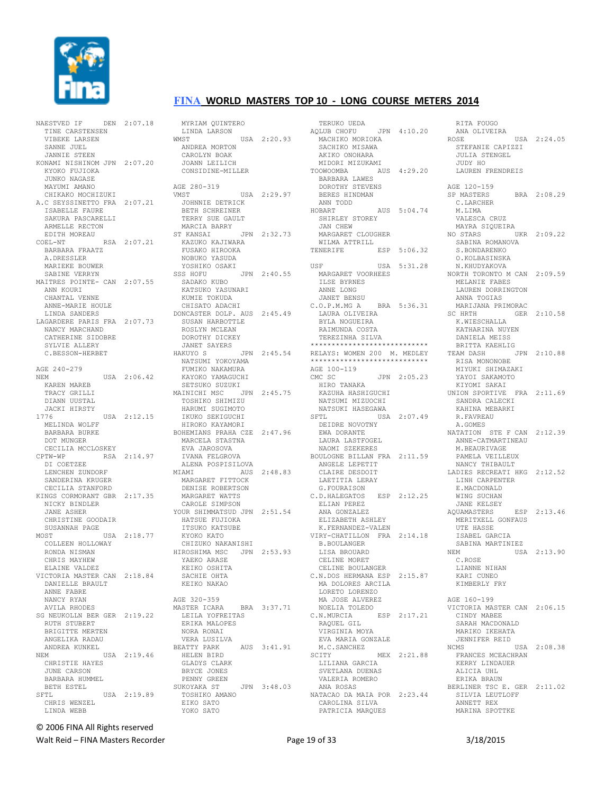

NAESTVED IF DEN 2:07.18 TINE CARSTENSEN VIBEKE LARSEN SANNE JUEL JANNIE STEEN KONAMI NISHINOM JPN 2:07.20 KYOKO FILITOKA JUNKO NAGASE MAYUMI AMANO CHIKAKO MOCHIZUKI A.C SEYSSINETTO FRA 2:07.21 ISABELLE FAURE SAKURA PASCARELLI ARMELLE RECTON EDITH MOREAU<br>COEL-NT RSA 2:07.21 BARBARA FRAATZ A.DRESSLER MARIEKE BOUWER SABINE VERRYN MAITRES POINTE- CAN 2:07.55 ANN KOURT CHANTAL VENNE ANNE-MARIE HOULE LINDA SANDERS LAGARDERE PARIS FRA 2:07.73 NANCY MARCHAND CATHERINE SIDOBRE SYLVIE ALLERY C.BESSON-HERBET AGE 240-279 NEM USA 2:06.42 KAREN MAREB TRACY GRILLI DIANN UUSTAL JACKI HIRSTY 1776 USA 2:12.15 MELINDA WOLFF BARBARA BURKE DOT MUNGER CECILIA MCCLOSKEY CPTW-WP RSA 2:14.97 DI COETZEE LENCHEN ZUNDORF SANDERINA KRUGER CECILIA STANFORD KINGS CORMORANT GBR 2:17.35 NICKY BINDLER JANE ASHER CHRISTINE GOODAIR SUSANNAH PAGE MOST USA 2:18.77 COLLEEN HOLLOWAY RONDA NISMAN CHRIS MAYHEW ELAINE VALDEZ VICTORIA MASTER CAN 2:18.84 DANIELLE BRAULT ANNE FABRE NANCY RYAN AVILA RHODES SG NEUKOLLN BER GER 2:19.22 RUTH STUBERT BRIGITTE MERTEN ANGELIKA RADAU ANDREA KUNKEL NEM USA 2:19.46 CHRISTIE HAYES JUNE CARSON BARBARA HUMMEL BETH ESTEL<br>SFTL USA 2:19.89 CHRIS WENZEL LINDA WEBB

 MYRIAM QUINTERO LINDA LARSON WMST USA 2:20.93 ANDREA MORTON CAROLYN BOAK JOANN LEILICH CONSIDINE-MILLER AGE 280-319 VMST USA 2:29.97 JOHNNIE DETRICK BETH SCHREINER TERRY SUE GAULT MARCIA BARRY ST KANSAI JPN 2:32.73 KAZUKO KAJIWARA FUSAKO HIROOKA NOBUKO YASUDA YOSHIKO OSAKI SSS HOFU JPN 2:40.55 SADAKO KUBO KATSUKO YASUNARI KUMIE TOKUDA CHISATO ADACHI DONCASTER DOLP. AUS 2:45.49 SUSAN HARBOTTLE ROSLYN MCLEAN DOROTHY DICKEY JANET SAYERS HAKUYO S JPN 2:45.54 NATSUMI YOKOYAMA FUMIKO NAKAMURA KAYOKO YAMAGUCHI SETSUKO SUZUKI MAINICHI MSC JPN 2:45.75 TOSHIKO SHIMIZU HARUMI SUGIMOTO IKUKO SEKIGUCHI HIROKO KAYAMORI BOHEMIANS PRAHA CZE 2:47.96 MARCELA STASTNA EVA JAROSOVA IVANA FELGROVA ALENA POSPISILOVA<br>MTAMI AUS AUS 2:48.83 MARGARET FITTOCK DENISE ROBERTSON MARGARET WATTS CAROLE SIMPSON YOUR SHIMMATSUD JPN 2:51.54 HATSUE FUJIOKA ITSUKO KATSUBE KYOKO KATO CHIZUKO NAKANISHI HIROSHIMA MSC JPN 2:53.93 YAEKO ARASE KEIKO OSHITA SACHIE OHTA KEIKO NAKAO AGE 320-359 MASTER ICARA BRA 3:37.71 LEILA YOFREITAS ERIKA MALOPES NORA RONAI VERA LUSILVA BEATTY PARK AUS 3:41.91 HELEN BIRD GLADYS CLARK BRYCE JONES PENNY GREEN<br>SUKOYAKA ST JPN 3:48.03 TOSHIKO AMANO EIKO SATO YOKO SATO

 TERUKO UEDA AQLUB CHOFU JPN 4:10.20 MACHIKO MORIOKA SACHIKO MISAWA AKIKO ONOHARA MIDORI MIZUKAMI<br>TOOWOOMBA AU AUS 4:29.20 BARBARA LAWES DOROTHY STEVENS BERES HINDMAN ANN TODD HOBART AUS 5:04.74 SHIRLEY STOREY JAN CHEW MARGARET CLOUGHER WILMA ATTRILL TENERIFE ESP 5:06.32 USF USA 5:31.28 MARGARET VOORHEES ILSE BYRNES ANNE LONG JANET BENSU C.O.P.M.MG A BRA 5:36.31 LAURA OLIVEIRA BYLA NOGUEIRA RAIMUNDA COSTA TEREZINHA SILVA \*\*\*\*\*\*\*\*\*\*\*\*\*\*\*\*\*\*\*\*\*\*\*\*\*\*\*\* RELAYS: WOMEN 200 M. MEDLEY \*\*\*\*\*\*\*\*\*\*\*\*\*\*\*\*\*\*\*\*\*\*\*\*\*\*\*\* AGE 100-119 CMC SC JPN 2:05.23 HIRO TANAKA KAZUHA HASHIGUCHI NATSUMI MIZUOCHI NATSUKI HASEGAWA SFTL USA 2:07.49 DEIDRE NOVOTNY EWA DORANTE LAURA LASTFOGEL NAOMI SZEKERES BOULOGNE BILLAN FRA 2:11.59 ANGELE LEPETIT CLAIRE DESDOIT LAETITIA LERAY G.FOURAISON C.D.HALEGATOS ESP 2:12.25 ELIAN PEREZ ANA GONZALEZ ELIZABETH ASHLEY K.FERNANDEZ-VALEN VIRY-CHATILLON FRA 2:14.18 B.BOULANGER LISA BROUARD CELINE MORET CELINE BOULANGER C.N.DOS HERMANA ESP 2:15.87 MA DOLORES ARCILA LORETO LORENZO MA JOSE ALVEREZ NOELIA TOLEDO C.N.MURCIA ESP 2:17.21 RAQUEL GIL VIRGINIA MOYA EVA MARIA GONZALE M.C.SANCHEZ<br>SCITY MEX 2:21.88 LILIANA GARCIA SVETLANA DUENAS VALERIA ROMERO ANA ROSAS NATACAO DA MAIA POR 2:23.44 CAROLINA SILVA PATRICIA MARQUES

 RITA FOUGO ANA OLIVEIRA ROSE USA 2:24.05 STEFANIE CAPIZZI JULIA STENGEL JUDY HO LAUREN FRENDREIS AGE 120-159 SP MASTERS BRA 2:08.29 C.LARCHER M. T. TMA VALESCA CRUZ MAYRA SIQUEIRA NO STARS UKR 2:09.22 SABINA ROMANOVA S.BONDARENKO O.KOLBASINSKA N.KHUDYAKOVA NORTH TORONTO M CAN 2:09.59 MELANIE FABES LAUREN DORRINGTON ANNA TOGIAS MARIJANA PRIMORAC SC HRTH GER 2:10.58 K.WIESCHALLA KATHARINA NUYEN DANIELA MEISS BRITTA KAEHLIG TEAM DASH JPN 2:10.88 RISA MONONOBE MIYUKI SHIMAZAKI YAYOI SAKAMOTO KIYOMI SAKAI UNION SPORTIVE FRA 2:11.69 SANDRA CALECKI KAHINA MEBARKI R.FAVREAU A.GOMES NATATION STE F CAN 2:12.39 ANNE-CATMARTINEAU M.BEAURIVAGE PAMELA VEILLEUX NANCY THIBAULT LADIES RECREATI HKG 2:12.52 LINH CARPENTER E.MACDONALD WING SUCHAN JANE KELSEY AQUAMASTERS ESP 2:13.46 MERITXELL GONFAUS UTE HASSE ISABEL GARCIA SABINA MARTINIEZ NEM USA 2:13.90 C.ROSE LIANNE NIHAN KARI CUNEO KIMBERLY FRY AGE 160-199 VICTORIA MASTER CAN 2:06.15 CINDY MABEE SARAH MACDONALD MARIKO IKEHATA JENNIFER REID NCMS USA 2:08.38 FRANCES MCEACHRAN KERRY LINDAUER ALICIA UHL ERIKA BRAUN BERLINER TSC E. GER 2:11.02 SILVIA LEUTLOFF ANNETT REX MARINA SPOTTKE

© 2006 FINA All Rights reserved

Walt Reid – FINA Masters Recorder The Communication of 33 3/18/2015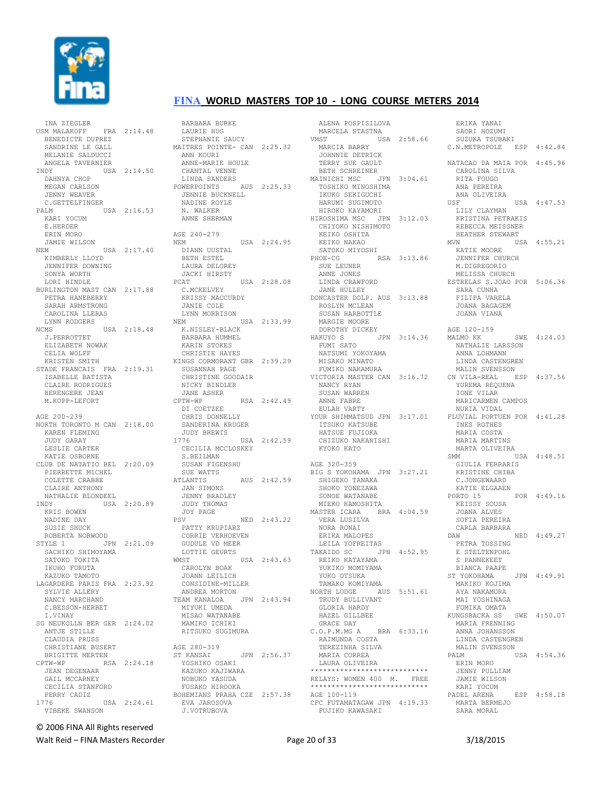

INA ZIEGLER<br>USM MALAKOEE FRA 2:14.48 BENEDICTE DUPREZ SANDRINE LE GALL MELANIE SALDUCCI ANGELA TAVERNIER USA 2:14.50 DAHNYA CHOP MEGAN CARLSON JENNY WEAVER C.GETTELFINGER PALM USA 2:16.53 KARI YOCUM E.HERDER ERIN MORO JAMIE WILSON NEM USA 2:17.40 KIMBERLY LLOYD JENNIFER DOWNING SONYA WORTH LORI HINDLE BURLINGTON MAST CAN 2:17.88 PETRA HANEBERRY SARAH ARMSTRONG CAROLINA LLERAS LYNN RODGERS NCMS USA 2:18.48 J.PERROTTET ELIZABETH NOWAK CELIA WOLFF KRISTEN SMITH STADE FRANCAIS FRA 2:19.31 ISABELLE BATISTA CLAIRE RODRIGUES BERENGERE JEAN M.KOPP-LEFORT AGE 200-239 NORTH TORONTO M CAN 2:18.00 KAREN FLEMING JUDY GARAY LESLIE CARTER KATIE OSBORNE CLUB DE NATATIO BEL 2:20.09 PIERRETTE MICHEL COLETTE CRABBE CLAIRE ANTHONY NATHALIE BLONDEEL INDY USA 2:20.89 KRIS BOWEN NADINE DAY SUSIE SHUCK ROBERTA NORWOOD<br>STYLE 1 JPN JPN 2:21.09 SACHIKO SHIMOYAMA SATOKO TOKITA IKUHO FURUTA KAZUKO TAMOTO LAGARDERE PARIS FRA 2:23.92 SYLVIE ALLERY NANCY MARCHAND C.BESSON-HERBET I.VINAY SG NEUKOLLN BER GER 2:24.02 ANTJE STILLE CLAUDIA PRUSS CHRISTIANE BUSERT AGE 280-319 BRIGITTE MERTEN CPTW-WP RSA 2:24.18 JEAN DEGENAAR GAIL MCCARNEY CECILIA STANFORD<br>PERRY CADIZ PERRY CADIZ 1776 USA 2:24.61 VIBEKE SWANSON

 BARBARA BURKE BAKBAKA BUK<br>LAURIE HUG STEPHANIE SAUCY MAITRES POINTE- CAN 2:25.32 ANN KOURI ANNE-MARIE HOULE CHANTAL VENNE LINDA SANDERS POWERPOINTS AUS 2:25.33 JENNIE BUCKNELL NADINE ROYLE N. WALKER ANNE SHERMAN AGE 240-279 AGE 240-279<br>NEM USA 2:24.95 DIANN UUSTAL BETH ESTEL LAURA DELOREY JACKI HIRSTY<br>PCAT USA 2:28.08 C.MCKELVEY KRISSY MACCURDY<br>KRISSY MACCURDY<br>IANITE COLL JANIE COLE LYNN MORRISON NEM USA 2:33.99 K.NISLEY-BLACK BARBARA HUMMEL KARIN STOKES CHRISTIE HAYES KINGS CORMORANT GBR 2:39.29 SUSANNAH PAGE CHRISTINE GOODAIR NICKY BINDLER JANE ASHER CPTW-WP RSA 2:42.49 DI COETZEE CHRIS DONNELLY SANDERINA KRUGER JUDY BREWIS 1776 USA 2:42.59 CECILIA MCCLOSKEY S.BEILMAN SUSAN FIGENSHU SUE WATTS ATLANTIS AUS 2:42.59 ATLANTIS<br>JAN SIMONS JENNY BRADLEY JUDY THOMAS JOY PAGE PSV NED 2:43.22 PATTY KRUPIARZ CORRIE VERHOEVEN GUDULE VD MEER LOTTIE GEURTS<br>WMST WMST USA 2:43.63 CAROLYN BOAK JOANN LEILICH CONSIDINE-MILLER ANDREA MORTON TEAM KANALOA JPN 2:43.94 MIYUKI UMEDA MISAO WATANABE MAMIKO ICHIKI RITSUKO SUGIMURA ST KANSAI JPN 2:56.37 YOSHIKO OSAKI KAZUKO KAJIWARA NOBUKO YASUDA FUSAKO HIROOKA BOHEMIANS PRAHA CZE 2:57.38 EVA JAROSOVA J.VOTRUBOVA

 ALENA POSPISILOVA MARCELA STASTNA  $USA 2:58.66$  MARCIA BARRY JOHNNIE DETRICK JOHNNIE DEINICH<br>TERRY SUE GAULT BETH SCHREINER MAINICHI MSC JPN 3:04.61 TOSHIKO MINOSHIMA IKUKO SEKIGUCHI HARUMI SUGIMOTO HIROKO KAYAMORI HIROSHIMA MSC JPN 3:12.03 CHIYOKO NISHIMOTO KEIKO OSHITA KEIKO NAKAO SATOKO MIYOSHI PHOE-CG RSA 3:13.86 SUE LEUNER ANNE JONES LINDA CRAWFORD JANE HULLEY DONCASTER DOLP. AUS 3:13.88 ROSLYN MCLEAN SUSAN HARBOTTLE سموں میں HARBOTTI<br>MARGIE MOORE DOROTHY DICKEY HAKUYO S JPN 3:14.36 FUMI SATO NATSUMI YOKOYAMA MISAKO MINATO FUMIKO NAKAMURA VICTORIA MASTER CAN 3:16.72 NANCY RYAN SUSAN WARREN ANNE FABRE EULAH VARTY YOUR SHIMMATSUD JPN 3:17.01 ITSUKO KATSUBE HATSUE FUJIOKA CHIZUKO NAKANISHI KYOKO KATO AGE 320-359 BIG S YOKOHAMA JPN 3:27.21 SHIGEKO TANAKA SHOKO YONEZAWA SONOE WATANABE MIEKO KAMOSHITA MASTER ICARA BRA 4:04.59 VERA LUSILVA NORA RONAI ERIKA MALOPES LEILA YOFREITAS TAKAIDO SC JPN 4:52.95 REIKO KATAYAMA YUKIKO MOMIYAMA YUKO OTSUKA TAMAKO KOMIYAMA NORTH LODGE AUS 5:51.61 TRUDY BULLIVANT GLORIA HARDY HAZEL GILLBEE GRACE DAY C.O.P.M.MG A BRA 6:33.16 RAIMUNDA COSTA TEREZINHA SILVA MARIA CORREA LAURA OLIVEIRA \*\*\*\*\*\*\*\*\*\*\*\*\*\*\*\*\*\*\*\*\*\*\*\*\*\*\*\* RELAYS: WOMEN 400 M. FREE \*\*\*\*\*\*\*\*\*\*\*\*\*\*\*\*\*\*\*\*\*\*\*\*\*\*\*\* AGE 100-119 CFC FUTAMATAGAW JPN 4:19.33 FUJIKO KAWASAKI

 ERIKA YANAI SAORT HOZUMI SUZUKA TSUBAKI C.N.METROPOLE ESP 4:42.84 NATACAO DA MAIA POR 4:45.96 CAROLINA SILVA RITA FOUGO ANA PEREIRA ANA OLIVEIRA USF USA 4:47.53 LILY CLAYMAN KRISTINA PETRAKIS REBECCA MEISSNER HEATHER STEWART MVN USA 4:55.21 KATIE MOORE JENNIFER CHURCH M.DIGREGORIO MELISSA CHURCH ESTRELAS S.JOAO POR 5:06.36 SARA CUNHA FILIPA VARELA JOANA BAGAGEM JOANA VIANA AGE 120-159 MALMO KK SWE 4:24.03 NATHALIE LARSSON ANNA LOHMANN LINDA CASTENGREN MALIN SVENSSON<br>N VILA-REAL - ESP - 4:37-56 CN VILA-REAL YUREMA REQUENA IONE VILAR MARICARMEN CAMPOS NURIA VIDAL FLUVIAL PORTUEN POR 4:41 28 INES ROTHES MARIA COSTA MARIA MARTINS MARTA OLIVEIRA SMM USA 4:48.51 GIULIA FERRARIS KRISTINE CHIBA C.JONGEWAARD KATIE ELGAAEN PORTO 15 POR 4:49.16 KEISSY SOUSA JOANA ALVES SOFIA PEREIRA CARLA BARBARA DAW NED 4:49.27 PETRA TOSSING E STELTENPOHL S PANNEKEET BIANCA PAAPE ST YOKOHAMA JPN 4:49.91 MAKIKO KOJIMA AYA NAKAMURA MAT YOSHINAGA FUMIKA OMATA<br>UNGSBACKA SS. SWE. 4:50.07 KUNGSBACKA SS MARIA FRENNING ANNA JOHANSSON LINDA CASTENGREN MALIN SVENSSON<br>PALM U USA 4:54.36 ERIN MORO JENNY PULLIAM JAMIE WILSON KARI YOCUM PADEL ARENA ESP 4:58.18 MARTA BERMEJO SARA MORAL

© 2006 FINA All Rights reserved

Walt Reid – FINA Masters Recorder The Contract Contract Page 20 of 33 3/18/2015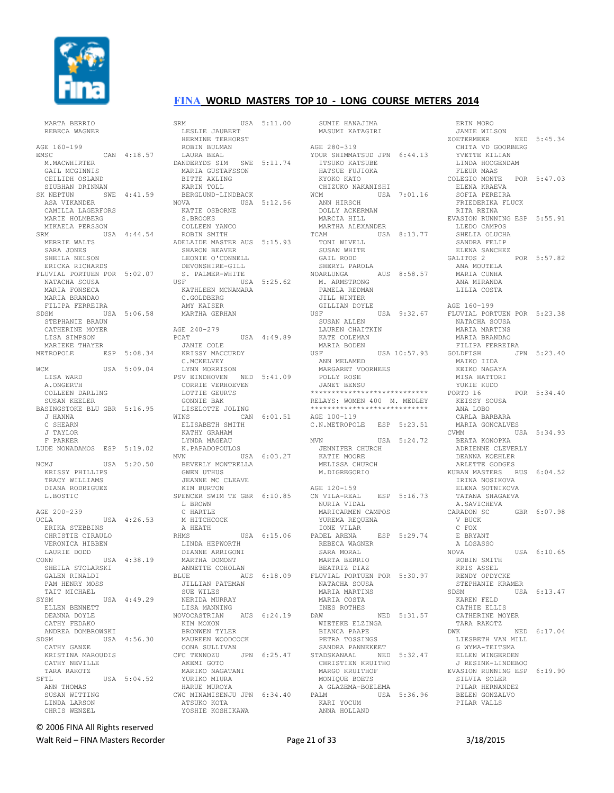

MARTA BERRIO

#### **FINA WORLD MASTERS TOP 10 - LONG COURSE METERS 2014**

 REBECA WAGNER AGE 160-199 EMSC CAN 4:18.57 M.MACWHIRTER GAIL MCGINNIS CEILIDH OSLAND SIUBHAN DRINNAN SK NEPTUN SWE 4:41.59 ASA VIKANDER CAMILLA LAGERFORS MARIE HOLMBERG MIKAELA PERSSON SRM USA 4:44.54 MERRIE WALTS SARA JONES SHEILA NELSON ERICKA RICHARDS FLUVIAL PORTUEN POR 5:02.07 NATACHA SOUSA MARIA FONSECA MARIA BRANDAO FILIPA FERREIRA SDSM USA 5:06.58 STEPHANIE BRAUN CATHERINE MOYER LISA SIMPSON MARIEKE THAYER METROPOLE ESP 5:08.34 WCM USA 5:09.04 LISA WARD A.ONGERTH COLLEEN DARLING SUSAN KEELER BASINGSTOKE BLU GBR 5:16.95 J HANNA C SHEARN J TAYLOR F PARKER LUDE NONADAMOS ESP 5:19.02 NCMJ USA 5:20.50 KRISSY PHILLIPS TRACY WILLIAMS DIANA RODRIGUEZ L.BOSTIC AGE 200-239 UCLA USA 4:26.53 ERIKA STEBBINS CHRISTIE CIRAULO VERONICA HIBBEN LAURIE DODD CONN USA 4:38.19 SHEILA STOLARSKI GALEN RINALDI PAM HENRY MOSS TAIT MICHAEL<br>cvcm USA 4:49.29 ELLEN BENNETT DEANNA DOYLE CATHY FEDAKO ANDREA DOMBROWSKI SDSM USA 4:56.30 CATHY GANZE KRISTINA MAROUDIS CATHY NEVILLE TARA RAKOTZ<br>SFTL USA 5:04.52 ANN THOMAS SUSAN WITTING LINDA LARSON CHRIS WENZEL

SRM USA 5:11.00 LESLIE JAUBERT HERMINE TERHORST ROBIN BULMAN LAURA BEAL DANDERYDS SIM SWE 5:11.74 MARIA GUSTAFSSON BITTE AXLING KARIN TOLL BERGLUND-LINDBACK NOVA USA 5:12.56 KATIE OSBORNE S. BROOKS COLLEEN YANCO ROBIN SMITH ADELAIDE MASTER AUS 5:15.93 SHARON BEAVER LEONIE O'CONNELL DEVONSHIRE-GILL S. PALMER-WHITE<br>USF USE  $USA = 5:25.62$  KATHLEEN MCNAMARA C.GOLDBERG AMY KAISER MARTHA GERHAN AGE 240-279 PCAT USA 4:49.89 JANIE COLE KRISSY MACCURDY<br>C MOVETT C.MCKELVEY LYNN MORRISON PSV EINDHOVEN NED 5:41.09 CORRIE VERHOEVEN LOTTIE GEURTS GONNIE BAK LISELOTTE JOLING WINS CAN 6:01.51 ELISABETH SMITH KATHY GRAHAM LYNDA MAGEAU K.PAPADOPOULOS MVN USA 6:03.27 BEVERLY MONTRELLA GWEN UTHUS JEANNE MC CLEAVE KIM BURTON SPENCER SWIM TE GBR 6:10.85 L BROWN C HARTLE M HITCHCOCK A HEATH RHMS USA 6:15.06 LINDA HEPWORTH DIANNE ARRIGONI MARTHA DOMONT ANNETTE COHOLAN<br>BLUE AUS AUS 6:18.09 JILLIAN PATEMAN SUE WILES NERIDA MURRAY LISA MANNING NOVOCASTRIAN AUS 6:24.19 KIM MOXON BRONWEN TYLER MAUREEN WOODCOCK OONA SULLIVAN CFC TENNOZU JPN 6:25.47 AKEMI GOTO MARIKO NAGATANI YURIKO MIURA HARUE MUROYA CWC MINAMISENJU JPN 6:34.40 ATSUKO KOTA YOSHIE KOSHIKAWA

SUMIE HANAJIMA MASUMI KATAGIRI AGE 280-319 YOUR SHIMMATSUD JPN 6:44.13 ITSUKO KATSUBE HATSUE FUJIOKA KYOKO KATO CHIZUKO NAKANISHI WCM USA 7:01.16 ANN HIRSCH DOLLY ACKERMAN MARCIA HILL MARTHA ALEXANDER TCAM USA 8:13.77 CAPI<br>TONI WIVELL SUSAN WHITE GAIL RODD SHERYL PAROLA NOARLUNGA AUS 8:58.57 M. ARMSTRONG PAMELA REDMAN JILL WINTER GILLIAN DOYLE USF USA 9:32.67 SUSAN ALLEN LAUREN CHAITKIN<br>LAUREN CHAITKIN KATE COLEMAN MARIA BODEN<br>USF USA 10:57.93 ANN MELAMED MARGARET VOORHEES POLLY ROSE JANET BENSU \*\*\*\*\*\*\*\*\*\*\*\*\*\*\*\*\*\*\*\*\*\*\*\*\*\*\*\* RELAYS: WOMEN 400 M. MEDLEY \*\*\*\*\*\*\*\*\*\*\*\*\*\*\*\*\*\*\*\*\*\*\*\*\* AGE 100-119 C.N.METROPOLE ESP 5:23.51 MVN USA 5:24.72 JENNIFER CHURCH KATIE MOORE MELISSA CHURCH M.DIGREGORIO AGE 120-159 CN VILA-REAL ESP 5:16.73 NURIA VIDAL MARICARMEN CAMPOS YUREMA REQUENA IONE VILAR PADEL ARENA ESP 5:29.74 REBECA WAGNER SARA MORAL MARTA BERRIO BEATRIZ DIAZ FLUVIAL PORTUEN POR 5:30.97 NATACHA SOUSA MARIA MARTINS MARIA COSTA INES ROTHES<br>DAW NED 5:31.57 WIETEKE ELZINGA BIANCA PAAPE PETRA TOSSINGS SANDRA PANNEKEET STADSKANAAL NED 5:32.47 CHRISTIEN KRUITHO MARGO KRUITHOF MONIQUE BOETS A GLAZEMA-BOELEMA USA 5:36.96 KARI YOCUM ANNA HOLLAND

 ERIN MORO JAMIE WILSON ZOETERMEER NED 5:45.34 CHITA VD GOORBERG YVETTE KILIAN LINDA HOOGENDAM FLEUR MAAS COLEGIO MONTE POR 5:47.03 ELENA KRAEVA SOFIA PEREIRA FRIEDERIKA FLUCK RITA REINA EVASION RUNNING ESP 5:55.91 LLEDO CAMPOS SHELIA OLUCHA SANDRA FELIP ELENA SANCHEZ GALITOS 2 POR 5:57.82 ANA MOUTELA MARIA CUNHA ANA MIRANDA LILIA COSTA AGE 160-199 FLUVIAL PORTUEN POR 5:23.38 NATACHA SOUSA MARIA MARTINS MARIA BRANDAO FILIPA FERREIRA GOLDFISH JPN 5:23.40 MAIKO IIDA KEIKO NAGAYA MISA HATTORI YUKIE KUDO<br>PORTO 16  $PROR = 5.34.40$ KEISSY SOUSA ANA LOBO CARLA BARBARA MARIA GONCALVES CVMM USA 5:34.93 BEATA KONOPKA ADRIENNE CLEVERLY DEANNA KOEHLER ARLETTE GODGES KUBAN MASTERS RUS 6:04.52 IRINA NOSIKOVA ELENA SOTNIKOVA TATANA SHAGAEVA A.SAVICHEVA CARADON SC GBR 6:07.98 V BUCK C FOX E BRYANT A LOSASSO NOVA USA 6:10.65 ROBIN SMITH KRIS ASSEL RENDY OPDYCKE STEPHANIE KRAMER SDSM USA 6:13.47 KAREN FELD CATHIE ELLIS CATHERINE MOYER TARA RAKOTZ DWK NED 6:17.04 LIESBETH VAN MILL G WYMA-TEITSMA ELLEN WINGERDEN J RESINK-LINDEBOO EVASION RUNNING ESP 6:19.90 SILVIA SOLER PILAR HERNANDEZ BELEN GONZALVO PILAR VALLS

© 2006 FINA All Rights reserved

Walt Reid – FINA Masters Recorder and the Seconder Page 21 of 33 3/18/2015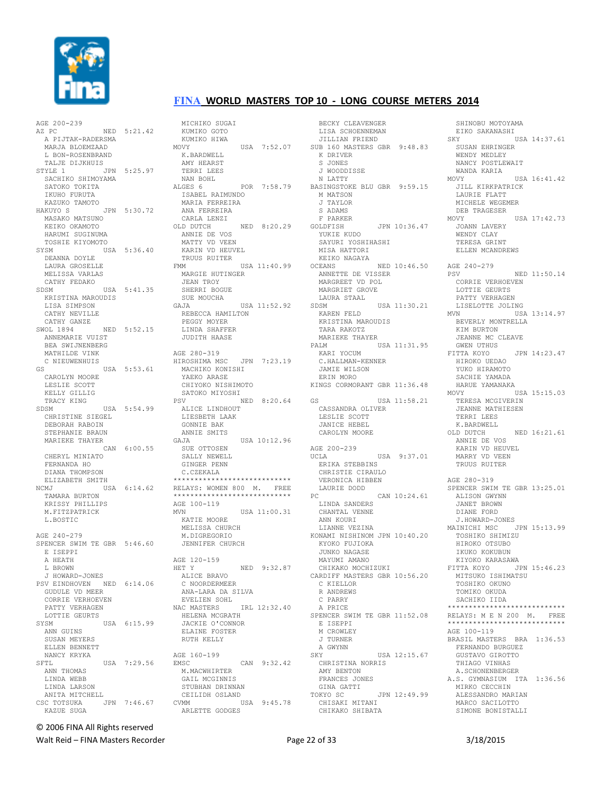

AGE 200-239 AZ PC NED 5:21.42 A PIJTAK-RADERSMA MARJA BLOEMZAAD L BON-ROSENBRAND TALJE DIJKHUIS  $STYLER$  1  $IPN$  5:25.97 SACHIKO SHIMOYAMA SATOKO TOKITA IKUHO FURUTA KAZUKO TAMOTO HAKUYO S JPN 5:30.72 MASAKO MATSUNO KEIKO OKAMOTO HARUMI SUGINUMA TOSHIE KIYOMOTO SYSM USA 5:36.40 DEANNA DOYLE LAURA GROSELLE MELISSA VARLAS CATHY FEDAKO SDSM USA 5:41.35 KRISTINA MAROUDIS LISA SIMPSON CATHY NEVILLE CATHY GANZE SWOL 1894 NED 5:52.15 ANNEMARIE VIIIST BEA SWIJNENBERG MATHILDE VINK C NIEUWENHUIS GS USA 5:53.61 CAROLYN MOORE LESLIE SCOTT KELLY GILLIG TRACY KING SDSM USA 5:54.99 CHRISTINE SIEGEL DEBORAH RABOIN STEPHANIE BRAUN MARIEKE THAYER CAN 6:00.55 CHERYL MINIATO FERNANDA HO DIANA THOMPSON ELIZABETH SMITH USA 6:14.62 TAMARA BURTON KRISSY PHILLIPS M.FITZPATRICK L.BOSTIC AGE 240-279 SPENCER SWIM TE GBR 5:46.60 E ISEPPI A HEATH L BROWN J HOWARD-JONES PSV EINDHOVEN NED 6:14.06 GUDULE VD MEER CORRIE VERHOEVEN PATTY VERHAGEN LOTTIE GEURTS SYSM USA 6:15.99 ANN GUINS SUSAN MEYERS ELLEN BENNETT NANCY KRYKA SFTL USA 7:29.56 ANN THOMAS LINDA WEBB LINDA LARSON ANITA MITCHELL CSC TOTSUKA JPN 7:46.67 KAZUE SUGA

MICHIKO SUGAI KUMIKO GOTO KUMIKO HIWA MOVY USA 7:52.07 K.BARDWELL AMY HEARST TERRI LEES NAN BOHL<br>ALGES 6 POR 7:58.79 ISABEL RAIMUNDO MARIA FERREIRA ANA FERREIRA CARLA LENZI<br>OLD DUTCH NED 8:20.29 ANNIE DE VOS MATTY VD VEEN KARIN VD HEUVEL TRUUS RUITER<br>FMM  $USA 11:40.99$  MARGIE HUTINGER JEAN TROY SHERRI BOGUE SUE MOUCHA GAJA USA 11:52.92 REBECCA HAMILTON PEGGY MOYER LINDA SHAFFER JUDITH HAASE AGE 280-319 HIROSHIMA MSC JPN 7:23.19 MACHIKO KONISHI YAEKO ARASE CHIYOKO NISHIMOTO SATOKO MIYOSHI PSV NED 8:20.64 ALICE LINDHOUT LIESBETH LAAK GONNIE BAK ANNIE SMITS GAJA USA 10:12.96 SUE OTTOSEN SALLY NEWELL GINGER PENN C.CZEKALA \*\*\*\*\*\*\*\*\*\*\*\*\*\*\*\*\*\*\*\*\*\*\*\*\*\*\*\* RELAYS: WOMEN 800 M. FREE \*\*\*\*\*\*\*\*\*\*\*\*\*\*\*\*\*\*\*\*\*\*\*\*\*\*\*\* AGE 100-119 MVN USA 11:00.31 KATIE MOORE MELISSA CHURCH M.DIGREGORIO JENNIFER CHURCH AGE 120-159 HET Y NED 9:32.87 ALICE BRAVO C NOORDERMEER ANA-LARA DA SILVA EVELIEN SOHL NAC MASTERS IRL 12:32.40 HELENA MCGRATH JACKIE O'CONNOR ELAINE FOSTER RUTH KELLY AGE 160-199 AGE 160-199<br>EMSC CAN 9:32.42 M.MACWHIRTER GAIL MCGINNIS STUBHAN DRINNAN CEILIDH OSLAND CVMM USA 9:45.78

ARLETTE GODGES

 BECKY CLEAVENGER LISA SCHOENNEMAN JILLIAN FRIEND SUB 160 MASTERS GBR 9:48.83 K DRIVER S JONES J WOODDISSE N LATTY BASINGSTOKE BLU GBR 9:59.15 M MATSON J TAYLOR S ADAMS F PARKER GOLDFISH JPN 10:36.47 YUKIE KUDO SAYURI YOSHIHASHI MISA HATTORI KEIKO NAGAYA<br>OCEANS NED 10:46.50 ANNETTE DE VISSER MARGREET VD POL MARGRIET GROVE LAURA STAAL SDSM USA 11:30.21 KAREN FELD KRISTINA MAROUDIS TARA RAKOTZ MARIEKE THAYER PALM USA 11:31.95 KARI YOCUM C.HALLMAN-KENNER JAMIE WILSON ERIN MORO KINGS CORMORANT GBR 11:36.48 GS USA 11:58.21 CASSANDRA OLIVER LESLIE SCOTT JANICE HEBEL CAROLYN MOORE AGE 200-239 UCLA USA 9:37.01 ERIKA STEBBINS CHRISTIE CIRAULO VERONICA HIBBEN LAURIE DODD PC CAN 10:24.61 L<br>LINDA SANDERS CHANTAL VENNE ANN KOURI LIANNE VEZINA KONAMI NISHINOM JPN 10:40.20 KYOKO FUJIOKA JUNKO NAGASE MAYUMI AMANO CHIKAKO MOCHIZUKI<br>Labasi CARDIFF MASTERS GBR 10:56.20 C KIELLOR R ANDREWS C PARRY A PRICE SPENCER SWIM TE GBR 11:52.08 E ISEPPI M CROWLEY J TURNER A GWYNN<br>SKY USA 12:15.67 CHRISTINA NORRIS AMY BENTON FRANCES JONES GINA GATTI TOKYO SC JPN 12:49.99 CHISAKI MITANI CHIKAKO SHIBATA

SHINOBU MOTOYAMA EIKO SAKANASHI SKY USA 14:37 61 SUSAN EHRINGER WENDY MEDLEY NANCY POSTLEWAIT WANDA KARIA MOVY USA 16:41.42 JILL KIRKPATRICK LAURIE FLATT MICHELE WEGEMER DEB TRAGESER  $MOVY$  USA  $17 \cdot 42$  73 .<br>JOANN LAVERY WENDY CLAY TERESA GRINT ELLEN MCANDREWS AGE 240-279 PSV NED 11:50.14 CORRIE VERHOEVEN LOTTIE GEURTS PATTY VERHAGEN LISELOTTE JOLING MVN USA 13:14.97 BEVERLY MONTRELLA KIM BURTON JEANNE MC CLEAVE GWEN UTHUS FITTA KOYO JPN 14:23.47 HIROKO UEDAO YUKO HIRAMOTO SACHIE YAMADA HARUE YAMANAKA MOVY USA 15:15 03 TERESA MCGIVERIN JEANNE MATHIESEN TERRI LEES K.BARDWELL OLD DUTCH NED 16:21.61 ANNIE DE VOS KARIN VD HEUVEL MARRY VD VEEN TRUUS RUITER AGE 280-319 SPENCER SWIM TE GBR 13:25.01 ALISON GWYNN JANET BROWN DIANE FORD J.HOWARD-JONES MAINICHI MSC JPN 15:13.99 TOSHIKO SHIMIZU HIROKO OTSUBO IKUKO KOKUBUN KIYOKO KARASAWA FITTA KOYO JPN 15:46.23 MITSUKO ISHIMATSU TOSHIKO OKUNO TOMIKO OKUDA SACHIKO IIDA \*\*\*\*\*\*\*\*\*\*\*\*\*\*\*\*\*\*\*\*\*\*\*\*\*\*\*\* RELAYS: M E N 200 M. FREE \*\*\*\*\*\*\*\*\*\*\*\*\*\*\*\*\*\*\*\*\*\*\*\* AGE 100-119 BRASIL MASTERS BRA 1:36.53 FERNANDO BURGUEZ GUSTAVO GIROTTO THIAGO VINHAS A.SCHONENBERGER A.S. GYMNASIUM ITA 1:36.56 MIRKO CECCHIN ALESSANDRO MARIAN MARCO SACILOTTO SIMONE BONISTALLI

© 2006 FINA All Rights reserved

Walt Reid – FINA Masters Recorder and the Seconder Page 22 of 33 3/18/2015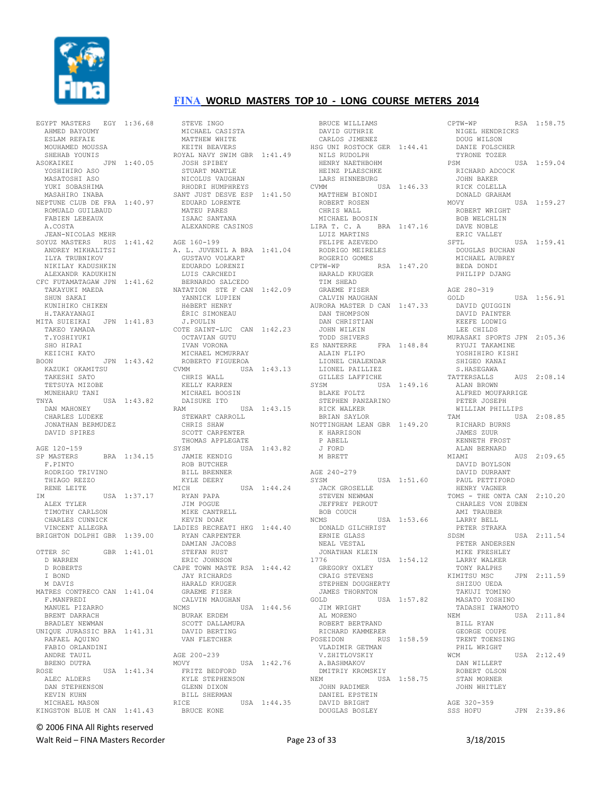

EGYPT MASTERS EGY 1:36.68 AHMED BAYOUMY ESLAM REFAIE MOUHAMED MOUSSA SHEHAB YOUNIS ASOKAIKEI JPN 1:40.05 YOSHIHIRO ASO MASATOSHI ASO YUKI SOBASHIMA MASAHIRO INABA NEPTUNE CLUB DE FRA 1:40.97 ROMUALD GUILBAUD FABIEN LEBEAUX A.COSTA JEAN-NICOLAS MEHR SOYUZ MASTERS RUS 1:41.42 AGE 160-199 ANDREY MIKHALITSI ILYA TRUBNIKOV NIKILAY KADUSHKIN ALEXANDR KADUKHIN CFC FUTAMATAGAW JPN 1:41.62 TAKAYUKI MAEDA SHUN SAKAI KUNIHIKO CHIKEN H.TAKAYANAGI MITA SUIEIKAI JPN 1:41.83 TAKEO YAMADA T.YOSHIYUKI SHO HIRAT KEIICHI KATO<br>BOON BOON JPN 1:43.42 KAZUKI OKAMITSU TAKESHI SATO TETSUYA MIZOBE MUNEHARU TANI TNYA USA 1:43.82 DAN MAHONEY CHARLES LUDEKE JONATHAN BERMUDEZ DAVID SPIRES AGE 120-159 SP MASTERS BRA 1:34.15 F.PINTO RODRIGO TRIVINO THIAGO REZZO RENE LEITE IM USA 1:37.17 ALEX TYLER TIMOTHY CARLSON CHARLES CUNNICK VINCENT ALLEGRA BRIGHTON DOLPHI GBR 1:39.00 OTTER SC GBR 1:41.01 D WARREN D ROBERTS I BOND M DAVIS MATRES CONTRECO CAN 1:41.04 F.MANFREDI MANUEL PIZARRO BRENT DARRACH BRADLEY NEWMAN UNIQUE JURASSIC BRA 1:41.31 RAFAEL AQUINO FABIO ORLANDINI ANDRE TAUIL BRENO DUTRA ROSE USA 1:41.34 ALEC ALDERS DAN STEPHENSON KEVIN KUHN MICHAEL MASON KINGSTON BLUE M CAN 1:41.43

STEVE INGO MICHAEL CASISTA MATTHEW WHITE KEITH BEAVERS ROYAL NAVY SWIM GBR 1:41.49 JOSH SPIBEY STUART MANTLE NICOLUS VAUGHAN RHODRI HUMPHREYS SANT JUST DESVE ESP 1:41.50 EDUARD LORENTE MATEU PARES ISAAC SANTANA ALEXANDRE CASINOS A. L. JUVENIL A BRA 1:41.04 GUSTAVO VOLKART EDUARDO LORENZI LUIS CARCHEDI BERNARDO SALCEDO NATATION STE F CAN 1:42.09 YANNICK LUPIEN HéBERT HENRY ÉRIC SIMONEAU J.POULIN COTE SAINT-LUC CAN 1:42.23 OCTAVIAN GUTU IVAN VORONA MICHAEL MCMURRAY ROBERTO FIGUEROA CVMM USA 1:43.13 CHRIS WALL KELLY KARREN MICHAEL BOOSIN DAISUKE ITO RAM USA 1:43.15 STEWART CARROLL CHRIS SHAW SCOTT CARPENTER THOMAS APPLEGATE SYSM USA 1:43.82 JAMIE KENDIG ROB BUTCHER BILL BRENNER KYLE DEERY<br>MICH USA 1:44.24 RYAN PAPA JIM POGUE MIKE CANTRELL KEVIN DOAK LADIES RECREATI HKG 1:44.40 RYAN CARPENTER DAMIAN JACOBS STEFAN RUST ERIC JOHNSON CAPE TOWN MASTE RSA 1:44.42 JAY RICHARDS HARALD KRUGER GRAEME FISER CALVIN MAUGHAN NCMS USA 1:44.56 BURAK ERDEM SCOTT DALLAMURA DAVID BERTING VAN FLETCHER AGE 200-239<br>MOVY USA 1:42.76 FRITZ BEDFORD KYLE STEPHENSON GLENN DIXON BILL SHERMAN RICE USA 1:44.35 BRUCE KONE

 BRUCE WILLIAMS DAVID GUTHRIE CARLOS JIMENEZ HSG UNI ROSTOCK GER 1:44.41 NILS RUDOLPH HENRY NAETHBOHM HEINZ PLAESCHKE LARS HINNEBURG CVMM USA 1:46.33 MATTHEW BIONDI ROBERT ROSEN CHRIS WALL MICHAEL BOOSIN LIRA T. C. A BRA 1:47.16 LUIZ MARTINS FELIPE AZEVEDO RODRIGO MEIRELES ROGERIO GOMES<br>PTW-WP RSA 1:47.20  $CPTW-WP$  HARALD KRUGER TIM SHEAD GRAEME FISER CALVIN MAUGHAN AURORA MASTER D CAN 1:47.33 DAN THOMPSON DAN CHRISTIAN JOHN WILKIN TODD SHIVERS ES NANTERRE FRA 1:48.84 ALAIN FLIPO LIONEL CHALENDAR LIONEL PAILLIEZ GILLES LAFFICHE SYSM USA 1:49.16 BLAKE FOLTZ STEPHEN PANZARINO RICK WALKER BRIAN SAYLOR NOTTINGHAM LEAN GBR 1:49.20 K HARRISON P ABELL J FORD M BRETT AGE 240-279 USA 1:51.60 JACK GROSELLE STEVEN NEWMAN JEFFREY PEROUT BOB COUCH NCMS USA 1:53.66 DONALD GILCHRIST ERNIE GLASS NEAL VESTAL JONATHAN KLEIN<br>1776 US USA 1:54.12 GREGORY OXLEY CRAIG STEVENS STEPHEN DOUGHERTY JAMES THORNTON<br>GOLD US USA 1:57.82 JIM WRIGHT AL MORENO ROBERT BERTRAND RICHARD KAMMERER POSEIDON RUS 1:58.59 VLADIMIR GETMAN V.ZHITLOVSKIY A.BASHMAKOV DMITRIY KROMSKIY NEM USA 1:58.75 JOHN RADIMER DANIEL EPSTEIN DAVID BRIGHT DOUGLAS BOSLEY

CPTW-WP RSA 1:58.75 NIGEL HENDRICKS DOUG WILSON DANIE FOLSCHER TYRONE TOZER<br>PSM USA 1:59.04 RICHARD ADCOCK JOHN BAKER RICK COLELLA DONALD GRAHAM MOVY USA 1:59.27 ROBERT WRIGHT BOB WELCHLIN DAVE NOBLE ERIC VALLEY SFTL USA 1:59.41 DOUGLAS BUCHAN MICHAEL AUBREY BEDA DONDI PHILIPP DJANG AGE 280-319 GOLD USA 1:56.91 DAVID QUIGGIN DAVID PAINTER KEEFE LODWIG LEE CHILDS MURASAKI SPORTS JPN 2:05.36 RYUJI TAKAMINE YOSHIHIRO KISHI SHIGEO KANAI S.HASEGAWA TATTERSALLS AUS 2:08.14 ALAN BROWN ALFRED MOUFARRIGE PETER JOSEPH WILLIAM PHILLIPS TAM USA 2:08.85 RICHARD BURNS JAMES ZUUR KENNETH FROST ALAN BERNARD MIAMI AUS 2:09.65 DAVID BOYLSON DAVID DURRANT PAUL PETTIFORD HENRY VAGNER TOMS - THE ONTA CAN 2:10.20 CHARLES VON ZUBEN AMI TRAUBER LARRY BELL PETER STRAKA<br>SDSM USA 2:11.54 PETER ANDERSEN MIKE FRESHLEY LARRY WALKER TONY RALPHS KIMITSU MSC JPN 2:11.59 SHIZUO UEDA TAKUJI TOMINO MASATO YOSHINO TADASHI IWAMOTO USA 2:11.84 BILL RYAN GEORGE COUPE TRENT TOENSING PHIL WRIGHT<br>WCM  $USA$  2:12.49 DAN WILLERT ROBERT OLSON STAN MORNER JOHN WHITLEY AGE 320-359<br>SSS HOFU SSS HOFU JPN 2:39.86

#### © 2006 FINA All Rights reserved

Walt Reid – FINA Masters Recorder The Communication of Page 23 of 33 3/18/2015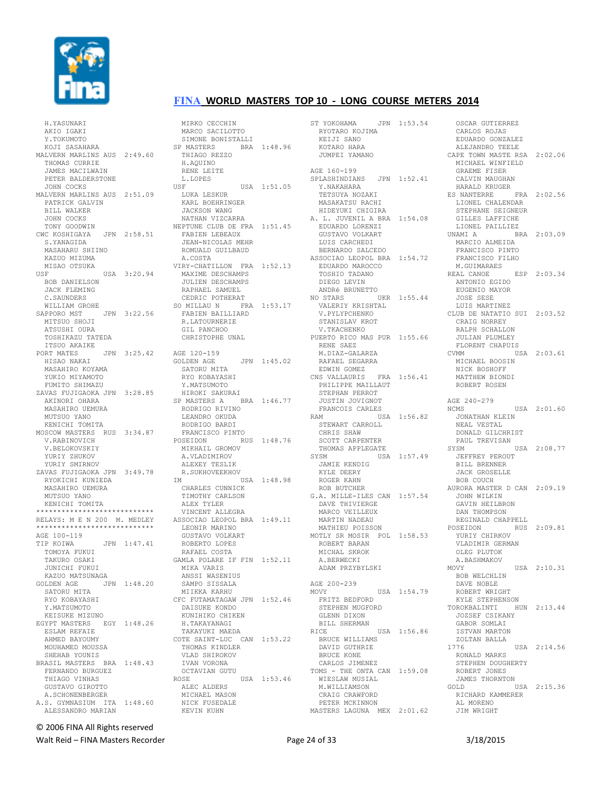

 H.YASUNARI AKIO IGAKI Y TOKUMOTO KOJI SASAHARA MALVERN MARLINS AUS 2:49.60 THOMAS CURRIE JAMES MACILWAIN PETER BALDERSTONE JOHN COCKS MALVERN MARLINS AUS 2:51.09 PATRICK GALVIN BILL WALKER JOHN COCKS TONY GOODWIN CWC KOSHIGAYA JPN 2:58.51 S. YANAGIDA MASAHARU SHIINO KAZUO MIZUMA MISAO OTSUKA USF USA 3:20.94 BOB DANIELSON JACK FLEMING C.SAUNDERS WILLIAM GROHE SAPPORO MST JPN 3:22.56 MITSUO SHOJI ATSUSHI OURA TOSHIKAZU TATEDA ITSUO AKAIKE PORT MATES JPN 3:25.42 HISAO NAKAI MASAHIRO KOYAMA YUKIO MIYAMOTO FUMITO SHIMAZU ZAVAS FUJIGAOKA JPN 3:28.85 AKINORI OHARA MASAHIRO UEMURA MUTSUO YANO KENICHI TOMITA MOSCOW MASTERS RUS 3:34.87 V.RABINOVICH V.BELOKOVSKIY YURIY ZHUKOV YURIY SMIRNOV ZAVAS FUJIGAOKA JPN 3:49.78 RYOKICHI KUNIEDA MASAHIRO UEMURA MUTSUO YANO KENICHI TOMITA \*\*\*\*\*\*\*\*\*\*\*\*\*\*\*\*\*\*\*\*\*\*\*\*\*\*\*\* RELAYS: M E N 200 M. MEDLEY \*\*\*\*\*\*\*\*\*\*\*\*\*\*\*\*\*\*\*\*\*\*\*\*\*\*\*\* AGE 100-119<br>TIP KOIWA JPN 1:47.41 TOMOYA FUKUI TAKURO OSAKI JUNICHI FUKUI KAZUO MATSUNAGA GOLDEN AGE JPN 1:48.20 SATORU MITA RYO KOBAYASHI Y.MATSUMOTO KEISUKE MIZUNO EGYPT MASTERS EGY 1:48.26 ESLAM REFAIE AHMED BAYOUMY MOUHAMED MOUSSA SHEHAB YOUNIS BRASIL MASTERS BRA 1:48.43 FERNANDO BURGUEZ THIAGO VINHAS GUSTAVO GIROTTO A.SCHONENBERGER A.S. GYMNASIUM ITA 1:48.60 ALESSANDRO MARIAN

 MIRKO CECCHIN MARCO SACILOTTO SIMONE BONISTALLI SP MASTERS BRA 1:48.96 THIAGO REZZO H.AQUINO RENE LEITE L.LOPES USF USA 1:51.05 LUKA LESKUR KARL BOEHRINGER JACKSON WANG NATHAN VIZCARRA NEPTUNE CLUB DE FRA 1:51.45 FABIEN LEBEAUX JEAN-NICOLAS MEHR ROMUALD GUILBAUD A.COSTA VIRY-CHATILLON FRA 1:52.13 MAXIME DESCHAMPS JULIEN DESCHAMPS RAPHAEL SAMUEL CEDRIC POTHERAT SO MILLAU N FRA 1:53.17 FABIEN BAILLIARD R.LATOURNERIE GIL PANCHOO CHRISTOPHE UNAL AGE 120-159<br>GOLDEN AGE JPN 1:45.02 SATORU MITA RYO KOBAYASHI Y.MATSUMOTO HIROKI SAKURAI SP MASTERS A BRA 1:46.77 RODRIGO RIVINO LEANDRO OKUDA RODRIGO BARDI FRANCISCO PINTO RUS 1:48.76 MIKHAIL GROMOV A.VLADIMIROV ALEXEY TESLIK R.SUKHOVEEKHOV IM USA 1:48.98 CHARLES CUNNICK TIMOTHY CARLSON ALEX TYLER VINCENT ALLEGRA ASSOCIAO LEOPOL BRA 1:49.11 LEONIR MARINO GUSTAVO VOLKART ROBERTO LOPES RAFAEL COSTA GAMLA POLARE IF FIN 1:52.11 MIKA VARIS ANSSI WASENIUS SAMPO SISSALA MIIKKA KARHU CFC FUTAMATAGAW JPN 1:52.46 DAISUKE KONDO KUNIHIKO CHIKEN H.TAKAYANAGI TAKAYUKI MAEDA COTE SAINT-LUC CAN 1:53.22 THOMAS KINDLER VLAD SHIROKOV IVAN VORONA OCTAVIAN GUTU ROSE USA 1:53.46 ALEC ALDERS MICHAEL MASON NICK FUSEDALE KEVIN KUHN

ST YOKOHAMA JPN 1:53.54 RYOTARO KOJIMA KEIJI SANO KOTARO HARA JUMPEI YAMANO AGE 160-199 SPLASHINDIANS JPN 1:52.41 Y.NAKAHARA TETSUYA NOZAKI<br>MAGILI MASAKATSU RACHI HIDEYUKI CHIGIRA A. L. JUVENIL A BRA 1:54.08 EDUARDO LORENZI GUSTAVO VOLKART LUIS CARCHEDI BERNARDO SALCEDO ASSOCIAO LEOPOL BRA 1:54.72 EDUARDO MAROCCO TOSHIO TADANO DIEGO LEVIN ANDRé BRUNETTO NO STARS UKR 1:55.44 VALERIY KRISHTAL V.PYLYPCHENKO STANISLAV KROT V.TKACHENKO PUERTO RICO MAS PUR 1:55.66 RENE SAEZ M.DIAZ-GALARZA RAFAEL SEGARRA EDWIN GOMEZ CNS VALLAURIS FRA 1:56.41 PHILIPPE MAILLAUT STEPHAN PERROT JUSTIN JOVIGNOT FRANCOIS CARLES RAM USA 1:56.82 STEWART CARROLL CHRIS SHAW SCOTT CARPENTER THOMAS APPLEGATE SYSM USA 1:57.49 JAMIE KENDIG KYLE DEERY ROGER KAHN ROB BUTCHER G.A. MILLE-ILES CAN 1:57.54 DAVE THIVIERGE MARCO VEILLEUX MARTIN NADEAU MATHIEU POISSON MOTLY SR MOSIR POL 1:58.53 ROBERT BARAN MICHAL SKROK A.BERWECKI ADAM PRZYBYLSKI AGE 200-239 MOVY USA 1:54.79 FRITZ BEDFORD STEPHEN MUGFORD GLENN DIXON BILL SHERMAN RICE USA 1:56.86 BRUCE WILLIAMS DAVID GUTHRIE BRUCE KONE CARLOS JIMENEZ TOMS - THE ONTA CAN 1:59.08 WIESLAW MUSIAL M.WILLIAMSON CRAIG CRAWFORD PETER MCKINNON MASTERS LAGUNA MEX 2:01.62

 OSCAR GUTIERREZ CARLOS ROJAS EDUARDO GONZALEZ ALEJANDRO TEELE CAPE TOWN MASTE RSA 2:02.06 MICHAEL WINFIELD GRAEME FISER CALVIN MAUGHAN HARALD KRUGER ES NANTERRE FRA 2:02.56 LIONEL CHALENDAR STEPHANE SEIGNEUR GILLES LAFFICHE LIONEL PAILLIEZ UNAMI A BRA 2:03.09 MARCIO ALMEIDA FRANCISCO PINTO FRANCISCO FILHO M.GUIMARAES REAL CANOE ESP 2:03.34 ANTONIO EGIDO EUGENIO MAYOR JOSE SESE LUIS MARTINEZ CLUB DE NATATIO SUI 2:03.52 CRAIG NORREY RALPH SCHALLON JULIAN PLUMLEY FLORENT CHAPUIS CVMM USA 2:03.61 MICHAEL BOOSIN NICK BOSHOFF MATTHEW BIONDI ROBERT ROSEN AGE 240-279<br>NCMS USA 2:01.60 JONATHAN KLEIN NEAL VESTAL DONALD GILCHRIST PAUL TREVISAN SYSM USA 2:08.77 JEFFREY PEROUT BILL BRENNER JACK GROSELLE BOB COUCH AURORA MASTER D CAN 2:09.19 JOHN WILKIN GAVIN HEILBRON DAN THOMPSON REGINALD CHAPPELL POSEIDON RUS 2:09.81 YURIY CHIRKOV VLADIMIR GERMAN OLEG PLUTOK A.BASHMAKOV MOVY USA 2:10.31 BOB WELCHLIN DAVE NOBLE ROBERT WRIGHT KYLE STEPHENSON TOROKBALINTI HUN 2:13.44 JOZSEF CSIKANY GABOR SOMLAI ISTVAN MARTON ZOLTAN BALLA 1776 USA 2:14.56 RONALD MARKS STEPHEN DOUGHERTY ROBERT JONES JAMES THORNTON GOLD USA 2:15.36 RICHARD KAMMERER AL MORENO JIM WRIGHT

© 2006 FINA All Rights reserved

Walt Reid – FINA Masters Recorder The Communication of the Page 24 of 33 3/18/2015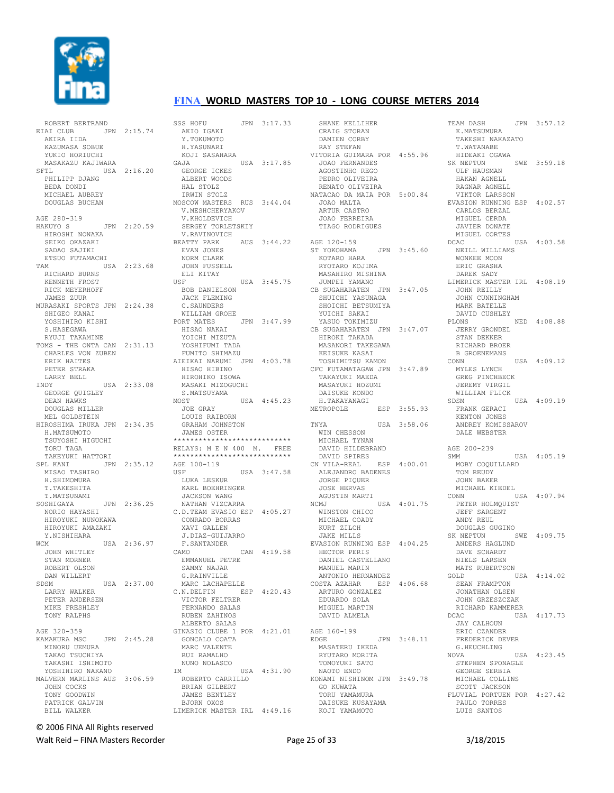

ROBERT BERTRAND

## **FINA WORLD MASTERS TOP 10 - LONG COURSE METERS 2014**

EIAI CLUB JPN 2:15.74 AKIRA IIDA KAZUMASA SOBUE YUKIO HORIUCHI MASAKAZU KAJIWARA SFTL USA 2:16.20 PHILIPP DJANG BEDA DONDI MICHAEL AUBREY DOUGLAS BUCHAN AGE 280-319 AGE 200-312<br>HAKUYO S JPN 2:20.59 HIROSHI NONAKA SEIKO OKAZAKI SADAO SAJIKI ETSUO FUTAMACHI TAM USA 2:23.68 RICHARD BURNS KENNETH FROST RICK MEYERHOFF JAMES ZUUR MURASAKI SPORTS JPN 2:24.38 SHIGEO KANAI<br>YOSHIHIRO KISHI S.HASEGAWA RYILIT TAKAMINE TOMS - THE ONTA CAN 2:31.13 CHARLES VON ZUBEN ERIK HAITES PETER STRAKA LARRY BELL INDY USA 2:33.08 GEORGE QUIGLEY DEAN HAWKS DOUGLAS MILLER MEL GOLDSTEIN HIROSHIMA IRUKA JPN 2:34.35 H.MATSUMOTO TSUYOSHI HIGUCHI TORU TAGA TAKEYUKI HATTORI SPL KANI JPN 2:35.12 MISAO TASHIRO H.SHIMOMURA T.TAKESHITA T.MATSUNAMI SOSHIGAYA JPN 2:36.25 NORIO HAYASHI HIROYUKI NUNOKAWA HIROYUKI AMAZAKI Y.NISHIHARA WCM USA 2:36.97 JOHN WHITLEY STAN MORNER ROBERT OLSON DAN WILLERT<br>SDSM USA 2:37.00 LARRY WALKER PETER ANDERSEN MIKE FRESHLEY TONY RALPHS AGE 320-359 KAMAKURA MSC JPN 2:45.28 MINORU UEMURA TAKAO TSUCHIYA TAKASHI ISHIMOTO YOSHIHIRO NAKANO MALVERN MARLINS AUS 3:06.59 JOHN COCKS TONY GOODWIN PATRICK GALVIN BILL WALKER

SSS HOFU JPN 3:17.33 AKIO IGAKI Y TOKUMOTO H.YASUNARI KOJI SASAHARA GAJA USA 3:17.85 GEORGE ICKES ALBERT WOODS HAL STOLZ IRWIN STOLZ MOSCOW MASTERS RUS 3:44.04 V.MESHCHERYAKOV V.KHOLDEVICH SERGEY TORLETSKIY V.RAVINOVICH<br>BEATTY PARK  $\overline{AB}$   $\overline{3:44.22}$  EVAN JONES NORM CLARK JOHN FUSSELL ELI KITAY USF USA 3:45.75 BOB DANIELSON JACK FLEMING C.SAUNDERS WILLIAM GROHE PORT MATES JPN 3:47.99 HISAO NAKAI YOICHI MIZUTA YOSHIFUMI TADA FUMITO SHIMAZU AIEIKAI NARUMI JPN 4:03.78 HISAO HIBINO HIROHIKO ISOWA MASAKI MIZOGUCHI S.MATSUYAMA MOST USA 4:45.23 JOE GRAY LOUIS RAIBORN GRAHAM JOHNSTON JAMES OSTER \*\*\*\*\*\*\*\*\*\*\*\*\*\*\*\*\*\*\*\*\*\*\*\*\*\*\*\* RELAYS: M E N 400 M. FREE \*\*\*\*\*\*\*\*\*\*\*\*\*\*\*\*\*\*\*\*\*\*\*\*\*\*\*\* AGE 100-119<br>USF U USA 3:47.58 LUKA LESKUR KARL BOEHRINGER JACKSON WANG NATHAN VIZCARRA C.D.TEAM EVASIO ESP 4:05.27 CONRADO BORRAS XAVI GALLEN J.DIAZ-GUIJARRO F.SANTANDER CAN 4:19.58 EMMANUEL PETRE SAMMY NAJAR G.RAINVILLE MARC LACHAPELLE C.N.DELFIN ESP 4:20.43 VICTOR FELTRER FERNANDO SALAS RUBEN ZAHINOS ALBERTO SALAS GINASIO CLUBE 1 POR 4:21.01 GONCALO COATA MARC VALENTE RUI RAMALHO NUNO NOLASCO  $USA = 4:31.90$  ROBERTO CARRILLO BRIAN GILBERT JAMES BENTLEY BJORN OXOS LIMERICK MASTER IRL 4:49.16

 SHANE KELLIHER CRAIG STORAN DAMIEN CORBY RAY STEFAN VITORIA GUIMARA POR 4:55.96 JOAO FERNANDES AGOSTINHO REGO PEDRO OLIVEIRA RENATO OLIVEIRA NATACAO DA MAIA POR 5:00.84 JOAO MALTA ARTUR CASTRO JOAO FERREIRA TIAGO RODRIGUES AGE 120-159 ST YOKOHAMA JPN 3:45.60 KOTARO HARA RYOTARO KOJIMA MASAHIRO MISHINA JUMPEI YAMANO CB SUGAHARATEN JPN 3:47.05 SHUICHI YASUNAGA SHOICHI BETSUMIYA YUICHI SAKAI YASUO TOKIMIZU CB SUGAHARATEN JPN 3:47.07 HIROKI TAKADA MASANORI TAKEGAWA KEISUKE KASAI TOSHIMITSU KAMON CFC FUTAMATAGAW JPN 3:47.89 TAKAYUKI MAEDA MASAYUKI HOZUMI DAISUKE KONDO H.TAKAYANAGI METROPOLE ESP 3:55.93 TNYA USA 3:58.06 WIN CHESSON MICHAEL TYNAN DAVID HILDEBRAND DAVID SPIRES CN VILA-REAL ESP 4:00.01 ALEJANDRO BADENES JORGE PIQUER JOSE HERVAS AGUSTIN MARTI NCMJ USA 4:01.75 WINSTON CHICO MICHAEL COADY KURT ZILCH JAKE MILLS EVASION RUNNING ESP 4:04.25 HECTOR PERIS DANIEL CASTELLANO MANUEL MARIN ANTONIO HERNANDEZ COSTA AZAHAR ESP 4:06.68 ARTURO GONZALEZ EDUARDO SOLA MIGUEL MARTIN DAVID ALMELA AGE 160-199 EDGE JPN 3:48.11 MASATERU IKEDA RYUTARO MORITA TOMOYUKI SATO NAOTO ENDO KONAMI NISHINOM JPN 3:49.78 GO KUWATA TORU YAMAMURA DAISUKE KUSAYAMA KOJI YAMAMOTO

TEAM DASH JPN 3:57.12 K.MATSUMURA TAKESHI NAKAZATO T.WATANABE HIDEAKI OGAWA SK NEPTUN SWE 3:59.18 ULF HAUSMAN HAKAN AGNELL. RAGNAR AGNELL VIKTOR LARSSON EVASION RUNNING ESP 4:02.57 CARLOS BERZAL MIGUEL CERDA JAVIER DONATE MIGUEL CORTES  $DCAC$   $IISA$   $4:03.58$  NEILL WILLIAMS WONKEE MOON ERIC GRASHA DAREK SADY LIMERICK MASTER IRL 4:08.19 JOHN REILLY JOHN CUNNINGHAM MARK BATELLE DAVID CUSHLEY PLONS NED 4:08.88 JERRY GRONDEL STAN DEKKER RICHARD BROER B GROENEMANS<br>CONN USA 4:09.12 MYLES LYNCH GREG PINCHBECK JEREMY VIRGIL WILLIAM FLICK SDSM USA 4:09.19 FRANK GERACI KENTON JONES ANDREY KOMISSAROV DALE WEBSTER AGE 200-239<br>SMM USA 4:05.19 MOBY COQUILLARD TOM REUDY JOHN BAKER MICHAEL KIEDEL CONN USA 4:07.94 PETER HOLMQUIST JEFF SARGENT ANDY REUL DOUGLAS GUGINO SK NEPTUN SWE 4:09.75 ANDERS HAGLUND DAVE SCHARDT NIELS LARSEN MATS RUBERTSON GOLD USA 4:14.02 SEAN FRAMPTON JONATHAN OLSEN JOHN GRZESZCZAK RICHARD KAMMERER DCAC USA 4:17.73 JAY CALHOUN ERIC CZANDER FREDERICK DEVER G.HEUCHLING<br>NOVA  $USA = 4:23.45$  STEPHEN SPONAGLE GEORGE SERBIA MICHAEL COLLINS SCOTT JACKSON FLUVIAL PORTUEN POR 4:27.42 PAULO TORRES LUIS SANTOS

© 2006 FINA All Rights reserved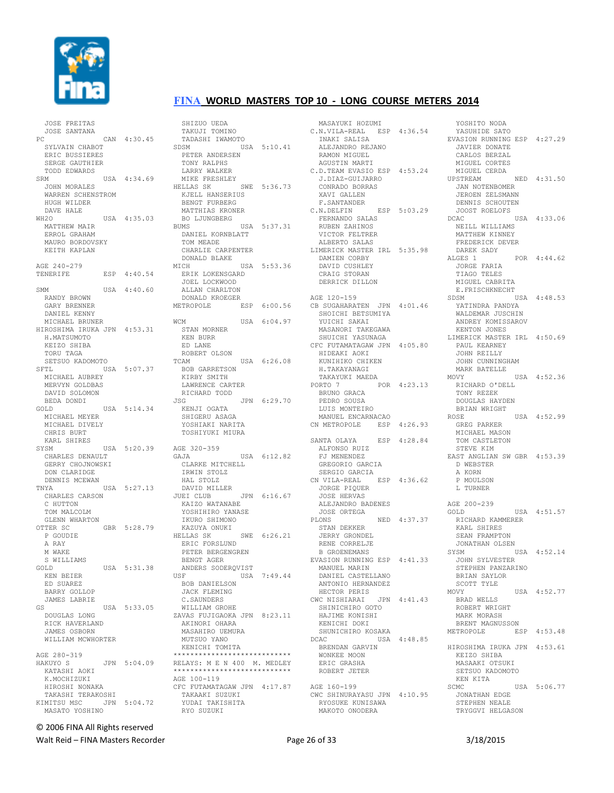

JOSE FREITAS

#### **FINA WORLD MASTERS TOP 10 - LONG COURSE METERS 2014**

| JOSE SANTANA                     |     |             |
|----------------------------------|-----|-------------|
| PC                               |     | CAN 4:30.45 |
| SYLVAIN CHABOT                   |     |             |
| ERIC BUSSIERES                   |     |             |
| SERGE GAUTHIER                   |     |             |
| TODD EDWARDS                     |     |             |
| SRM                              | USA | 4:34.69     |
| JOHN MORALES                     |     |             |
| WARREN SCHENSTROM                |     |             |
| HUGH WILDER                      |     |             |
| DAVE HALE                        |     |             |
| WH <sub>20</sub><br>MATTHEW MAIR |     | USA 4:35.03 |
| ERROL GRAHAM                     |     |             |
| MAURO BORDOVSKY                  |     |             |
| KEITH KAPLAN                     |     |             |
|                                  |     |             |
| AGE 240-279                      |     |             |
| TENERIFE                         | ESP | 4:40.54     |
|                                  |     |             |
| SMM                              |     | USA 4:40.60 |
| RANDY BROWN                      |     |             |
| GARY BRENNER                     |     |             |
| DANIEL KENNY                     |     |             |
| MICHAEL BRUNER                   |     |             |
| HIROSHIMA IRUKA JPN 4:53.31      |     |             |
| H.MATSUMOTO                      |     |             |
| KEIZO SHIBA                      |     |             |
| TORU TAGA                        |     |             |
| SETSUO KADOMOTO                  |     |             |
| SFTL                             |     | USA 5:07.37 |
| MICHAEL AUBREY                   |     |             |
| MERVYN GOLDBAS                   |     |             |
| DAVID SOLOMON                    |     |             |
| BEDA DONDI                       |     |             |
| GOLD<br>MICHAEL MEYER            |     | USA 5:14.34 |
| MICHAEL DIVELY                   |     |             |
| CHRIS BURT                       |     |             |
| KARL SHIRES                      |     |             |
| SYSM                             |     | USA 5:20.39 |
| CHARLES DENAULT                  |     |             |
| GERRY CHOJNOWSKI                 |     |             |
| DON CLARIDGE                     |     |             |
| DENNIS MCEWAN                    |     |             |
| TNYA                             |     | USA 5:27.13 |
| CHARLES CARSON                   |     |             |
| C HUTTON                         |     |             |
| TOM MALCOLM                      |     |             |
| GLENN WHARTON                    |     |             |
| OTTER SC                         |     | GBR 5:28.79 |
| P GOUDIE                         |     |             |
| A RAY                            |     |             |
| M WAKE                           |     |             |
| S WILLIAMS                       |     | USA 5:31.38 |
| GOLD<br>KEN BEIER                |     |             |
| ED SUAREZ                        |     |             |
| BARRY GOLLOP                     |     |             |
| <b>JAMES LABRIE</b>              |     |             |
| GS                               |     | USA 5:33.05 |
| DOUGLAS LONG                     |     |             |
| RICK HAVERLAND                   |     |             |
| JAMES OSBORN                     |     |             |
| WILLIAM MCWHORTER                |     |             |
|                                  |     |             |
| AGE 280-319                      |     |             |
| HAKUYO S                         |     | JPN 5:04.09 |
| KATASHI AOKI                     |     |             |
| K.MOCHIZUKI                      |     |             |
| HIROSHI NONAKA                   |     |             |
| TAKASHI TERAKOSHI                |     |             |
| KIMITSU MSC                      | JPN | 5:04.72     |
| MASATO YOSHINO                   |     |             |

 SHIZUO UEDA TAKUJI TOMINO TADASHI IWAMOTO SDSM USA 5:10.41 PETER ANDERSEN TONY RALPHS LARRY WALKER MIKE FRESHLEY HELLAS SK SWE 5:36.73 KJELL HANSERIUS BENGT FURBERG MATTHIAS KRONER BO LJUNGBERG BUMS USA 5:37.31 DANIEL KORNBLATT TOM MEADE CHARLIE CARPENTER DONALD BLAKE<br>MICH  $USA 5:53.36$  ERIK LOKENSGARD JOEL LOCKWOOD ALLAN CHARLTON DONALD KROEGER METROPOLE ESP 6:00.56 AGE 120-159 CB SUGAHARATEN JPN 4:01.46 WCM USA 6:04.97 STAN MORNER KEN BURR ED LANE ROBERT OLSON<br>TCAM USA 6:26.08 BOB GARRETSON KIRBY SMITH LAWRENCE CARTER RICHARD TODD JSG JPN 6:29.70 KENJI OGATA SHIGERU ASAGA YOSHIAKI NARITA TOSHIYUKI MIURA AGE 320-359 GAJA USA 6:12.82 CLARKE MITCHELL IRWIN STOLZ HAL STOLZ DAVID MILLER JUEI CLUB JPN 6:16.67 KAIZO WATANABE YOSHIHIRO YANASE IKURO SHIMONO<br>KAZUYA ONUKI<br>HELLAS SK SWE 6:26.21<br>ERIC FORSLUND PETER BERGENGREN<br>BENGT AGER BENGT AGER ANDERS SODERQVIST USF USA 7:49.44 BOB DANIELSON JACK FLEMING C.SAUNDERS WILLIAM GROHE ZAVAS FUJIGAOKA JPN 8:23.11 AKINORI OHARA MASAHIRO UEMURA MUTSUO YANO KENICHI TOMITA \*\*\*\*\*\*\*\*\*\*\*\*\*\*\*\*\*\*\*\*\*\*\*\*\*\*\*\* RELAYS: M E N 400 M. MEDLEY \*\*\*\*\*\*\*\*\*\*\*\*\*\*\*\*\*\*\*\*\*\*\*\*\*\*\*\* AGE 100-119 CFC FUTAMATAGAW JPN 4:17.87 TAKAAKI SUZUKI YUDAI TAKISHITA RYO SUZUKI

 MASAYUKI HOZUMI C.N.VILA-REAL ESP 4:36.54 INAKI SALISA ALEJANDRO REJANO RAMON MIGUEL AGUSTIN MARTI C.D.TEAM EVASIO ESP 4:53.24 J.DIAZ-GUIJARRO CONRADO BORRAS **XAVI GALLEN** F.SANTANDER<br>C.N.DELFIN ESP 5:03.29 FERNANDO SALAS RUBEN ZAHINOS VICTOR FELTRER ALBERTO SALAS LIMERICK MASTER IRL 5:35.98 DAMIEN CORBY DAVID CUSHLEY CRAIG STORAN DERRICK DILLON SHOICHI BETSUMIYA YUICHI SAKAI MASANORI TAKEGAWA SHUICHI YASUNAGA CFC FUTAMATAGAW JPN 4:05.80 HIDEAKI AOKI KUNIHIKO CHIKEN H.TAKAYANAGI TAKAYUKI MAEDA PORTO 7 POR 4:23.13 BRUNO GRACA PEDRO SOUSA LUIS MONTEIRO MANUEL ENCARNACAO CN METROPOLE ESP 4:26.93 SANTA OLAYA ESP 4:28.84 ALFONSO RUIZ FJ MENENDEZ GREGORIO GARCIA SERGIO GARCIA CN VILA-REAL ESP 4:36.62 JORGE PIQUER JOSE HERVAS ALEJANDRO BADENES JOSE ORTEGA PLONS NED  $4:37.37$  STAN DEKKER JERRY GRONDEL RENE CORRELJE B GROENEMANS EVASION RUNNING ESP 4:41.33 MANUEL MARIN DANIEL CASTELLANO ANTONIO HERNANDEZ HECTOR PERIS CWC NISHIARAI JPN 4:41.43 SHINICHIRO GOTO HAJIME KONISHI KENICHI DOKI SHUNICHIRO KOSAKA DCAC USA 4:48.85 BRENDAN GARVIN WONKEE MOON ERIC GRASHA ROBERT JETER AGE 160-199 CWC SHINURAYASU JPN 4:10.95 RYOSUKE KUNISAWA MAKOTO ONODERA

YOSHITO NODA YASUHIDE SATO EVASION RUNNING ESP 4:27.29 JAVIER DONATE CARLOS BERZAL MIGUEL CORTES MIGUEL CERDA UPSTREAM NED 4:31.50 JAN NOTENBOMER JEROEN ZELSMANN DENNIS SCHOUTEN JOOST ROELOFS<br>CAC USA 4:33.06 DCAC USA 4:33.06 NEILL WILLIAMS MATTHEW KINNEY FREDERICK DEVER DAREK SADY ALGES 1 POR 4:44.62 JORGE FARIA TIAGO TELES MIGUEL CABRITA E.FRISCHKNECHT SDSM USA 4:48.53 YATINDRA PANDYA WALDEMAR JUSCHIN ANDREY KOMISSAROV KENTON JONES LIMERICK MASTER IRL 4:50.69 PAUL KEARNEY JOHN REILLY JOHN CUNNINGHAM MARK BATELLE<br>MOVY  $USSA = 4:52.36$  RICHARD O'DELL TONY REZEK DOUGLAS HAYDEN BRIAN WRIGHT ROSE USA 4:52.99 GREG PARKER MICHAEL MASON TOM CASTLETON STEVE KIM EAST ANGLIAN SW GBR 4:53.39 D WEBSTER A KORN P MOULSON L TURNER AGE 200-239 GOLD USA 4:51.57 RICHARD KAMMERER KARL SHIRES SEAN FRAMPTON JONATHAN OLSEN<br>SYSM USA 4:52.14 JOHN SYLVESTER STEPHEN PANZARINO BRIAN SAYLOR SCOTT TYLE MOVY USA 4:52.77 BRAD WELLS ROBERT WRIGHT MARK MORASH BRENT MAGNUSSON ESP 4:53.48 HIROSHIMA IRUKA JPN 4:53.61 KEIZO SHIBA MASAAKI OTSUKI SETSUO KADOMOTO KEN KITA<br>SCMC USA 5:06.77 JONATHAN EDGE STEPHEN NEALE TRYGGVI HELGASON

# © 2006 FINA All Rights reserved

Walt Reid – FINA Masters Recorder and the Seconder Page 26 of 33 3/18/2015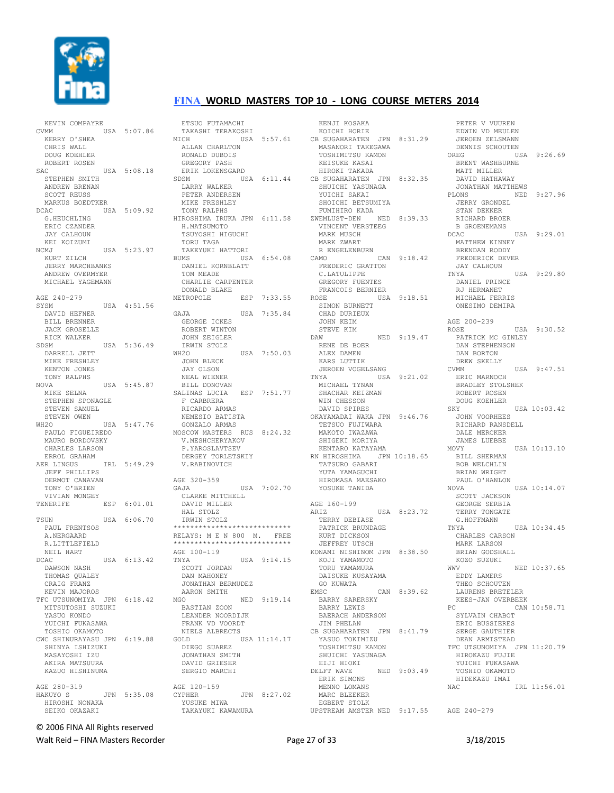

KEVIN COMPAYRE  $USA$  5:07.86 KERRY O'SHEA CHRIS WALL DOUG KOEHLER ROBERT ROSEN  $SAC$   $IISA$   $5:08.18$  STEPHEN SMITH ANDREW BRENAN SCOTT REUSS MARKUS BOEDTKER DCAC USA 5:09.92 G.HEUCHLING ERIC CZANDER JAY CALHOUN KEI KOIZUMI NCMJ USA 5:23.97 KURT ZILCH JERRY MARCHBANKS ANDREW OVERMYER MICHAEL YAGEMANN AGE 240-279 SYSM USA 4:51.56 DAVID HEFNER BILL BRENNER JACK GROSELLE RICK WALKER SDSM USA 5:36.49 DARRELL JETT MIKE FRESHLEY KENTON JONES TONY RALPHS NOVA USA 5:45.87 MIKE SELNA STEPHEN SPONAGLE STEVEN SAMUEL STEVEN OWEN WH2O USA 5:47.76 PAULO FIGUEIREDO MAURO BORDOVSKY CHARLES LARSON ERROL GRAHAM AER LINGUS IRL 5:49.29 JEFF PHILLIPS DERMOT CANAVAN TONY O'BRIEN VIVIAN MONGEY TENERIFE ESP 6:01.01 TSUN USA 6:06.70 PAUL FRENTSOS A.NERGAARD R.LITTLEFIELD NEIL HART<br>DCAC USA 6:13.42 DAWSON NASH THOMAS QUALEY CRAIG FRANZ KEVIN MAJOROS TFC UTSUNOMIYA JPN 6:18.42 MITSUTOSHI SUZUKI YASUO KONDO YUICHI FUKASAWA TOSHIO OKAMOTO CWC SHINURAYASU JPN 6:19.88 SHINYA ISHIZUKI MASAYOSHI IZU AKIRA MATSUURA KAZUO HISHINUMA AGE 280-319<br>HAKUYO S JPN 5:35.08 HIROSHI NONAKA SEIKO OKAZAKI

 ETSUO FUTAMACHI TAKASHI TERAKOSHI MICH USA 5:57.61 ALLAN CHARLTON RONALD DUBOIS GREGORY PASH ERIK LOKENSGARD SDSM USA 6:11.44 LARRY WALKER PETER ANDERSEN MIKE FRESHLEY TONY RALPHS HIROSHIMA IRUKA JPN 6:11.58 H.MATSUMOTO TSUYOSHI HIGUCHI TORII TAGA TAKEYUKI HATTORI BUMS USA 6:54.08 DANIEL KORNBLATT TOM MEADE CHARLIE CARPENTER DONALD BLAKE METROPOLE ESP 7:33.55 GAJA USA 7:35.84 GEORGE ICKES ROBERT WINTON JOHN ZEIGLER IRWIN STOLZ<br>WH2O USA 7:50.03 JOHN BLECK JAY OLSON NEAL WIENER BILL DONOVAN SALINAS LUCIA ESP 7:51.77 F CARBRERA RICARDO ARMAS NEMESIO BATISTA GONZALO ARMAS MOSCOW MASTERS RUS 8:24.32 V.MESHCHERYAKOV P.YAROSLAVTSEV DERGEY TORLETSKIY V.RABINOVICH AGE 320-359<br>GAJA  $USA$  7:02.70 CLARKE MITCHELL DAVID MILLER HAL STOLZ IRWIN STOLZ \*\*\*\*\*\*\*\*\*\*\*\*\*\*\*\*\*\*\*\*\*\*\*\*\*\*\*\* RELAYS: M E N 800 M. FREE<br>\*\*\*\*\*\*\*\*\*\*\*\*\*\*\*\*\*\*\*\*\*\*\*\*\*\*\*\*\* \*\*\*\*\*\*\*\*\*\*\*\*\*\*\*\*\*\*\*\*\*\*\*\*\*\*\*\* AGE 100-119<br>TNYA  $USA = 9:14.15$  SCOTT JORDAN DAN MAHONEY JONATHAN BERMUDEZ AARON SMITH<br>MGO MGO NED 9:19.14 BASTIAN ZOON LEANDER NOORDIJK FRANK VD VOORDT NIELS ALBRECTS GOLD USA 11:14.17 DIEGO SUAREZ JONATHAN SMITH DAVID GRIESER SERGIO MARCHI AGE 120-159<br>CYPHER JPN 8:27.02 YUSUKE MIWA TAKAYUKI KAWAMURA

 KENJI KOSAKA KOICHI HORIE CB SUGAHARATEN JPN 8:31.29 MASANORI TAKEGAWA TOSHIMITSU KAMON KEISUKE KASAI HIROKI TAKADA CB SUGAHARATEN JPN 8:32.35 SHUICHI YASUNAGA YUICHI SAKAI SHOICHI BETSUMIYA FUMIHIRO KADA ZWEMLUST-DEN NED 8:39.33 VINCENT VERSTEEG MARK MUSCH MARK ZWART R ENGELENBURN CAMO CAN 9:18.42 FREDERIC GRATTON C.LATULIPPE GREGORY FUENTES FRANCOIS BERNIER ROSE USA 9:18.51 SIMON BURNETT CHAD DURIEUX JOHN KEIM STEVE KIM DAW NED 9:19.47 RENE DE BOER ALEX DAMEN KARS LUTTIK JEROEN VOGELSANG TNYA USA 9:21.02 MICHAEL TYNAN SHACHAR KEIZMAN WIN CHESSON DAVID SPIRES OKAYAMADAI WAKA JPN 9:46.76 TETSUO FUJIWARA MAKOTO IWAZAWA SHIGEKI MORIYA KENTARO KATAYAMA RN HIROSHIMA JPN 10:18.65 TATSURO GABARI YUTA YAMAGUCHI HIROMASA MAESAKO YOSUKE TANIDA AGE 160-199<br>ARJZ USA 8:23.72 TERRY DEBIASE PATRICK BRUNDAGE KURT DICKSON JEFFREY UTSCH KONAMI NISHINOM JPN 8:38.50 KOJI YAMAMOTO TORU YAMAMURA DAISUKE KUSAYAMA GO KUWATA EMSC CAN 8:39.62 BARRY SARERSKY BARRY LEWIS BAERACH ANDERSON JIM PHELAN CB SUGAHARATEN JPN 8:41.79 YASUO TOKIMIZU TOSHIMITSU KAMON SHUICHI YASUNAGA EIJI HIOKI<br>DELET WAVE NED 9:03.49 ERIK SIMONS MENNO LOMANS MARC BLEEKER EGBERT STOLK

UPSTREAM AMSTER NED 9:17.55 AGE 240-279 PETER V VUUREN EDWIN VD MEULEN JEROEN ZELSMANN DENNIS SCHOUTEN<br>OREG US  $IISA$  9:26.69 BRENT WASHBURNE MATT MILLER DAVID HATHAWAY JONATHAN MATTHEWS PLONS NED 9:27.96 JERRY GRONDEL STAN DEKKER RICHARD BROER B GROENEMANS DCAC USA 9:29.01 MATTHEW KINNEY BRENDAN RODDY FREDERICK DEVER JAY CALHOUN TNYA USA 9:29.80 DANIEL PRINCE RJ HERMANET MICHAEL FERRIS ONESIMO DEMIRA AGE 200-239 ROSE USA 9:30.52 PATRICK MC GINLEY DAN STEPHENSON DAN BORTON DREW SKELLY CVMM USA 9:47.51 ERIC MARNOCH BRADLEY STOLSHEK ROBERT ROSEN DOUG KOEHLER SKY USA 10:03.42 JOHN VOORHEES RICHARD RANSDELL DALE MERCKER JAMES LUEBBE MOVY USA 10:13.10 BILL SHERMAN BOB WELCHLIN BRIAN WRIGHT PAUL O'HANLON<br>NOVA  $IISA 10:14.07$  SCOTT JACKSON GEORGE SERBIA TERRY TONGATE G.HOFFMANN TNYA USA 10:34.45 CHARLES CARSON MARK LARSON BRIAN GODSHALL KOZO SUZUKI WWV NED 10:37.65 EDDY LAMERS THEO SCHOUTEN LAURENS BRETELER KEES-JAN OVERBEEK PC CAN 10:58.71 SYLVAIN CHABOT ERIC BUSSIERES SERGE GAUTHIER DEAN ARMISTEAD TFC UTSUNOMIYA JPN 11:20.79 HIROKAZU FUJIE YUICHI FUKASAWA TOSHIO OKAMOTO HIDEKAZU IMAI NAC IRL 11:56.01

© 2006 FINA All Rights reserved

Walt Reid – FINA Masters Recorder The Communication of the Page 27 of 33 3/18/2015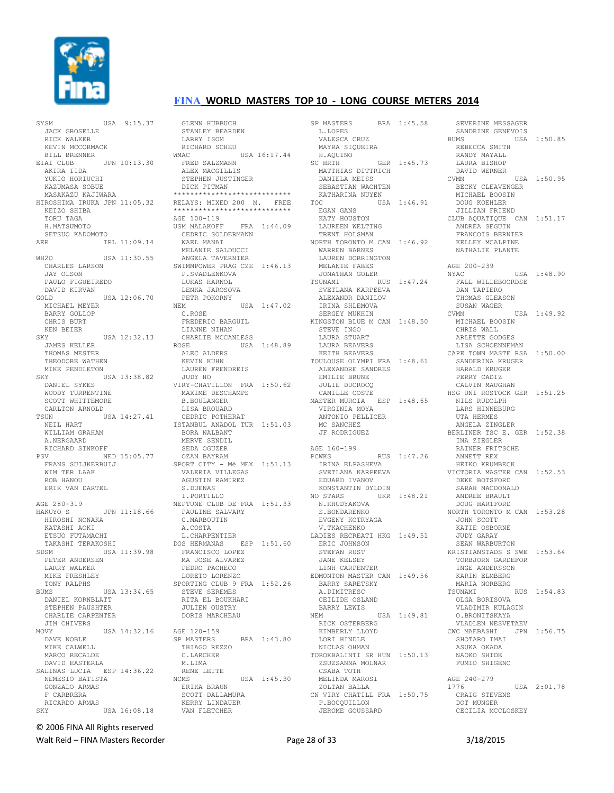

SYSM USA 9:15.37 JACK GROSELLE RICK WALKER KEVIN MCCORMACK BILL BRENNER EIAI CLUB JPN 10:13.30 AKIRA IIDA YUKIO HORIUCHI KAZUMASA SOBUE MASAKAZU KAJIWARA HIROSHIMA IRUKA JPN 11:05.32 KEIZO SHIBA TORU TAGA H.MATSUMOTO SETSUO KADOMOTO AER IRL 11:09.14 WH2O USA 11:30.55 CHARLES LARSON JAY OLSON PAULO FIGUEIREDO DAVID KIRVAN GOLD USA 12:06.70 MICHAEL MEYER BARRY GOLLOP CHRIS BURT KEN BEIER SKY USA 12:32.13 JAMES KELLER THOMAS MESTER THEODORE WATHEN MIKE PENDLETON SKY USA 13:38.82 DANIEL SYKES WOODY TURRENTINE SCOTT WHITTEMORE CARLTON ARNOLD TSUN USA 14:27.41 NEIL HART WILLIAM GRAHAM A.NERGAARD RICHARD SINKOFF PSV NED 15:05.77 FRANS SUIJKERBUIJ WIM TER LAAK ROB HANOU ERIK VAN DARTEL AGE 280-319 HAKUYO S JPN 11:18.66 HIROSHI NONAKA KATASHI AOKI ETSUO FUTAMACHI TAKASHI TERAKOSHI SDSM USA 11:39.98 PETER ANDERSEN LARRY WALKER MIKE FRESHLEY TONY RALPHS BUMS USA 13:34.65 DANIEL KORNBLATT STEPHEN PAUSHTER CHARLIE CARPENTER JIM CHIVERS MOVY USA 14:32.16 DAVE NOBLE MIKE CALWELL MARCO RECALDE DAVID EASTERLA SALINAS LUCIA ESP 14:36.22 NEMESIO BATISTA GONZALO ARMAS F CARBRERA RICARDO ARMAS USA 16:08.18

 GLENN HUBBUCH STANLEY BEARDEN LARRY ISOM RICHARD SCHEU WMAC USA 16:17.44 FRED SALZMANN ALEX MACGILLIS STEPHEN JUSTINGER DICK PITMAN \*\*\*\*\*\*\*\*\*\*\*\*\*\*\*\*\*\*\*\*\*\*\*\*\*\*\*\* RELAYS: MIXED 200 M. FREE \*\*\*\*\*\*\*\*\*\*\*\*\*\*\*\*\*\*\*\*\*\*\*\*\*\*\*\* AGE 100-119 USM MALAKOFF FRA 1:44.09 CEDRIC SOLDERMANN WAEL MANAI MELANIE SALDUCCI ANGELA TAVERNIER SWIMMPOWER PRAG CZE 1:46.13 P.SVADLENKOVA LUKAS HARNOL LENKA JAROSOVA PETR POKORNY<br>NEM USA 1:47.02 C.ROSE FREDERIC BARGUIL LIANNE NIHAN CHARLIE MCCANLESS<br>ROSE USA USA 1:48.89 ALEC ALDERS KEVIN KUHN LAUREN FRENDREIS JUDY HO VIRY-CHATILLON FRA 1:50.62 MAXIME DESCHAMPS B.BOULANGER LISA BROUARD CEDRIC POTHERAT ISTANBUL ANADOL TUR 1:51.03 BORA NALBANT MERVE SENDIL SEDA OGUZER OZAN BAYRAM SPORT CITY - Mé MEX 1:51.13 VALERIA VILLEGAS AGUSTIN RAMIREZ S.DUENAS I.PORTILLO NEPTUNE CLUB DE FRA 1:51.33 PAULINE SALVARY C.MARBOUTIN A.COSTA L.CHARPENTIER DOS HERMANAS ESP 1:51.60 FRANCISCO LOPEZ MA JOSE ALVAREZ PEDRO PACHECO LORETO LORENZO SPORTING CLUB 9 FRA 1:52.26 STEVE SEREMES RITA EL BOUKHARI JULIEN OUSTRY DORIS MARCHEAU AGE 120-159 SP MASTERS BRA 1:43.80 THIAGO REZZO C.LARCHER M.LIMA RENE LEITE NCMS USA 1:45.30 ERIKA BRAUN SCOTT DALLAMURA KERRY LINDAUER VAN FLETCHER

SP MASTERS BRA 1:45.58 L. LOPES VALESCA CRUZ MAYRA SIQUEIRA H.AQUINO SC HRTH GER 1:45.73 MATTHIAS DITTRICH DANIELA MEISS SEBASTIAN WACHTEN KATHARINA NUYEN TOC USA 1:46.91 EGAN GANS KATY HOUSTON LAUREEN WELTING TRENT HOLSMAN NORTH TORONTO M CAN 1:46.92 WARREN BARNES LAUREN DORRINGTON MELANIE FABES JONATHAN GOLER TSUNAMI RUS 1:47.24 SVETLANA KARPEEVA ALEXANDR DANILOV IRINA SHLEMOVA SERGEY MUKHIN KINGSTON BLUE M CAN 1:48.50 STEVE INGO LAURA STUART LAURA BEAVERS KEITH BEAVERS TOULOUSE OLYMPI FRA 1:48.61 ALEXANDRE SANDRES EMILIE BRUNE JULIE DUCROCQ CAMILLE COSTE MASTER MURCIA ESP 1:48.65 VIRGINIA MOYA ANTONIO PELLICER MC SANCHEZ JF RODRIGUEZ AGE 160-199 PCWKS RUS 1:47.26 IRINA ELPASHEVA SVETLANA KARPEEVA EDUARD IVANOV KONSTANTIN DYLDIN NO STARS UKR 1:48.21 N.KHUDYAKOVA S.BONDARENKO EVGENY KOTRYAGA V.TKACHENKO LADIES RECREATI HKG 1:49.51 ERIC JOHNSON STEFAN RUST JANE KELSEY LINH CARPENTER EDMONTON MASTER CAN 1:49.56 BARRY SARETSKY A.DIMITRESC CEILIDH OSLAND BARRY LEWIS<br>NEW USA 1:49.81 RICK OSTERBERG KIMBERLY LLOYD LORI HINDLE NICLAS OHMAN TOROKBALINTI SR HUN 1:50.13 ZSUZSANNA MOLNAR CSABA TOTH MELINDA MAROSI ZOLTAN BALLA CN VIRY CHATILL FRA 1:50.75 P.BOCQUILLON JEROME GOUSSARD

 SEVERINE MESSAGER SANDRINE GENEVOIS BUMS USA 1:50.85 REBECCA SMITH RANDY MAYALL LAURA BISHOP DAVID WERNER CVMM USA 1:50.95 BECKY CLEAVENGER MICHAEL BOOSIN DOUG KOEHLER JILLIAN FRIEND CLUB AQUATIQUE CAN 1:51.17 ANDREA SEGUIN FRANCOIS BERNIER KELLEY MCALPINE NATHALIE PLANTE AGE 200-239 NYAC USA 1:48.90 FALL WILLEBOORDSE DAN TAPIERO THOMAS GLEASON SUSAN WAGER CVMM USA 1:49.92 MICHAEL BOOSIN CHRIS WALL ARLETTE GODGES LISA SCHOENNEMAN CAPE TOWN MASTE RSA 1:50.00 SANDERINA KRUGER HARALD KRUGER PERRY CADIZ CALVIN MAUGHAN HSG UNI ROSTOCK GER 1:51.25 NILS RUDOLPH LARS HINNEBURG UTA HERMES ANGELA ZINGLER BERLINER TSC E. GER 1:52.38 INA ZIEGLER RAINER FRITSCHE ANNETT REX HEIKO KRUMBECK VICTORIA MASTER CAN 1:52.53 DEKE BOTSFORD SARAH MACDONALD ANDREE BRAULT DOUG HARTFORD NORTH TORONTO M CAN 1:53.28 JOHN SCOTT KATIE OSBORNE JUDY GARAY SEAN WARBURTON KRISTIANSTADS S SWE 1:53.64 TORBJORN GARDEFOR INGE ANDERSSON KARIN ELMBERG MARIA NORBERG TSUNAMI RUS 1:54.83 OLGA BORISOVA VLADIMIR KULAGIN O.BRONITSKAYA VLADLEN NESVETAEV CWC MAEBASHI JPN 1:56.75 SHOTARO IMAI ASUKA OKADA NAOKO SHIDE FUMIO SHIGENO AGE 240-279 1776 USA 2:01.78 CRAIG STEVENS DOT MUNGER CECILIA MCCLOSKEY

© 2006 FINA All Rights reserved

Walt Reid – FINA Masters Recorder The Communication of Page 28 of 33 3/18/2015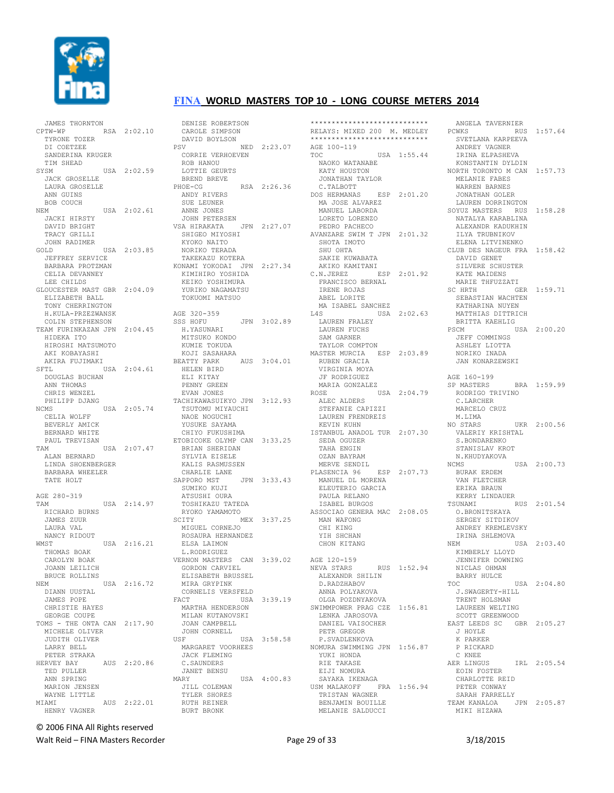

 JAMES THORNTON CPTW-WP RSA 2:02.10 TYRONE TOZER DI COETZEE SANDERINA KRUGER TIM SHEAD SYSM USA 2:02.59 JACK GROSELLE LAURA GROSELLE ANN GUINS BOB COUCH NEM USA 2:02.61 JACKI HIRSTY DAVID BRIGHT TRACY GRILLIT JOHN RADIMER GOLD USA 2:03.85 JEFFREY SERVICE BARBARA PROTZMAN CELIA DEVANNEY LEE CHILDS GLOUCESTER MAST GBR 2:04.09 ELIZABETH BALL TONY CHERRINGTON H.KULA-PRZEZWANSK COLIN STEPHENSON TEAM FURINKAZAN JPN 2:04.45 HIDEKA ITO HIROSHI MATSUMOTO AKI KOBAYASHI AKIRA FUJIMAKI SFTL USA 2:04.61 DOUGLAS BUCHAN ANN THOMAS CHRIS WENZEL PHILIPP DJANG NCMS USA 2:05.74 CELIA WOLFF BEVERLY AMICK BERNARD WHITE PAUL TREVISAN TAM USA 2:07.47 ALAN BERNARD LINDA SHOENBERGER BARBARA WHEELER TATE HOLT AGE 280-319 TAM USA 2:14.97 RICHARD BURNS JAMES ZUUR LAURA VAL NANCY RIDOUT WMST USA 2:16.21 THOMAS BOAK CAROLYN BOAK JOANN LEILICH BRUCE ROLLINS<br>NEM USA 2:16.72 DIANN UUSTAL JAMES POPE CHRISTIE HAYES GEORGE COUPE TOMS - THE ONTA CAN 2:17.90 MICHELE OLIVER JUDITH OLIVER LARRY BELL PETER STRAKA HERVEY BAY AUS 2:20.86 TED PULLER ANN SPRING MARION JENSEN WAYNE LITTLE MIAMI AUS 2:22.01 HENRY VAGNER

 DENISE ROBERTSON CAROLE SIMPSON DAVID BOYLSON PSV NED 2:23.07 CORRIE VERHOEVEN ROB HANOU LOTTIE GEURTS BREND BREVE PHOE-CG RSA 2:26.36 ANDY RIVERS SUE LEUNER ANNE JONES JOHN PETERSEN VSA HIRAKATA JPN 2:27.07 SHIGEO MIYOSHI KYOKO NAITO NORIKO TERADA TAKEKAZU KOTERA KONAMI YOKODAI JPN 2:27.34 KIMIHIRO YOSHIDA KEIKO YOSHIMURA YURIKO NAGAMATSU TOKUOMI MATSUO AGE 320-359 SSS HOFU JPN 3:02.89 H.YASUNARI MITSUKO KONDO KUMIE TOKUDA KOJI SASAHARA BEATTY PARK AUS 3:04.01 HELEN BIRD ELI KITAY PENNY GREEN EVAN JONES TACHIKAWASUIKYO JPN 3:12.93 TSUTOMU MIYAUCHI NAOE NOGUCHI YUSUKE SAYAMA CHIYO FUKUSHIMA ETOBICOKE OLYMP CAN 3:33.25 BRIAN SHERIDAN SYLVIA EISELE KALIS RASMUSSEN CHARLIE LANE<br>SAPPORO MST JPN 3:33.43 SUMIKO KUJI ATSUSHI OURA TOSHIKAZU TATEDA RYOKO YAMAMOTO SCITY MEX 3:37.25 MIGUEL CORNEJO ROSAURA HERNANDEZ ELSA LAIMON L.RODRIGUEZ VERNON MASTERS CAN 3:39.02 GORDON CARVIEL ELISABETH BRUSSEL MIRA GRYPINK CORNELIS VERSFELD<br>FACT USA USA 3:39.19 MARTHA HENDERSON MILAN KUTANOVSKI JOAN CAMPBELL JOHN CORNELL USF USA 3:58.58 MARGARET VOORHEES JACK FLEMING C.SAUNDERS JANET BENSU MARY USA 4:00.83 JILL COLEMAN TYLER SHORES RUTH REINER BURT BRONK

\*\*\*\*\*\*\*\*\*\*\*\*\*\*\*\*\*\*\*\*\*\*\*\* RELAYS: MIXED 200 M. MEDLEY<br>\*\*\*\*\*\*\*\*\*\*\*\*\*\*\*\*\*\*\*\*\*\*\*\*\*\*\*\*\* \*\*\*\*\*\*\*\*\*\*\*\*\*\*\*\*\*\*\*\*\*\*\*\*\*\*\*\* AGE 100-119 TOC USA 1:55.44 NAOKO WATANABE KATY HOUSTON JONATHAN TAYLOR C.TALBOTT DOS HERMANAS ESP 2:01.20 MA JOSE ALVAREZ MANUEL LABORDA LORETO LORENZO PEDRO PACHECO AVANZARE SWIM T JPN 2:01.32 SHOTA IMOTO SHU OHTA SAKIE KUWABATA AKIKO KAMITANI C.N.JEREZ ESP 2:01.92 FRANCISCO BERNAL IRENE ROJAS ABEL LORITE MA ISABEL SANCHEZ L4S USA 2:02.63 LAUREN FRALEY LAUREN FUCHS SAM GARNER TAYLOR COMPTON MASTER MURCIA ESP 2:03.89 RUBEN GRACIA VIRGINIA MOYA JF RODRIGUEZ MARIA GONZALEZ ROSE USA 2:04.79 ALEC ALDERS STEFANIE CAPIZZI LAUREN FRENDREIS KEVIN KUHN ISTANBUL ANADOL TUR 2:07.30 SEDA OGUZER TAHA ENGIN OZAN BAYRAM MERVE SENDIL PLASENCIA 96 ESP 2:07.73 MANUEL DL MORENA ELEUTERIO GARCIA PAULA RELANO ISABEL BURGOS ASSOCIAO GENERA MAC 2:08.05 MAN WAFONG CHI KING YIH SHCHAN CHON KITANG AGE 120-159 NEVA STARS RUS 1:52.94 ALEXANDR SHILIN D.RADZHABOV ANNA POLYAKOVA OLGA POZDNYAKOVA SWIMMPOWER PRAG CZE 1:56.81 LENKA JAROSOVA DANIEL VAISOCHER PETR GREGOR P.SVADLENKOVA NOMURA SWIMMING JPN 1:56.87 YUKI HONDA RIE TAKASE EIJI NOMURA SAYAKA IKENAGA USM MALAKOFF FRA 1:56.94 SM MADARVILL<br>TRISTAN WAGNER<br>- TAMITIE BENJAMIN BOUILLE MELANIE SALDUCCI

 ANGELA TAVERNIER PCWKS RUS 1:57.64 SVETLANA KARPEEVA ANDREY VAGNER IRINA ELPASHEVA KONSTANTIN DYLDIN NORTH TORONTO M CAN 1:57.73 MELANIE FABES WARREN BARNES JONATHAN GOLER LAUREN DORRINGTON SOYUZ MASTERS RUS 1:58.28 NATALYA KARABLINA ALEXANDR KADUKHIN ILYA TRUBNIKOV ELENA LITVINENKO CLUB DES NAGEUR FRA 1:58.42 DAVID GENET SILVERE SCHUSTER KATE MAIDENS MARIE THFUZZATI SC HRTH GER 1:59.71 SEBASTIAN WACHTEN KATHARINA NUYEN MATTHIAS DITTRICH BRITTA KAEHLIG PSCM USA 2:00.20 JEFF COMMINGS ASHLEY LIOTTA NORIKO INADA JAN KONARZEWSKI AGE 160-199 SP MASTERS BRA 1:59.99 RODRIGO TRIVINO C.LARCHER MARCELO CRUZ M. T.TMA NO STARS UKR 2:00.56 VALERIY KRISHTAL S.BONDARENKO STANISLAV KROT N.KHUDYAKOVA NCMS USA 2:00.73 BURAK ERDEM VAN FLETCHER ERIKA BRAUN KERRY LINDAUER TSUNAMI RUS 2:01.54 O.BRONITSKAYA SERGEY SITDIKOV ANDREY KREMLEVSKY IRINA SHLEMOVA<br>NEM  $IISA$  2:03.40 KIMBERLY LLOYD JENNIFER DOWNING NICLAS OHMAN BARRY HULCE<br>TOC USA 2:04.80 J.SWAGERTY-HILL TRENT HOLSMAN LAUREEN WELTING SCOTT GREENWOOD EAST LEEDS SC GBR 2:05.27 J HOYLE K PARKER P RICKARD C KNEE AER LINGUS IRL 2:05.54 EOIN FOSTER CHARLOTTE REID PETER CONWAY SARAH FARRELLY TEAM KANALOA JPN 2:05.87 MIKI HIZAWA

© 2006 FINA All Rights reserved

Walt Reid – FINA Masters Recorder The Communication of the Page 29 of 33 3/18/2015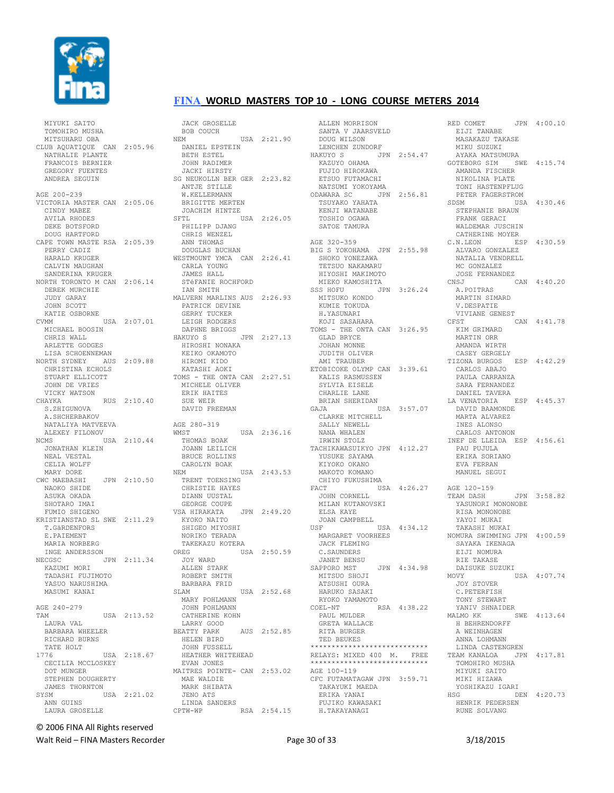

MIYUKI SAITO

## **FINA WORLD MASTERS TOP 10 - LONG COURSE METERS 2014**

 TOMOHIRO MUSHA MITSUHARU OBA CLUB AQUATIQUE CAN 2:05.96 NATHALIE PLANTE FRANCOIS BERNIER GREGORY FUENTES ANDREA SEGUIN AGE 200-239 VICTORIA MASTER CAN 2:05.06 CINDY MABEE AVILA RHODES DEKE BOTSFORD DOUG HARTFORD CAPE TOWN MASTE RSA 2:05.39 PERRY CADIZ HARALD KRUGER CALVIN MAUGHAN SANDERINA KRUGER NORTH TORONTO M CAN 2:06.14 DEREK MURCHIE JUDY GARAY JOHN SCOTT KATIE OSBORNE CVMM USA 2:07.01 MICHAEL BOOSIN CHRIS WALL ARLETTE GODGES LISA SCHOENNEMAN NORTH SYDNEY AUS 2:09.88 CHRISTINA ECHOLS STUART ELLICOTT JOHN DE VRIES VICKY WATSON CHAYKA RUS 2:10.40 S.ZHIGUNOVA A.SHCHERBAKOV NATALIYA MATVEEVA ALEXEY FILONOV NCMS USA 2:10.44 JONATHAN KLEIN NEAL VESTAL CELIA WOLFF MARY DORE CWC MAEBASHI JPN 2:10.50 NAOKO SHIDE ASUKA OKADA SHOTARO IMAI FUMIO SHIGENO KRISTIANSTAD SL SWE 2:11.29 T.GäRDENFORS E.PAIEMENT MARIA NORBERG INGE ANDERSSON NECGSC JPN 2:11.34 KAZUMI MORI TADASHI FUJIMOTO YASUO NARUSHIMA MASUMI KANAI AGE 240-279  $USA$  2:13.52 LAURA VAL BARBARA WHEELER RICHARD BURNS TATE HOLT<br>1776 USA 2:18.67 CECILIA MCCLOSKEY DOT MUNGER STEPHEN DOUGHERTY JAMES THORNTON<br>SYSM US USA 2:21.02 ANN GUINS LAURA GROSELLE

 JACK GROSELLE BOB COUCH NEM USA 2:21.90 DANIEL EPSTEIN BETH ESTEL JOHN RADIMER JACKI HIRSTY SG NEUKOLLN BER GER 2:23.82 ANTJE STILLE W.KELLERMANN BRIGITTE MERTEN JOACHIM HINTZE SFTL USA 2:26.05 PHILIPP DJANG CHRIS WENZEL ANN THOMAS DOUGLAS BUCHAN WESTMOUNT YMCA CAN 2:26.41 CARLA YOUNG JAMES HALL STéFANIE ROCHFORD IAN SMITH MALVERN MARLINS AUS 2:26.93 PATRICK DEVINE GERRY TUCKER LEIGH RODGERS DAPHNE BRIGGS<br>HAKUYO S  $JPN$  2:27.13 HIROSHI NONAKA KEIKO OKAMOTO HIROMI KIDO KATASHI AOKI TOMS - THE ONTA CAN 2:27.51 MICHELE OLIVER ERIK HAITES SUE WEIR DAVID FREEMAN AGE 280-319 WMST USA 2:36.16 THOMAS BOAK JOANN LEILICH BRUCE ROLLINS CAROLYN BOAK NEM USA 2:43.53 TRENT TOENSING CHRISTIE HAYES DIANN UUSTAL GEORGE COUPE VSA HIRAKATA JPN 2:49.20 KYOKO NAITO SHIGEO MIYOSHI NORIKO TERADA TAKEKAZU KOTERA OREG USA 2:50.59 JOY WARD ALLEN STARK ROBERT SMITH BARBARA FRID SLAM USA 2:52.68 MARY POHLMANN JOHN POHLMANN CATHERINE KOHN LARRY GOOD BEATTY PARK AUS 2:52.85 HELEN BIRD JOHN FUSSELL HEATHER WHITEHEAD EVAN JONES MAITRES POINTE- CAN 2:53.02 MAE WALDIE MARK SHIBATA JENO ATS LINDA SANDERS CPTW-WP RSA 2:54.15

 ALLEN MORRISON SANTA V JAARSVELD DOUG WILSON LENCHEN ZUNDORF HAKUYO S JPN 2:54.47 KAZUYO OHAMA FUJIO HIROKAWA ETSUO FUTAMACHI NATSUMI YOKOYAMA ODAWARA SC JPN 2:56.81 TSUYAKO YAHATA KENJI WATANABE TOSHIO OGAWA SATOE TAMURA AGE 320-359 BIG S YOKOHAMA JPN 2:55.98 SHOKO YONEZAWA TETSUO NAKAMARU HIYOSHI MAKIMOTO MIEKO KAMOSHITA SSS HOFU JPN 3:26.24 MITSUKO KONDO KUMIE TOKUDA H.YASUNARI KOJI SASAHARA TOMS - THE ONTA CAN 3:26.95 GLAD BRYCE JOHAN MONNE JUDITH OLIVER AMI TRAUBER ETOBICOKE OLYMP CAN 3:39.61 KALIS RASMUSSEN SYLVIA EISELE CHARLIE LANE BRIAN SHERIDAN GAJA USA 3:57.07 CLARKE MITCHELL SALLY NEWELL NANA WHALEN IRWIN STOLZ TACHIKAWASUIKYO JPN 4:12.27 YUSUKE SAYAMA KIYOKO OKANO MAKOTO KOMANO CHIYO FUKUSHIMA<br>FACT USA 4:26.27<br>JOHN CORNELL MILAN KUTANOVSKI ELSA KAYE JOAN CAMPBELL USF USA 4:34.12 MARGARET VOORHEES JACK FLEMING C.SAUNDERS JANET BENSU SAPPORO MST JPN 4:34.98 MITSUO SHOJI ATSUSHI OURA HARUKO SASAKI RYOKO YAMAMOTO COEL-NT RSA 4:38.22 PAUL MULDER GRETA WALLACE RITA BURGER TED BEUKES \*\*\*\*\*\*\*\*\*\*\*\*\*\*\*\*\*\*\*\*\*\*\*\*\*\*\*\* RELAYS: MIXED 400 M. FREE \*\*\*\*\*\*\*\*\*\*\*\*\*\*\*\*\*\*\*\*\*\*\*\*\*\*\*\* AGE 100-119 CFC FUTAMATAGAW JPN 3:59.71 TAKAYUKI MAEDA ERIKA YANAI FUJIKO KAWASAKI H.TAKAYANAGI

RED COMET JPN 4:00.10 EIJI TANABE MASAKAZU TAKASE MIKU SUZUKI AYAKA MATSUMURA GOTEBORG SIM SWE 4:15.74 AMANDA FISCHER NIKOLINA PLATE TONI HASTENPFLUG PETER FAGERSTROM SDSM USA 4:30.46 STEPHANIE BRAUN FRANK GERACI WALDEMAR JUSCHIN CATHERINE MOYER C.N.LEON ESP 4:30.59 ALVARO GONZALEZ NATALIA VENDRELL MC GONZALEZ JOSE FERNANDEZ<br>CNS.J CAN 4:40.20 A.POITRAS MARTIN SIMARD V.DESPATIE VIVIANE GENEST CFST CAN 4:41.78 KIM GRIMARD MARTIN ORR AMANDA WIRTH CASEY GERGELY TIZONA BURGOS ESP 4:42.29 CARLOS ABAJO PAULA CARRANZA SARA FERNANDEZ DANIEL TAVERA LA VENATORIA ESP 4:45.37 DAVID BAAMONDE MARTA ALVAREZ INES ALONSO CARLOS ANTONON INEF DE LLEIDA ESP 4:56.61 PAU PUJULA<br>PAU PUJULA<br>PRES ERIKA SORIANO EVA FERRAN MANUEL SEGUI AGE 120-159 TEAM DASH JPN 3:58.82 YASUNORI MONONOBE RISA MONONOBE YAYOI MUKAI TAKASHI MUKAI NOMURA SWIMMING JPN 4:00.59 SAYAKA IKENAGA EIJI NOMURA RIE TAKASE DAISUKE SUZUKI MOVY USA 4:07.74 JOY STOVER C.PETERFISH TONY STEWART YANIV SHNAIDER MALMO KK SWE 4:13.64 H BEHRENDORFF A WEINHAGEN ANNA LOHMANN LINDA CASTENGREN TEAM KANALOA JPN 4:17.81 TOMOHIRO MUSHA MIYUKI SAITO MIKI HIZAWA YOSHIKAZU IGARI<br>HSG DE DEN 4:20.73 HENRIK PEDERSEN RUNE SOLVANG

© 2006 FINA All Rights reserved

Walt Reid – FINA Masters Recorder The Communication of 33 3/18/2015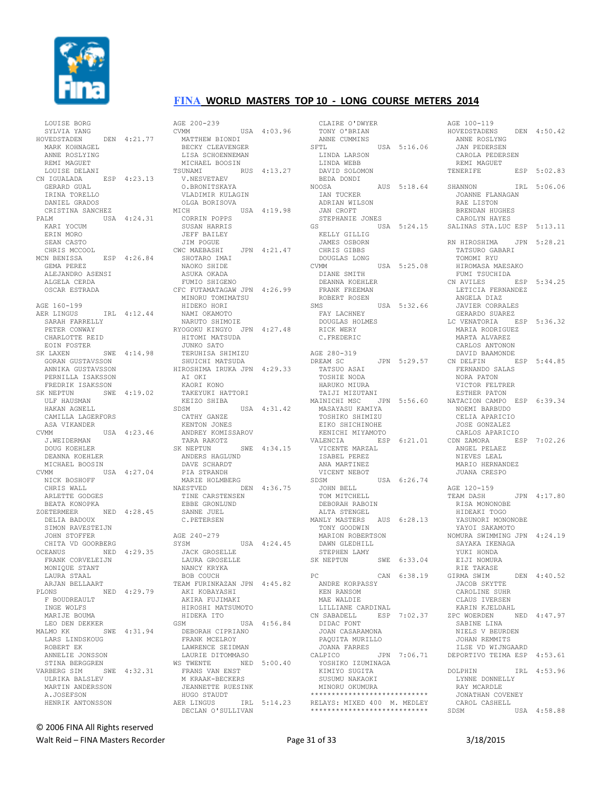

 LOUISE BORG SYLVIA YANG HOVEDSTADEN DEN 4:21.77 MARK KOHNAGEL. ANNE ROSLYING REMI MAGUET LOUISE DELANI CN IGUALADA ESP 4:23.13 GERARD GUAL IRINA TORELLO DANIEL GRADOS CRISTINA SANCHEZ PALM USA 4:24.31 KARI YOCUM ERIN MORO SEAN CASTO CHRIS MCCOOL MCN BENISSA ESP 4:26.84 GEMA PEREZ ALEJANDRO ASENSI ALGELA CERDA OSCAR ESTRADA AGE 160-199 AER LINGUS IRL 4:12.44 SARAH FARRELLY PETER CONWAY CHARLOTTE REID EOIN FOSTER SK LAXEN SWE 4:14.98 GORAN GUSTAVSSON ANNIKA GUSTAVSSON PERNILLA ISAKSSON FREDRIK ISAKSSON SK NEPTUN SWE 4:19.02 ULF HAUSMAN HAKAN AGNELL CAMILLA LAGERFORS ASA VIKANDER CVMM USA 4:23.46 J.WEIDERMAN DOUG KOEHLER DEANNA KOEHLER MICHAEL BOOSIN<br>CVMM U USA  $4:27.04$  NICK BOSHOFF CHRIS WALL ARLETTE GODGES BEATA KONOPKA ZOETERMEER NED 4:28.45 DELIA BADOUX SIMON RAVESTEIJN JOHN STOFFER CHITA VD GOORBERG OCEANUS NED 4:29.35 FRANK CORVELEIJN MONIQUE STANT LAURA STAAL ARJAN BELLAART PLONS NED 4:29.79 F BOUDREAULT INGE WOLFS MARIJE BOUMA LEO DEN DEKKER MALMO KK SWE 4:31.94 LARS LINDSKOUG ROBERT EK ANNELIE JONSSON STINA BERGGREN VARBERG SIM SWE 4:32.31 ULRIKA BALSLEV MARTIN ANDERSSON A.JOSEFSON HENRIK ANTONSSON

AGE 200-239  $CVMM$   $IISA$   $4 \cdot 03.96$  MATTHEW BIONDI BECKY CLEAVENGER LISA SCHOENNEMAN MICHAEL BOOSIN<br>TSUNAMI RUS 4:13.27 V.NESVETAEV O.BRONITSKAYA VLADIMIR KULAGIN OLGA BORISOVA MICH USA 4:19.98 CORRIN POPPS SUSAN HARRIS JEFF BAILEY JIM POGUE CWC MAEBASHI JPN 4:21.47 SHOTARO IMAI NAOKO SHIDE ASUKA OKADA FUMIO SHIGENO CFC FUTAMATAGAW JPN 4:26.99 MINORU TOMIMATSU HIDEKO HORI NAMI OKAMOTO NARUTO SHIMOIE RYOGOKU KINGYO JPN 4:27.48 HITOMI MATSUDA JUNKO SATO TERUHISA SHIMIZU SHUICHI MATSUDA HIROSHIMA IRUKA JPN 4:29.33 AI OKI KAORI KONO TAKEYUKI HATTORI KEIZO SHIBA SDSM USA 4:31.42 CATHY GANZE KENTON JONES<br>ANDREY KOMISSAROV ANDREY KOMISSAROV TARA RAKOTZ SK NEPTUN SWE 4:34.15 ANDERS HAGLUND DAVE SCHARDT PIA STRANDH MARIE HOLMBERG NAESTVED DEN 4:36.75 TINE CARSTENSEN EBBE GRONLUND SANNE JUEL C.PETERSEN AGE 240-279<br>SYSM USA 4:24.45 JACK GROSELLE LAURA GROSELLE NANCY KRYKA BOB COUCH TEAM FURINKAZAN JPN 4:45.82 AKI KOBAYASHI AKIRA FUJIMAKI HIROSHI MATSUMOTO HIDEKA ITO GSM USA 4:56.84 DEBORAH CIPRIANO FRANK MCELROY LAWRENCE SEIDMAN LAURIE DITOMMASO WS TWENTE NED 5:00.40 FRANS VAN ENST M KRAAK-BECKERS JEANNETTE RUESINK HUGO STAUDT AER LINGUS IRL 5:14.23 DECLAN O'SULLIVAN

 CLAIRE O'DWYER TONY O'BRIAN ANNE CUMMINS SFTL USA 5:16.06 LINDA LARSON LINDA WEBB DAVID SOLOMON BEDA DONDI NOOSA AUS 5:18.64 IAN TUCKER ADRIAN WILSON JAN CROFT STEPHANIE JONES GS USA 5:24.15 KELLY GILLIG JAMES OSBORN CHRIS GIBBS DOUGLAS LONG USA 5:25.08 DIANE SMITH DEANNA KOEHLER FRANK FREEMAN ROBERT ROSEN SMS USA 5:32.66 FAY LACHNEY DOUGLAS HOLMES RICK WERY C.FREDERIC AGE 280-319<br>DREAM SC JPN 5:29.57 TATSUO ASAI TOSHIE NODA HARUKO MIURA TAIJI MIZUTANI MAINICHI MSC JPN 5:56.60 MASAYASU KAMIYA TOSHIKO SHIMIZU EIKO SHICHINOHE KENICHI MIYAMOTO VALENCIA ESP 6:21.01 VICENTE MARZAL ISABEL PEREZ ANA MARTINEZ VICENT NEBOT USA 6:26.74 JOHN BELL TOM MITCHELL DEBORAH RABOIN ALTA STENGEL MANLY MASTERS AUS 6:28.13 TONY GOODWIN MARION ROBERTSON DAWN GLEDHILL STEPHEN LAMY<br>SK NEPTUN SWE 6:33.04 PC CAN 6:38.19 ANDRE KORPASSY KEN RANSOM MAE WALDIE LILLIANE CARDINAL CN SABADELL ESP 7:02.37 ZPC WOERDEN DIDAC FONT JOAN CASARAMONA PAQUITA MURILLO JOANA FARRES CALPICO YOSHIKO IZUMINAGA KIMIYO SUGITA SUSUMU NAKAOKI MINORU OKUMURA \*\*\*\*\*\*\*\*\*\*\*\*\*\*\*\*\*\*\*\*\*\*\*\*\*\*\*\* RELAYS: MIXED 400 M. MEDLEY \*\*\*\*\*\*\*\*\*\*\*\*\*\*\*\*\*\*\*\*\*\*\*\*\*\*\*\*

AGE 100-119 HOVEDSTADENS DEN 4:50.42 ANNE ROSLYNG JAN PEDERSEN CAROLA PEDERSEN REMI MAGUET<br>TENERIEE  $ESP$  5:02.83 SHANNON IRL 5:06.06 JOANNE FLANAGAN RAE LISTON BRENDAN HUGHES CAROLYN HAYES SALINAS STA.LUC ESP 5:13.11 RN HIROSHIMA JPN 5:28.21 TATSURO GABARI TOMOMI RYU HIROMASA MAESAKO FUMI TSUCHIDA CN AVILES ESP 5:34.25 LETICIA FERNANDEZ ANGELA DIAZ JAVIER CORRALES GERARDO SUAREZ LC VENATORIA ESP 5:36.32 MARIA RODRIGUEZ MARTA ALVAREZ CARLOS ANTONON DAVID BAAMONDE CN DELFIN ESP 5:44.85 FERNANDO SALAS NORA PATON VICTOR FELTRER ESTHER PATON NATACION CAMPO ESP 6:39.34 NOEMI BARBUDO CELIA APARICIO JOSE GONZALEZ CARLOS APARICIO CDN ZAMORA ESP 7:02.26 ANGEL PELAEZ NIEVES LEAL MARIO HERNANDEZ JUANA CRESPO AGE 120-159 TEAM DASH JPN 4:17.80 RISA MONONOBE HIDEAKI TOGO YASUNORI MONONOBE YAYOI SAKAMOTO NOMURA SWIMMING JPN 4:24.19 SAYAKA IKENAGA YUKI HONDA EIJI NOMURA RIE TAKASE GIRMA SWIM DEN 4:40.52 JACOB SKYTTE CAROLINE SUHR CLAUS IVERSEN KARIN KJELDAHL NED 4:47.97 SABINE LINA NIELS V BEURDEN JOHAN REMMITS ILSE VD WIJNGAARD JPN 7:06.71 DEPORTIVO TEIMA ESP 4:53.61 DOLPHIN IRL 4:53.96 LYNNE DONNELLY RAY MCARDLE JONATHAN COVENEY CAROL CASHELL USA 4:58.88

© 2006 FINA All Rights reserved

Walt Reid – FINA Masters Recorder The Communication of 33 3/18/2015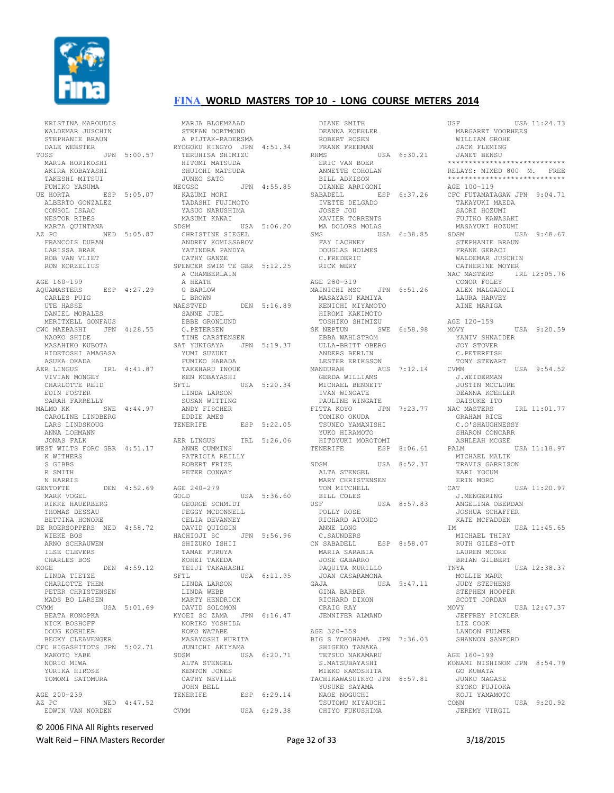

#### KRISTINA MAROUDIS<br>WALDEMAR JUSCHIN WALDEMAR JUSCHIN STEPHANIE BRAUN DALE WEBSTER TOSS JPN 5:00.57 MARIA HORIKOSHI AKIRA KOBAYASHI TAKESHI MITSUI FUMIKO YASUMA UE HORTA ESP 5:05.07 ALBERTO GONZALEZ CONSOL ISAAC NESTOR RIBES MARTA QUINTANA AZ PC NED 5:05.87 FRANCOIS DURAN LARISSA BRAK ROB VAN VLIET RON KORZELIUS AGE 160-199 AQUAMASTERS ESP 4:27.29 CARLES PUIG UTE HASSE DANIEL MORALES MERITXELL GONFAUS CWC MAEBASHI JPN 4:28.55 NAOKO SHIDE MASAHIKO KUBOTA HIDETOSHI AMAGASA ASUKA OKADA AER LINGUS IRL 4:41.87 VIVIAN MONGEY CHARLOTTE REID EOIN FOSTER SARAH FARRELLY MALMO KK SWE 4:44.97 CAROLINE LINDBERG LARS LINDSKOUG ANNA LOHMANN JONAS FALK WEST WILTS FORC GBR 4:51.17 K WITHERS S GIBBS R SMITH N HARRIS<br>GENTOFTE GENTOFTE DEN 4:52.69 AGE 240-279 GOLD USA 5:36.60 MARK VOGEL RIKKE HAUERBERG THOMAS DESSAU BETTINA HONORE DE ROERSOPPERS NED 4:58.72 WIEKE BOS ARNO SCHRAUWEN ILSE CLEVERS CHARLES BOS KOGE DEN 4:59.12 LINDA TIETZE CHARLOTTE THEM PETER CHRISTENSEN MADS BO LARSEN CVMM USA 5:01.69 BEATA KONOPKA NICK BOSHOFF DOUG KOEHLER BECKY CLEAVENGER CFC HIGASHITOTS JPN 5:02.71 MAKOTO YABE NORIO MIWA YURIKA HIROSE TOMOMI SATOMURA AGE 200-239 AZ PC NED 4:47.52 EDWIN VAN NORDEN

#### MARJA BLOEMZAAD STEFAN DORTMOND A PIJTAK-RADERSMA RYOGOKU KINGYO JPN 4:51.34 TERUHISA SHIMIZU HITOMI MATSUDA SHUICHI MATSUDA JUNKO SATO NECGSC JPN 4:55.85 KAZUMI MORI TADASHI FUJIMOTO<br>YASUO NARUSHIMA YASUO NARUSHIMA MASUMI KANAI SDSM USA 5:06.20 CHRISTINE SIEGEL ANDREY KOMISSAROV YATINDRA PANDYA CATHY GANZE SPENCER SWIM TE GBR 5:12.25 A CHAMBERLAIN A HEATH G BARLOW L BROWN NAESTVED DEN 5:16.89 SANNE JUEL EBBE GRONLUND C.PETERSEN **TINE CARSTENSEN**<br>TINE CARSTENSEN<br>am viviles SAT YUKIGAYA JPN 5:19.37 YUMI SUZUKI FUMIKO HARADA TAKEHARU INOUE KEN KOBAYASHI SFTL USA 5:20.34 LINDA LARSON SUSAN WITTING ANDY FISCHER EDDIE AMES TENERIFE ESP 5:22.05 AER LINGUS IRL 5:26.06 ANNE CUMMINS PATRICIA REILLY ROBERT FRIZE PETER CONWAY GOLD USA 5:36.60<br>GEORGE SCHMIDT PEGGY MCDONNELL CELIA DEVANNEY DAVID QUIGGIN HACHIOJI SC JPN 5:56.96 SHIZUKO ISHII TAMAE FURUYA KOHEI TAKEDA TEIJI TAKAHASHI SFTL USA 6:11.95 — USA<br>LINDA LARSON<br>ττωρα επίσης LINDA WEBB MARTY HENDRICK DAVID SOLOMON KYOEI SC ZAMA JPN 6:16.47 NORIKO YOSHIDA KOKO WATABE MASAYOSHI KURITA JUNICHI AKIYAMA<br>SDSM US USA 6:20.71 ALTA STENGEL KENTON JONES CATHY NEVILLE JOHN BELL TENERIFE ESP 6:29.14 CVMM USA 6:29.38

 DIANE SMITH DEANNA KOEHLER ROBERT ROSEN FRANK FREEMAN RHMS USA 6:30.21 ERIC VAN BOER ANNETTE COHOLAN BILL ADKISON DIANNE ARRIGONI SABADELL ESP 6:37.26 IVETTE DELGADO JOSEP JOU XAVIER TORRENTS MA DOLORS MOLAS SMS USA 6:38.85 FAY LACHNEY DOUGLAS HOLMES C.FREDERIC RICK WERY AGE 280-319 MAINICHI MSC JPN 6:51.26 MASAYASU KAMIYA KENICHI MIYAMOTO HIROMI KAKIMOTO TOSHIKO SHIMIZU SK NEPTUN SWE 6:58.98 EBBA WAHLSTROM ULLA-BRITT OBERG ANDERS BERLIN LESTER ERIKSSON MANDURAH AUS 7:12.14 CVMM MANDORAN AND AND ALLERTY MICHAEL BENNETT IVAN WINGATE PAULINE WINGATE TSUNEO YAMANISHI YUKO HIRAMOTO HITOYUKI MOROTOMI SDSM USA 8:52.37 ALTA STENGEL MARY CHRISTENSEN TOM MITCHELL BILL COLES<br>USE USA 8:57.83 POLLY ROSE RICHARD ATONDO ANNE LONG C.SAUNDERS CN SABADELL ESP 8:58.07 MARIA SARABIA JOSE GABARRO PAQUITA MURILLO JOAN CASARAMONA<br>GAJA US. USA 9:47.11 GINA BARBER RICHARD DIXON CRAIG RAY JENNIFER ALMAND AGE 320-359 BIG S YOKOHAMA JPN 7:36.03 SHIGEKO TANAKA TETSUO NAKAMARU S.MATSUBAYASHI MIEKO KAMOSHITA TACHIKAWASUIKYO JPN 8:57.81 YUSUKE SAYAMA NAOE NOGUCHI TSUTOMU MIYAUCHI CHIYO FUKUSHIMA

**FINA WORLD MASTERS TOP 10 - LONG COURSE METERS 2014** 

#### FITTA KOYO JPN 7:23.77 TOMIKO OKUDA NAC MASTERS IRL 11:01.77 GRAHAM RICE TENERIFE ESP 8:06.61 PALM USA 11:18.97<br>MICHAEL MALIK MARGARET VOORHEES WILLIAM GROHE JACK FLEMING JANET BENSU \*\*\*\*\*\*\*\*\*\*\*\*\*\*\*\*\*\*\*\*\*\*\*\*\*\*\*\* RELAYS: MIXED 800 M. FREE \*\*\*\*\*\*\*\*\*\*\*\*\*\*\*\*\*\*\*\*\*\*\*\*\* AGE 100-119 CFC FUTAMATAGAW JPN 9:04.71 TAKAYUKI MAEDA SAORI HOZUMI FUJIKO KAWASAKI MASAYUKI HOZUMI SDSM USA 9:48.67 STEPHANIE BRAUN FRANK GERACI WALDEMAR JUSCHIN CATHERINE MOYER NAC MASTERS IRL 12:05.76 CONOR FOLEY ALEX MALGAROLI LAURA HARVEY AINE MARIGA AGE 120-159 MOVY USA 9:20.59 ...<br>YANIV SHNAIDER JOY STOVER C.PETERFISH TONY STEWART USA 9:54.52 J.WEIDERMAN JUSTIN MCCLURE DEANNA KOEHLER DAISUKE ITO C.O'SHAUGHNESSY SHARON CONCARR ASHLEAH MCGEE MICHAEL MALIK TRAVIS GARRISON KARI YOCUM ERIN MORO<br>CAT  $TISA 11:20.97$  J.MENGERING ANGELINA OBERDAN JOSHUA SCHAFFER KATE MCFADDEN IM USA 11:45.65 MICHAEL THIRY RUTH GILES-OTT LAUREN MOORE BRIAN GILBERT TNYA USA 12:38.37 MOLLIE MARR JUDY STEPHENS STEPHEN HOOPER SCOTT JORDAN MOVY USA 12:47.37 JEFFREY PICKLER LIZ COOK LANDON FULMER SHANNON SANFORD AGE 160-199 KONAMI NISHINOM JPN 8:54.79 GO KUWATA JUNKO NAGASE KYOKO FUJIOKA KOJI YAMAMOTO CONN USA 9:20.92

USE USA  $11 \cdot 24$  73

© 2006 FINA All Rights reserved

Walt Reid – FINA Masters Recorder The Contract Contract Page 32 of 33 3/18/2015

JEREMY VIRGIL